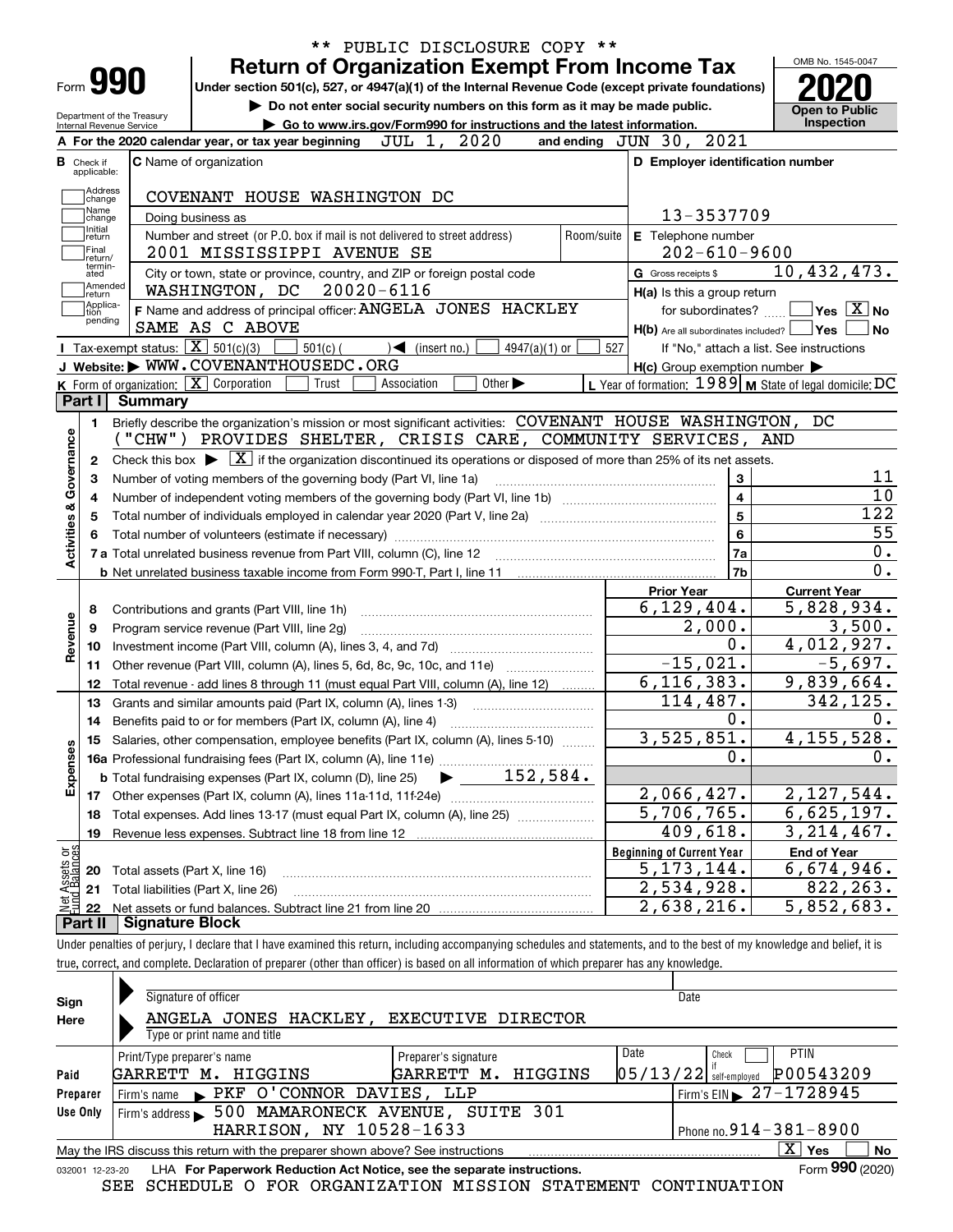|                                                      |                                                                                                                  |                                                                                                                                                |                             | ** PUBLIC DISCLOSURE COPY ** |                                                           |                                                                                                                                                                                                                                           |
|------------------------------------------------------|------------------------------------------------------------------------------------------------------------------|------------------------------------------------------------------------------------------------------------------------------------------------|-----------------------------|------------------------------|-----------------------------------------------------------|-------------------------------------------------------------------------------------------------------------------------------------------------------------------------------------------------------------------------------------------|
|                                                      | Form <b>990</b>                                                                                                  | <b>Return of Organization Exempt From Income Tax</b>                                                                                           |                             |                              |                                                           | OMB No. 1545-0047                                                                                                                                                                                                                         |
|                                                      |                                                                                                                  | Under section 501(c), 527, or 4947(a)(1) of the Internal Revenue Code (except private foundations)                                             |                             |                              |                                                           |                                                                                                                                                                                                                                           |
|                                                      | Department of the Treasury                                                                                       | Do not enter social security numbers on this form as it may be made public.                                                                    |                             |                              |                                                           | <b>Open to Public</b><br>Inspection                                                                                                                                                                                                       |
|                                                      | Internal Revenue Service                                                                                         | Go to www.irs.gov/Form990 for instructions and the latest information.<br>A For the 2020 calendar year, or tax year beginning $JUL$ 1, $2020$  |                             |                              | and ending $JUN$ 30, $2021$                               |                                                                                                                                                                                                                                           |
| <b>B</b> Check if                                    |                                                                                                                  | <b>C</b> Name of organization                                                                                                                  |                             |                              | D Employer identification number                          |                                                                                                                                                                                                                                           |
| applicable:                                          |                                                                                                                  |                                                                                                                                                |                             |                              |                                                           |                                                                                                                                                                                                                                           |
| Address<br>change                                    |                                                                                                                  | COVENANT HOUSE WASHINGTON DC                                                                                                                   |                             |                              |                                                           |                                                                                                                                                                                                                                           |
| Name<br>change                                       |                                                                                                                  | Doing business as                                                                                                                              |                             |                              | 13-3537709                                                |                                                                                                                                                                                                                                           |
| Initial<br>return                                    |                                                                                                                  | Number and street (or P.O. box if mail is not delivered to street address)                                                                     |                             | Room/suite                   | E Telephone number                                        |                                                                                                                                                                                                                                           |
| Final<br>return/                                     |                                                                                                                  | 2001 MISSISSIPPI AVENUE SE                                                                                                                     |                             |                              | $202 - 610 - 9600$                                        |                                                                                                                                                                                                                                           |
| termin-<br>ated                                      |                                                                                                                  | City or town, state or province, country, and ZIP or foreign postal code                                                                       |                             |                              | G Gross receipts \$                                       | $\overline{10}$ , 432, 473.                                                                                                                                                                                                               |
| return                                               | Amended                                                                                                          | WASHINGTON, DC 20020-6116                                                                                                                      |                             |                              | H(a) Is this a group return                               |                                                                                                                                                                                                                                           |
| Applica-<br>tion<br>pending                          |                                                                                                                  | F Name and address of principal officer: ANGELA JONES HACKLEY                                                                                  |                             |                              | for subordinates? $\frac{\Box}{\Box}$                     | $\overline{\mathsf{Yes}}$ $\overline{\mathsf{X}}$ No                                                                                                                                                                                      |
|                                                      |                                                                                                                  | SAME AS C ABOVE                                                                                                                                |                             |                              | H(b) Are all subordinates included?   Yes                 | No                                                                                                                                                                                                                                        |
|                                                      |                                                                                                                  | <b>I</b> Tax-exempt status: $\boxed{\mathbf{X}}$ 501(c)(3)<br>$\frac{1}{2}$ 501(c) (<br>$\sqrt{\frac{1}{1}}$ (insert no.)                      | $4947(a)(1)$ or             | 527                          |                                                           | If "No," attach a list. See instructions                                                                                                                                                                                                  |
|                                                      |                                                                                                                  | J Website: WWW.COVENANTHOUSEDC.ORG                                                                                                             |                             |                              | $H(c)$ Group exemption number $\blacktriangleright$       |                                                                                                                                                                                                                                           |
|                                                      |                                                                                                                  | K Form of organization: $\boxed{\mathbf{X}}$ Corporation<br>Trust<br>Association                                                               | Other $\blacktriangleright$ |                              | L Year of formation: $1989$ M State of legal domicile: DC |                                                                                                                                                                                                                                           |
| Part I                                               | Summary                                                                                                          |                                                                                                                                                |                             |                              |                                                           |                                                                                                                                                                                                                                           |
| 1.                                                   |                                                                                                                  | Briefly describe the organization's mission or most significant activities: COVENANT HOUSE WASHINGTON, DC                                      |                             |                              |                                                           |                                                                                                                                                                                                                                           |
|                                                      |                                                                                                                  | ("CHW") PROVIDES SHELTER, CRISIS CARE, COMMUNITY SERVICES, AND                                                                                 |                             |                              |                                                           |                                                                                                                                                                                                                                           |
| 2                                                    |                                                                                                                  | Check this box $\blacktriangleright \boxed{X}$ if the organization discontinued its operations or disposed of more than 25% of its net assets. |                             |                              |                                                           |                                                                                                                                                                                                                                           |
|                                                      |                                                                                                                  | Number of voting members of the governing body (Part VI, line 1a)                                                                              | 3<br>$\overline{4}$         | 11                           |                                                           |                                                                                                                                                                                                                                           |
|                                                      |                                                                                                                  |                                                                                                                                                |                             |                              |                                                           |                                                                                                                                                                                                                                           |
|                                                      | Total number of individuals employed in calendar year 2020 (Part V, line 2a) manufacture controller to intervent |                                                                                                                                                |                             |                              |                                                           |                                                                                                                                                                                                                                           |
|                                                      |                                                                                                                  |                                                                                                                                                |                             |                              | $\overline{5}$                                            |                                                                                                                                                                                                                                           |
|                                                      |                                                                                                                  |                                                                                                                                                |                             |                              | $6\phantom{a}$                                            |                                                                                                                                                                                                                                           |
|                                                      |                                                                                                                  |                                                                                                                                                |                             |                              | 7a                                                        |                                                                                                                                                                                                                                           |
|                                                      |                                                                                                                  |                                                                                                                                                |                             |                              | 7b                                                        |                                                                                                                                                                                                                                           |
|                                                      |                                                                                                                  |                                                                                                                                                |                             |                              | <b>Prior Year</b>                                         | <b>Current Year</b>                                                                                                                                                                                                                       |
| 8                                                    |                                                                                                                  | Contributions and grants (Part VIII, line 1h)                                                                                                  |                             |                              | 6, 129, 404.                                              |                                                                                                                                                                                                                                           |
| 9                                                    |                                                                                                                  | Program service revenue (Part VIII, line 2g)                                                                                                   |                             |                              | 2,000.                                                    |                                                                                                                                                                                                                                           |
| 10                                                   |                                                                                                                  |                                                                                                                                                |                             |                              | 0.                                                        |                                                                                                                                                                                                                                           |
| 11                                                   |                                                                                                                  | Other revenue (Part VIII, column (A), lines 5, 6d, 8c, 9c, 10c, and 11e)                                                                       |                             |                              | $-15,021.$                                                |                                                                                                                                                                                                                                           |
| 12                                                   |                                                                                                                  | Total revenue - add lines 8 through 11 (must equal Part VIII, column (A), line 12)                                                             |                             |                              | 6, 116, 383.                                              |                                                                                                                                                                                                                                           |
| 13                                                   |                                                                                                                  | Grants and similar amounts paid (Part IX, column (A), lines 1-3)                                                                               |                             |                              | 114,487.<br>0.                                            |                                                                                                                                                                                                                                           |
|                                                      |                                                                                                                  | 14 Benefits paid to or for members (Part IX, column (A), line 4)                                                                               |                             |                              |                                                           |                                                                                                                                                                                                                                           |
|                                                      |                                                                                                                  | 15 Salaries, other compensation, employee benefits (Part IX, column (A), lines 5-10)                                                           |                             |                              | 3,525,851.<br>0.                                          |                                                                                                                                                                                                                                           |
|                                                      |                                                                                                                  |                                                                                                                                                |                             |                              |                                                           |                                                                                                                                                                                                                                           |
|                                                      |                                                                                                                  |                                                                                                                                                |                             |                              |                                                           |                                                                                                                                                                                                                                           |
| 18                                                   |                                                                                                                  | Total expenses. Add lines 13-17 (must equal Part IX, column (A), line 25)                                                                      |                             |                              | 2,066,427.<br>$\overline{5,706}$ , 765.                   |                                                                                                                                                                                                                                           |
| 19                                                   |                                                                                                                  |                                                                                                                                                |                             |                              | 409,618.                                                  |                                                                                                                                                                                                                                           |
|                                                      |                                                                                                                  |                                                                                                                                                |                             |                              | <b>Beginning of Current Year</b>                          | <b>End of Year</b>                                                                                                                                                                                                                        |
| Activities & Governance<br>Revenue<br>Expenses<br>20 |                                                                                                                  | Total assets (Part X, line 16)                                                                                                                 |                             |                              | 5, 173, 144.                                              | 10<br>$\overline{122}$<br>55<br>$\overline{0}$ .<br>$\overline{0}$ .<br>5,828,934.<br>3,500.<br>4,012,927.<br>$-5,697.$<br>9,839,664.<br>342,125.<br>0.<br>4, 155, 528.<br>0.<br>2, 127, 544.<br>6,625,197.<br>3, 214, 467.<br>6,674,946. |
| : Assets or<br>d Balances<br>21                      |                                                                                                                  | Total liabilities (Part X, line 26)                                                                                                            |                             |                              | 2,534,928.                                                | 822, 263.                                                                                                                                                                                                                                 |

true, correct, and complete. Declaration of preparer (other than officer) is based on all information of which preparer has any knowledge.

| Sign            | Signature of officer                                                            |                                  | Date                                    |
|-----------------|---------------------------------------------------------------------------------|----------------------------------|-----------------------------------------|
| Here            | ANGELA JONES HACKLEY,                                                           | EXECUTIVE DIRECTOR               |                                         |
|                 | Type or print name and title                                                    |                                  |                                         |
|                 | Print/Type preparer's name                                                      | Preparer's signature             | Date<br><b>PTIN</b><br>Check            |
| Paid            | GARRETT M.<br>HIGGINS                                                           | GARRETT M. HIGGINS               | P00543209<br>$ 05/13/22 $ self-employed |
| Preparer        | Firm's name PKF O'CONNOR DAVIES, LLP                                            |                                  | Firm's EIN $\triangleright$ 27-1728945  |
| Use Only        | Firm's address                                                                  | 500 MAMARONECK AVENUE, SUITE 301 |                                         |
|                 | HARRISON, NY 10528-1633                                                         |                                  | Phone no. $914 - 381 - 8900$            |
|                 | May the IRS discuss this return with the preparer shown above? See instructions |                                  | $\mathbf{x}$<br>∣ Yes<br>No             |
| 032001 12-23-20 | LHA For Paperwork Reduction Act Notice, see the separate instructions.          |                                  | Form 990 (2020)                         |

SEE SCHEDULE O FOR ORGANIZATION MISSION STATEMENT CONTINUATION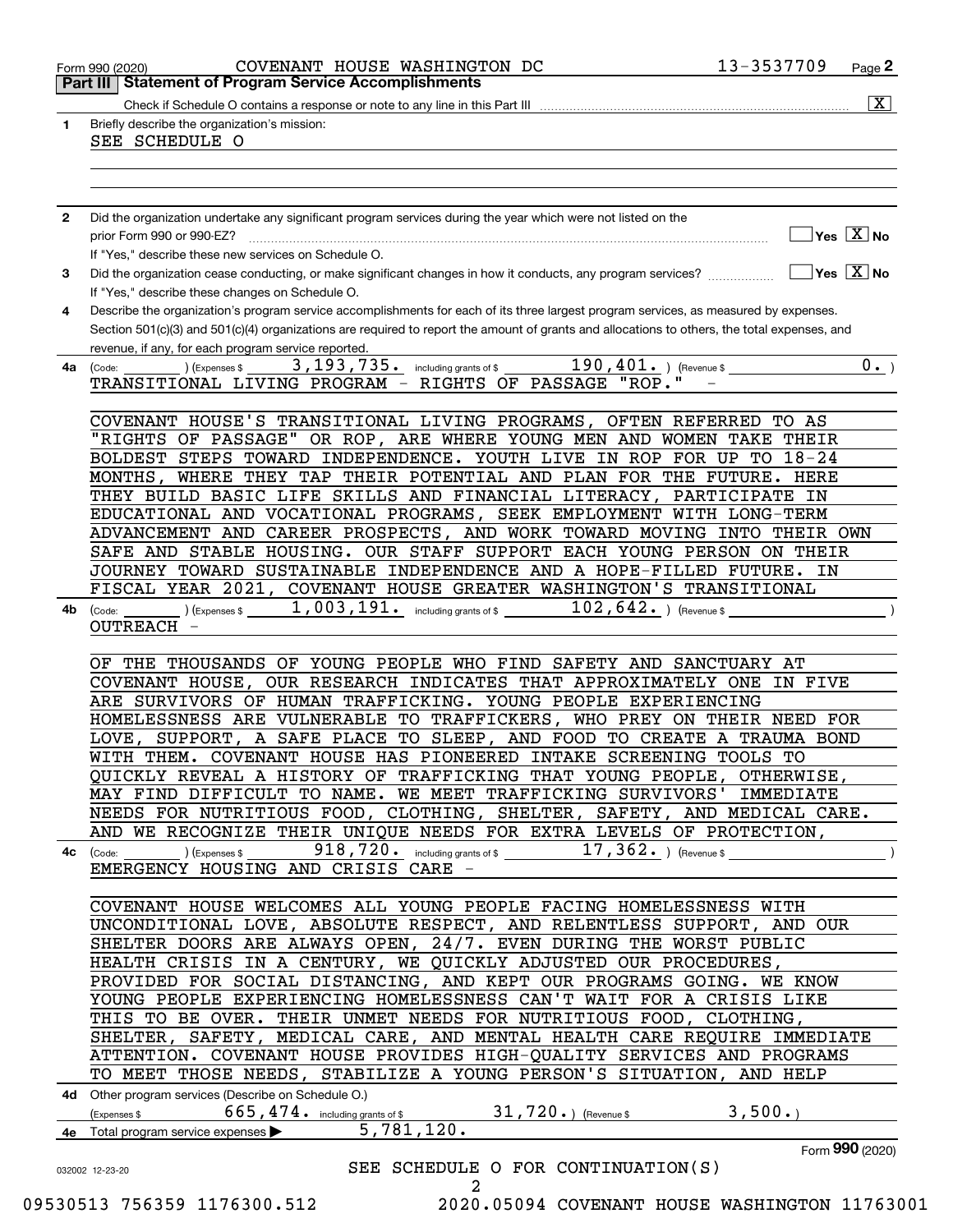| 1.           | $\overline{\mathbf{x}}$<br>Briefly describe the organization's mission:                                                                                                                             |
|--------------|-----------------------------------------------------------------------------------------------------------------------------------------------------------------------------------------------------|
|              | SEE SCHEDULE O                                                                                                                                                                                      |
|              |                                                                                                                                                                                                     |
|              |                                                                                                                                                                                                     |
|              |                                                                                                                                                                                                     |
| $\mathbf{2}$ | Did the organization undertake any significant program services during the year which were not listed on the                                                                                        |
|              | $\Box$ Yes $[\overline{\mathrm{X}}]$ No                                                                                                                                                             |
|              | If "Yes," describe these new services on Schedule O.                                                                                                                                                |
| 3            | Did the organization cease conducting, or make significant changes in how it conducts, any program services? $\ldots$ $\ldots$ $\ldots$ $\blacksquare$ Yes $[X]$ No                                 |
|              | If "Yes," describe these changes on Schedule O.                                                                                                                                                     |
| 4            | Describe the organization's program service accomplishments for each of its three largest program services, as measured by expenses.                                                                |
|              | Section 501(c)(3) and 501(c)(4) organizations are required to report the amount of grants and allocations to others, the total expenses, and<br>revenue, if any, for each program service reported. |
| 4a           | $\overline{190,401.}$ ) (Revenue \$<br>3, 193, 735. including grants of \$<br>$0 \cdot$<br>(Expenses \$<br>(Code:                                                                                   |
|              | TRANSITIONAL LIVING PROGRAM - RIGHTS OF PASSAGE "ROP."                                                                                                                                              |
|              |                                                                                                                                                                                                     |
|              | COVENANT HOUSE'S TRANSITIONAL LIVING PROGRAMS, OFTEN REFERRED TO AS                                                                                                                                 |
|              | "RIGHTS OF PASSAGE" OR ROP, ARE WHERE YOUNG MEN AND WOMEN TAKE THEIR                                                                                                                                |
|              | BOLDEST STEPS TOWARD INDEPENDENCE. YOUTH LIVE IN ROP FOR UP TO 18-24                                                                                                                                |
|              | MONTHS, WHERE THEY TAP THEIR POTENTIAL AND PLAN FOR THE FUTURE. HERE                                                                                                                                |
|              | THEY BUILD BASIC LIFE SKILLS AND FINANCIAL LITERACY, PARTICIPATE IN                                                                                                                                 |
|              | EDUCATIONAL AND VOCATIONAL PROGRAMS, SEEK EMPLOYMENT WITH LONG-TERM                                                                                                                                 |
|              | ADVANCEMENT AND CAREER PROSPECTS, AND WORK TOWARD MOVING INTO THEIR OWN                                                                                                                             |
|              | SAFE AND STABLE HOUSING. OUR STAFF SUPPORT EACH YOUNG PERSON ON THEIR                                                                                                                               |
|              | JOURNEY TOWARD SUSTAINABLE INDEPENDENCE AND A HOPE-FILLED FUTURE. IN                                                                                                                                |
|              | FISCAL YEAR 2021, COVENANT HOUSE GREATER WASHINGTON'S TRANSITIONAL                                                                                                                                  |
| 4b           | $(102, 642)$ (Expenses \$1003, 191. including grants of \$102, 642. ) (Revenue \$<br>(Code:<br><b>OUTREACH</b>                                                                                      |
|              |                                                                                                                                                                                                     |
|              | OF THE THOUSANDS OF YOUNG PEOPLE WHO FIND SAFETY AND SANCTUARY AT                                                                                                                                   |
|              | COVENANT HOUSE, OUR RESEARCH INDICATES THAT APPROXIMATELY ONE IN FIVE                                                                                                                               |
|              | ARE SURVIVORS OF HUMAN TRAFFICKING. YOUNG PEOPLE EXPERIENCING                                                                                                                                       |
|              | HOMELESSNESS ARE VULNERABLE TO TRAFFICKERS, WHO PREY ON THEIR NEED FOR                                                                                                                              |
|              | LOVE, SUPPORT, A SAFE PLACE TO SLEEP, AND FOOD TO CREATE A TRAUMA BOND                                                                                                                              |
|              | WITH THEM. COVENANT HOUSE HAS PIONEERED INTAKE SCREENING TOOLS TO                                                                                                                                   |
|              | QUICKLY REVEAL A HISTORY OF TRAFFICKING THAT YOUNG PEOPLE, OTHERWISE,                                                                                                                               |
|              | MAY FIND DIFFICULT TO NAME. WE MEET TRAFFICKING SURVIVORS' IMMEDIATE                                                                                                                                |
|              | NEEDS FOR NUTRITIOUS FOOD, CLOTHING, SHELTER, SAFETY, AND MEDICAL CARE.                                                                                                                             |
|              | AND WE RECOGNIZE THEIR UNIQUE NEEDS FOR EXTRA LEVELS OF PROTECTION,                                                                                                                                 |
| 4с           | $918$ , $720$ o including grants of \$<br>$17,362.$ (Revenue \$<br>) (Expenses \$<br>(Code:                                                                                                         |
|              | EMERGENCY HOUSING AND CRISIS CARE -                                                                                                                                                                 |
|              | COVENANT HOUSE WELCOMES ALL YOUNG PEOPLE FACING HOMELESSNESS WITH                                                                                                                                   |
|              | UNCONDITIONAL LOVE, ABSOLUTE RESPECT, AND RELENTLESS SUPPORT, AND OUR                                                                                                                               |
|              | SHELTER DOORS ARE ALWAYS OPEN, 24/7. EVEN DURING THE WORST PUBLIC                                                                                                                                   |
|              | HEALTH CRISIS IN A CENTURY, WE QUICKLY ADJUSTED OUR PROCEDURES,                                                                                                                                     |
|              | PROVIDED FOR SOCIAL DISTANCING, AND KEPT OUR PROGRAMS GOING. WE KNOW                                                                                                                                |
|              | YOUNG PEOPLE EXPERIENCING HOMELESSNESS CAN'T WAIT FOR A CRISIS LIKE                                                                                                                                 |
|              | THIS TO BE OVER. THEIR UNMET NEEDS FOR NUTRITIOUS FOOD, CLOTHING,                                                                                                                                   |
|              | SHELTER, SAFETY, MEDICAL CARE, AND MENTAL HEALTH CARE REQUIRE IMMEDIATE                                                                                                                             |
|              | ATTENTION. COVENANT HOUSE PROVIDES HIGH-QUALITY SERVICES AND PROGRAMS                                                                                                                               |
|              | TO MEET THOSE NEEDS, STABILIZE A YOUNG PERSON'S SITUATION, AND HELP                                                                                                                                 |
|              | 4d Other program services (Describe on Schedule O.)                                                                                                                                                 |
|              | 31,720.) (Revenue \$<br>3,500.<br>665, 474. including grants of \$<br>(Expenses \$                                                                                                                  |
|              | 5,781,120.                                                                                                                                                                                          |
|              | 4e Total program service expenses $\blacktriangleright$<br>Form 990 (2020)                                                                                                                          |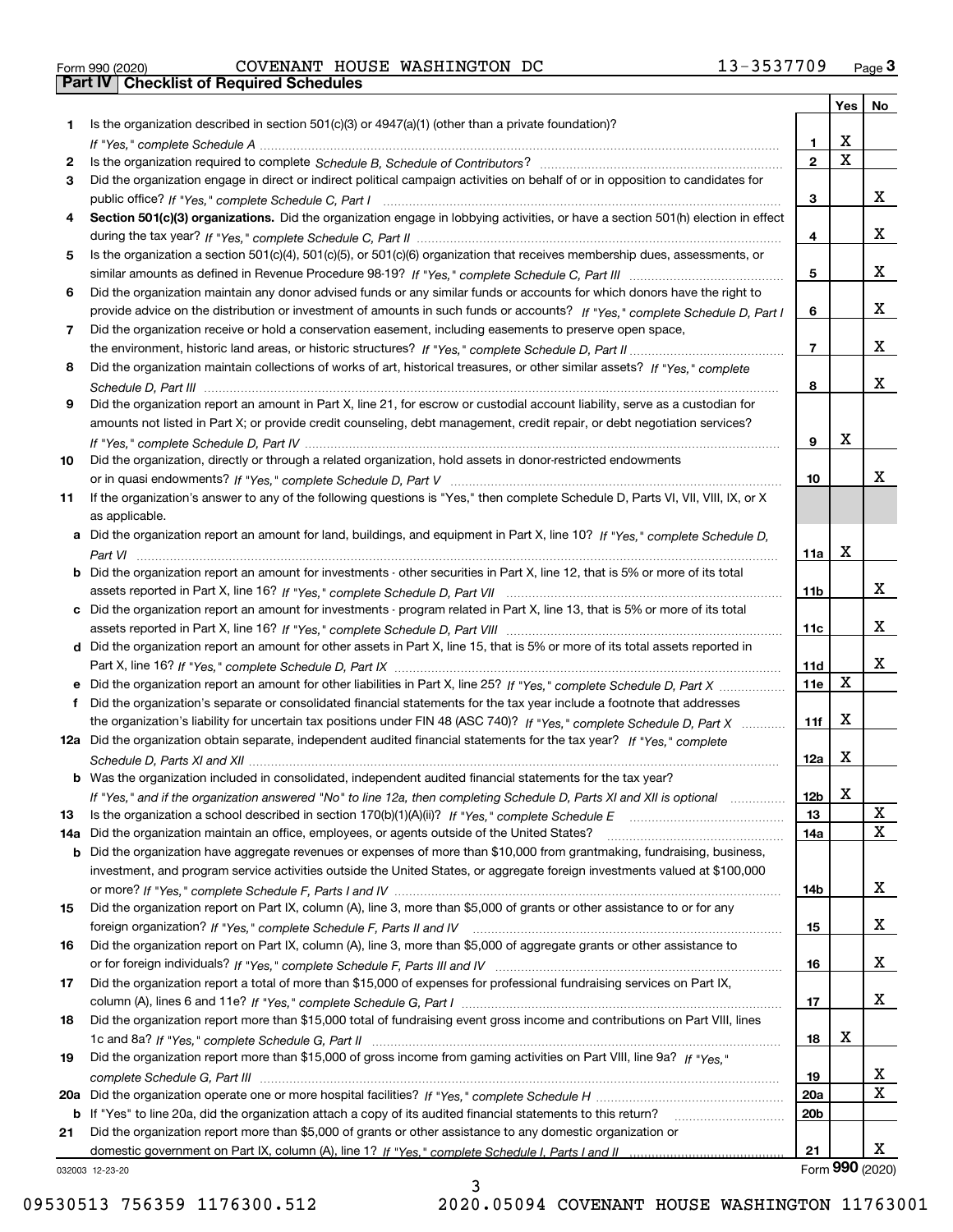| Form 990 (2020) |  |  |
|-----------------|--|--|

Form 990 (2020) Page **3Part IV Checklist of Required Schedules** COVENANT HOUSE WASHINGTON DC 13-3537709

|     |                                                                                                                                                 |                 | Yes                     | No              |
|-----|-------------------------------------------------------------------------------------------------------------------------------------------------|-----------------|-------------------------|-----------------|
| 1.  | Is the organization described in section $501(c)(3)$ or $4947(a)(1)$ (other than a private foundation)?                                         |                 |                         |                 |
|     |                                                                                                                                                 | 1               | X                       |                 |
| 2   |                                                                                                                                                 | $\overline{2}$  | $\overline{\mathbf{x}}$ |                 |
| 3   | Did the organization engage in direct or indirect political campaign activities on behalf of or in opposition to candidates for                 |                 |                         |                 |
|     |                                                                                                                                                 | 3               |                         | x               |
| 4   | Section 501(c)(3) organizations. Did the organization engage in lobbying activities, or have a section 501(h) election in effect                |                 |                         |                 |
|     |                                                                                                                                                 | 4               |                         | x               |
| 5   | Is the organization a section 501(c)(4), 501(c)(5), or 501(c)(6) organization that receives membership dues, assessments, or                    |                 |                         |                 |
|     |                                                                                                                                                 | 5               |                         | X.              |
| 6   | Did the organization maintain any donor advised funds or any similar funds or accounts for which donors have the right to                       |                 |                         |                 |
|     | provide advice on the distribution or investment of amounts in such funds or accounts? If "Yes," complete Schedule D, Part I                    | 6               |                         | x               |
| 7   | Did the organization receive or hold a conservation easement, including easements to preserve open space,                                       |                 |                         |                 |
|     |                                                                                                                                                 | $\overline{7}$  |                         | x               |
| 8   | Did the organization maintain collections of works of art, historical treasures, or other similar assets? If "Yes," complete                    |                 |                         |                 |
|     |                                                                                                                                                 | 8               |                         | X.              |
| 9   | Did the organization report an amount in Part X, line 21, for escrow or custodial account liability, serve as a custodian for                   |                 |                         |                 |
|     | amounts not listed in Part X; or provide credit counseling, debt management, credit repair, or debt negotiation services?                       |                 | Х                       |                 |
|     |                                                                                                                                                 | 9               |                         |                 |
| 10  | Did the organization, directly or through a related organization, hold assets in donor-restricted endowments                                    |                 |                         | x.              |
|     |                                                                                                                                                 | 10              |                         |                 |
| 11  | If the organization's answer to any of the following questions is "Yes," then complete Schedule D, Parts VI, VIII, VIII, IX, or X               |                 |                         |                 |
|     | as applicable.<br>a Did the organization report an amount for land, buildings, and equipment in Part X, line 10? If "Yes," complete Schedule D, |                 |                         |                 |
|     |                                                                                                                                                 | 11a             | Х                       |                 |
|     | <b>b</b> Did the organization report an amount for investments - other securities in Part X, line 12, that is 5% or more of its total           |                 |                         |                 |
|     |                                                                                                                                                 | 11 <sub>b</sub> |                         | X.              |
|     | c Did the organization report an amount for investments - program related in Part X, line 13, that is 5% or more of its total                   |                 |                         |                 |
|     |                                                                                                                                                 | 11c             |                         | X.              |
|     | d Did the organization report an amount for other assets in Part X, line 15, that is 5% or more of its total assets reported in                 |                 |                         |                 |
|     |                                                                                                                                                 | <b>11d</b>      |                         | X.              |
|     | e Did the organization report an amount for other liabilities in Part X, line 25? If "Yes," complete Schedule D, Part X                         | 11e             | X                       |                 |
| f   | Did the organization's separate or consolidated financial statements for the tax year include a footnote that addresses                         |                 |                         |                 |
|     | the organization's liability for uncertain tax positions under FIN 48 (ASC 740)? If "Yes," complete Schedule D, Part X                          | 11f             | Х                       |                 |
|     | 12a Did the organization obtain separate, independent audited financial statements for the tax year? If "Yes," complete                         |                 |                         |                 |
|     |                                                                                                                                                 | 12a             | Х                       |                 |
|     | <b>b</b> Was the organization included in consolidated, independent audited financial statements for the tax year?                              |                 |                         |                 |
|     | If "Yes," and if the organization answered "No" to line 12a, then completing Schedule D, Parts XI and XII is optional                           | 12b             | X                       |                 |
| 13  |                                                                                                                                                 | 13              |                         | X               |
| 14a | Did the organization maintain an office, employees, or agents outside of the United States?                                                     | 14a             |                         | х               |
|     | <b>b</b> Did the organization have aggregate revenues or expenses of more than \$10,000 from grantmaking, fundraising, business,                |                 |                         |                 |
|     | investment, and program service activities outside the United States, or aggregate foreign investments valued at \$100,000                      |                 |                         |                 |
|     |                                                                                                                                                 | 14b             |                         | X.              |
| 15  | Did the organization report on Part IX, column (A), line 3, more than \$5,000 of grants or other assistance to or for any                       |                 |                         |                 |
|     |                                                                                                                                                 | 15              |                         | X.              |
| 16  | Did the organization report on Part IX, column (A), line 3, more than \$5,000 of aggregate grants or other assistance to                        |                 |                         |                 |
|     |                                                                                                                                                 | 16              |                         | X.              |
| 17  | Did the organization report a total of more than \$15,000 of expenses for professional fundraising services on Part IX,                         |                 |                         |                 |
|     |                                                                                                                                                 | 17              |                         | x               |
| 18  | Did the organization report more than \$15,000 total of fundraising event gross income and contributions on Part VIII, lines                    |                 |                         |                 |
|     |                                                                                                                                                 | 18              | х                       |                 |
| 19  | Did the organization report more than \$15,000 of gross income from gaming activities on Part VIII, line 9a? If "Yes."                          |                 |                         |                 |
|     |                                                                                                                                                 | 19              |                         | X.              |
|     |                                                                                                                                                 | <b>20a</b>      |                         | х               |
|     | b If "Yes" to line 20a, did the organization attach a copy of its audited financial statements to this return?                                  | 20 <sub>b</sub> |                         |                 |
| 21  | Did the organization report more than \$5,000 of grants or other assistance to any domestic organization or                                     |                 |                         |                 |
|     |                                                                                                                                                 | 21              |                         | X.              |
|     | 032003 12-23-20                                                                                                                                 |                 |                         | Form 990 (2020) |

032003 12-23-20

3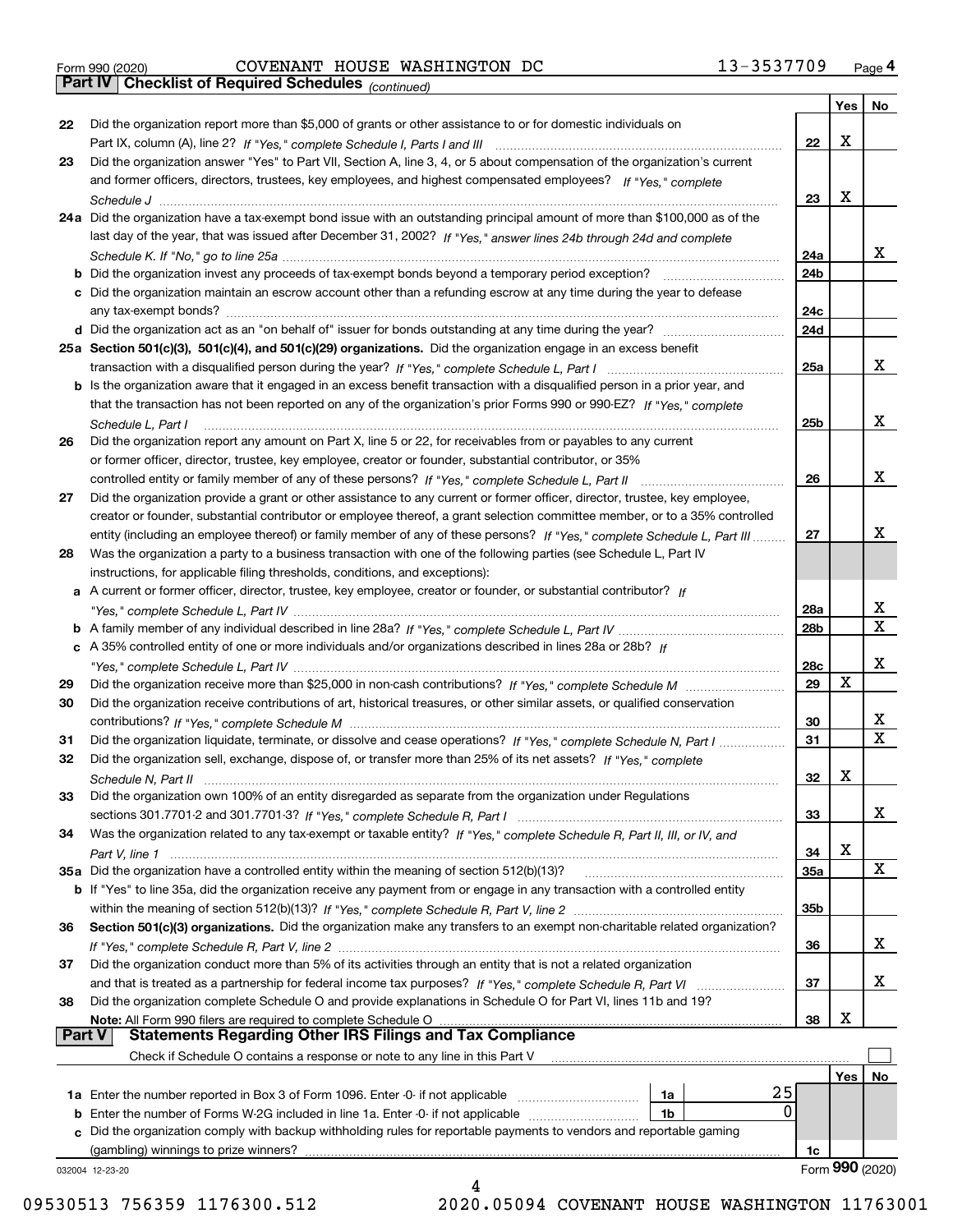|  | Form 990 (2020) |
|--|-----------------|
|  |                 |

Form 990 (2020) Page **4Part IV Checklist of Required Schedules** COVENANT HOUSE WASHINGTON DC 13-3537709

*(continued)*

|               |                                                                                                                                    |                 | Yes | No              |
|---------------|------------------------------------------------------------------------------------------------------------------------------------|-----------------|-----|-----------------|
| 22            | Did the organization report more than \$5,000 of grants or other assistance to or for domestic individuals on                      |                 |     |                 |
|               |                                                                                                                                    | 22              | X   |                 |
| 23            | Did the organization answer "Yes" to Part VII, Section A, line 3, 4, or 5 about compensation of the organization's current         |                 |     |                 |
|               | and former officers, directors, trustees, key employees, and highest compensated employees? If "Yes," complete                     |                 |     |                 |
|               |                                                                                                                                    | 23              | Х   |                 |
|               | 24a Did the organization have a tax-exempt bond issue with an outstanding principal amount of more than \$100,000 as of the        |                 |     |                 |
|               | last day of the year, that was issued after December 31, 2002? If "Yes," answer lines 24b through 24d and complete                 |                 |     |                 |
|               |                                                                                                                                    | 24a             |     | x               |
|               | <b>b</b> Did the organization invest any proceeds of tax-exempt bonds beyond a temporary period exception?                         | 24b             |     |                 |
|               | c Did the organization maintain an escrow account other than a refunding escrow at any time during the year to defease             |                 |     |                 |
|               |                                                                                                                                    | 24c             |     |                 |
|               |                                                                                                                                    | 24d             |     |                 |
|               | 25a Section 501(c)(3), 501(c)(4), and 501(c)(29) organizations. Did the organization engage in an excess benefit                   |                 |     |                 |
|               |                                                                                                                                    | 25a             |     | x               |
|               | b Is the organization aware that it engaged in an excess benefit transaction with a disqualified person in a prior year, and       |                 |     |                 |
|               | that the transaction has not been reported on any of the organization's prior Forms 990 or 990-EZ? If "Yes," complete              |                 |     |                 |
|               | Schedule L, Part I                                                                                                                 | 25b             |     | x               |
| 26            | Did the organization report any amount on Part X, line 5 or 22, for receivables from or payables to any current                    |                 |     |                 |
|               | or former officer, director, trustee, key employee, creator or founder, substantial contributor, or 35%                            |                 |     |                 |
|               |                                                                                                                                    | 26              |     | х               |
| 27            | Did the organization provide a grant or other assistance to any current or former officer, director, trustee, key employee,        |                 |     |                 |
|               | creator or founder, substantial contributor or employee thereof, a grant selection committee member, or to a 35% controlled        |                 |     |                 |
|               | entity (including an employee thereof) or family member of any of these persons? If "Yes," complete Schedule L, Part III           | 27              |     | x               |
| 28            | Was the organization a party to a business transaction with one of the following parties (see Schedule L, Part IV                  |                 |     |                 |
|               | instructions, for applicable filing thresholds, conditions, and exceptions):                                                       |                 |     |                 |
|               | a A current or former officer, director, trustee, key employee, creator or founder, or substantial contributor? If                 |                 |     |                 |
|               |                                                                                                                                    | 28a             |     | x               |
|               |                                                                                                                                    | 28 <sub>b</sub> |     | X               |
|               | c A 35% controlled entity of one or more individuals and/or organizations described in lines 28a or 28b? If                        |                 |     |                 |
|               |                                                                                                                                    | 28c             |     | х               |
| 29            |                                                                                                                                    | 29              | Х   |                 |
| 30            | Did the organization receive contributions of art, historical treasures, or other similar assets, or qualified conservation        |                 |     |                 |
|               |                                                                                                                                    | 30              |     | x               |
| 31            | Did the organization liquidate, terminate, or dissolve and cease operations? If "Yes," complete Schedule N, Part I                 | 31              |     | X               |
| 32            | Did the organization sell, exchange, dispose of, or transfer more than 25% of its net assets? If "Yes," complete                   |                 |     |                 |
|               |                                                                                                                                    | 32              | х   |                 |
| 33            | Did the organization own 100% of an entity disregarded as separate from the organization under Regulations                         |                 |     |                 |
|               |                                                                                                                                    | 33              |     | х               |
| 34            |                                                                                                                                    |                 |     |                 |
|               | Was the organization related to any tax-exempt or taxable entity? If "Yes," complete Schedule R, Part II, III, or IV, and          | 34              | X   |                 |
|               | 35a Did the organization have a controlled entity within the meaning of section 512(b)(13)?                                        | 35a             |     | X               |
|               | <b>b</b> If "Yes" to line 35a, did the organization receive any payment from or engage in any transaction with a controlled entity |                 |     |                 |
|               |                                                                                                                                    | 35b             |     |                 |
| 36            | Section 501(c)(3) organizations. Did the organization make any transfers to an exempt non-charitable related organization?         |                 |     |                 |
|               |                                                                                                                                    | 36              |     | x               |
| 37            | Did the organization conduct more than 5% of its activities through an entity that is not a related organization                   |                 |     |                 |
|               | and that is treated as a partnership for federal income tax purposes? If "Yes," complete Schedule R, Part VI                       | 37              |     | х               |
| 38            | Did the organization complete Schedule O and provide explanations in Schedule O for Part VI, lines 11b and 19?                     |                 |     |                 |
|               | Note: All Form 990 filers are required to complete Schedule O                                                                      | 38              | X   |                 |
| <b>Part V</b> | <b>Statements Regarding Other IRS Filings and Tax Compliance</b>                                                                   |                 |     |                 |
|               | Check if Schedule O contains a response or note to any line in this Part V                                                         |                 |     |                 |
|               |                                                                                                                                    |                 | Yes | No              |
|               | 25<br>1a                                                                                                                           |                 |     |                 |
|               | $\mathbf{0}$<br><b>b</b> Enter the number of Forms W-2G included in line 1a. Enter -0- if not applicable<br>1b                     |                 |     |                 |
|               | c Did the organization comply with backup withholding rules for reportable payments to vendors and reportable gaming               |                 |     |                 |
|               | (gambling) winnings to prize winners?                                                                                              | 1c              |     |                 |
|               | 032004 12-23-20                                                                                                                    |                 |     | Form 990 (2020) |
|               |                                                                                                                                    |                 |     |                 |

09530513 756359 1176300.512 2020.05094 COVENANT HOUSE WASHINGTON 11763001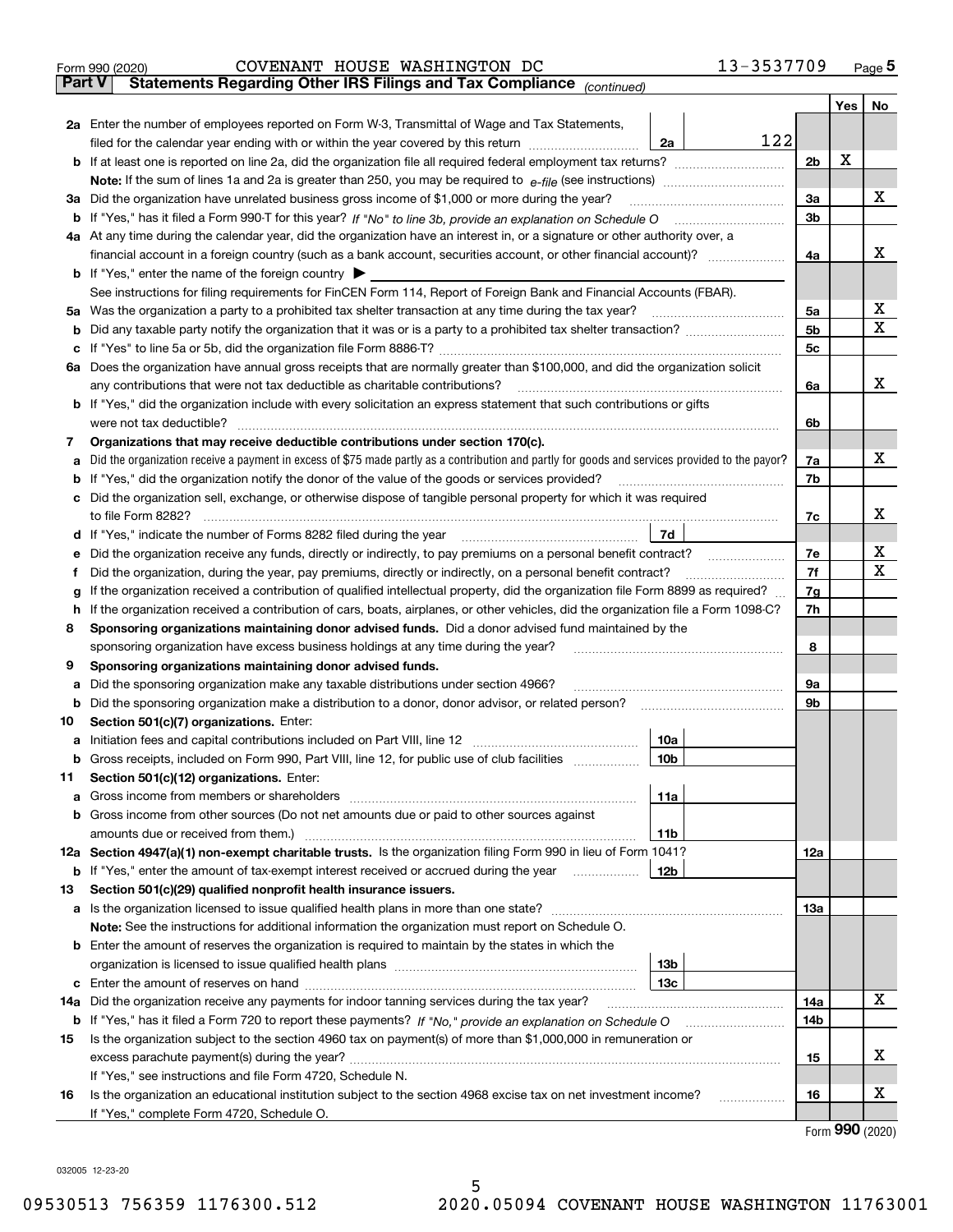|     | COVENANT HOUSE WASHINGTON DC<br>Form 990 (2020)                                                                                                 | 13-3537709     |     | $_{\text{Page}}$ 5          |
|-----|-------------------------------------------------------------------------------------------------------------------------------------------------|----------------|-----|-----------------------------|
|     | Part V<br>Statements Regarding Other IRS Filings and Tax Compliance (continued)                                                                 |                |     |                             |
|     |                                                                                                                                                 |                | Yes | No                          |
|     | 2a Enter the number of employees reported on Form W-3, Transmittal of Wage and Tax Statements,                                                  |                |     |                             |
|     | filed for the calendar year ending with or within the year covered by this return<br>2a                                                         | 122            |     |                             |
|     |                                                                                                                                                 | 2 <sub>b</sub> | х   |                             |
|     |                                                                                                                                                 |                |     |                             |
| За  | Did the organization have unrelated business gross income of \$1,000 or more during the year?                                                   | 3a             |     | x                           |
| b   |                                                                                                                                                 | 3 <sub>b</sub> |     |                             |
|     | 4a At any time during the calendar year, did the organization have an interest in, or a signature or other authority over, a                    |                |     |                             |
|     |                                                                                                                                                 | 4a             |     | x                           |
|     | <b>b</b> If "Yes," enter the name of the foreign country $\blacktriangleright$                                                                  |                |     |                             |
|     | See instructions for filing requirements for FinCEN Form 114, Report of Foreign Bank and Financial Accounts (FBAR).                             |                |     |                             |
| 5a  | Was the organization a party to a prohibited tax shelter transaction at any time during the tax year?                                           | 5a             |     | х                           |
| b   |                                                                                                                                                 | 5 <sub>b</sub> |     | х                           |
| с   |                                                                                                                                                 | 5c             |     |                             |
|     | 6a Does the organization have annual gross receipts that are normally greater than \$100,000, and did the organization solicit                  |                |     |                             |
|     | any contributions that were not tax deductible as charitable contributions?                                                                     | 6a             |     | x                           |
|     | <b>b</b> If "Yes," did the organization include with every solicitation an express statement that such contributions or gifts                   |                |     |                             |
|     | were not tax deductible?                                                                                                                        | 6b             |     |                             |
| 7   | Organizations that may receive deductible contributions under section 170(c).                                                                   |                |     |                             |
| а   | Did the organization receive a payment in excess of \$75 made partly as a contribution and partly for goods and services provided to the payor? | 7a             |     | x                           |
| b   | If "Yes," did the organization notify the donor of the value of the goods or services provided?                                                 | 7b             |     |                             |
|     | Did the organization sell, exchange, or otherwise dispose of tangible personal property for which it was required                               |                |     |                             |
|     |                                                                                                                                                 | 7c             |     | x                           |
| d   | 7d                                                                                                                                              |                |     |                             |
| е   |                                                                                                                                                 | 7e             |     | х                           |
| f   | Did the organization, during the year, pay premiums, directly or indirectly, on a personal benefit contract?                                    | 7f             |     | х                           |
| g   | If the organization received a contribution of qualified intellectual property, did the organization file Form 8899 as required?                | 7g             |     |                             |
| h   | If the organization received a contribution of cars, boats, airplanes, or other vehicles, did the organization file a Form 1098-C?              | 7h             |     |                             |
| 8   | Sponsoring organizations maintaining donor advised funds. Did a donor advised fund maintained by the                                            |                |     |                             |
|     | sponsoring organization have excess business holdings at any time during the year?                                                              | 8              |     |                             |
| 9   | Sponsoring organizations maintaining donor advised funds.                                                                                       |                |     |                             |
| а   | Did the sponsoring organization make any taxable distributions under section 4966?                                                              | 9а             |     |                             |
| b   | Did the sponsoring organization make a distribution to a donor, donor advisor, or related person?                                               | 9b             |     |                             |
| 10  | Section 501(c)(7) organizations. Enter:                                                                                                         |                |     |                             |
| а   | 10a                                                                                                                                             |                |     |                             |
|     | 10b<br>Gross receipts, included on Form 990, Part VIII, line 12, for public use of club facilities                                              |                |     |                             |
| 11  | Section 501(c)(12) organizations. Enter:                                                                                                        |                |     |                             |
| а   | 11a<br>Gross income from members or shareholders                                                                                                |                |     |                             |
| b   | Gross income from other sources (Do not net amounts due or paid to other sources against                                                        |                |     |                             |
|     | 11 <sub>b</sub><br>amounts due or received from them.)                                                                                          |                |     |                             |
|     | 12a Section 4947(a)(1) non-exempt charitable trusts. Is the organization filing Form 990 in lieu of Form 1041?                                  | 12a            |     |                             |
|     | <b>12b</b><br><b>b</b> If "Yes," enter the amount of tax-exempt interest received or accrued during the year                                    |                |     |                             |
| 13  | Section 501(c)(29) qualified nonprofit health insurance issuers.                                                                                |                |     |                             |
| a   | Is the organization licensed to issue qualified health plans in more than one state?                                                            | 13a            |     |                             |
|     | Note: See the instructions for additional information the organization must report on Schedule O.                                               |                |     |                             |
| b   | Enter the amount of reserves the organization is required to maintain by the states in which the                                                |                |     |                             |
|     | 13 <sub>b</sub>                                                                                                                                 |                |     |                             |
| с   | 13 <sub>c</sub>                                                                                                                                 |                |     |                             |
| 14a | Did the organization receive any payments for indoor tanning services during the tax year?                                                      | 14a            |     | X                           |
|     | <b>b</b> If "Yes," has it filed a Form 720 to report these payments? If "No," provide an explanation on Schedule O                              | 14b            |     |                             |
| 15  | Is the organization subject to the section 4960 tax on payment(s) of more than \$1,000,000 in remuneration or                                   |                |     |                             |
|     | excess parachute payment(s) during the year?                                                                                                    | 15             |     | x                           |
|     | If "Yes," see instructions and file Form 4720, Schedule N.                                                                                      |                |     |                             |
| 16  | Is the organization an educational institution subject to the section 4968 excise tax on net investment income?                                 | 16             |     | х                           |
|     | If "Yes," complete Form 4720, Schedule O.                                                                                                       |                |     |                             |
|     |                                                                                                                                                 |                |     | $F_{\text{arm}}$ 990 (2020) |

Form (2020) **990**

032005 12-23-20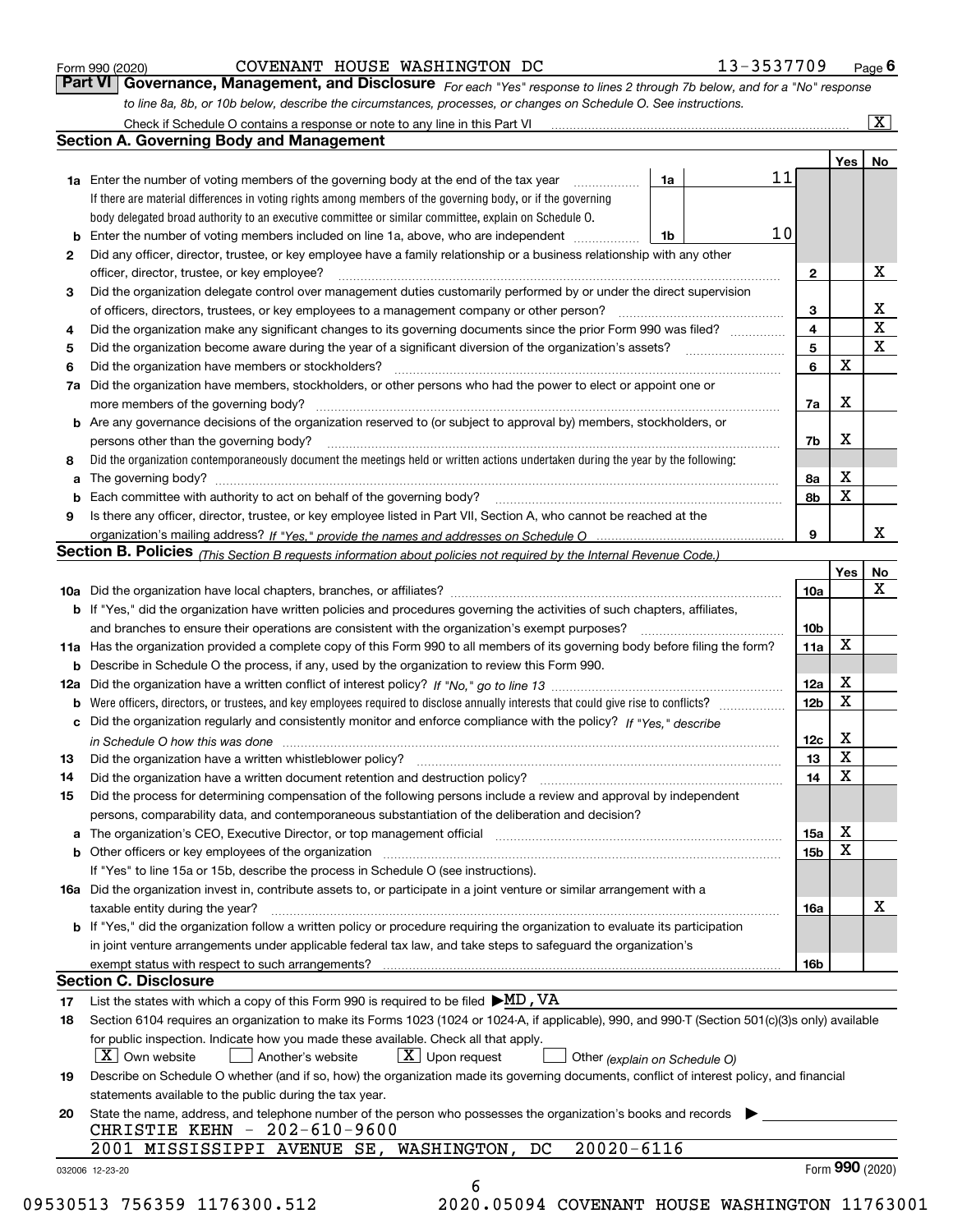|  | Form 990 (2020) |
|--|-----------------|
|  |                 |

COVENANT HOUSE WASHINGTON DC 13-3537709

*For each "Yes" response to lines 2 through 7b below, and for a "No" response to line 8a, 8b, or 10b below, describe the circumstances, processes, or changes on Schedule O. See instructions.* Form 990 (2020) **COVENANT HOUSE WASHINGTON DC** 13 – 3537709 Page 6<br>**Part VI Governance, Management, and Disclosure** For each "Yes" response to lines 2 through 7b below, and for a "No" response

|              |                                                                                                                                                                                                                                |                               |    |                 | Yes   No    |                         |
|--------------|--------------------------------------------------------------------------------------------------------------------------------------------------------------------------------------------------------------------------------|-------------------------------|----|-----------------|-------------|-------------------------|
|              | <b>1a</b> Enter the number of voting members of the governing body at the end of the tax year <i>manumum</i>                                                                                                                   | 1a                            | 11 |                 |             |                         |
|              | If there are material differences in voting rights among members of the governing body, or if the governing                                                                                                                    |                               |    |                 |             |                         |
|              | body delegated broad authority to an executive committee or similar committee, explain on Schedule O.                                                                                                                          |                               |    |                 |             |                         |
|              | <b>b</b> Enter the number of voting members included on line 1a, above, who are independent <i>manument</i>                                                                                                                    | 1b                            | 10 |                 |             |                         |
| $\mathbf{2}$ | Did any officer, director, trustee, or key employee have a family relationship or a business relationship with any other                                                                                                       |                               |    |                 |             |                         |
|              | officer, director, trustee, or key employee?                                                                                                                                                                                   |                               |    | $\mathbf{2}$    |             | Х                       |
| З            | Did the organization delegate control over management duties customarily performed by or under the direct supervision                                                                                                          |                               |    |                 |             |                         |
|              |                                                                                                                                                                                                                                |                               |    | 3               |             | $\mathbf{X}$            |
| 4            | Did the organization make any significant changes to its governing documents since the prior Form 990 was filed?                                                                                                               |                               |    | $\overline{4}$  |             | $\overline{\texttt{x}}$ |
| 5            |                                                                                                                                                                                                                                |                               |    | $5\phantom{a}$  |             | $\overline{\mathbf{x}}$ |
| 6            | Did the organization have members or stockholders?                                                                                                                                                                             |                               |    | 6               | $\mathbf X$ |                         |
|              | 7a Did the organization have members, stockholders, or other persons who had the power to elect or appoint one or                                                                                                              |                               |    |                 |             |                         |
|              |                                                                                                                                                                                                                                |                               |    | 7a              | Х           |                         |
|              | <b>b</b> Are any governance decisions of the organization reserved to (or subject to approval by) members, stockholders, or                                                                                                    |                               |    |                 |             |                         |
|              | persons other than the governing body?                                                                                                                                                                                         |                               |    | 7b              | X           |                         |
| 8            | Did the organization contemporaneously document the meetings held or written actions undertaken during the year by the following:                                                                                              |                               |    |                 |             |                         |
|              |                                                                                                                                                                                                                                |                               |    | 8а              | х           |                         |
|              |                                                                                                                                                                                                                                |                               |    | 8b              | $\mathbf X$ |                         |
| 9            | Is there any officer, director, trustee, or key employee listed in Part VII, Section A, who cannot be reached at the                                                                                                           |                               |    |                 |             |                         |
|              |                                                                                                                                                                                                                                |                               |    | 9               |             | X                       |
|              | Section B. Policies (This Section B requests information about policies not required by the Internal Revenue Code.)                                                                                                            |                               |    |                 |             |                         |
|              |                                                                                                                                                                                                                                |                               |    |                 | Yes         | No                      |
|              |                                                                                                                                                                                                                                |                               |    | 10a             |             | X                       |
|              |                                                                                                                                                                                                                                |                               |    |                 |             |                         |
|              | b If "Yes," did the organization have written policies and procedures governing the activities of such chapters, affiliates,                                                                                                   |                               |    |                 |             |                         |
|              |                                                                                                                                                                                                                                |                               |    | 10 <sub>b</sub> | X           |                         |
|              | 11a Has the organization provided a complete copy of this Form 990 to all members of its governing body before filing the form?                                                                                                |                               |    | 11a             |             |                         |
|              | <b>b</b> Describe in Schedule O the process, if any, used by the organization to review this Form 990.                                                                                                                         |                               |    |                 |             |                         |
|              |                                                                                                                                                                                                                                |                               |    | 12a             | х           |                         |
|              |                                                                                                                                                                                                                                |                               |    | 12 <sub>b</sub> | $\mathbf X$ |                         |
|              | c Did the organization regularly and consistently monitor and enforce compliance with the policy? If "Yes." describe                                                                                                           |                               |    |                 |             |                         |
|              | in Schedule O how this was done that the state of the state of the state of the state of the state of the state of the state of the state of the state of the state of the state of the state of the state of the state of the |                               |    | 12c             | х           |                         |
| 13           | Did the organization have a written whistleblower policy?                                                                                                                                                                      |                               |    | 13              | X           |                         |
| 14           | Did the organization have a written document retention and destruction policy?<br>The organization have a written document retention and destruction policy?                                                                   |                               |    | 14              | $\mathbf X$ |                         |
| 15           | Did the process for determining compensation of the following persons include a review and approval by independent                                                                                                             |                               |    |                 |             |                         |
|              | persons, comparability data, and contemporaneous substantiation of the deliberation and decision?                                                                                                                              |                               |    |                 |             |                         |
|              | a The organization's CEO, Executive Director, or top management official [11] [12] The organization's CEO, Executive Director, or top management official [12] [12] [12] [12] The organization's CEO, Executive Director, or t |                               |    | 15a             | х           |                         |
|              | b Other officers or key employees of the organization manufactured content to content of the organization manufactured content of the organization manufactured content of the organization manufactured content of the organi |                               |    | 15b             | $\mathbf X$ |                         |
|              | If "Yes" to line 15a or 15b, describe the process in Schedule O (see instructions).                                                                                                                                            |                               |    |                 |             |                         |
|              | 16a Did the organization invest in, contribute assets to, or participate in a joint venture or similar arrangement with a                                                                                                      |                               |    |                 |             |                         |
|              | taxable entity during the year?                                                                                                                                                                                                |                               |    | 16a             |             | X                       |
|              | <b>b</b> If "Yes," did the organization follow a written policy or procedure requiring the organization to evaluate its participation                                                                                          |                               |    |                 |             |                         |
|              | in joint venture arrangements under applicable federal tax law, and take steps to safeguard the organization's                                                                                                                 |                               |    |                 |             |                         |
|              |                                                                                                                                                                                                                                |                               |    | 16b             |             |                         |
|              | <b>Section C. Disclosure</b>                                                                                                                                                                                                   |                               |    |                 |             |                         |
| 17           | List the states with which a copy of this Form 990 is required to be filed $\blacktriangleright$ MD, VA                                                                                                                        |                               |    |                 |             |                         |
| 18           | Section 6104 requires an organization to make its Forms 1023 (1024 or 1024-A, if applicable), 990, and 990-T (Section 501(c)(3)s only) available                                                                               |                               |    |                 |             |                         |
|              | for public inspection. Indicate how you made these available. Check all that apply.                                                                                                                                            |                               |    |                 |             |                         |
|              | $\vert X \vert$ Own website<br>$\lfloor$ X $\rfloor$ Upon request<br>Another's website                                                                                                                                         | Other (explain on Schedule O) |    |                 |             |                         |
| 19           | Describe on Schedule O whether (and if so, how) the organization made its governing documents, conflict of interest policy, and financial                                                                                      |                               |    |                 |             |                         |
|              | statements available to the public during the tax year.                                                                                                                                                                        |                               |    |                 |             |                         |
| 20           | State the name, address, and telephone number of the person who possesses the organization's books and records                                                                                                                 |                               |    |                 |             |                         |
|              | CHRISTIE KEHN - 202-610-9600                                                                                                                                                                                                   |                               |    |                 |             |                         |
|              | $20020 - 6116$<br>2001 MISSISSIPPI AVENUE SE, WASHINGTON, DC                                                                                                                                                                   |                               |    |                 |             |                         |
|              |                                                                                                                                                                                                                                |                               |    |                 |             | Form $990$ (2020)       |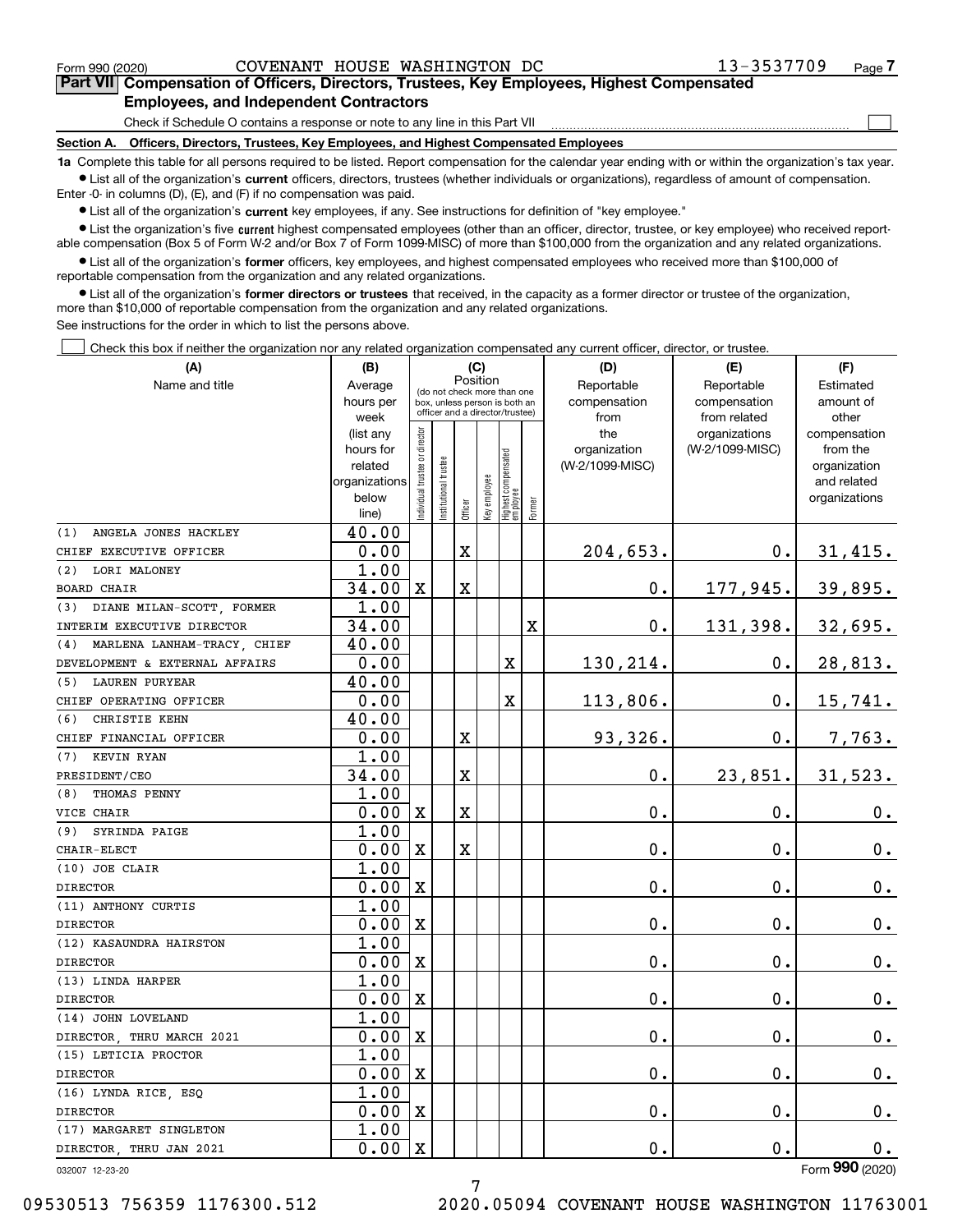$\mathcal{L}^{\text{max}}$ 

# **7Part VII Compensation of Officers, Directors, Trustees, Key Employees, Highest Compensated Employees, and Independent Contractors**

Check if Schedule O contains a response or note to any line in this Part VII

**Section A. Officers, Directors, Trustees, Key Employees, and Highest Compensated Employees**

**1a**  Complete this table for all persons required to be listed. Report compensation for the calendar year ending with or within the organization's tax year. **•** List all of the organization's current officers, directors, trustees (whether individuals or organizations), regardless of amount of compensation.

Enter -0- in columns (D), (E), and (F) if no compensation was paid.

 $\bullet$  List all of the organization's  $\,$ current key employees, if any. See instructions for definition of "key employee."

**•** List the organization's five current highest compensated employees (other than an officer, director, trustee, or key employee) who received reportable compensation (Box 5 of Form W-2 and/or Box 7 of Form 1099-MISC) of more than \$100,000 from the organization and any related organizations.

**•** List all of the organization's former officers, key employees, and highest compensated employees who received more than \$100,000 of reportable compensation from the organization and any related organizations.

**former directors or trustees**  ¥ List all of the organization's that received, in the capacity as a former director or trustee of the organization, more than \$10,000 of reportable compensation from the organization and any related organizations.

See instructions for the order in which to list the persons above.

Check this box if neither the organization nor any related organization compensated any current officer, director, or trustee.  $\mathcal{L}^{\text{max}}$ 

| (A)                                                            | (B)                                                                  | (C)                            |                                                                                                 |             |              |                                  |             | (D)                                    | (E)                                        | (F)                                                                      |
|----------------------------------------------------------------|----------------------------------------------------------------------|--------------------------------|-------------------------------------------------------------------------------------------------|-------------|--------------|----------------------------------|-------------|----------------------------------------|--------------------------------------------|--------------------------------------------------------------------------|
| Name and title                                                 | Average<br>hours per<br>week                                         |                                | (do not check more than one<br>box, unless person is both an<br>officer and a director/trustee) | Position    |              |                                  |             | Reportable<br>compensation<br>from     | Reportable<br>compensation<br>from related | Estimated<br>amount of<br>other                                          |
|                                                                | (list any<br>hours for<br>related<br>organizations<br>below<br>line) | Individual trustee or director | Institutional trustee                                                                           | Officer     | Key employee | Highest compensated<br> employee | Former      | the<br>organization<br>(W-2/1099-MISC) | organizations<br>(W-2/1099-MISC)           | compensation<br>from the<br>organization<br>and related<br>organizations |
| ANGELA JONES HACKLEY<br>(1)                                    | 40.00                                                                |                                |                                                                                                 |             |              |                                  |             |                                        |                                            |                                                                          |
| CHIEF EXECUTIVE OFFICER                                        | 0.00                                                                 |                                |                                                                                                 | $\mathbf X$ |              |                                  |             | 204,653.                               | $\mathbf 0$ .                              | 31,415.                                                                  |
| LORI MALONEY<br>(2)                                            | 1.00                                                                 |                                |                                                                                                 |             |              |                                  |             |                                        |                                            |                                                                          |
| <b>BOARD CHAIR</b>                                             | 34.00                                                                | $\mathbf X$                    |                                                                                                 | X           |              |                                  |             | $\mathbf 0$ .                          | 177,945.                                   | 39,895.                                                                  |
| DIANE MILAN-SCOTT, FORMER<br>(3)<br>INTERIM EXECUTIVE DIRECTOR | 1.00<br>34.00                                                        |                                |                                                                                                 |             |              |                                  | $\mathbf X$ | $\mathbf 0$ .                          | 131,398.                                   | 32,695.                                                                  |
| (4) MARLENA LANHAM-TRACY, CHIEF                                | 40.00                                                                |                                |                                                                                                 |             |              |                                  |             |                                        |                                            |                                                                          |
| DEVELOPMENT & EXTERNAL AFFAIRS                                 | 0.00                                                                 |                                |                                                                                                 |             |              | X                                |             | 130,214.                               | 0.                                         | 28, 813.                                                                 |
| <b>LAUREN PURYEAR</b><br>(5)                                   | 40.00                                                                |                                |                                                                                                 |             |              |                                  |             |                                        |                                            |                                                                          |
| CHIEF OPERATING OFFICER                                        | 0.00                                                                 |                                |                                                                                                 |             |              | X                                |             | 113,806.                               | $\mathbf{0}$ .                             | 15,741.                                                                  |
| CHRISTIE KEHN<br>(6)                                           | 40.00                                                                |                                |                                                                                                 |             |              |                                  |             |                                        |                                            |                                                                          |
| CHIEF FINANCIAL OFFICER                                        | 0.00                                                                 |                                |                                                                                                 | $\mathbf X$ |              |                                  |             | 93,326.                                | $0$ .                                      | 7,763.                                                                   |
| KEVIN RYAN<br>(7)                                              | 1.00                                                                 |                                |                                                                                                 |             |              |                                  |             |                                        |                                            |                                                                          |
| PRESIDENT/CEO                                                  | 34.00                                                                |                                |                                                                                                 | $\mathbf X$ |              |                                  |             | $\mathbf 0$ .                          | 23,851.                                    | 31,523.                                                                  |
| THOMAS PENNY<br>(8)                                            | 1.00                                                                 |                                |                                                                                                 |             |              |                                  |             |                                        |                                            |                                                                          |
| VICE CHAIR                                                     | 0.00                                                                 | $\mathbf x$                    |                                                                                                 | $\mathbf X$ |              |                                  |             | $\mathbf 0$ .                          | 0.                                         | 0.                                                                       |
| (9)<br>SYRINDA PAIGE                                           | 1.00                                                                 |                                |                                                                                                 |             |              |                                  |             |                                        |                                            |                                                                          |
| CHAIR-ELECT                                                    | 0.00                                                                 | $\mathbf X$                    |                                                                                                 | $\mathbf X$ |              |                                  |             | $\mathbf 0$ .                          | $\mathbf{0}$ .                             | 0.                                                                       |
| (10) JOE CLAIR                                                 | 1.00                                                                 |                                |                                                                                                 |             |              |                                  |             |                                        |                                            |                                                                          |
| <b>DIRECTOR</b>                                                | 0.00                                                                 | $\mathbf x$                    |                                                                                                 |             |              |                                  |             | $\mathbf 0$ .                          | 0.                                         | $\mathbf 0$ .                                                            |
| (11) ANTHONY CURTIS                                            | 1.00                                                                 |                                |                                                                                                 |             |              |                                  |             |                                        |                                            |                                                                          |
| <b>DIRECTOR</b>                                                | 0.00                                                                 | $\overline{\mathbf{X}}$        |                                                                                                 |             |              |                                  |             | $\mathbf 0$ .                          | 0.                                         | $\mathbf 0$ .                                                            |
| (12) KASAUNDRA HAIRSTON                                        | 1.00                                                                 |                                |                                                                                                 |             |              |                                  |             |                                        |                                            |                                                                          |
| <b>DIRECTOR</b>                                                | 0.00                                                                 | $\mathbf x$                    |                                                                                                 |             |              |                                  |             | $\mathbf 0$ .                          | 0.                                         | $0_{.}$                                                                  |
| (13) LINDA HARPER                                              | 1.00                                                                 |                                |                                                                                                 |             |              |                                  |             |                                        |                                            |                                                                          |
| <b>DIRECTOR</b>                                                | 0.00                                                                 | $\mathbf x$                    |                                                                                                 |             |              |                                  |             | $\mathbf 0$ .                          | 0.                                         | $0_{.}$                                                                  |
| (14) JOHN LOVELAND                                             | 1.00                                                                 |                                |                                                                                                 |             |              |                                  |             |                                        |                                            |                                                                          |
| DIRECTOR THRU MARCH 2021                                       | 0.00                                                                 | $\mathbf X$                    |                                                                                                 |             |              |                                  |             | 0.                                     | 0.                                         | $\mathbf 0$ .                                                            |
| (15) LETICIA PROCTOR                                           | 1.00                                                                 |                                |                                                                                                 |             |              |                                  |             |                                        |                                            |                                                                          |
| <b>DIRECTOR</b>                                                | 0.00                                                                 | $\mathbf X$                    |                                                                                                 |             |              |                                  |             | $\mathbf 0$ .                          | 0.                                         | $\mathbf 0$ .                                                            |
| (16) LYNDA RICE, ESQ                                           | 1.00                                                                 |                                |                                                                                                 |             |              |                                  |             |                                        |                                            |                                                                          |
| <b>DIRECTOR</b>                                                | 0.00                                                                 | $\mathbf X$                    |                                                                                                 |             |              |                                  |             | $\mathbf 0$ .                          | 0.                                         | 0.                                                                       |
| (17) MARGARET SINGLETON                                        | 1.00                                                                 |                                |                                                                                                 |             |              |                                  |             |                                        |                                            |                                                                          |
| DIRECTOR THRU JAN 2021                                         | 0.00                                                                 | $\mathbf x$                    |                                                                                                 |             |              |                                  |             | $\mathbf 0$ .                          | 0.                                         | $0$ .                                                                    |
| 032007 12-23-20                                                |                                                                      |                                |                                                                                                 |             |              |                                  |             |                                        |                                            | Form 990 (2020)                                                          |

032007 12-23-20

09530513 756359 1176300.512 2020.05094 COVENANT HOUSE WASHINGTON 11763001

7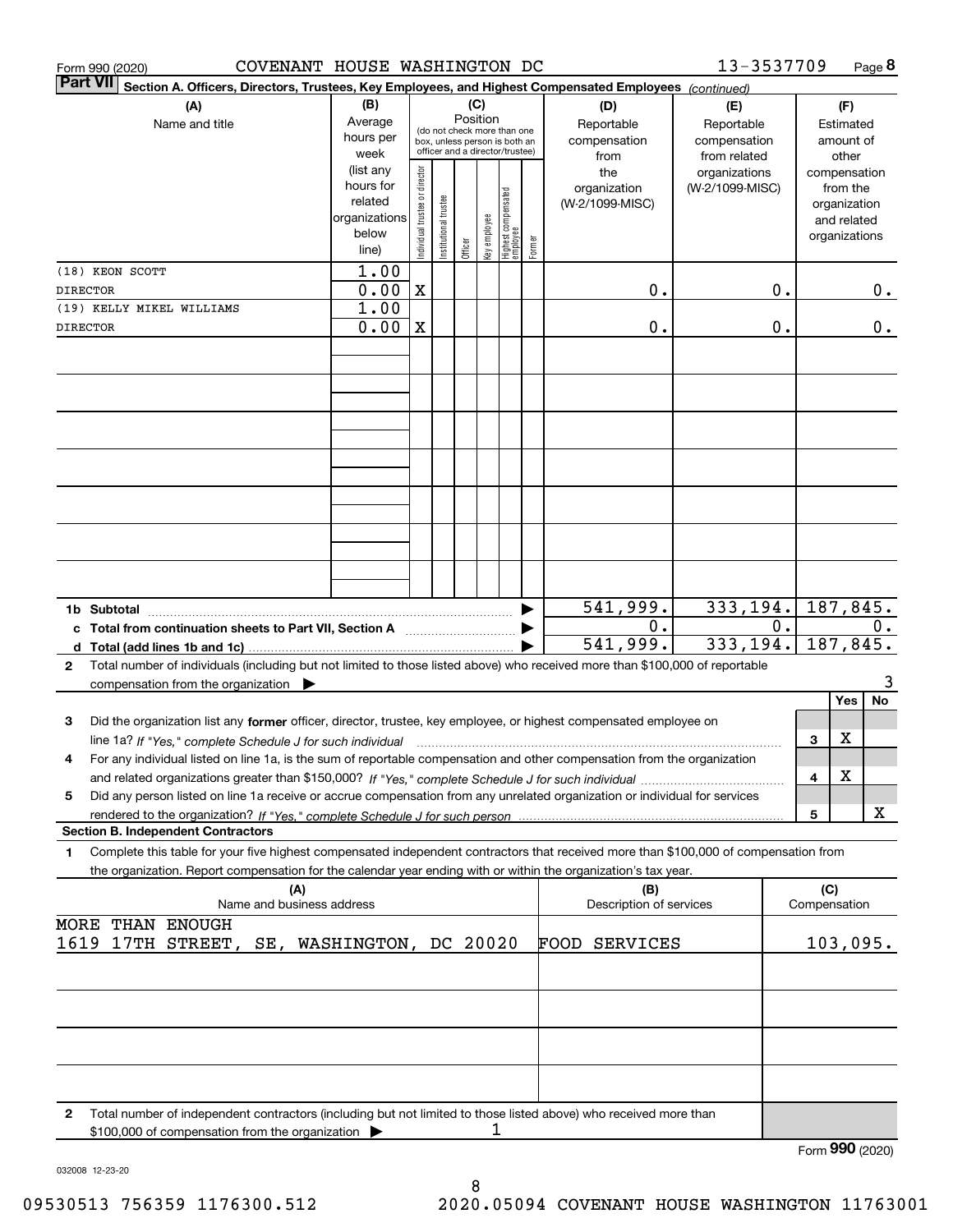| COVENANT HOUSE WASHINGTON DC<br>Form 990 (2020)                                                                                           |                      |                                |                                                                  |                 |              |                                   |        |                         | 13-3537709                    |       |              | Page 8                |
|-------------------------------------------------------------------------------------------------------------------------------------------|----------------------|--------------------------------|------------------------------------------------------------------|-----------------|--------------|-----------------------------------|--------|-------------------------|-------------------------------|-------|--------------|-----------------------|
| <b>Part VII</b><br>Section A. Officers, Directors, Trustees, Key Employees, and Highest Compensated Employees (continued)                 |                      |                                |                                                                  |                 |              |                                   |        |                         |                               |       |              |                       |
| (A)                                                                                                                                       | (B)                  |                                |                                                                  | (C)<br>Position |              |                                   |        | (D)                     | (E)                           |       |              | (F)                   |
| Name and title                                                                                                                            | Average              |                                | (do not check more than one                                      |                 |              |                                   |        | Reportable              | Reportable                    |       |              | Estimated             |
|                                                                                                                                           | hours per<br>week    |                                | box, unless person is both an<br>officer and a director/trustee) |                 |              |                                   |        | compensation            | compensation                  |       |              | amount of             |
|                                                                                                                                           | (list any            |                                |                                                                  |                 |              |                                   |        | from<br>the             | from related<br>organizations |       |              | other<br>compensation |
|                                                                                                                                           | hours for            |                                |                                                                  |                 |              |                                   |        | organization            | (W-2/1099-MISC)               |       |              | from the              |
|                                                                                                                                           | related              |                                |                                                                  |                 |              |                                   |        | (W-2/1099-MISC)         |                               |       |              | organization          |
|                                                                                                                                           | organizations        |                                |                                                                  |                 |              |                                   |        |                         |                               |       |              | and related           |
|                                                                                                                                           | below                | Individual trustee or director | Institutional trustee                                            |                 | key employee | Highest compensated<br>  employee | Former |                         |                               |       |              | organizations         |
|                                                                                                                                           | line)                |                                |                                                                  | Officer         |              |                                   |        |                         |                               |       |              |                       |
| (18) KEON SCOTT                                                                                                                           | 1.00                 |                                |                                                                  |                 |              |                                   |        |                         |                               |       |              |                       |
| DIRECTOR                                                                                                                                  | 0.00<br>1.00         | $\mathbf X$                    |                                                                  |                 |              |                                   |        | 0.                      |                               | 0.    |              | 0.                    |
| (19) KELLY MIKEL WILLIAMS<br>DIRECTOR                                                                                                     | 0.00                 | $\mathbf X$                    |                                                                  |                 |              |                                   |        | 0.                      |                               | 0.    |              | 0.                    |
|                                                                                                                                           |                      |                                |                                                                  |                 |              |                                   |        |                         |                               |       |              |                       |
|                                                                                                                                           |                      |                                |                                                                  |                 |              |                                   |        |                         |                               |       |              |                       |
|                                                                                                                                           |                      |                                |                                                                  |                 |              |                                   |        |                         |                               |       |              |                       |
|                                                                                                                                           |                      |                                |                                                                  |                 |              |                                   |        |                         |                               |       |              |                       |
|                                                                                                                                           |                      |                                |                                                                  |                 |              |                                   |        |                         |                               |       |              |                       |
|                                                                                                                                           |                      |                                |                                                                  |                 |              |                                   |        |                         |                               |       |              |                       |
|                                                                                                                                           |                      |                                |                                                                  |                 |              |                                   |        |                         |                               |       |              |                       |
|                                                                                                                                           |                      |                                |                                                                  |                 |              |                                   |        |                         |                               |       |              |                       |
|                                                                                                                                           |                      |                                |                                                                  |                 |              |                                   |        |                         |                               |       |              |                       |
|                                                                                                                                           |                      |                                |                                                                  |                 |              |                                   |        |                         |                               |       |              |                       |
|                                                                                                                                           |                      |                                |                                                                  |                 |              |                                   |        |                         |                               |       |              |                       |
|                                                                                                                                           |                      |                                |                                                                  |                 |              |                                   |        |                         |                               |       |              |                       |
|                                                                                                                                           |                      |                                |                                                                  |                 |              |                                   |        |                         |                               |       |              |                       |
|                                                                                                                                           |                      |                                |                                                                  |                 |              |                                   |        | 541,999.                | 333,194.                      |       |              | 187, 845.             |
| c Total from continuation sheets to Part VII, Section A                                                                                   |                      |                                |                                                                  |                 |              |                                   |        | 0.                      |                               | $0$ . |              | 0.                    |
|                                                                                                                                           |                      |                                |                                                                  |                 |              |                                   |        | 541,999.                | 333,194.                      |       |              | 187,845.              |
| Total number of individuals (including but not limited to those listed above) who received more than \$100,000 of reportable<br>2         |                      |                                |                                                                  |                 |              |                                   |        |                         |                               |       |              |                       |
| compensation from the organization $\blacktriangleright$                                                                                  |                      |                                |                                                                  |                 |              |                                   |        |                         |                               |       |              | 3                     |
|                                                                                                                                           |                      |                                |                                                                  |                 |              |                                   |        |                         |                               |       |              | No<br>Yes             |
| Did the organization list any former officer, director, trustee, key employee, or highest compensated employee on<br>3                    |                      |                                |                                                                  |                 |              |                                   |        |                         |                               |       |              |                       |
| line 1a? If "Yes," complete Schedule J for such individual manufactured contained and the Yes," complete Schedule J for such individual   |                      |                                |                                                                  |                 |              |                                   |        |                         |                               |       | 3            | х                     |
| For any individual listed on line 1a, is the sum of reportable compensation and other compensation from the organization<br>4             |                      |                                |                                                                  |                 |              |                                   |        |                         |                               |       |              | X                     |
| Did any person listed on line 1a receive or accrue compensation from any unrelated organization or individual for services                |                      |                                |                                                                  |                 |              |                                   |        |                         |                               |       | 4            |                       |
| 5                                                                                                                                         |                      |                                |                                                                  |                 |              |                                   |        |                         |                               |       | 5            | х                     |
| <b>Section B. Independent Contractors</b>                                                                                                 |                      |                                |                                                                  |                 |              |                                   |        |                         |                               |       |              |                       |
| Complete this table for your five highest compensated independent contractors that received more than \$100,000 of compensation from<br>1 |                      |                                |                                                                  |                 |              |                                   |        |                         |                               |       |              |                       |
| the organization. Report compensation for the calendar year ending with or within the organization's tax year.                            |                      |                                |                                                                  |                 |              |                                   |        |                         |                               |       |              |                       |
| (A)                                                                                                                                       |                      |                                |                                                                  |                 |              |                                   |        | (B)                     |                               |       | (C)          |                       |
| Name and business address                                                                                                                 |                      |                                |                                                                  |                 |              |                                   |        | Description of services |                               |       | Compensation |                       |
| THAN ENOUGH<br>MORE                                                                                                                       |                      |                                |                                                                  |                 |              |                                   |        |                         |                               |       |              |                       |
| 17TH STREET, SE,<br>1619                                                                                                                  | WASHINGTON, DC 20020 |                                |                                                                  |                 |              |                                   |        | FOOD<br><b>SERVICES</b> |                               |       |              | 103,095.              |
|                                                                                                                                           |                      |                                |                                                                  |                 |              |                                   |        |                         |                               |       |              |                       |
|                                                                                                                                           |                      |                                |                                                                  |                 |              |                                   |        |                         |                               |       |              |                       |
|                                                                                                                                           |                      |                                |                                                                  |                 |              |                                   |        |                         |                               |       |              |                       |
|                                                                                                                                           |                      |                                |                                                                  |                 |              |                                   |        |                         |                               |       |              |                       |
|                                                                                                                                           |                      |                                |                                                                  |                 |              |                                   |        |                         |                               |       |              |                       |
|                                                                                                                                           |                      |                                |                                                                  |                 |              |                                   |        |                         |                               |       |              |                       |
|                                                                                                                                           |                      |                                |                                                                  |                 |              |                                   |        |                         |                               |       |              |                       |
| Total number of independent contractors (including but not limited to those listed above) who received more than<br>2                     |                      |                                |                                                                  |                 | 1            |                                   |        |                         |                               |       |              |                       |
| \$100,000 of compensation from the organization                                                                                           |                      |                                |                                                                  |                 |              |                                   |        |                         |                               |       |              | Form 990 (2020)       |

032008 12-23-20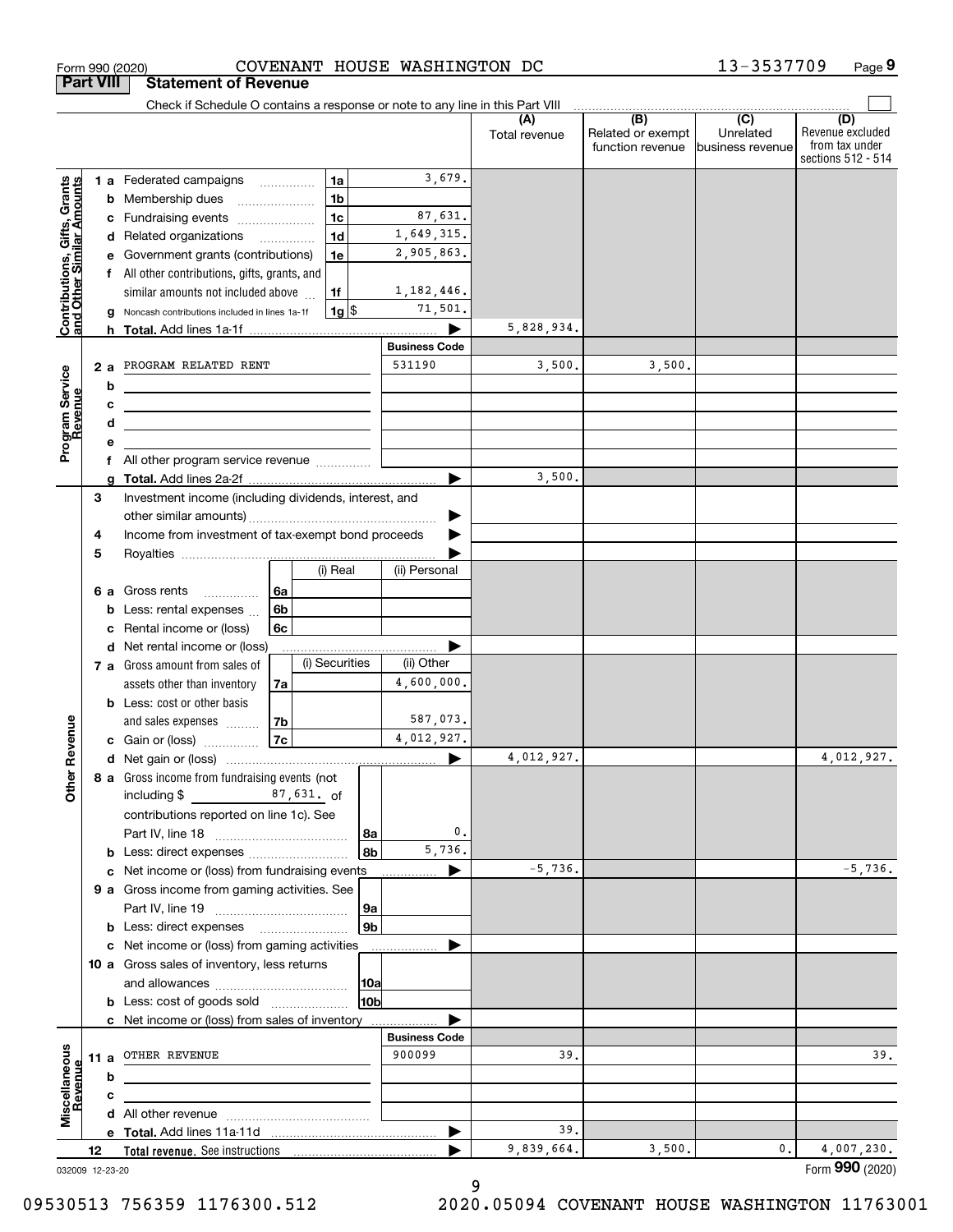|                                                           | <b>Part VIII</b> |        | <b>Statement of Revenue</b>                                                     |                |                    |             |                                |                      |                                                           |                                                 |                                                                 |
|-----------------------------------------------------------|------------------|--------|---------------------------------------------------------------------------------|----------------|--------------------|-------------|--------------------------------|----------------------|-----------------------------------------------------------|-------------------------------------------------|-----------------------------------------------------------------|
|                                                           |                  |        | Check if Schedule O contains a response or note to any line in this Part VIII   |                |                    |             |                                |                      |                                                           |                                                 |                                                                 |
|                                                           |                  |        |                                                                                 |                |                    |             |                                | (A)<br>Total revenue | $\overline{(B)}$<br>Related or exempt<br>function revenue | $\overline{C}$<br>Unrelated<br>business revenue | (D)<br>Revenue excluded<br>from tax under<br>sections 512 - 514 |
|                                                           |                  |        | <b>1 a</b> Federated campaigns                                                  |                | 1a                 |             | 3,679.                         |                      |                                                           |                                                 |                                                                 |
|                                                           |                  | b      | Membership dues                                                                 |                | 1 <sub>b</sub>     |             |                                |                      |                                                           |                                                 |                                                                 |
|                                                           |                  | с      | Fundraising events                                                              |                | 1 <sub>c</sub>     |             | 87,631.                        |                      |                                                           |                                                 |                                                                 |
| Contributions, Gifts, Grants<br>and Other Similar Amounts |                  | d      | Related organizations                                                           |                | 1 <sub>d</sub>     |             | 1,649,315.                     |                      |                                                           |                                                 |                                                                 |
|                                                           |                  | е      | Government grants (contributions)                                               |                | 1e                 |             | 2,905,863.                     |                      |                                                           |                                                 |                                                                 |
|                                                           |                  | f      | All other contributions, gifts, grants, and                                     |                |                    |             |                                |                      |                                                           |                                                 |                                                                 |
|                                                           |                  |        | similar amounts not included above                                              |                | 1f                 |             | 1, 182, 446.                   |                      |                                                           |                                                 |                                                                 |
|                                                           |                  |        | Noncash contributions included in lines 1a-1f                                   |                | $1g$ $\frac{1}{3}$ |             | 71,501.                        |                      |                                                           |                                                 |                                                                 |
|                                                           |                  |        |                                                                                 |                |                    |             |                                | 5,828,934.           |                                                           |                                                 |                                                                 |
|                                                           |                  |        | PROGRAM RELATED RENT                                                            |                |                    |             | <b>Business Code</b><br>531190 | 3,500.               | 3,500.                                                    |                                                 |                                                                 |
| Program Service<br>Revenue                                |                  | 2a     |                                                                                 |                |                    |             |                                |                      |                                                           |                                                 |                                                                 |
|                                                           |                  | b      |                                                                                 |                |                    |             |                                |                      |                                                           |                                                 |                                                                 |
|                                                           |                  | с<br>d | <u> 1989 - Johann Stein, marwolaethau (b. 1989)</u>                             |                |                    |             |                                |                      |                                                           |                                                 |                                                                 |
|                                                           |                  | е      | the contract of the contract of the contract of the contract of the contract of |                |                    |             |                                |                      |                                                           |                                                 |                                                                 |
|                                                           |                  | f      | All other program service revenue                                               |                |                    |             |                                |                      |                                                           |                                                 |                                                                 |
|                                                           |                  | q      |                                                                                 |                |                    |             | ▶                              | 3,500.               |                                                           |                                                 |                                                                 |
|                                                           | 3                |        | Investment income (including dividends, interest, and                           |                |                    |             |                                |                      |                                                           |                                                 |                                                                 |
|                                                           |                  |        |                                                                                 |                |                    |             |                                |                      |                                                           |                                                 |                                                                 |
|                                                           | 4                |        | Income from investment of tax-exempt bond proceeds                              |                |                    |             |                                |                      |                                                           |                                                 |                                                                 |
|                                                           | 5                |        |                                                                                 |                |                    |             |                                |                      |                                                           |                                                 |                                                                 |
|                                                           |                  |        |                                                                                 |                | (i) Real           |             | (ii) Personal                  |                      |                                                           |                                                 |                                                                 |
|                                                           |                  | 6а     | Gross rents<br>.                                                                | l 6a           |                    |             |                                |                      |                                                           |                                                 |                                                                 |
|                                                           |                  | b      | Less: rental expenses                                                           | 6 <sub>b</sub> |                    |             |                                |                      |                                                           |                                                 |                                                                 |
|                                                           |                  | c      | Rental income or (loss)                                                         | 6c             |                    |             |                                |                      |                                                           |                                                 |                                                                 |
|                                                           |                  | d      | Net rental income or (loss)                                                     |                | (i) Securities     |             | (ii) Other                     |                      |                                                           |                                                 |                                                                 |
|                                                           |                  |        | 7 a Gross amount from sales of<br>assets other than inventory                   |                |                    |             | 4,600,000.                     |                      |                                                           |                                                 |                                                                 |
|                                                           |                  |        | <b>b</b> Less: cost or other basis                                              | 7a             |                    |             |                                |                      |                                                           |                                                 |                                                                 |
|                                                           |                  |        | and sales expenses                                                              | 7b             |                    |             | 587,073.                       |                      |                                                           |                                                 |                                                                 |
|                                                           |                  |        | c Gain or (loss)                                                                | <b>7c</b>      |                    |             | 4,012,927.                     |                      |                                                           |                                                 |                                                                 |
| Revenue                                                   |                  |        |                                                                                 |                |                    |             |                                | 4,012,927.           |                                                           |                                                 | 4,012,927.                                                      |
|                                                           |                  |        | 8 a Gross income from fundraising events (not                                   |                |                    |             |                                |                      |                                                           |                                                 |                                                                 |
| <b>Other</b>                                              |                  |        | including $$$<br>87,631. of                                                     |                |                    |             |                                |                      |                                                           |                                                 |                                                                 |
|                                                           |                  |        | contributions reported on line 1c). See                                         |                |                    |             |                                |                      |                                                           |                                                 |                                                                 |
|                                                           |                  |        |                                                                                 |                |                    | 8a          | 0.                             |                      |                                                           |                                                 |                                                                 |
|                                                           |                  |        |                                                                                 |                |                    | 8b          | 5,736.                         |                      |                                                           |                                                 |                                                                 |
|                                                           |                  |        | c Net income or (loss) from fundraising events                                  |                |                    |             | ▶                              | $-5,736.$            |                                                           |                                                 | $-5,736.$                                                       |
|                                                           |                  |        | 9 a Gross income from gaming activities. See                                    |                |                    |             |                                |                      |                                                           |                                                 |                                                                 |
|                                                           |                  |        |                                                                                 |                |                    | <u>  9a</u> |                                |                      |                                                           |                                                 |                                                                 |
|                                                           |                  |        | <b>b</b> Less: direct expenses <b>manually</b>                                  |                |                    | 9b          |                                |                      |                                                           |                                                 |                                                                 |
|                                                           |                  |        | c Net income or (loss) from gaming activities                                   |                |                    |             |                                |                      |                                                           |                                                 |                                                                 |
|                                                           |                  |        | 10 a Gross sales of inventory, less returns                                     |                |                    |             |                                |                      |                                                           |                                                 |                                                                 |
|                                                           |                  |        | <b>b</b> Less: cost of goods sold                                               |                |                    | 10a<br>10b  |                                |                      |                                                           |                                                 |                                                                 |
|                                                           |                  |        | c Net income or (loss) from sales of inventory                                  |                |                    |             |                                |                      |                                                           |                                                 |                                                                 |
|                                                           |                  |        |                                                                                 |                |                    |             | <b>Business Code</b>           |                      |                                                           |                                                 |                                                                 |
|                                                           | 11 a             |        | OTHER REVENUE                                                                   |                |                    |             | 900099                         | 39.                  |                                                           |                                                 | 39.                                                             |
|                                                           |                  | b      |                                                                                 |                |                    |             |                                |                      |                                                           |                                                 |                                                                 |
| Revenue                                                   |                  | c      |                                                                                 |                |                    |             |                                |                      |                                                           |                                                 |                                                                 |
| Miscellaneous                                             |                  |        |                                                                                 |                |                    |             |                                |                      |                                                           |                                                 |                                                                 |
|                                                           |                  |        |                                                                                 |                |                    |             | ▶                              | 39.                  |                                                           |                                                 |                                                                 |
|                                                           | 12               |        |                                                                                 |                |                    |             |                                | 9,839,664.           | 3,500.                                                    | 0.                                              | 4,007,230.                                                      |
| 032009 12-23-20                                           |                  |        |                                                                                 |                |                    |             |                                |                      |                                                           |                                                 | Form 990 (2020)                                                 |

Form 990 (2020) COVENANT HOUSE WASHINGTON DC 1 3-3 5 3 7 7 0 9 Page

COVENANT HOUSE WASHINGTON DC

**9**

13-3537709

9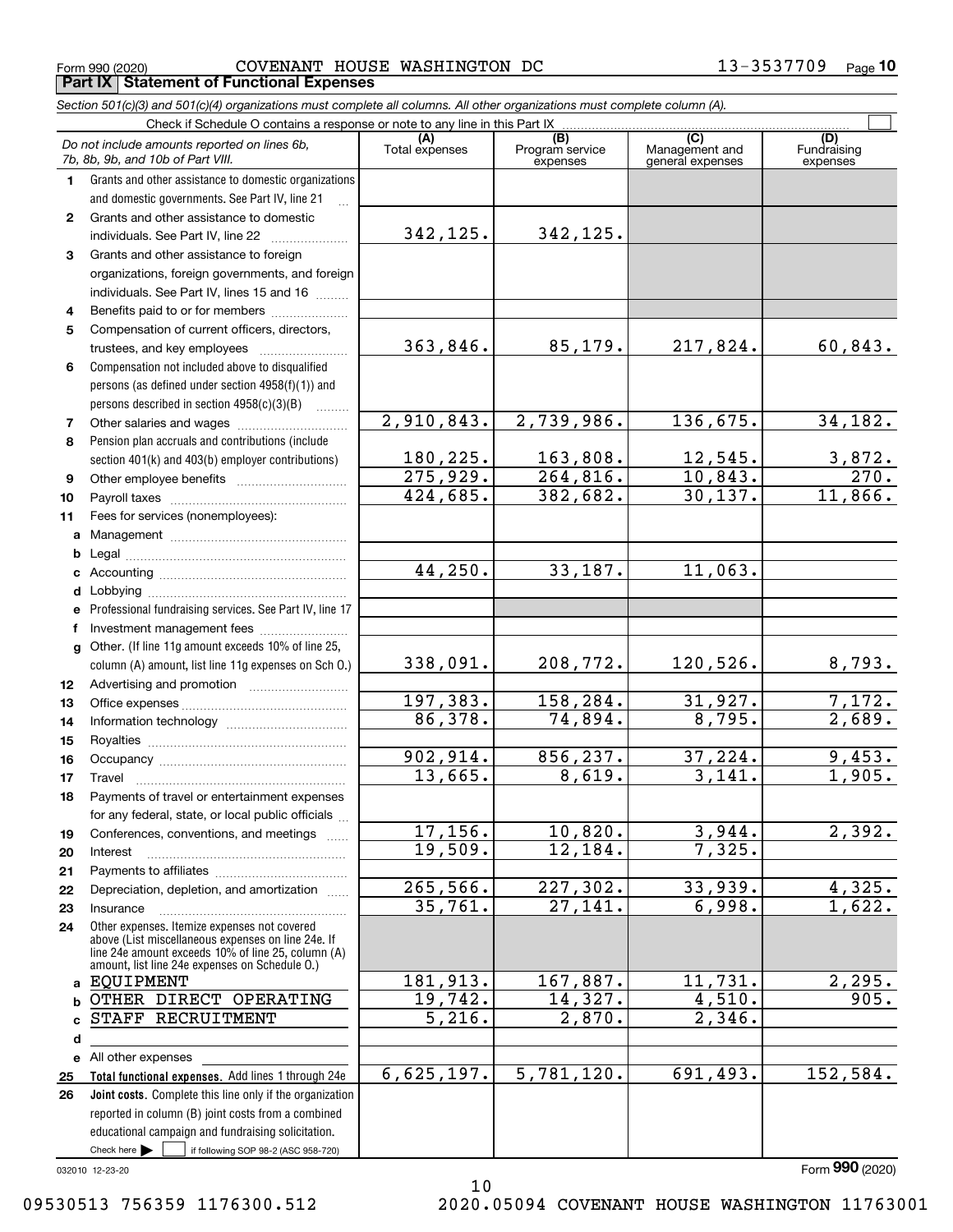Form 990 (2020) COVENANT HOUSE WASHINGTON DC 13-3537709 <sub>Page</sub> **Part IX Statement of Functional Expenses**

*Section 501(c)(3) and 501(c)(4) organizations must complete all columns. All other organizations must complete column (A).*

|          | Check if Schedule O contains a response or note to any line in this Part IX                           |                       |                                    |                                           |                                |
|----------|-------------------------------------------------------------------------------------------------------|-----------------------|------------------------------------|-------------------------------------------|--------------------------------|
|          | Do not include amounts reported on lines 6b,<br>7b, 8b, 9b, and 10b of Part VIII.                     | (A)<br>Total expenses | (B)<br>Program service<br>expenses | (C)<br>Management and<br>general expenses | (D)<br>Fundraising<br>expenses |
| 1        | Grants and other assistance to domestic organizations                                                 |                       |                                    |                                           |                                |
|          | and domestic governments. See Part IV, line 21                                                        |                       |                                    |                                           |                                |
| 2        | Grants and other assistance to domestic                                                               |                       |                                    |                                           |                                |
|          | individuals. See Part IV, line 22                                                                     | 342,125.              | 342, 125.                          |                                           |                                |
| 3        | Grants and other assistance to foreign                                                                |                       |                                    |                                           |                                |
|          | organizations, foreign governments, and foreign                                                       |                       |                                    |                                           |                                |
|          | individuals. See Part IV, lines 15 and 16                                                             |                       |                                    |                                           |                                |
| 4        | Benefits paid to or for members                                                                       |                       |                                    |                                           |                                |
| 5        | Compensation of current officers, directors,                                                          |                       |                                    |                                           |                                |
|          |                                                                                                       | 363,846.              | 85,179.                            | 217,824.                                  | 60,843.                        |
| 6        | Compensation not included above to disqualified                                                       |                       |                                    |                                           |                                |
|          | persons (as defined under section 4958(f)(1)) and                                                     |                       |                                    |                                           |                                |
|          | persons described in section 4958(c)(3)(B)                                                            | 2,910,843.            | 2,739,986.                         | 136,675.                                  | 34, 182.                       |
| 7<br>8   |                                                                                                       |                       |                                    |                                           |                                |
|          | Pension plan accruals and contributions (include<br>section 401(k) and 403(b) employer contributions) | 180,225.              | 163,808.                           | 12,545.                                   |                                |
| 9        |                                                                                                       | 275,929.              | 264,816.                           | 10,843.                                   | $\frac{3,872}{270}$            |
| 10       |                                                                                                       | 424,685.              | 382,682.                           | 30, 137.                                  | 11,866.                        |
| 11       | Fees for services (nonemployees):                                                                     |                       |                                    |                                           |                                |
| a        |                                                                                                       |                       |                                    |                                           |                                |
| b        |                                                                                                       |                       |                                    |                                           |                                |
| c        |                                                                                                       | 44,250.               | 33,187.                            | 11,063.                                   |                                |
| d        |                                                                                                       |                       |                                    |                                           |                                |
| е        | Professional fundraising services. See Part IV, line 17                                               |                       |                                    |                                           |                                |
| f        | Investment management fees                                                                            |                       |                                    |                                           |                                |
| g        | Other. (If line 11g amount exceeds 10% of line 25,                                                    |                       |                                    |                                           |                                |
|          | column (A) amount, list line 11g expenses on Sch O.)                                                  | 338,091.              | 208,772.                           | 120, 526.                                 | 8,793.                         |
| 12       |                                                                                                       |                       |                                    |                                           |                                |
| 13       |                                                                                                       | 197,383.              | 158, 284.                          | 31,927.                                   | 7,172.                         |
| 14       |                                                                                                       | 86,378.               | 74,894.                            | 8,795.                                    | 2,689.                         |
| 15       |                                                                                                       |                       |                                    |                                           |                                |
| 16       |                                                                                                       | 902,914.              | 856,237.                           | 37,224.                                   | 9,453.                         |
| 17       | Travel                                                                                                | 13,665.               | 8,619.                             | 3,141.                                    | 1,905.                         |
| 18       | Payments of travel or entertainment expenses                                                          |                       |                                    |                                           |                                |
|          | for any federal, state, or local public officials                                                     |                       |                                    |                                           |                                |
| 19       | Conferences, conventions, and meetings                                                                | 17,156.<br>19,509.    | 10,820.<br>12,184.                 | 3,944.<br>7,325.                          | 2,392.                         |
| 20       | Interest                                                                                              |                       |                                    |                                           |                                |
| 21<br>22 | Depreciation, depletion, and amortization                                                             | 265,566.              | 227, 302.                          | 33,939.                                   | 4,325.                         |
| 23       | Insurance                                                                                             | 35,761.               | 27,141.                            | 6,998.                                    | 1,622.                         |
| 24       | Other expenses. Itemize expenses not covered                                                          |                       |                                    |                                           |                                |
|          | above (List miscellaneous expenses on line 24e. If                                                    |                       |                                    |                                           |                                |
|          | line 24e amount exceeds 10% of line 25, column (A)<br>amount, list line 24e expenses on Schedule 0.)  |                       |                                    |                                           |                                |
| a        | EQUIPMENT                                                                                             | 181,913.              | 167,887.                           | 11,731.                                   | 2,295.                         |
| b        | OTHER DIRECT OPERATING                                                                                | 19,742.               | 14,327.                            | 4,510.                                    | 905.                           |
| C        | STAFF RECRUITMENT                                                                                     | $\overline{5,216}$ .  | 2,870.                             | $\overline{2,346}$ .                      |                                |
| d        |                                                                                                       |                       |                                    |                                           |                                |
|          | e All other expenses                                                                                  |                       |                                    |                                           |                                |
| 25       | Total functional expenses. Add lines 1 through 24e                                                    | 6,625,197.            | 5,781,120.                         | 691,493.                                  | 152,584.                       |
| 26       | Joint costs. Complete this line only if the organization                                              |                       |                                    |                                           |                                |
|          | reported in column (B) joint costs from a combined                                                    |                       |                                    |                                           |                                |
|          | educational campaign and fundraising solicitation.                                                    |                       |                                    |                                           |                                |
|          | Check here $\blacktriangleright$<br>if following SOP 98-2 (ASC 958-720)                               |                       |                                    |                                           |                                |

10

032010 12-23-20

Form (2020) **990**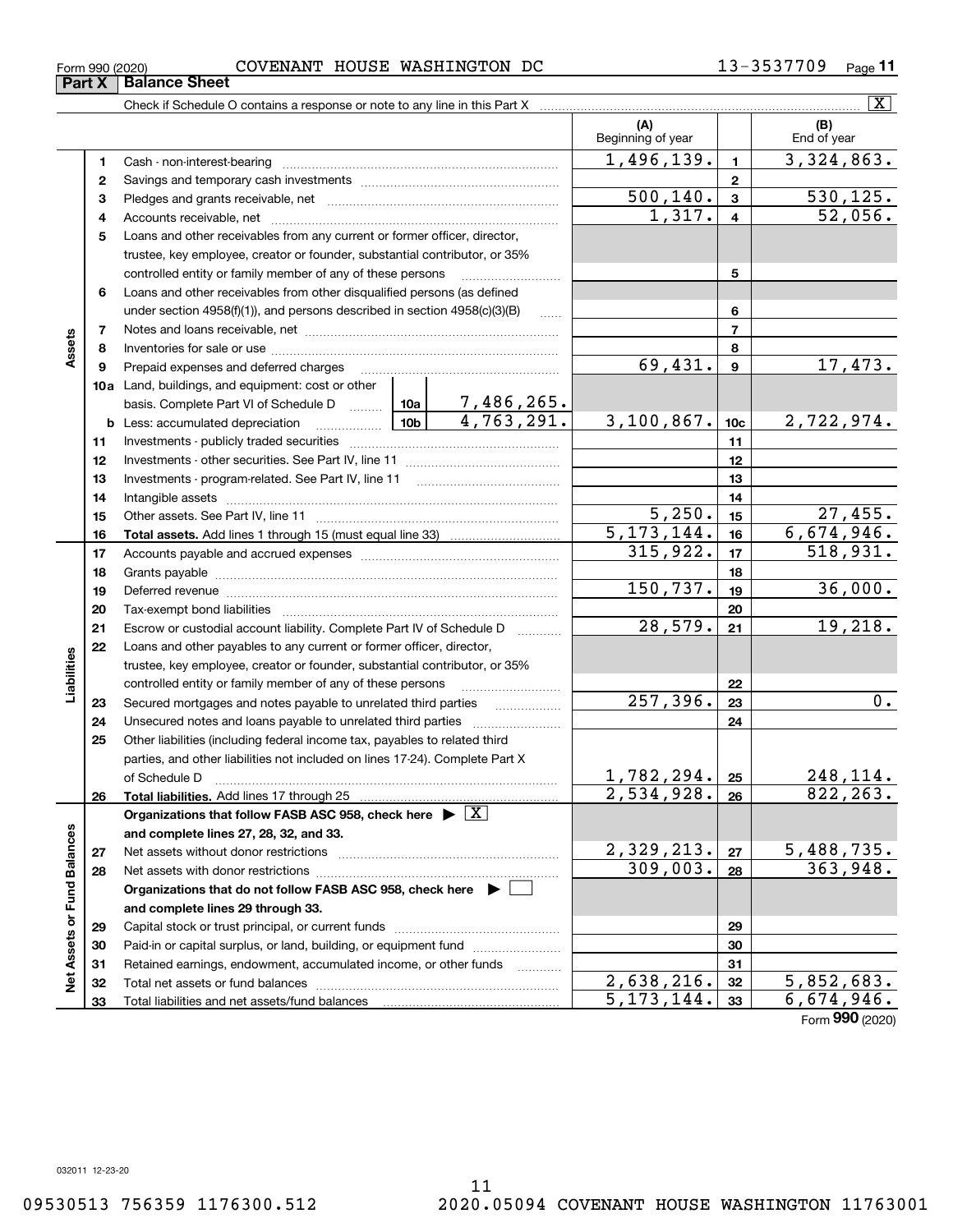Form (2020) **990**

**Part X** Balance Sheet

#### $\boxed{\text{X}}$ Check if Schedule O contains a response or note to any line in this Part X **(A) (B)** Beginning of year | | End of year  $1,496,139.$   $1 \mid 3,324,863.$ **11**Cash - non-interest-bearing ~~~~~~~~~~~~~~~~~~~~~~~~~ **22**Savings and temporary cash investments ~~~~~~~~~~~~~~~~~~ $500, 140.$   $3 \mid 530, 125.$ **33**Pledges and grants receivable, net ~~~~~~~~~~~~~~~~~~~~~  $1,317. | 4 | 52,056.$ Accounts receivable, net ~~~~~~~~~~~~~~~~~~~~~~~~~~ **445**Loans and other receivables from any current or former officer, director, trustee, key employee, creator or founder, substantial contributor, or 35% controlled entity or family member of any of these persons ............................ **5**Loans and other receivables from other disqualified persons (as defined **6**under section  $4958(f)(1)$ , and persons described in section  $4958(c)(3)(B)$ **677**Notes and loans receivable, net ~~~~~~~~~~~~~~~~~~~~~~~**Assets 88**Inventories for sale or use ~~~~~~~~~~~~~~~~~~~~~~~~~~ $69,431.$   $9 \mid 17,473.$ **99**Prepaid expenses and deferred charges ~~~~~~~~~~~~~~~~~~ **10a**Land, buildings, and equipment: cost or other 7,486,265. basis. Complete Part VI of Schedule D will aller  $4,763,291.$  3,100,867. 10c 2,722,974. **10cb** Less: accumulated depreciation  $\ldots$  **10b 1111**Investments - publicly traded securities ~~~~~~~~~~~~~~~~~~~ **1212**Investments - other securities. See Part IV, line 11 ~~~~~~~~~~~~~~ **1313**Investments - program-related. See Part IV, line 11 [2010] [2010] [2010] [2010] [2010] [2010] [2010] [2010] [2 **1414**Intangible assets ~~~~~~~~~~~~~~~~~~~~~~~~~~~~~~ Other assets. See Part IV, line 11 ~~~~~~~~~~~~~~~~~~~~~~  $5,250.$  15 27,455. **1515** $5, 173, 144.$  16 6,674,946. **1616Total assets.**  Add lines 1 through 15 (must equal line 33)  $315,922.$   $17$  518,931. **1717**Accounts payable and accrued expenses ~~~~~~~~~~~~~~~~~~ **1818**Grants payable ~~~~~~~~~~~~~~~~~~~~~~~~~~~~~~~ 150,737. 19 36,000. **1919**Deferred revenue ~~~~~~~~~~~~~~~~~~~~~~~~~~~~~~ **2020**Tax-exempt bond liabilities …………………………………………………………… 28,579. 19,218. Escrow or custodial account liability. Complete Part IV of Schedule D **212122**Loans and other payables to any current or former officer, director, iabilities **Liabilities** trustee, key employee, creator or founder, substantial contributor, or 35% controlled entity or family member of any of these persons ~~~~~~~~~**22** $257,396.$  23 **23**Secured mortgages and notes payable to unrelated third parties **23**Unsecured notes and loans payable to unrelated third parties **242425**Other liabilities (including federal income tax, payables to related third parties, and other liabilities not included on lines 17-24). Complete Part X  $1,782,294. |25| 248,114.$ of Schedule D ~~~~~~~~~~~~~~~~~~~~~~~~~~~~~~~ **25**2,534,928. 26 822,263. **2626Total liabilities.**  Add lines 17 through 25 **Organizations that follow FASB ASC 958, check here** | X Net Assets or Fund Balances **Net Assets or Fund Balances and complete lines 27, 28, 32, and 33.**  $2,329,213. |z_7| 5,488,735.$ **2727**Net assets without donor restrictions ~~~~~~~~~~~~~~~~~~~~  $309,003. |28$  363,948. **2828**Net assets with donor restrictions ~~~~~~~~~~~~~~~~~~~~~~ **Organizations that do not follow FASB ASC 958, check here** | **and complete lines 29 through 33. 2929**Capital stock or trust principal, or current funds ~~~~~~~~~~~~~~~ **3030**Paid-in or capital surplus, or land, building, or equipment fund www.commun.com **31**Retained earnings, endowment, accumulated income, or other funds **31** Total net assets or fund balances ~~~~~~~~~~~~~~~~~~~~~~  $2,638,216.$   $32$   $5,852,683.$ **3232** $5, 173, 144. |33 | 6, 674, 946.$ Total liabilities and net assets/fund balances **3333**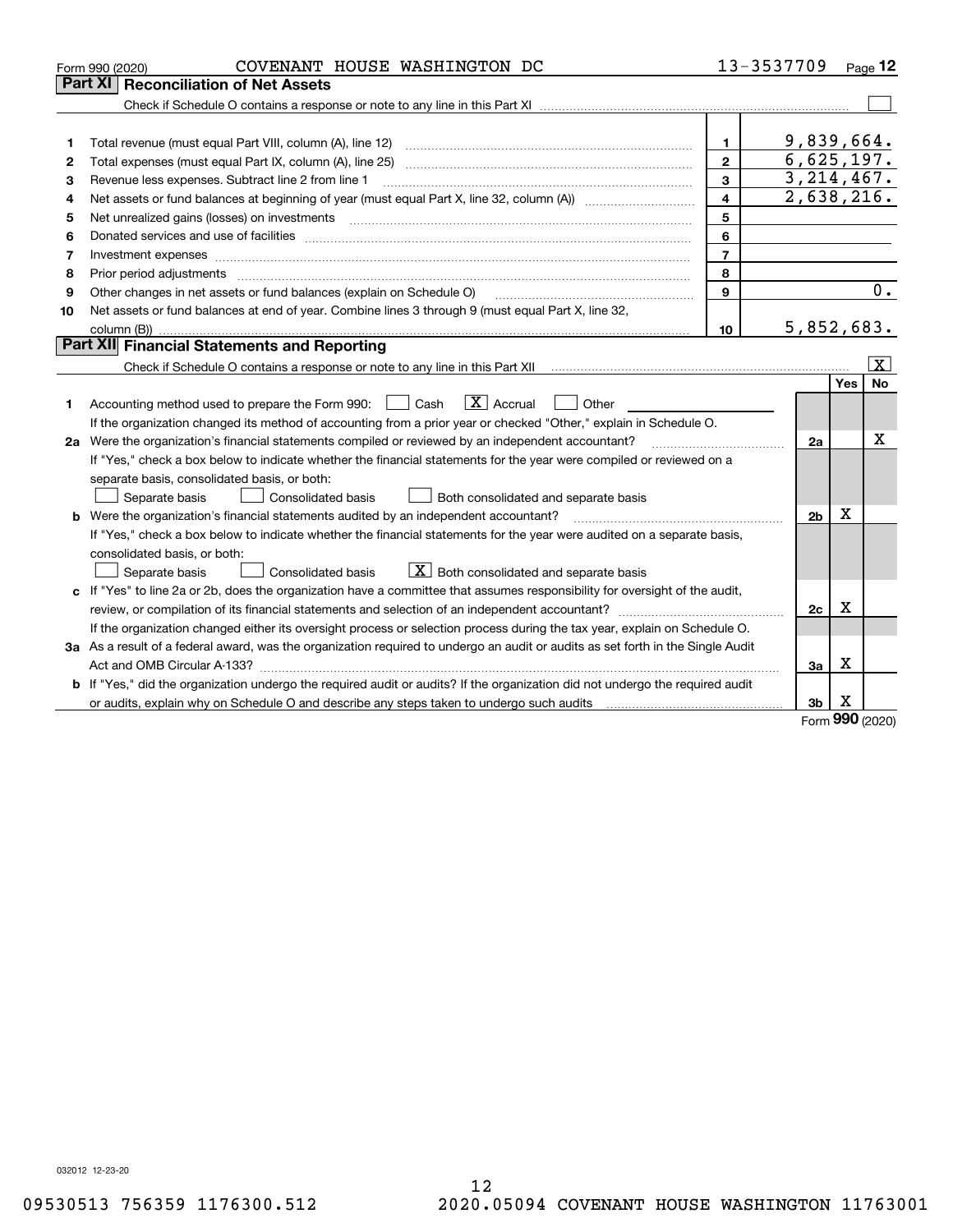|    | COVENANT HOUSE WASHINGTON DC<br>Form 990 (2020)                                                                                      |                | 13-3537709               |        | Page 12            |
|----|--------------------------------------------------------------------------------------------------------------------------------------|----------------|--------------------------|--------|--------------------|
|    | Part XI<br><b>Reconciliation of Net Assets</b>                                                                                       |                |                          |        |                    |
|    |                                                                                                                                      |                |                          |        |                    |
|    |                                                                                                                                      |                |                          |        |                    |
| 1  |                                                                                                                                      | 1              | 9,839,664.               |        |                    |
| 2  | Total expenses (must equal Part IX, column (A), line 25)                                                                             | $\mathbf{2}$   | 6,625,197.               |        |                    |
| 3  | Revenue less expenses. Subtract line 2 from line 1                                                                                   | 3              | 3, 214, 467.             |        |                    |
| 4  | Net assets or fund balances at beginning of year (must equal Part X, line 32, column (A)) <i></i>                                    | 4              | $\overline{2,638,216}$ . |        |                    |
| 5  | Net unrealized gains (losses) on investments                                                                                         | 5              |                          |        |                    |
| 6  |                                                                                                                                      | 6              |                          |        |                    |
| 7  | Investment expenses                                                                                                                  | $\overline{7}$ |                          |        |                    |
| 8  |                                                                                                                                      | 8              |                          |        |                    |
| 9  | Other changes in net assets or fund balances (explain on Schedule O)                                                                 | 9              |                          |        | 0.                 |
| 10 | Net assets or fund balances at end of year. Combine lines 3 through 9 (must equal Part X, line 32,                                   |                |                          |        |                    |
|    |                                                                                                                                      | 10             | 5,852,683.               |        |                    |
|    | Part XII Financial Statements and Reporting                                                                                          |                |                          |        |                    |
|    |                                                                                                                                      |                |                          |        | $\boxed{\text{X}}$ |
|    |                                                                                                                                      |                |                          | Yes    | No                 |
| 1  | $\boxed{\mathbf{X}}$ Accrual<br>Accounting method used to prepare the Form 990: <u>[</u> Cash<br>Other                               |                |                          |        |                    |
|    | If the organization changed its method of accounting from a prior year or checked "Other," explain in Schedule O.                    |                |                          |        |                    |
|    | 2a Were the organization's financial statements compiled or reviewed by an independent accountant?                                   |                | 2a                       |        | х                  |
|    | If "Yes," check a box below to indicate whether the financial statements for the year were compiled or reviewed on a                 |                |                          |        |                    |
|    | separate basis, consolidated basis, or both:                                                                                         |                |                          |        |                    |
|    | Both consolidated and separate basis<br>Separate basis<br>Consolidated basis                                                         |                |                          |        |                    |
|    | <b>b</b> Were the organization's financial statements audited by an independent accountant?                                          |                | 2 <sub>b</sub>           | Χ      |                    |
|    | If "Yes," check a box below to indicate whether the financial statements for the year were audited on a separate basis,              |                |                          |        |                    |
|    | consolidated basis, or both:                                                                                                         |                |                          |        |                    |
|    | $X$ Both consolidated and separate basis<br>Separate basis<br><b>Consolidated basis</b>                                              |                |                          |        |                    |
|    | c If "Yes" to line 2a or 2b, does the organization have a committee that assumes responsibility for oversight of the audit,          |                |                          |        |                    |
|    |                                                                                                                                      |                | 2c                       | x      |                    |
|    | If the organization changed either its oversight process or selection process during the tax year, explain on Schedule O.            |                |                          |        |                    |
|    | 3a As a result of a federal award, was the organization required to undergo an audit or audits as set forth in the Single Audit      |                |                          |        |                    |
|    |                                                                                                                                      |                | 3a                       | Χ      |                    |
|    | <b>b</b> If "Yes," did the organization undergo the required audit or audits? If the organization did not undergo the required audit |                |                          |        |                    |
|    |                                                                                                                                      |                | 3b                       | х<br>Š |                    |

Form (2020) **990**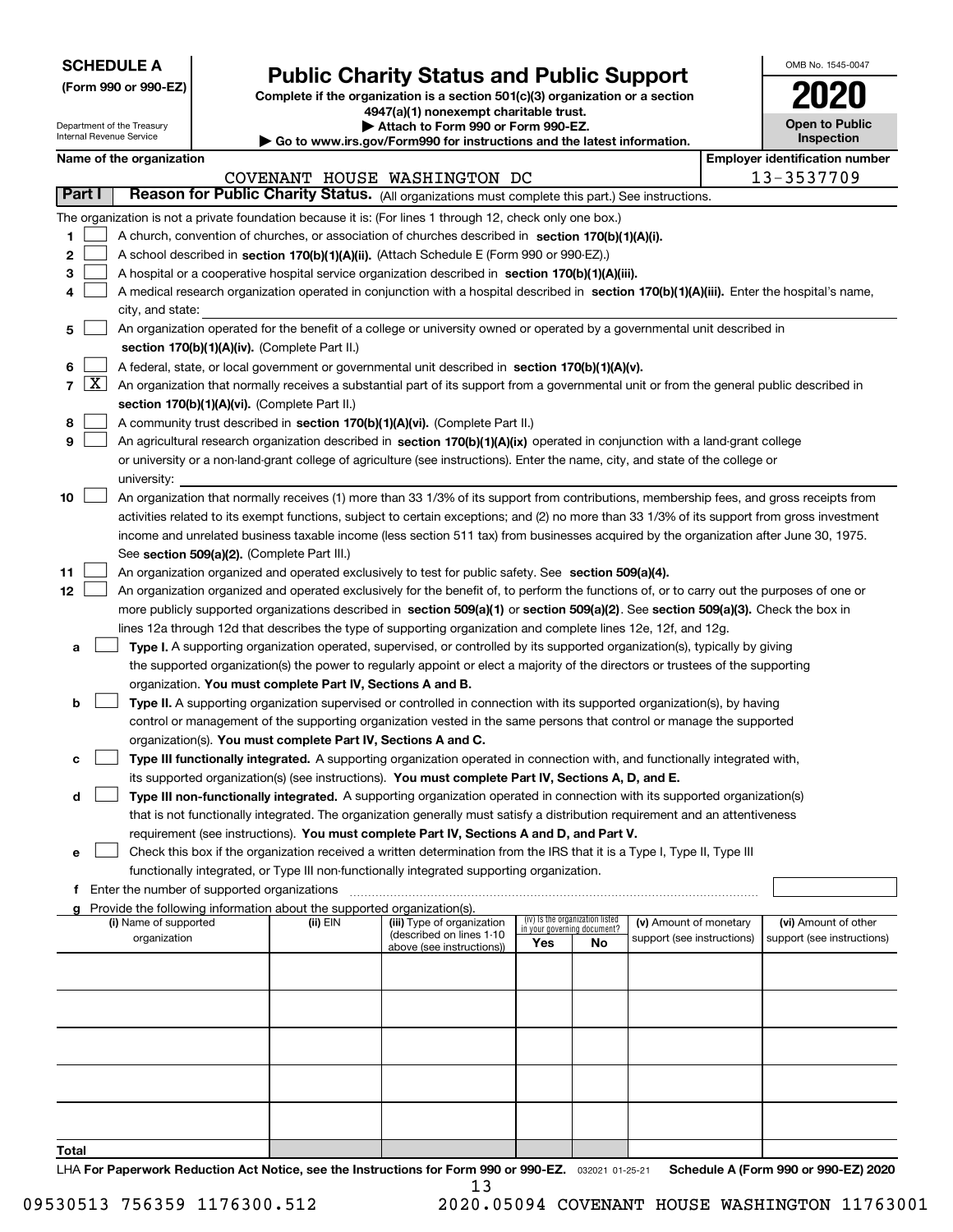| <b>SCHEDULE A</b> |
|-------------------|
|-------------------|

Department of the Treasury Internal Revenue Service

**(Form 990 or 990-EZ)**

# **Public Charity Status and Public Support**

**Complete if the organization is a section 501(c)(3) organization or a section 4947(a)(1) nonexempt charitable trust.**

**| Attach to Form 990 or Form 990-EZ.** 

**| Go to www.irs.gov/Form990 for instructions and the latest information.**

| OMB No. 1545-0047                   |
|-------------------------------------|
| 02                                  |
| <b>Open to Public</b><br>Inspection |

|                 | Name of the organization<br><b>Employer identification number</b> |                                                                                                                                                                                                                      |          |                                                       |                             |                                 |                            |  |                            |
|-----------------|-------------------------------------------------------------------|----------------------------------------------------------------------------------------------------------------------------------------------------------------------------------------------------------------------|----------|-------------------------------------------------------|-----------------------------|---------------------------------|----------------------------|--|----------------------------|
|                 |                                                                   | 13-3537709<br>COVENANT HOUSE WASHINGTON DC<br>Reason for Public Charity Status. (All organizations must complete this part.) See instructions.                                                                       |          |                                                       |                             |                                 |                            |  |                            |
| Part I          |                                                                   |                                                                                                                                                                                                                      |          |                                                       |                             |                                 |                            |  |                            |
|                 |                                                                   | The organization is not a private foundation because it is: (For lines 1 through 12, check only one box.)                                                                                                            |          |                                                       |                             |                                 |                            |  |                            |
| 1               |                                                                   | A church, convention of churches, or association of churches described in section 170(b)(1)(A)(i).                                                                                                                   |          |                                                       |                             |                                 |                            |  |                            |
| 2               |                                                                   | A school described in section 170(b)(1)(A)(ii). (Attach Schedule E (Form 990 or 990-EZ).)                                                                                                                            |          |                                                       |                             |                                 |                            |  |                            |
| 3               |                                                                   | A hospital or a cooperative hospital service organization described in section 170(b)(1)(A)(iii).                                                                                                                    |          |                                                       |                             |                                 |                            |  |                            |
| 4               |                                                                   | A medical research organization operated in conjunction with a hospital described in section 170(b)(1)(A)(iii). Enter the hospital's name,                                                                           |          |                                                       |                             |                                 |                            |  |                            |
|                 |                                                                   | city, and state:                                                                                                                                                                                                     |          |                                                       |                             |                                 |                            |  |                            |
| 5               |                                                                   | An organization operated for the benefit of a college or university owned or operated by a governmental unit described in                                                                                            |          |                                                       |                             |                                 |                            |  |                            |
|                 |                                                                   | section 170(b)(1)(A)(iv). (Complete Part II.)                                                                                                                                                                        |          |                                                       |                             |                                 |                            |  |                            |
| 6               | $\mathbf{X}$                                                      | A federal, state, or local government or governmental unit described in section 170(b)(1)(A)(v).                                                                                                                     |          |                                                       |                             |                                 |                            |  |                            |
| 7               |                                                                   | An organization that normally receives a substantial part of its support from a governmental unit or from the general public described in                                                                            |          |                                                       |                             |                                 |                            |  |                            |
|                 |                                                                   | section 170(b)(1)(A)(vi). (Complete Part II.)                                                                                                                                                                        |          |                                                       |                             |                                 |                            |  |                            |
| 8<br>9          |                                                                   | A community trust described in section 170(b)(1)(A)(vi). (Complete Part II.)<br>An agricultural research organization described in section 170(b)(1)(A)(ix) operated in conjunction with a land-grant college        |          |                                                       |                             |                                 |                            |  |                            |
|                 |                                                                   | or university or a non-land-grant college of agriculture (see instructions). Enter the name, city, and state of the college or                                                                                       |          |                                                       |                             |                                 |                            |  |                            |
|                 |                                                                   | university:                                                                                                                                                                                                          |          |                                                       |                             |                                 |                            |  |                            |
| 10              |                                                                   | An organization that normally receives (1) more than 33 1/3% of its support from contributions, membership fees, and gross receipts from                                                                             |          |                                                       |                             |                                 |                            |  |                            |
|                 |                                                                   | activities related to its exempt functions, subject to certain exceptions; and (2) no more than 33 1/3% of its support from gross investment                                                                         |          |                                                       |                             |                                 |                            |  |                            |
|                 |                                                                   | income and unrelated business taxable income (less section 511 tax) from businesses acquired by the organization after June 30, 1975.                                                                                |          |                                                       |                             |                                 |                            |  |                            |
|                 |                                                                   | See section 509(a)(2). (Complete Part III.)                                                                                                                                                                          |          |                                                       |                             |                                 |                            |  |                            |
| 11              |                                                                   | An organization organized and operated exclusively to test for public safety. See section 509(a)(4).                                                                                                                 |          |                                                       |                             |                                 |                            |  |                            |
| 12 <sub>2</sub> |                                                                   | An organization organized and operated exclusively for the benefit of, to perform the functions of, or to carry out the purposes of one or                                                                           |          |                                                       |                             |                                 |                            |  |                            |
|                 |                                                                   | more publicly supported organizations described in section 509(a)(1) or section 509(a)(2). See section 509(a)(3). Check the box in                                                                                   |          |                                                       |                             |                                 |                            |  |                            |
|                 |                                                                   | lines 12a through 12d that describes the type of supporting organization and complete lines 12e, 12f, and 12g.                                                                                                       |          |                                                       |                             |                                 |                            |  |                            |
| а               |                                                                   | Type I. A supporting organization operated, supervised, or controlled by its supported organization(s), typically by giving                                                                                          |          |                                                       |                             |                                 |                            |  |                            |
|                 |                                                                   | the supported organization(s) the power to regularly appoint or elect a majority of the directors or trustees of the supporting                                                                                      |          |                                                       |                             |                                 |                            |  |                            |
|                 |                                                                   | organization. You must complete Part IV, Sections A and B.                                                                                                                                                           |          |                                                       |                             |                                 |                            |  |                            |
| b               |                                                                   | Type II. A supporting organization supervised or controlled in connection with its supported organization(s), by having                                                                                              |          |                                                       |                             |                                 |                            |  |                            |
|                 |                                                                   | control or management of the supporting organization vested in the same persons that control or manage the supported                                                                                                 |          |                                                       |                             |                                 |                            |  |                            |
|                 |                                                                   | organization(s). You must complete Part IV, Sections A and C.                                                                                                                                                        |          |                                                       |                             |                                 |                            |  |                            |
|                 |                                                                   | Type III functionally integrated. A supporting organization operated in connection with, and functionally integrated with,                                                                                           |          |                                                       |                             |                                 |                            |  |                            |
|                 |                                                                   | its supported organization(s) (see instructions). You must complete Part IV, Sections A, D, and E.                                                                                                                   |          |                                                       |                             |                                 |                            |  |                            |
| d               |                                                                   | Type III non-functionally integrated. A supporting organization operated in connection with its supported organization(s)                                                                                            |          |                                                       |                             |                                 |                            |  |                            |
|                 |                                                                   | that is not functionally integrated. The organization generally must satisfy a distribution requirement and an attentiveness                                                                                         |          |                                                       |                             |                                 |                            |  |                            |
|                 |                                                                   | requirement (see instructions). You must complete Part IV, Sections A and D, and Part V.                                                                                                                             |          |                                                       |                             |                                 |                            |  |                            |
| е               |                                                                   | Check this box if the organization received a written determination from the IRS that it is a Type I, Type II, Type III<br>functionally integrated, or Type III non-functionally integrated supporting organization. |          |                                                       |                             |                                 |                            |  |                            |
| f               |                                                                   | Enter the number of supported organizations                                                                                                                                                                          |          |                                                       |                             |                                 |                            |  |                            |
|                 |                                                                   | Provide the following information about the supported organization(s).                                                                                                                                               |          |                                                       |                             |                                 |                            |  |                            |
|                 |                                                                   | (i) Name of supported                                                                                                                                                                                                | (ii) EIN | (iii) Type of organization                            | in your governing document? | (iv) Is the organization listed | (v) Amount of monetary     |  | (vi) Amount of other       |
|                 |                                                                   | organization                                                                                                                                                                                                         |          | (described on lines 1-10<br>above (see instructions)) | Yes                         | No                              | support (see instructions) |  | support (see instructions) |
|                 |                                                                   |                                                                                                                                                                                                                      |          |                                                       |                             |                                 |                            |  |                            |
|                 |                                                                   |                                                                                                                                                                                                                      |          |                                                       |                             |                                 |                            |  |                            |
|                 |                                                                   |                                                                                                                                                                                                                      |          |                                                       |                             |                                 |                            |  |                            |
|                 |                                                                   |                                                                                                                                                                                                                      |          |                                                       |                             |                                 |                            |  |                            |
|                 |                                                                   |                                                                                                                                                                                                                      |          |                                                       |                             |                                 |                            |  |                            |
|                 |                                                                   |                                                                                                                                                                                                                      |          |                                                       |                             |                                 |                            |  |                            |
|                 |                                                                   |                                                                                                                                                                                                                      |          |                                                       |                             |                                 |                            |  |                            |
|                 |                                                                   |                                                                                                                                                                                                                      |          |                                                       |                             |                                 |                            |  |                            |
|                 |                                                                   |                                                                                                                                                                                                                      |          |                                                       |                             |                                 |                            |  |                            |
|                 |                                                                   |                                                                                                                                                                                                                      |          |                                                       |                             |                                 |                            |  |                            |
| Total           |                                                                   |                                                                                                                                                                                                                      |          |                                                       |                             |                                 |                            |  |                            |

LHA For Paperwork Reduction Act Notice, see the Instructions for Form 990 or 990-EZ. <sub>032021</sub> o1-25-21 Schedule A (Form 990 or 990-EZ) 2020 13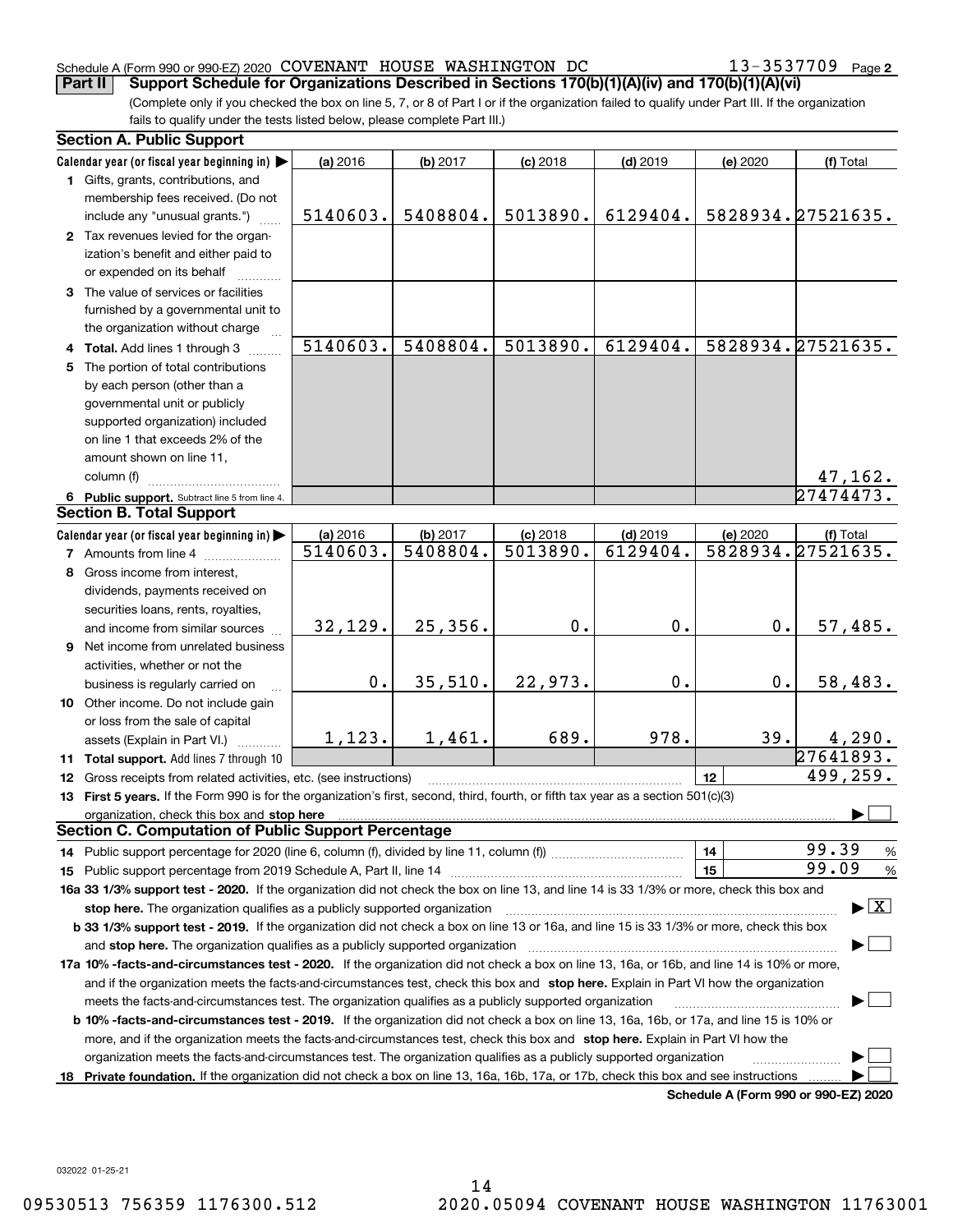## Schedule A (Form 990 or 990-EZ) 2020 Page COVENANT HOUSE WASHINGTON DC 13-3537709

13-3537709 Page 2

(Complete only if you checked the box on line 5, 7, or 8 of Part I or if the organization failed to qualify under Part III. If the organization fails to qualify under the tests listed below, please complete Part III.) **Part II Support Schedule for Organizations Described in Sections 170(b)(1)(A)(iv) and 170(b)(1)(A)(vi)**

|    | <b>Section A. Public Support</b>                                                                                                                                                                                                                                                             |               |          |            |            |               |                                          |
|----|----------------------------------------------------------------------------------------------------------------------------------------------------------------------------------------------------------------------------------------------------------------------------------------------|---------------|----------|------------|------------|---------------|------------------------------------------|
|    | Calendar year (or fiscal year beginning in)                                                                                                                                                                                                                                                  | (a) 2016      | (b) 2017 | $(c)$ 2018 | $(d)$ 2019 | (e) 2020      | (f) Total                                |
|    | 1 Gifts, grants, contributions, and<br>membership fees received. (Do not                                                                                                                                                                                                                     |               |          |            |            |               |                                          |
|    | include any "unusual grants.")                                                                                                                                                                                                                                                               | 5140603.      | 5408804. | 5013890.   | 6129404.   |               | 5828934. 27521635.                       |
|    | 2 Tax revenues levied for the organ-<br>ization's benefit and either paid to<br>or expended on its behalf                                                                                                                                                                                    |               |          |            |            |               |                                          |
|    | 3 The value of services or facilities                                                                                                                                                                                                                                                        |               |          |            |            |               |                                          |
|    | furnished by a governmental unit to                                                                                                                                                                                                                                                          |               |          |            |            |               |                                          |
|    | the organization without charge                                                                                                                                                                                                                                                              | 5140603.      | 5408804. | 5013890.   | 6129404.   |               | 5828934.27521635.                        |
|    | 4 Total. Add lines 1 through 3<br>5 The portion of total contributions                                                                                                                                                                                                                       |               |          |            |            |               |                                          |
|    | by each person (other than a                                                                                                                                                                                                                                                                 |               |          |            |            |               |                                          |
|    | governmental unit or publicly                                                                                                                                                                                                                                                                |               |          |            |            |               |                                          |
|    | supported organization) included                                                                                                                                                                                                                                                             |               |          |            |            |               |                                          |
|    | on line 1 that exceeds 2% of the                                                                                                                                                                                                                                                             |               |          |            |            |               |                                          |
|    | amount shown on line 11,                                                                                                                                                                                                                                                                     |               |          |            |            |               |                                          |
|    | column (f)                                                                                                                                                                                                                                                                                   |               |          |            |            |               | <u>47,162.</u>                           |
|    | 6 Public support. Subtract line 5 from line 4.                                                                                                                                                                                                                                               |               |          |            |            |               | 27474473.                                |
|    | <b>Section B. Total Support</b>                                                                                                                                                                                                                                                              |               |          |            |            |               |                                          |
|    | Calendar year (or fiscal year beginning in)                                                                                                                                                                                                                                                  | (a) 2016      | (b) 2017 | $(c)$ 2018 | $(d)$ 2019 | (e) 2020      | (f) Total                                |
|    | <b>7</b> Amounts from line 4                                                                                                                                                                                                                                                                 | 5140603.      | 5408804. | 5013890.   | 6129404.   |               | 5828934.27521635.                        |
|    | 8 Gross income from interest,                                                                                                                                                                                                                                                                |               |          |            |            |               |                                          |
|    | dividends, payments received on                                                                                                                                                                                                                                                              |               |          |            |            |               |                                          |
|    | securities loans, rents, royalties,                                                                                                                                                                                                                                                          |               |          |            |            |               |                                          |
|    | and income from similar sources                                                                                                                                                                                                                                                              | 32,129.       | 25,356.  | 0.         | 0.         | 0.            | 57,485.                                  |
|    | 9 Net income from unrelated business                                                                                                                                                                                                                                                         |               |          |            |            |               |                                          |
|    | activities, whether or not the                                                                                                                                                                                                                                                               |               |          |            |            |               |                                          |
|    | business is regularly carried on                                                                                                                                                                                                                                                             | $\mathbf 0$ . | 35,510.  | 22,973.    | 0.         | $\mathbf 0$ . | 58,483.                                  |
|    | 10 Other income. Do not include gain                                                                                                                                                                                                                                                         |               |          |            |            |               |                                          |
|    | or loss from the sale of capital                                                                                                                                                                                                                                                             |               |          |            |            |               |                                          |
|    | assets (Explain in Part VI.)                                                                                                                                                                                                                                                                 | 1,123.        | 1,461.   | 689.       | 978.       | 39.           | 4,290.                                   |
|    | 11 Total support. Add lines 7 through 10                                                                                                                                                                                                                                                     |               |          |            |            |               | 27641893.                                |
|    | 12 Gross receipts from related activities, etc. (see instructions)                                                                                                                                                                                                                           |               |          |            |            | 12            | 499,259.                                 |
|    | 13 First 5 years. If the Form 990 is for the organization's first, second, third, fourth, or fifth tax year as a section 501(c)(3)                                                                                                                                                           |               |          |            |            |               |                                          |
|    | organization, check this box and stop here manufactured and according to the state of the state of the state of the state of the state of the state of the state of the state of the state of the state of the state of the st<br><b>Section C. Computation of Public Support Percentage</b> |               |          |            |            |               |                                          |
|    |                                                                                                                                                                                                                                                                                              |               |          |            |            |               | 99.39                                    |
|    |                                                                                                                                                                                                                                                                                              |               |          |            |            | 14<br>15      | %<br>99.09<br>$\%$                       |
|    | 16a 33 1/3% support test - 2020. If the organization did not check the box on line 13, and line 14 is 33 1/3% or more, check this box and                                                                                                                                                    |               |          |            |            |               |                                          |
|    | stop here. The organization qualifies as a publicly supported organization                                                                                                                                                                                                                   |               |          |            |            |               | $\blacktriangleright$ $\boxed{\text{X}}$ |
|    | b 33 1/3% support test - 2019. If the organization did not check a box on line 13 or 16a, and line 15 is 33 1/3% or more, check this box                                                                                                                                                     |               |          |            |            |               |                                          |
|    | and stop here. The organization qualifies as a publicly supported organization                                                                                                                                                                                                               |               |          |            |            |               |                                          |
|    | 17a 10% -facts-and-circumstances test - 2020. If the organization did not check a box on line 13, 16a, or 16b, and line 14 is 10% or more,                                                                                                                                                   |               |          |            |            |               |                                          |
|    | and if the organization meets the facts-and-circumstances test, check this box and stop here. Explain in Part VI how the organization                                                                                                                                                        |               |          |            |            |               |                                          |
|    | meets the facts-and-circumstances test. The organization qualifies as a publicly supported organization                                                                                                                                                                                      |               |          |            |            |               |                                          |
|    | <b>b 10% -facts-and-circumstances test - 2019.</b> If the organization did not check a box on line 13, 16a, 16b, or 17a, and line 15 is 10% or                                                                                                                                               |               |          |            |            |               |                                          |
|    | more, and if the organization meets the facts-and-circumstances test, check this box and stop here. Explain in Part VI how the                                                                                                                                                               |               |          |            |            |               |                                          |
|    | organization meets the facts-and-circumstances test. The organization qualifies as a publicly supported organization                                                                                                                                                                         |               |          |            |            |               |                                          |
| 18 | Private foundation. If the organization did not check a box on line 13, 16a, 16b, 17a, or 17b, check this box and see instructions                                                                                                                                                           |               |          |            |            |               |                                          |
|    |                                                                                                                                                                                                                                                                                              |               |          |            |            |               | Schedule A (Form 990 or 990-EZ) 2020     |

032022 01-25-21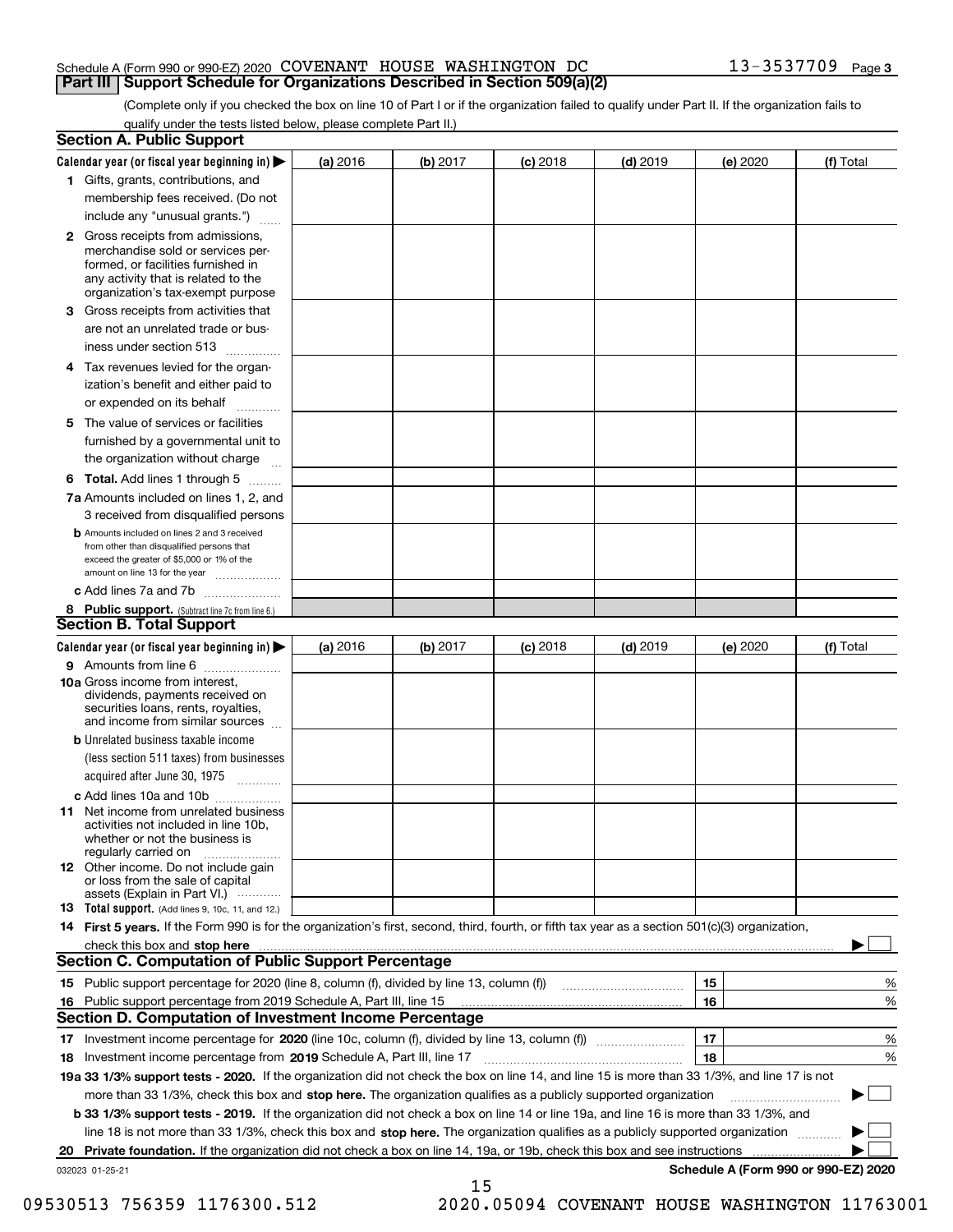### Schedule A (Form 990 or 990-EZ) 2020 Page COVENANT HOUSE WASHINGTON DC 13-3537709 **Part III Support Schedule for Organizations Described in Section 509(a)(2)**

(Complete only if you checked the box on line 10 of Part I or if the organization failed to qualify under Part II. If the organization fails to qualify under the tests listed below, please complete Part II.)

|    | <b>Section A. Public Support</b>                                                                                                                                                         |          |          |            |            |          |                                      |
|----|------------------------------------------------------------------------------------------------------------------------------------------------------------------------------------------|----------|----------|------------|------------|----------|--------------------------------------|
|    | Calendar year (or fiscal year beginning in) $\blacktriangleright$                                                                                                                        | (a) 2016 | (b) 2017 | $(c)$ 2018 | $(d)$ 2019 | (e) 2020 | (f) Total                            |
|    | 1 Gifts, grants, contributions, and                                                                                                                                                      |          |          |            |            |          |                                      |
|    | membership fees received. (Do not                                                                                                                                                        |          |          |            |            |          |                                      |
|    | include any "unusual grants.")                                                                                                                                                           |          |          |            |            |          |                                      |
|    | 2 Gross receipts from admissions,<br>merchandise sold or services per-<br>formed, or facilities furnished in<br>any activity that is related to the<br>organization's tax-exempt purpose |          |          |            |            |          |                                      |
|    | 3 Gross receipts from activities that<br>are not an unrelated trade or bus-                                                                                                              |          |          |            |            |          |                                      |
|    | iness under section 513                                                                                                                                                                  |          |          |            |            |          |                                      |
|    | 4 Tax revenues levied for the organ-                                                                                                                                                     |          |          |            |            |          |                                      |
|    | ization's benefit and either paid to<br>or expended on its behalf<br>.                                                                                                                   |          |          |            |            |          |                                      |
|    | 5 The value of services or facilities                                                                                                                                                    |          |          |            |            |          |                                      |
|    | furnished by a governmental unit to                                                                                                                                                      |          |          |            |            |          |                                      |
|    | the organization without charge                                                                                                                                                          |          |          |            |            |          |                                      |
|    | <b>6 Total.</b> Add lines 1 through 5                                                                                                                                                    |          |          |            |            |          |                                      |
|    | 7a Amounts included on lines 1, 2, and<br>3 received from disqualified persons                                                                                                           |          |          |            |            |          |                                      |
|    | <b>b</b> Amounts included on lines 2 and 3 received<br>from other than disqualified persons that<br>exceed the greater of \$5,000 or 1% of the<br>amount on line 13 for the year         |          |          |            |            |          |                                      |
|    | c Add lines 7a and 7b                                                                                                                                                                    |          |          |            |            |          |                                      |
|    | 8 Public support. (Subtract line 7c from line 6.)                                                                                                                                        |          |          |            |            |          |                                      |
|    | <b>Section B. Total Support</b>                                                                                                                                                          |          |          |            |            |          |                                      |
|    | Calendar year (or fiscal year beginning in) $\blacktriangleright$                                                                                                                        | (a) 2016 | (b) 2017 | $(c)$ 2018 | $(d)$ 2019 | (e) 2020 | (f) Total                            |
|    | 9 Amounts from line 6                                                                                                                                                                    |          |          |            |            |          |                                      |
|    | 10a Gross income from interest,<br>dividends, payments received on<br>securities loans, rents, royalties,<br>and income from similar sources                                             |          |          |            |            |          |                                      |
|    | <b>b</b> Unrelated business taxable income<br>(less section 511 taxes) from businesses                                                                                                   |          |          |            |            |          |                                      |
|    | acquired after June 30, 1975                                                                                                                                                             |          |          |            |            |          |                                      |
|    | c Add lines 10a and 10b<br>11 Net income from unrelated business<br>activities not included in line 10b,<br>whether or not the business is<br>regularly carried on                       |          |          |            |            |          |                                      |
|    | 12 Other income. Do not include gain<br>or loss from the sale of capital<br>assets (Explain in Part VI.)                                                                                 |          |          |            |            |          |                                      |
|    | <b>13</b> Total support. (Add lines 9, 10c, 11, and 12.)                                                                                                                                 |          |          |            |            |          |                                      |
|    | 14 First 5 years. If the Form 990 is for the organization's first, second, third, fourth, or fifth tax year as a section 501(c)(3) organization,                                         |          |          |            |            |          |                                      |
|    | check this box and stop here measurements are constructed as the state of the state of the state of the state o                                                                          |          |          |            |            |          |                                      |
|    | Section C. Computation of Public Support Percentage                                                                                                                                      |          |          |            |            |          |                                      |
|    | 15 Public support percentage for 2020 (line 8, column (f), divided by line 13, column (f))                                                                                               |          |          |            |            | 15       | %                                    |
|    | 16 Public support percentage from 2019 Schedule A, Part III, line 15                                                                                                                     |          |          |            |            | 16       | %                                    |
|    | <b>Section D. Computation of Investment Income Percentage</b>                                                                                                                            |          |          |            |            |          |                                      |
|    | 17 Investment income percentage for 2020 (line 10c, column (f), divided by line 13, column (f))                                                                                          |          |          |            |            | 17       | %                                    |
|    | <b>18</b> Investment income percentage from <b>2019</b> Schedule A, Part III, line 17                                                                                                    |          |          |            |            | 18       | %                                    |
|    | 19a 33 1/3% support tests - 2020. If the organization did not check the box on line 14, and line 15 is more than 33 1/3%, and line 17 is not                                             |          |          |            |            |          |                                      |
|    | more than 33 1/3%, check this box and stop here. The organization qualifies as a publicly supported organization                                                                         |          |          |            |            |          | ▶                                    |
|    | b 33 1/3% support tests - 2019. If the organization did not check a box on line 14 or line 19a, and line 16 is more than 33 1/3%, and                                                    |          |          |            |            |          |                                      |
|    | line 18 is not more than 33 1/3%, check this box and stop here. The organization qualifies as a publicly supported organization                                                          |          |          |            |            |          |                                      |
| 20 | <b>Private foundation.</b> If the organization did not check a box on line 14, 19a, or 19b, check this box and see instructions                                                          |          |          |            |            |          |                                      |
|    | 032023 01-25-21                                                                                                                                                                          |          | 15       |            |            |          | Schedule A (Form 990 or 990-EZ) 2020 |

09530513 756359 1176300.512 2020.05094 COVENANT HOUSE WASHINGTON 11763001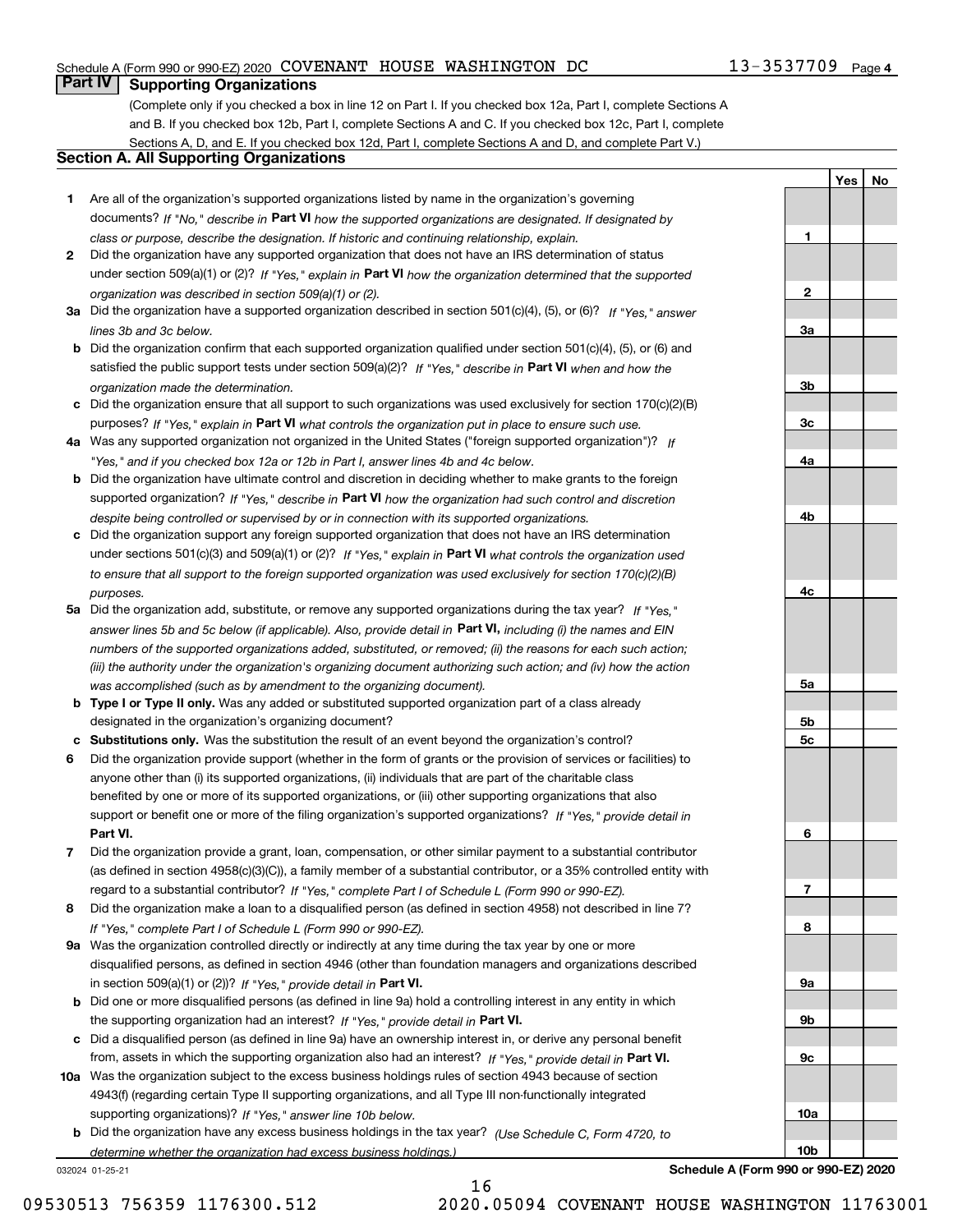# Schedule A (Form 990 or 990-EZ) 2020 Page COVENANT HOUSE WASHINGTON DC 13-3537709

# **Part IV Supporting Organizations**

(Complete only if you checked a box in line 12 on Part I. If you checked box 12a, Part I, complete Sections A and B. If you checked box 12b, Part I, complete Sections A and C. If you checked box 12c, Part I, complete Sections A, D, and E. If you checked box 12d, Part I, complete Sections A and D, and complete Part V.)

# **Section A. All Supporting Organizations**

- **1** Are all of the organization's supported organizations listed by name in the organization's governing documents? If "No," describe in **Part VI** how the supported organizations are designated. If designated by *class or purpose, describe the designation. If historic and continuing relationship, explain.*
- **2** Did the organization have any supported organization that does not have an IRS determination of status under section 509(a)(1) or (2)? If "Yes," explain in Part VI how the organization determined that the supported *organization was described in section 509(a)(1) or (2).*
- **3a** Did the organization have a supported organization described in section 501(c)(4), (5), or (6)? If "Yes," answer *lines 3b and 3c below.*
- **b** Did the organization confirm that each supported organization qualified under section 501(c)(4), (5), or (6) and satisfied the public support tests under section 509(a)(2)? If "Yes," describe in **Part VI** when and how the *organization made the determination.*
- **c**Did the organization ensure that all support to such organizations was used exclusively for section 170(c)(2)(B) purposes? If "Yes," explain in **Part VI** what controls the organization put in place to ensure such use.
- **4a***If* Was any supported organization not organized in the United States ("foreign supported organization")? *"Yes," and if you checked box 12a or 12b in Part I, answer lines 4b and 4c below.*
- **b** Did the organization have ultimate control and discretion in deciding whether to make grants to the foreign supported organization? If "Yes," describe in **Part VI** how the organization had such control and discretion *despite being controlled or supervised by or in connection with its supported organizations.*
- **c** Did the organization support any foreign supported organization that does not have an IRS determination under sections 501(c)(3) and 509(a)(1) or (2)? If "Yes," explain in **Part VI** what controls the organization used *to ensure that all support to the foreign supported organization was used exclusively for section 170(c)(2)(B) purposes.*
- **5a** Did the organization add, substitute, or remove any supported organizations during the tax year? If "Yes," answer lines 5b and 5c below (if applicable). Also, provide detail in **Part VI,** including (i) the names and EIN *numbers of the supported organizations added, substituted, or removed; (ii) the reasons for each such action; (iii) the authority under the organization's organizing document authorizing such action; and (iv) how the action was accomplished (such as by amendment to the organizing document).*
- **b** Type I or Type II only. Was any added or substituted supported organization part of a class already designated in the organization's organizing document?
- **cSubstitutions only.**  Was the substitution the result of an event beyond the organization's control?
- **6** Did the organization provide support (whether in the form of grants or the provision of services or facilities) to **Part VI.** *If "Yes," provide detail in* support or benefit one or more of the filing organization's supported organizations? anyone other than (i) its supported organizations, (ii) individuals that are part of the charitable class benefited by one or more of its supported organizations, or (iii) other supporting organizations that also
- **7**Did the organization provide a grant, loan, compensation, or other similar payment to a substantial contributor *If "Yes," complete Part I of Schedule L (Form 990 or 990-EZ).* regard to a substantial contributor? (as defined in section 4958(c)(3)(C)), a family member of a substantial contributor, or a 35% controlled entity with
- **8** Did the organization make a loan to a disqualified person (as defined in section 4958) not described in line 7? *If "Yes," complete Part I of Schedule L (Form 990 or 990-EZ).*
- **9a** Was the organization controlled directly or indirectly at any time during the tax year by one or more in section 509(a)(1) or (2))? If "Yes," *provide detail in* <code>Part VI.</code> disqualified persons, as defined in section 4946 (other than foundation managers and organizations described
- **b** Did one or more disqualified persons (as defined in line 9a) hold a controlling interest in any entity in which the supporting organization had an interest? If "Yes," provide detail in P**art VI**.
- **c**Did a disqualified person (as defined in line 9a) have an ownership interest in, or derive any personal benefit from, assets in which the supporting organization also had an interest? If "Yes," provide detail in P**art VI.**
- **10a** Was the organization subject to the excess business holdings rules of section 4943 because of section supporting organizations)? If "Yes," answer line 10b below. 4943(f) (regarding certain Type II supporting organizations, and all Type III non-functionally integrated
- **b** Did the organization have any excess business holdings in the tax year? (Use Schedule C, Form 4720, to *determine whether the organization had excess business holdings.)*

16

032024 01-25-21

**Schedule A (Form 990 or 990-EZ) 2020**

**1**

**2**

**3a**

**3b**

**3c**

**4a**

**4b**

**4c**

**5a**

**5b5c**

**6**

**7**

**8**

**9a**

**9b**

**9c**

**10a**

**10b**

**YesNo**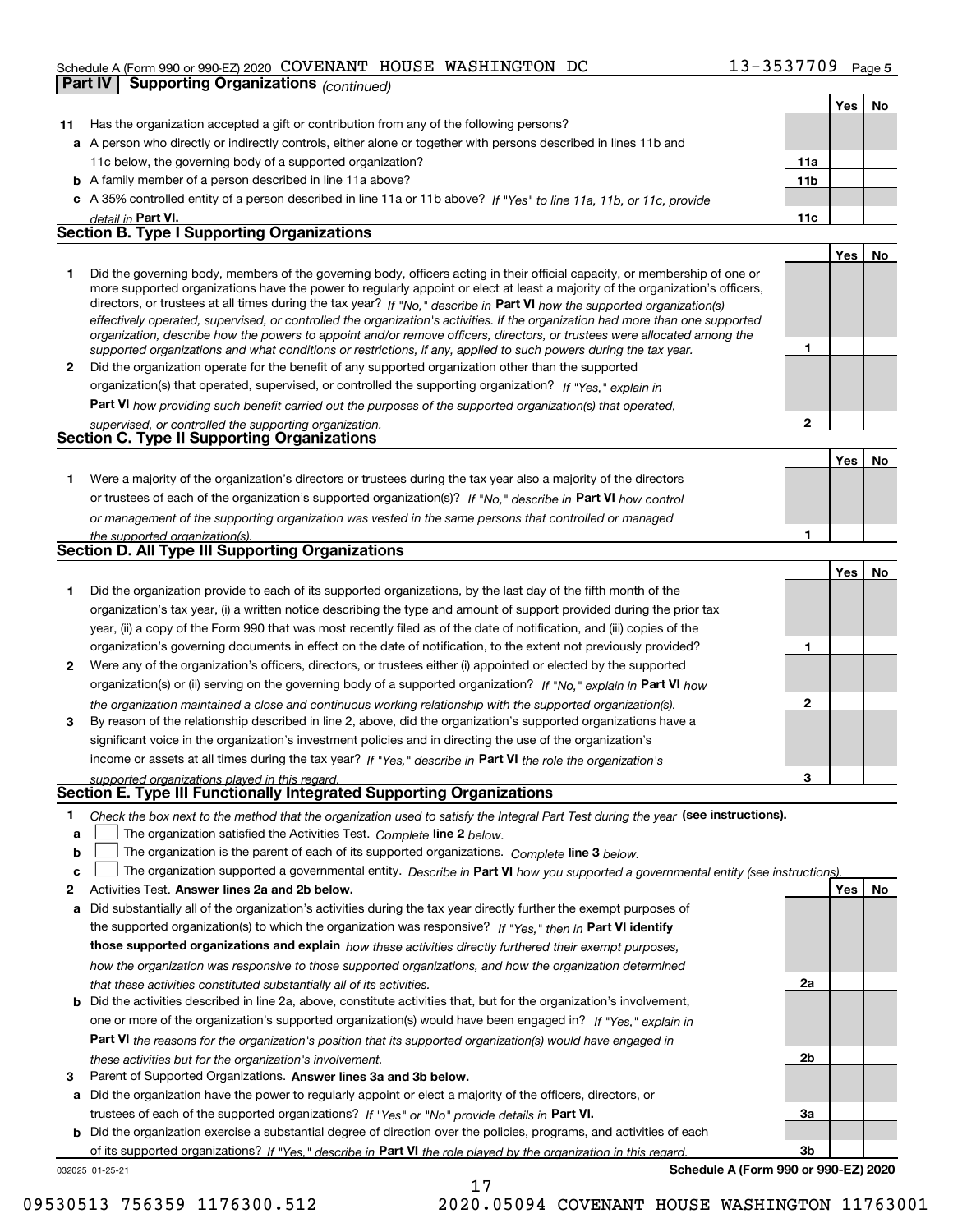# Schedule A (Form 990 or 990-EZ) 2020 Page COVENANT HOUSE WASHINGTON DC 13-3537709

|    | <b>Supporting Organizations (continued)</b><br>Part IV                                                                                                                                                                                                                                                                                                                                                                                                                                                                                                                                                                                               |                 |     |    |
|----|------------------------------------------------------------------------------------------------------------------------------------------------------------------------------------------------------------------------------------------------------------------------------------------------------------------------------------------------------------------------------------------------------------------------------------------------------------------------------------------------------------------------------------------------------------------------------------------------------------------------------------------------------|-----------------|-----|----|
|    |                                                                                                                                                                                                                                                                                                                                                                                                                                                                                                                                                                                                                                                      |                 | Yes | No |
| 11 | Has the organization accepted a gift or contribution from any of the following persons?                                                                                                                                                                                                                                                                                                                                                                                                                                                                                                                                                              |                 |     |    |
|    | a A person who directly or indirectly controls, either alone or together with persons described in lines 11b and                                                                                                                                                                                                                                                                                                                                                                                                                                                                                                                                     |                 |     |    |
|    | 11c below, the governing body of a supported organization?                                                                                                                                                                                                                                                                                                                                                                                                                                                                                                                                                                                           | 11a             |     |    |
|    | <b>b</b> A family member of a person described in line 11a above?                                                                                                                                                                                                                                                                                                                                                                                                                                                                                                                                                                                    | 11 <sub>b</sub> |     |    |
|    | c A 35% controlled entity of a person described in line 11a or 11b above? If "Yes" to line 11a, 11b, or 11c, provide                                                                                                                                                                                                                                                                                                                                                                                                                                                                                                                                 |                 |     |    |
|    | detail in Part VI.                                                                                                                                                                                                                                                                                                                                                                                                                                                                                                                                                                                                                                   | 11c             |     |    |
|    | <b>Section B. Type I Supporting Organizations</b>                                                                                                                                                                                                                                                                                                                                                                                                                                                                                                                                                                                                    |                 |     |    |
|    |                                                                                                                                                                                                                                                                                                                                                                                                                                                                                                                                                                                                                                                      |                 | Yes | No |
| 1  | Did the governing body, members of the governing body, officers acting in their official capacity, or membership of one or<br>more supported organizations have the power to regularly appoint or elect at least a majority of the organization's officers,<br>directors, or trustees at all times during the tax year? If "No," describe in Part VI how the supported organization(s)<br>effectively operated, supervised, or controlled the organization's activities. If the organization had more than one supported<br>organization, describe how the powers to appoint and/or remove officers, directors, or trustees were allocated among the |                 |     |    |
|    | supported organizations and what conditions or restrictions, if any, applied to such powers during the tax year.                                                                                                                                                                                                                                                                                                                                                                                                                                                                                                                                     | 1               |     |    |
| 2  | Did the organization operate for the benefit of any supported organization other than the supported                                                                                                                                                                                                                                                                                                                                                                                                                                                                                                                                                  |                 |     |    |
|    | organization(s) that operated, supervised, or controlled the supporting organization? If "Yes," explain in                                                                                                                                                                                                                                                                                                                                                                                                                                                                                                                                           |                 |     |    |
|    | Part VI how providing such benefit carried out the purposes of the supported organization(s) that operated,                                                                                                                                                                                                                                                                                                                                                                                                                                                                                                                                          |                 |     |    |
|    | supervised, or controlled the supporting organization.<br>Section C. Type II Supporting Organizations                                                                                                                                                                                                                                                                                                                                                                                                                                                                                                                                                | $\overline{2}$  |     |    |
|    |                                                                                                                                                                                                                                                                                                                                                                                                                                                                                                                                                                                                                                                      |                 |     |    |
|    |                                                                                                                                                                                                                                                                                                                                                                                                                                                                                                                                                                                                                                                      |                 | Yes | No |
| 1. | Were a majority of the organization's directors or trustees during the tax year also a majority of the directors                                                                                                                                                                                                                                                                                                                                                                                                                                                                                                                                     |                 |     |    |
|    | or trustees of each of the organization's supported organization(s)? If "No," describe in Part VI how control                                                                                                                                                                                                                                                                                                                                                                                                                                                                                                                                        |                 |     |    |
|    | or management of the supporting organization was vested in the same persons that controlled or managed                                                                                                                                                                                                                                                                                                                                                                                                                                                                                                                                               |                 |     |    |
|    | the supported organization(s).<br><b>Section D. All Type III Supporting Organizations</b>                                                                                                                                                                                                                                                                                                                                                                                                                                                                                                                                                            | 1               |     |    |
|    |                                                                                                                                                                                                                                                                                                                                                                                                                                                                                                                                                                                                                                                      |                 |     |    |
|    |                                                                                                                                                                                                                                                                                                                                                                                                                                                                                                                                                                                                                                                      |                 | Yes | No |
| 1  | Did the organization provide to each of its supported organizations, by the last day of the fifth month of the                                                                                                                                                                                                                                                                                                                                                                                                                                                                                                                                       |                 |     |    |
|    | organization's tax year, (i) a written notice describing the type and amount of support provided during the prior tax                                                                                                                                                                                                                                                                                                                                                                                                                                                                                                                                |                 |     |    |
|    | year, (ii) a copy of the Form 990 that was most recently filed as of the date of notification, and (iii) copies of the                                                                                                                                                                                                                                                                                                                                                                                                                                                                                                                               |                 |     |    |
|    | organization's governing documents in effect on the date of notification, to the extent not previously provided?                                                                                                                                                                                                                                                                                                                                                                                                                                                                                                                                     | 1               |     |    |
| 2  | Were any of the organization's officers, directors, or trustees either (i) appointed or elected by the supported                                                                                                                                                                                                                                                                                                                                                                                                                                                                                                                                     |                 |     |    |
|    | organization(s) or (ii) serving on the governing body of a supported organization? If "No," explain in Part VI how                                                                                                                                                                                                                                                                                                                                                                                                                                                                                                                                   |                 |     |    |
|    | the organization maintained a close and continuous working relationship with the supported organization(s).                                                                                                                                                                                                                                                                                                                                                                                                                                                                                                                                          | $\mathbf{2}$    |     |    |
| 3  | By reason of the relationship described in line 2, above, did the organization's supported organizations have a                                                                                                                                                                                                                                                                                                                                                                                                                                                                                                                                      |                 |     |    |
|    | significant voice in the organization's investment policies and in directing the use of the organization's                                                                                                                                                                                                                                                                                                                                                                                                                                                                                                                                           |                 |     |    |
|    | income or assets at all times during the tax year? If "Yes," describe in Part VI the role the organization's                                                                                                                                                                                                                                                                                                                                                                                                                                                                                                                                         |                 |     |    |
|    | supported organizations played in this regard.<br>Section E. Type III Functionally Integrated Supporting Organizations                                                                                                                                                                                                                                                                                                                                                                                                                                                                                                                               | 3               |     |    |
|    |                                                                                                                                                                                                                                                                                                                                                                                                                                                                                                                                                                                                                                                      |                 |     |    |
| 1  | Check the box next to the method that the organization used to satisfy the Integral Part Test during the year (see instructions).                                                                                                                                                                                                                                                                                                                                                                                                                                                                                                                    |                 |     |    |
| a  | The organization satisfied the Activities Test. Complete line 2 below.                                                                                                                                                                                                                                                                                                                                                                                                                                                                                                                                                                               |                 |     |    |
| b  | The organization is the parent of each of its supported organizations. Complete line 3 below.                                                                                                                                                                                                                                                                                                                                                                                                                                                                                                                                                        |                 |     |    |
| c  | The organization supported a governmental entity. Describe in Part VI how you supported a governmental entity (see instructions)                                                                                                                                                                                                                                                                                                                                                                                                                                                                                                                     |                 |     |    |
| 2  | Activities Test. Answer lines 2a and 2b below.                                                                                                                                                                                                                                                                                                                                                                                                                                                                                                                                                                                                       |                 | Yes | No |
| а  | Did substantially all of the organization's activities during the tax year directly further the exempt purposes of                                                                                                                                                                                                                                                                                                                                                                                                                                                                                                                                   |                 |     |    |
|    | the supported organization(s) to which the organization was responsive? If "Yes," then in Part VI identify                                                                                                                                                                                                                                                                                                                                                                                                                                                                                                                                           |                 |     |    |
|    | those supported organizations and explain how these activities directly furthered their exempt purposes,                                                                                                                                                                                                                                                                                                                                                                                                                                                                                                                                             |                 |     |    |
|    | how the organization was responsive to those supported organizations, and how the organization determined                                                                                                                                                                                                                                                                                                                                                                                                                                                                                                                                            |                 |     |    |
|    | that these activities constituted substantially all of its activities.                                                                                                                                                                                                                                                                                                                                                                                                                                                                                                                                                                               | 2a              |     |    |
| b  | Did the activities described in line 2a, above, constitute activities that, but for the organization's involvement,<br>one or more of the organization's supported organization(s) would have been engaged in? If "Yes." explain in                                                                                                                                                                                                                                                                                                                                                                                                                  |                 |     |    |

**3** Parent of Supported Organizations. Answer lines 3a and 3b below. *these activities but for the organization's involvement.*

**a** Did the organization have the power to regularly appoint or elect a majority of the officers, directors, or trustees of each of the supported organizations? If "Yes" or "No" provide details in **Part VI.** 

**Part VI**  *the reasons for the organization's position that its supported organization(s) would have engaged in*

**b** Did the organization exercise a substantial degree of direction over the policies, programs, and activities of each of its supported organizations? If "Yes," describe in Part VI the role played by the organization in this regard.

17

032025 01-25-21

**Schedule A (Form 990 or 990-EZ) 2020**

**2b**

**3a**

**3b**

09530513 756359 1176300.512 2020.05094 COVENANT HOUSE WASHINGTON 11763001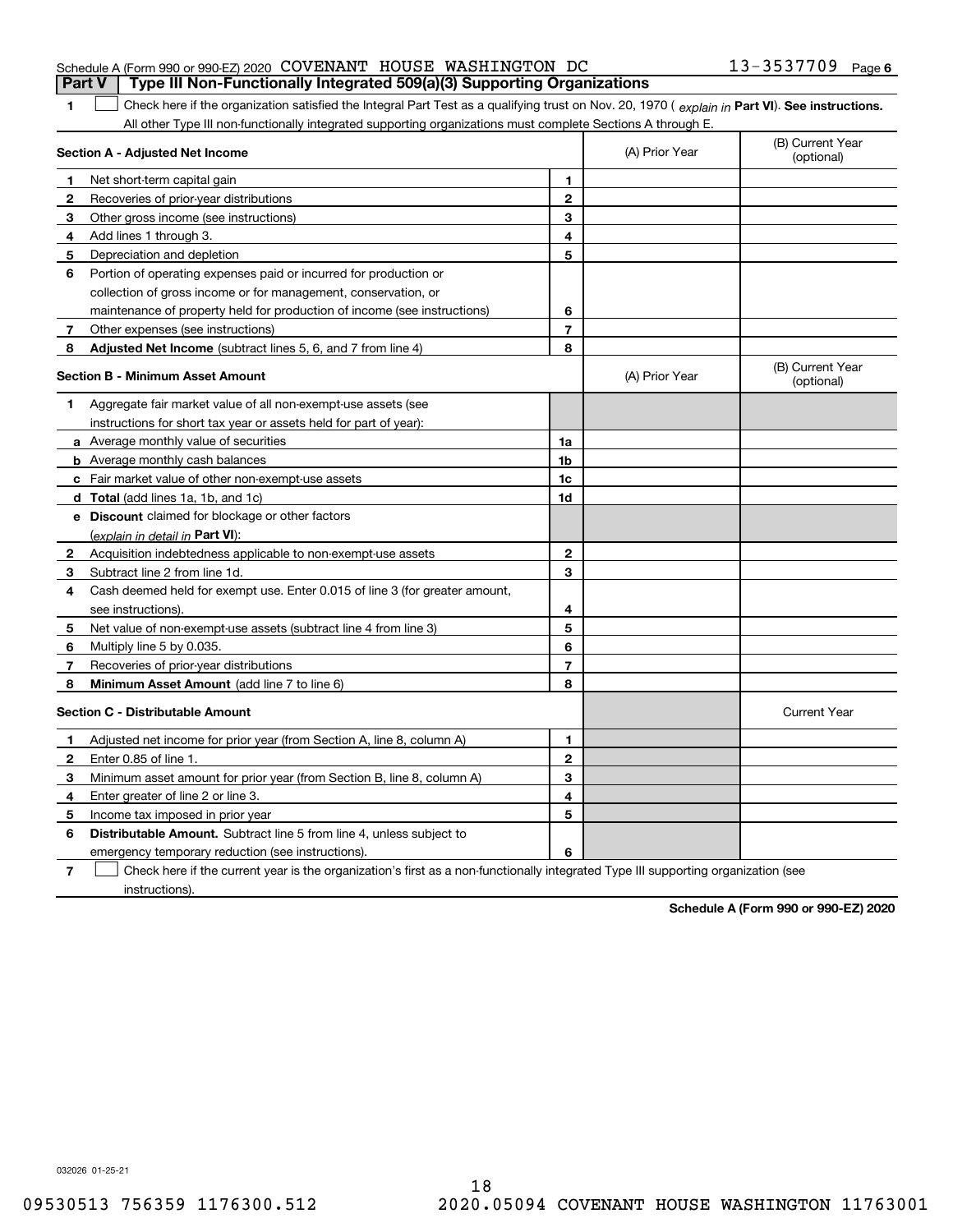|  |  | <b>Part V</b>   Type III Non-Functionally Integrated 509(a)(3) Supporting Organizations |                       |  |
|--|--|-----------------------------------------------------------------------------------------|-----------------------|--|
|  |  | Schedule A (Form 990 or 990-EZ) 2020 COVENANT HOUSE WASHINGTON DC                       | $13 - 3537709$ Page 6 |  |

1 Check here if the organization satisfied the Integral Part Test as a qualifying trust on Nov. 20, 1970 (explain in Part VI). See instructions. All other Type III non-functionally integrated supporting organizations must complete Sections A through E.

|              | Section A - Adjusted Net Income                                                                                                   | (A) Prior Year | (B) Current Year<br>(optional) |                                |
|--------------|-----------------------------------------------------------------------------------------------------------------------------------|----------------|--------------------------------|--------------------------------|
| 1            | Net short-term capital gain                                                                                                       | 1              |                                |                                |
| 2            | Recoveries of prior-year distributions                                                                                            | $\mathbf{2}$   |                                |                                |
| 3            | Other gross income (see instructions)                                                                                             | 3              |                                |                                |
| 4            | Add lines 1 through 3.                                                                                                            | 4              |                                |                                |
| 5            | Depreciation and depletion                                                                                                        | 5              |                                |                                |
| 6            | Portion of operating expenses paid or incurred for production or                                                                  |                |                                |                                |
|              | collection of gross income or for management, conservation, or                                                                    |                |                                |                                |
|              | maintenance of property held for production of income (see instructions)                                                          | 6              |                                |                                |
| 7            | Other expenses (see instructions)                                                                                                 | $\overline{7}$ |                                |                                |
| 8            | Adjusted Net Income (subtract lines 5, 6, and 7 from line 4)                                                                      | 8              |                                |                                |
|              | <b>Section B - Minimum Asset Amount</b>                                                                                           |                | (A) Prior Year                 | (B) Current Year<br>(optional) |
| 1            | Aggregate fair market value of all non-exempt-use assets (see                                                                     |                |                                |                                |
|              | instructions for short tax year or assets held for part of year):                                                                 |                |                                |                                |
|              | <b>a</b> Average monthly value of securities                                                                                      | 1a             |                                |                                |
|              | <b>b</b> Average monthly cash balances                                                                                            | 1 <sub>b</sub> |                                |                                |
|              | c Fair market value of other non-exempt-use assets                                                                                | 1c             |                                |                                |
|              | d Total (add lines 1a, 1b, and 1c)                                                                                                | 1d             |                                |                                |
|              | e Discount claimed for blockage or other factors                                                                                  |                |                                |                                |
|              | (explain in detail in Part VI):                                                                                                   |                |                                |                                |
| $\mathbf{2}$ | Acquisition indebtedness applicable to non-exempt-use assets                                                                      | $\mathbf{2}$   |                                |                                |
| 3            | Subtract line 2 from line 1d.                                                                                                     | 3              |                                |                                |
| 4            | Cash deemed held for exempt use. Enter 0.015 of line 3 (for greater amount,                                                       |                |                                |                                |
|              | see instructions).                                                                                                                | 4              |                                |                                |
| 5            | Net value of non-exempt-use assets (subtract line 4 from line 3)                                                                  | 5              |                                |                                |
| 6            | Multiply line 5 by 0.035.                                                                                                         | 6              |                                |                                |
| 7            | Recoveries of prior-year distributions                                                                                            | $\overline{7}$ |                                |                                |
| 8            | Minimum Asset Amount (add line 7 to line 6)                                                                                       | 8              |                                |                                |
|              | <b>Section C - Distributable Amount</b>                                                                                           |                |                                | <b>Current Year</b>            |
| 1            | Adjusted net income for prior year (from Section A, line 8, column A)                                                             | 1              |                                |                                |
| 2            | Enter 0.85 of line 1.                                                                                                             | $\mathbf{2}$   |                                |                                |
| 3            | Minimum asset amount for prior year (from Section B, line 8, column A)                                                            | 3              |                                |                                |
| 4            | Enter greater of line 2 or line 3.                                                                                                | 4              |                                |                                |
| 5            | Income tax imposed in prior year                                                                                                  | 5              |                                |                                |
| 6            | <b>Distributable Amount.</b> Subtract line 5 from line 4, unless subject to                                                       |                |                                |                                |
|              | emergency temporary reduction (see instructions).                                                                                 | 6              |                                |                                |
| 7            | Check here if the current year is the organization's first as a non-functionally integrated Type III supporting organization (see |                |                                |                                |

instructions).

**1**

**Schedule A (Form 990 or 990-EZ) 2020**

032026 01-25-21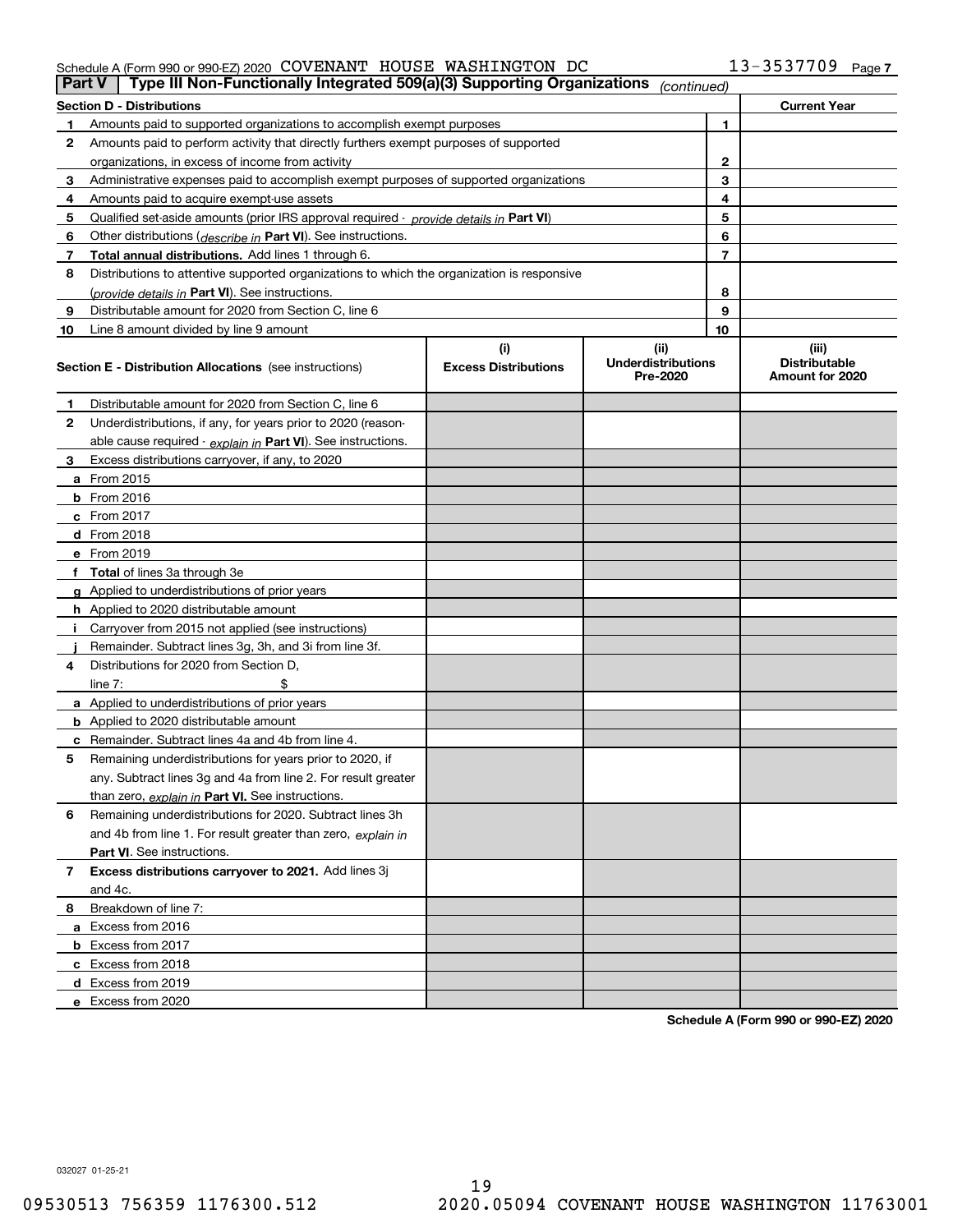## Schedule A (Form 990 or 990-EZ) 2020 Page COVENANT HOUSE WASHINGTON DC 13-3537709

| Part V | Type III Non-Functionally Integrated 509(a)(3) Supporting Organizations                    |                                    | (continued)                                   |                                                  |
|--------|--------------------------------------------------------------------------------------------|------------------------------------|-----------------------------------------------|--------------------------------------------------|
|        | <b>Section D - Distributions</b>                                                           |                                    |                                               | <b>Current Year</b>                              |
|        | Amounts paid to supported organizations to accomplish exempt purposes                      |                                    | 1                                             |                                                  |
| 2      | Amounts paid to perform activity that directly furthers exempt purposes of supported       |                                    |                                               |                                                  |
|        | organizations, in excess of income from activity                                           | 2                                  |                                               |                                                  |
| 3      | Administrative expenses paid to accomplish exempt purposes of supported organizations      |                                    | 3                                             |                                                  |
| 4      | Amounts paid to acquire exempt-use assets                                                  |                                    | 4                                             |                                                  |
| 5      | Qualified set aside amounts (prior IRS approval required - provide details in Part VI)     |                                    | 5                                             |                                                  |
| 6      | Other distributions ( <i>describe in</i> Part VI). See instructions.                       |                                    | 6                                             |                                                  |
| 7      | Total annual distributions. Add lines 1 through 6.                                         |                                    | 7                                             |                                                  |
| 8      | Distributions to attentive supported organizations to which the organization is responsive |                                    |                                               |                                                  |
|        | (provide details in Part VI). See instructions.                                            |                                    | 8                                             |                                                  |
| 9      | Distributable amount for 2020 from Section C, line 6                                       |                                    | 9                                             |                                                  |
| 10     | Line 8 amount divided by line 9 amount                                                     |                                    | 10                                            |                                                  |
|        | <b>Section E - Distribution Allocations</b> (see instructions)                             | (i)<br><b>Excess Distributions</b> | (ii)<br><b>Underdistributions</b><br>Pre-2020 | (iii)<br><b>Distributable</b><br>Amount for 2020 |
| 1      | Distributable amount for 2020 from Section C, line 6                                       |                                    |                                               |                                                  |
| 2      | Underdistributions, if any, for years prior to 2020 (reason-                               |                                    |                                               |                                                  |
|        | able cause required - explain in Part VI). See instructions.                               |                                    |                                               |                                                  |
| 3      | Excess distributions carryover, if any, to 2020                                            |                                    |                                               |                                                  |
|        | a From 2015                                                                                |                                    |                                               |                                                  |
|        | $b$ From 2016                                                                              |                                    |                                               |                                                  |
|        | $c$ From 2017                                                                              |                                    |                                               |                                                  |
|        | <b>d</b> From 2018                                                                         |                                    |                                               |                                                  |
|        | e From 2019                                                                                |                                    |                                               |                                                  |
|        | f Total of lines 3a through 3e                                                             |                                    |                                               |                                                  |
|        | g Applied to underdistributions of prior years                                             |                                    |                                               |                                                  |
|        | <b>h</b> Applied to 2020 distributable amount                                              |                                    |                                               |                                                  |
|        | Carryover from 2015 not applied (see instructions)                                         |                                    |                                               |                                                  |
|        | Remainder. Subtract lines 3g, 3h, and 3i from line 3f.                                     |                                    |                                               |                                                  |
| 4      | Distributions for 2020 from Section D.                                                     |                                    |                                               |                                                  |
|        | line $7:$                                                                                  |                                    |                                               |                                                  |
|        | a Applied to underdistributions of prior years                                             |                                    |                                               |                                                  |
|        | <b>b</b> Applied to 2020 distributable amount                                              |                                    |                                               |                                                  |
|        | <b>c</b> Remainder. Subtract lines 4a and 4b from line 4.                                  |                                    |                                               |                                                  |
| 5      | Remaining underdistributions for years prior to 2020, if                                   |                                    |                                               |                                                  |
|        | any. Subtract lines 3g and 4a from line 2. For result greater                              |                                    |                                               |                                                  |
|        | than zero, explain in Part VI. See instructions.                                           |                                    |                                               |                                                  |
| 6      | Remaining underdistributions for 2020. Subtract lines 3h                                   |                                    |                                               |                                                  |
|        | and 4b from line 1. For result greater than zero, explain in                               |                                    |                                               |                                                  |
|        | <b>Part VI.</b> See instructions.                                                          |                                    |                                               |                                                  |
| 7      | Excess distributions carryover to 2021. Add lines 3j                                       |                                    |                                               |                                                  |
|        | and 4c.                                                                                    |                                    |                                               |                                                  |
| 8      | Breakdown of line 7:                                                                       |                                    |                                               |                                                  |
|        | a Excess from 2016                                                                         |                                    |                                               |                                                  |
|        | <b>b</b> Excess from 2017                                                                  |                                    |                                               |                                                  |
|        | c Excess from 2018                                                                         |                                    |                                               |                                                  |
|        | d Excess from 2019                                                                         |                                    |                                               |                                                  |
|        | e Excess from 2020                                                                         |                                    |                                               |                                                  |

**Schedule A (Form 990 or 990-EZ) 2020**

032027 01-25-21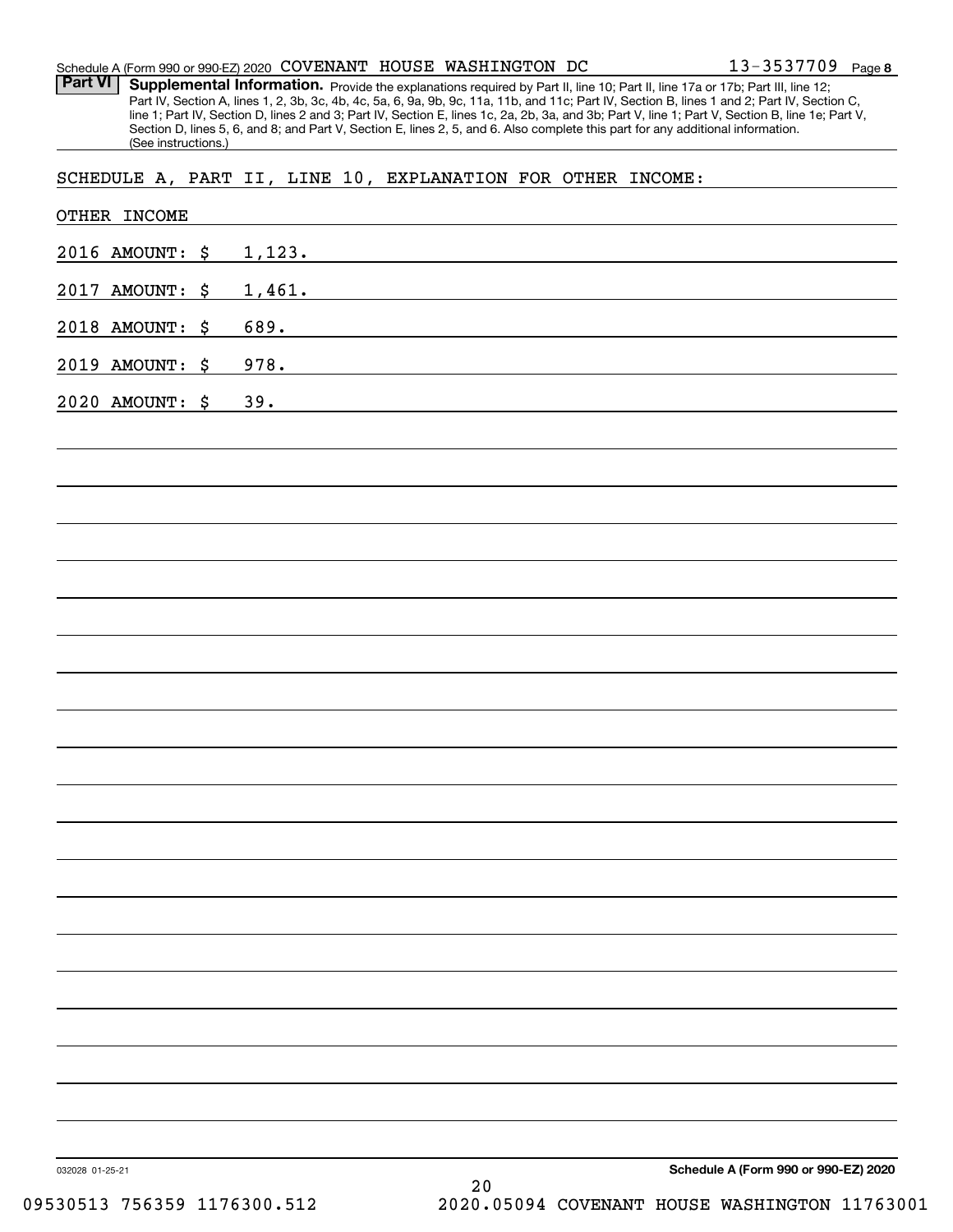| Schedule A (Form 990 or 990-EZ) 2020 COVENANT HOUSE WASHINGTON DC |  |  | $13 - 3537709$ Page 8 |  |
|-------------------------------------------------------------------|--|--|-----------------------|--|
|                                                                   |  |  |                       |  |

Part VI | Supplemental Information. Provide the explanations required by Part II, line 10; Part II, line 17a or 17b; Part III, line 12; Part IV, Section A, lines 1, 2, 3b, 3c, 4b, 4c, 5a, 6, 9a, 9b, 9c, 11a, 11b, and 11c; Part IV, Section B, lines 1 and 2; Part IV, Section C, line 1; Part IV, Section D, lines 2 and 3; Part IV, Section E, lines 1c, 2a, 2b, 3a, and 3b; Part V, line 1; Part V, Section B, line 1e; Part V, Section D, lines 5, 6, and 8; and Part V, Section E, lines 2, 5, and 6. Also complete this part for any additional information. (See instructions.)

SCHEDULE A, PART II, LINE 10, EXPLANATION FOR OTHER INCOME:

| 2016 AMOUNT: \$ | 1,123.                               |
|-----------------|--------------------------------------|
| 2017 AMOUNT: \$ | 1,461.                               |
| 2018 AMOUNT: \$ | 689.                                 |
| 2019 AMOUNT: \$ | 978.                                 |
| 2020 AMOUNT: \$ | 39.                                  |
|                 |                                      |
|                 |                                      |
|                 |                                      |
|                 |                                      |
|                 |                                      |
|                 |                                      |
|                 |                                      |
|                 |                                      |
|                 |                                      |
|                 |                                      |
|                 |                                      |
|                 |                                      |
|                 |                                      |
|                 |                                      |
|                 |                                      |
|                 |                                      |
|                 |                                      |
|                 |                                      |
|                 |                                      |
|                 |                                      |
| 032028 01-25-21 | Schedule A (Form 990 or 990-EZ) 2020 |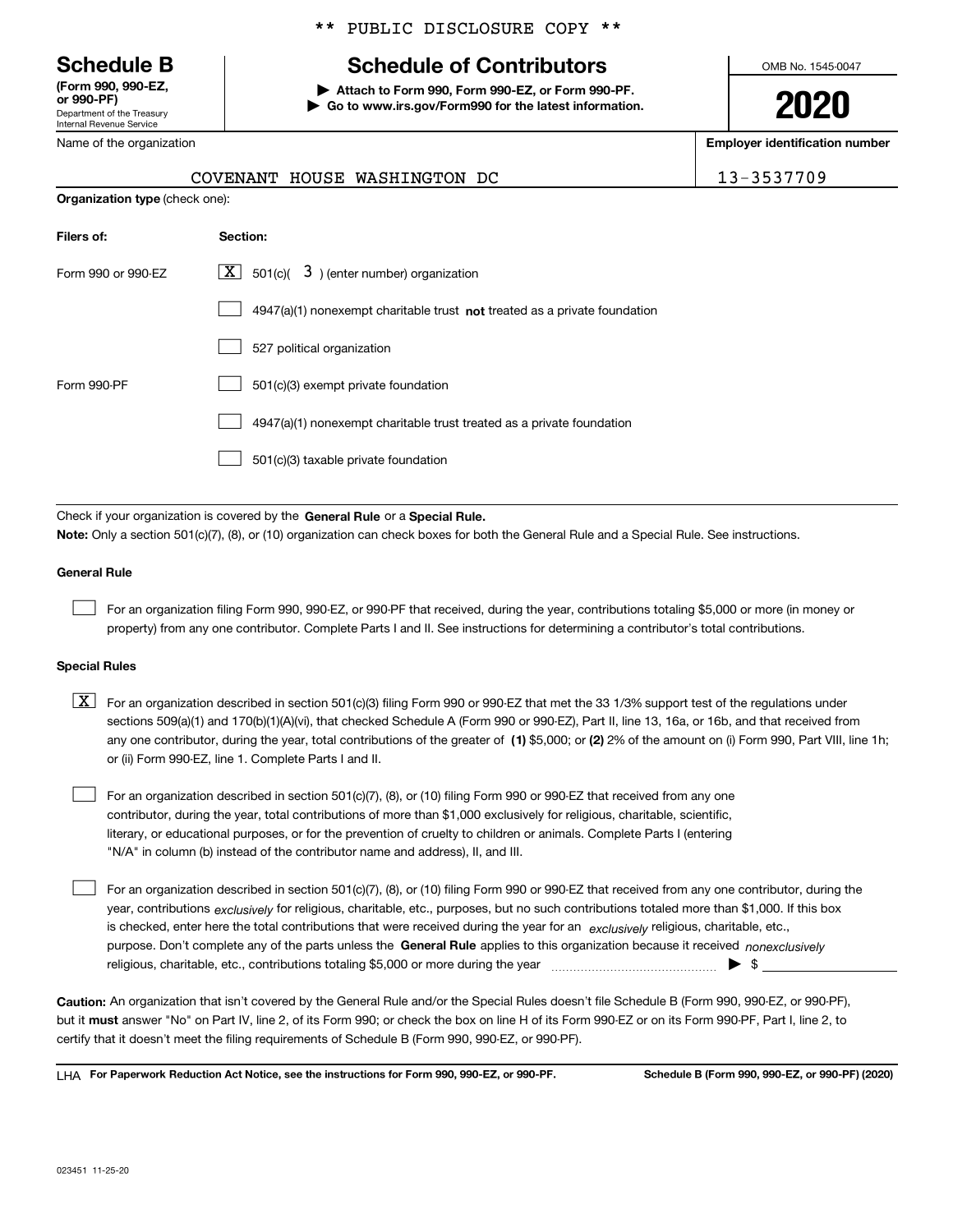Department of the Treasury Internal Revenue Service **(Form 990, 990-EZ, or 990-PF)**

Name of the organization

**Organization type** (check one):

# \*\* PUBLIC DISCLOSURE COPY \*\*

# **Schedule B Schedule of Contributors**

**| Attach to Form 990, Form 990-EZ, or Form 990-PF. | Go to www.irs.gov/Form990 for the latest information.** OMB No. 1545-0047

**2020**

**Employer identification number**

|  |  |  |  |  | -3537709 |  |  |  |  |  |
|--|--|--|--|--|----------|--|--|--|--|--|
|--|--|--|--|--|----------|--|--|--|--|--|

| COVENANT HOUSE WASHINGTON DC | 13-3537709 |
|------------------------------|------------|
|                              |            |

| Filers of:         | Section:                                                                    |
|--------------------|-----------------------------------------------------------------------------|
| Form 990 or 990-EZ | $\lfloor x \rfloor$ 501(c)( 3) (enter number) organization                  |
|                    | $4947(a)(1)$ nonexempt charitable trust not treated as a private foundation |
|                    | 527 political organization                                                  |
| Form 990-PF        | 501(c)(3) exempt private foundation                                         |
|                    | 4947(a)(1) nonexempt charitable trust treated as a private foundation       |
|                    | 501(c)(3) taxable private foundation                                        |

Check if your organization is covered by the **General Rule** or a **Special Rule. Note:**  Only a section 501(c)(7), (8), or (10) organization can check boxes for both the General Rule and a Special Rule. See instructions.

## **General Rule**

 $\mathcal{L}^{\text{max}}$ 

For an organization filing Form 990, 990-EZ, or 990-PF that received, during the year, contributions totaling \$5,000 or more (in money or property) from any one contributor. Complete Parts I and II. See instructions for determining a contributor's total contributions.

### **Special Rules**

any one contributor, during the year, total contributions of the greater of  $\,$  (1) \$5,000; or **(2)** 2% of the amount on (i) Form 990, Part VIII, line 1h;  $\boxed{\textbf{X}}$  For an organization described in section 501(c)(3) filing Form 990 or 990-EZ that met the 33 1/3% support test of the regulations under sections 509(a)(1) and 170(b)(1)(A)(vi), that checked Schedule A (Form 990 or 990-EZ), Part II, line 13, 16a, or 16b, and that received from or (ii) Form 990-EZ, line 1. Complete Parts I and II.

For an organization described in section 501(c)(7), (8), or (10) filing Form 990 or 990-EZ that received from any one contributor, during the year, total contributions of more than \$1,000 exclusively for religious, charitable, scientific, literary, or educational purposes, or for the prevention of cruelty to children or animals. Complete Parts I (entering "N/A" in column (b) instead of the contributor name and address), II, and III.  $\mathcal{L}^{\text{max}}$ 

purpose. Don't complete any of the parts unless the **General Rule** applies to this organization because it received *nonexclusively* year, contributions <sub>exclusively</sub> for religious, charitable, etc., purposes, but no such contributions totaled more than \$1,000. If this box is checked, enter here the total contributions that were received during the year for an  $\;$ exclusively religious, charitable, etc., For an organization described in section 501(c)(7), (8), or (10) filing Form 990 or 990-EZ that received from any one contributor, during the religious, charitable, etc., contributions totaling \$5,000 or more during the year  $\Box$ — $\Box$   $\Box$  $\mathcal{L}^{\text{max}}$ 

**Caution:**  An organization that isn't covered by the General Rule and/or the Special Rules doesn't file Schedule B (Form 990, 990-EZ, or 990-PF),  **must** but it answer "No" on Part IV, line 2, of its Form 990; or check the box on line H of its Form 990-EZ or on its Form 990-PF, Part I, line 2, to certify that it doesn't meet the filing requirements of Schedule B (Form 990, 990-EZ, or 990-PF).

**For Paperwork Reduction Act Notice, see the instructions for Form 990, 990-EZ, or 990-PF. Schedule B (Form 990, 990-EZ, or 990-PF) (2020)** LHA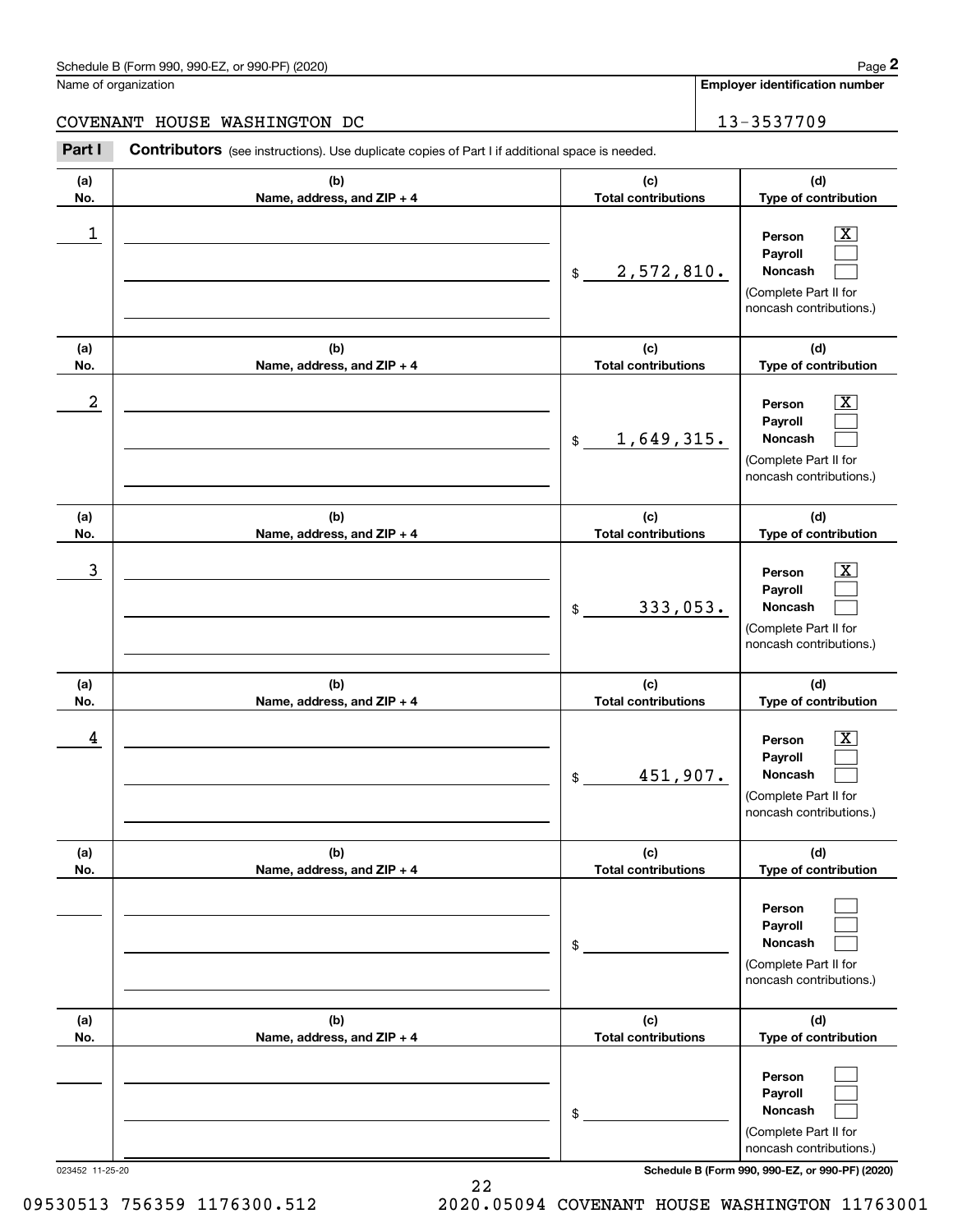#### Schedule B (Form 990, 990-EZ, or 990-PF) (2020) **Page 2** Page 2 and the state of the state of the state of the state of the state of the state of the state of the state of the state of the state of the state of the state o

Name of organization

**Employer identification number**

# COVENANT HOUSE WASHINGTON DC 13-3537709

**(a)No.(b)Name, address, and ZIP + 4 (c)Total contributions (d)Type of contribution PersonPayrollNoncash (a)No.(b)Name, address, and ZIP + 4 (c)Total contributions (d)Type of contribution PersonPayrollNoncash (a)No.(b)Name, address, and ZIP + 4 (c)Total contributions (d)Type of contribution PersonPayrollNoncash (a) No.(b) Name, address, and ZIP + 4 (c) Total contributions (d) Type of contribution PersonPayrollNoncash(a) No.(b) Name, address, and ZIP + 4 (c) Total contributions (d) Type of contribution Person PayrollNoncash(a) No.(b)Name, address, and ZIP + 4 (c) Total contributions (d)Type of contribution PersonPayrollNoncash** Contributors (see instructions). Use duplicate copies of Part I if additional space is needed. \$(Complete Part II for noncash contributions.) \$(Complete Part II for noncash contributions.) \$(Complete Part II for noncash contributions.) \$(Complete Part II for noncash contributions.) \$(Complete Part II for noncash contributions.) \$(Complete Part II for noncash contributions.) Chedule B (Form 990, 990-EZ, or 990-PF) (2020)<br> **2Part I 2Part I Contributors** (see instructions). Use duplicate copies of Part I if additional space is needed.<br>
2Part I **Contributors** (see instructions). Use duplicate  $|X|$  $\mathcal{L}^{\text{max}}$  $\mathcal{L}^{\text{max}}$  $\boxed{\text{X}}$  $\mathcal{L}^{\text{max}}$  $\mathcal{L}^{\text{max}}$  $|X|$  $\mathcal{L}^{\text{max}}$  $\mathcal{L}^{\text{max}}$  $\boxed{\text{X}}$  $\mathcal{L}^{\text{max}}$  $\mathcal{L}^{\text{max}}$  $\mathcal{L}^{\text{max}}$  $\mathcal{L}^{\text{max}}$  $\mathcal{L}^{\text{max}}$  $\mathcal{L}^{\text{max}}$  $\mathcal{L}^{\text{max}}$  $\mathcal{L}^{\text{max}}$  $\begin{array}{c|c|c|c|c|c} 1 & \hspace{1.5cm} & \hspace{1.5cm} & \hspace{1.5cm} & \hspace{1.5cm} & \hspace{1.5cm} & \hspace{1.5cm} & \hspace{1.5cm} & \hspace{1.5cm} & \hspace{1.5cm} & \hspace{1.5cm} & \hspace{1.5cm} & \hspace{1.5cm} & \hspace{1.5cm} & \hspace{1.5cm} & \hspace{1.5cm} & \hspace{1.5cm} & \hspace{1.5cm} & \hspace{1.5cm} & \hspace{1.5cm} & \hspace{1.5cm} &$ 2,572,810.  $2$  | Person  $\overline{\text{X}}$ 1,649,315.  $\overline{3}$  | Person  $\overline{X}$ 333,053.  $4$  | Person  $\overline{\text{X}}$ 451,907.

023452 11-25-20 **Schedule B (Form 990, 990-EZ, or 990-PF) (2020)**

09530513 756359 1176300.512 2020.05094 COVENANT HOUSE WASHINGTON 11763001

22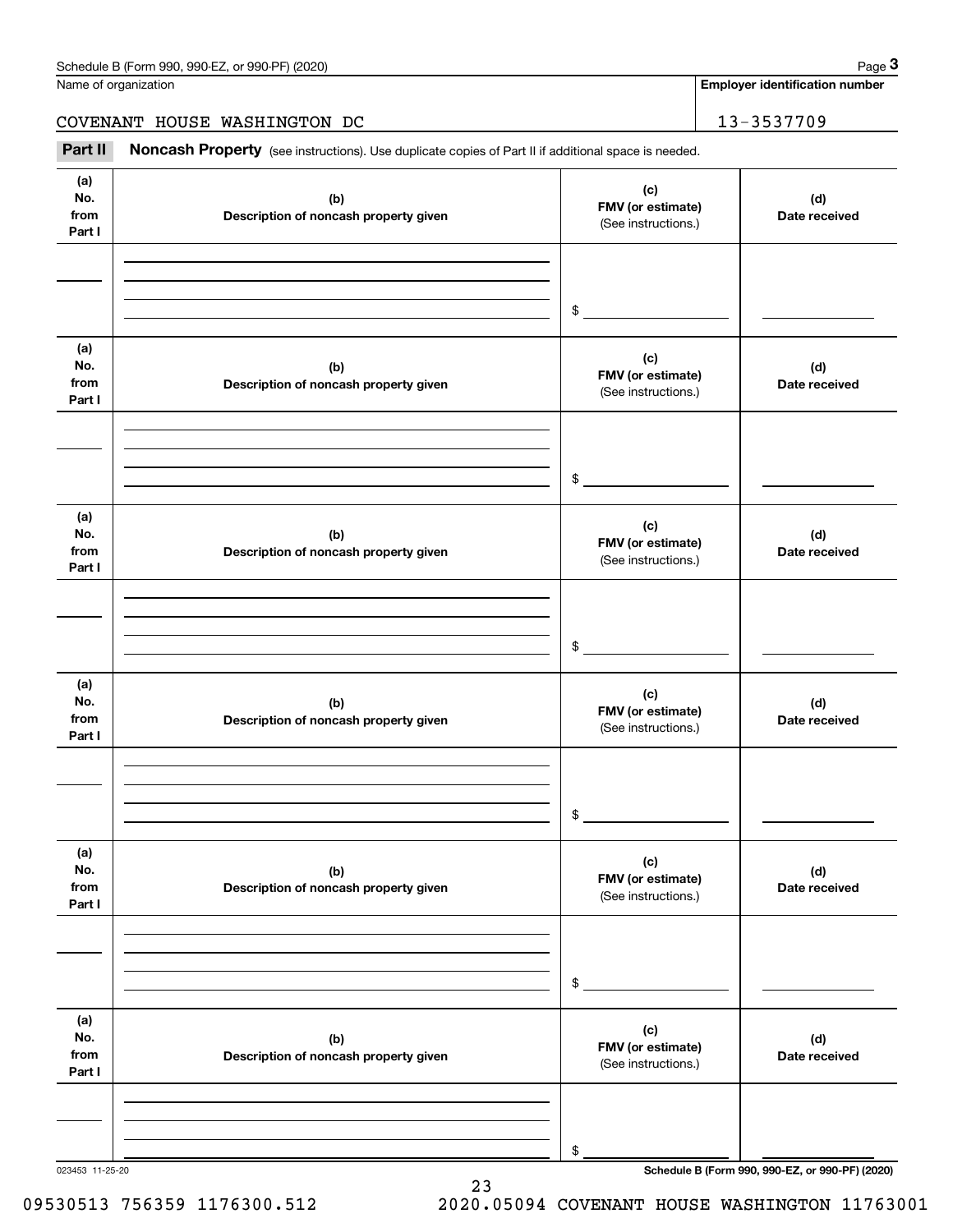**Employer identification number**

COVENANT HOUSE WASHINGTON DC 13-3537709

Chedule B (Form 990, 990-EZ, or 990-PF) (2020)<br>
lame of organization<br> **2000 ENANT HOUSE WASHINGTON DC**<br> **2000 Part II Noncash Property** (see instructions). Use duplicate copies of Part II if additional space is needed.

| (a)<br>No.<br>from<br>Part I | (b)<br>Description of noncash property given | (c)<br>FMV (or estimate)<br>(See instructions.) | (d)<br>Date received |
|------------------------------|----------------------------------------------|-------------------------------------------------|----------------------|
|                              |                                              | $\frac{1}{2}$                                   |                      |
| (a)<br>No.<br>from<br>Part I | (b)<br>Description of noncash property given | (c)<br>FMV (or estimate)<br>(See instructions.) | (d)<br>Date received |
|                              |                                              | $\frac{1}{2}$                                   |                      |
| (a)<br>No.<br>from<br>Part I | (b)<br>Description of noncash property given | (c)<br>FMV (or estimate)<br>(See instructions.) | (d)<br>Date received |
|                              |                                              | $\sim$                                          |                      |
| (a)<br>No.<br>from<br>Part I | (b)<br>Description of noncash property given | (c)<br>FMV (or estimate)<br>(See instructions.) | (d)<br>Date received |
|                              |                                              | $\sim$                                          |                      |
| (a)<br>No.<br>from<br>Part I | (b)<br>Description of noncash property given | (c)<br>FMV (or estimate)<br>(See instructions.) | (d)<br>Date received |
|                              |                                              | \$                                              |                      |
| (a)<br>No.<br>from<br>Part I | (b)<br>Description of noncash property given | (c)<br>FMV (or estimate)<br>(See instructions.) | (d)<br>Date received |
|                              |                                              | \$                                              |                      |

23

09530513 756359 1176300.512 2020.05094 COVENANT HOUSE WASHINGTON 11763001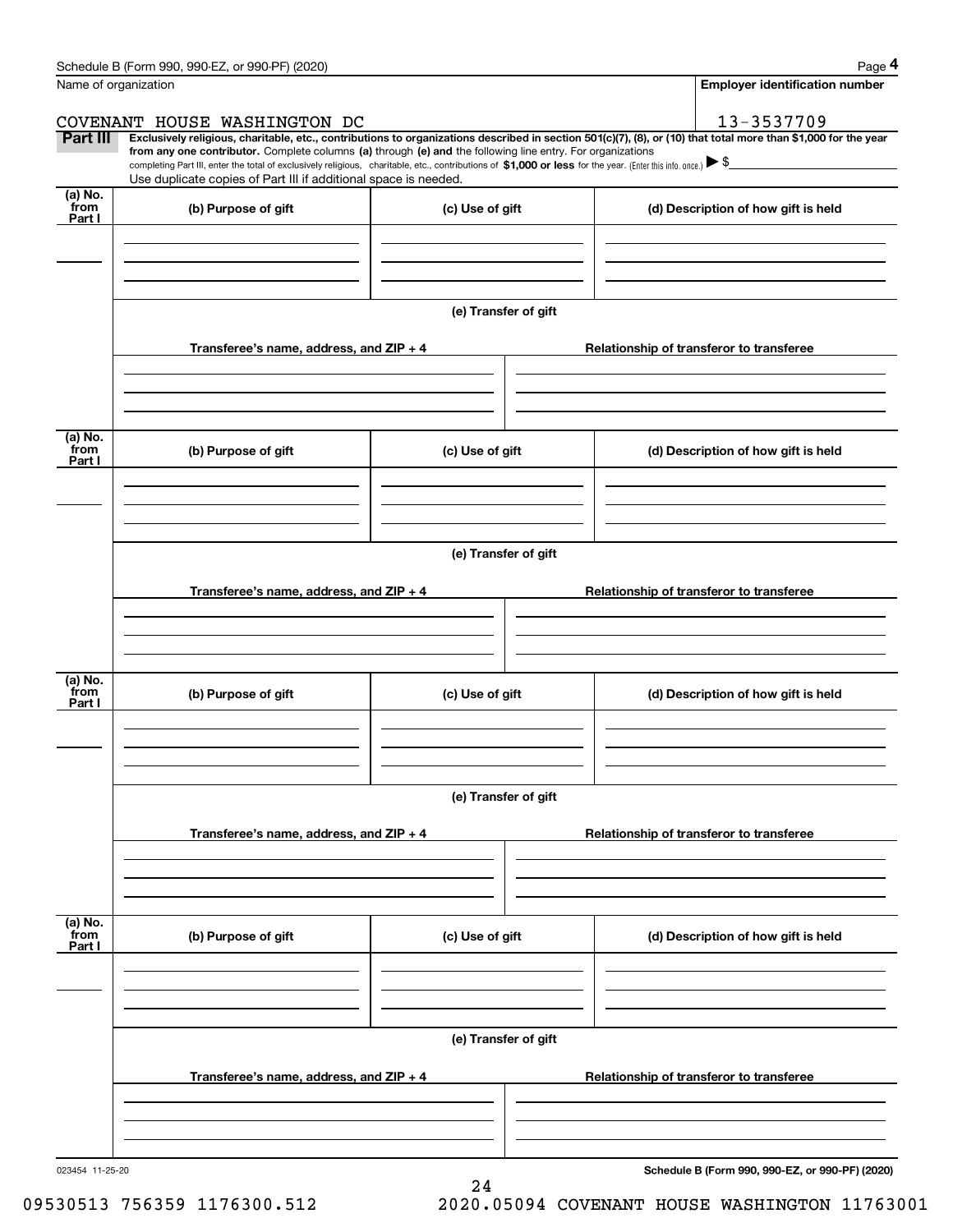|                           | Schedule B (Form 990, 990-EZ, or 990-PF) (2020)                                                                                                                               |                      | Page 4                                                                                                                                                                                                                                                                                                                                              |
|---------------------------|-------------------------------------------------------------------------------------------------------------------------------------------------------------------------------|----------------------|-----------------------------------------------------------------------------------------------------------------------------------------------------------------------------------------------------------------------------------------------------------------------------------------------------------------------------------------------------|
| Name of organization      |                                                                                                                                                                               |                      | <b>Employer identification number</b>                                                                                                                                                                                                                                                                                                               |
|                           | COVENANT HOUSE WASHINGTON DC                                                                                                                                                  |                      | 13-3537709                                                                                                                                                                                                                                                                                                                                          |
| Part III                  | from any one contributor. Complete columns (a) through (e) and the following line entry. For organizations<br>Use duplicate copies of Part III if additional space is needed. |                      | Exclusively religious, charitable, etc., contributions to organizations described in section 501(c)(7), (8), or (10) that total more than \$1,000 for the year<br>completing Part III, enter the total of exclusively religious, charitable, etc., contributions of \$1,000 or less for the year. (Enter this info. once.) $\blacktriangleright$ \$ |
| (a) No.<br>from<br>Part I | (b) Purpose of gift                                                                                                                                                           | (c) Use of gift      | (d) Description of how gift is held                                                                                                                                                                                                                                                                                                                 |
|                           |                                                                                                                                                                               |                      |                                                                                                                                                                                                                                                                                                                                                     |
|                           |                                                                                                                                                                               | (e) Transfer of gift |                                                                                                                                                                                                                                                                                                                                                     |
|                           | Transferee's name, address, and $ZIP + 4$                                                                                                                                     |                      | Relationship of transferor to transferee                                                                                                                                                                                                                                                                                                            |
| (a) No.<br>from<br>Part I | (b) Purpose of gift                                                                                                                                                           | (c) Use of gift      | (d) Description of how gift is held                                                                                                                                                                                                                                                                                                                 |
|                           |                                                                                                                                                                               | (e) Transfer of gift |                                                                                                                                                                                                                                                                                                                                                     |
|                           | Transferee's name, address, and ZIP + 4                                                                                                                                       |                      | Relationship of transferor to transferee                                                                                                                                                                                                                                                                                                            |
| (a) No.<br>from<br>Part I | (b) Purpose of gift                                                                                                                                                           | (c) Use of gift      | (d) Description of how gift is held                                                                                                                                                                                                                                                                                                                 |
|                           |                                                                                                                                                                               | (e) Transfer of gift |                                                                                                                                                                                                                                                                                                                                                     |
|                           | Transferee's name, address, and ZIP + 4                                                                                                                                       |                      | Relationship of transferor to transferee                                                                                                                                                                                                                                                                                                            |
| (a) No.<br>from<br>Part I | (b) Purpose of gift                                                                                                                                                           | (c) Use of gift      | (d) Description of how gift is held                                                                                                                                                                                                                                                                                                                 |
|                           |                                                                                                                                                                               | (e) Transfer of gift |                                                                                                                                                                                                                                                                                                                                                     |
|                           | Transferee's name, address, and ZIP + 4                                                                                                                                       |                      | Relationship of transferor to transferee                                                                                                                                                                                                                                                                                                            |
|                           |                                                                                                                                                                               |                      |                                                                                                                                                                                                                                                                                                                                                     |

24

023454 11-25-20

**Schedule B (Form 990, 990-EZ, or 990-PF) (2020)**

09530513 756359 1176300.512 2020.05094 COVENANT HOUSE WASHINGTON 11763001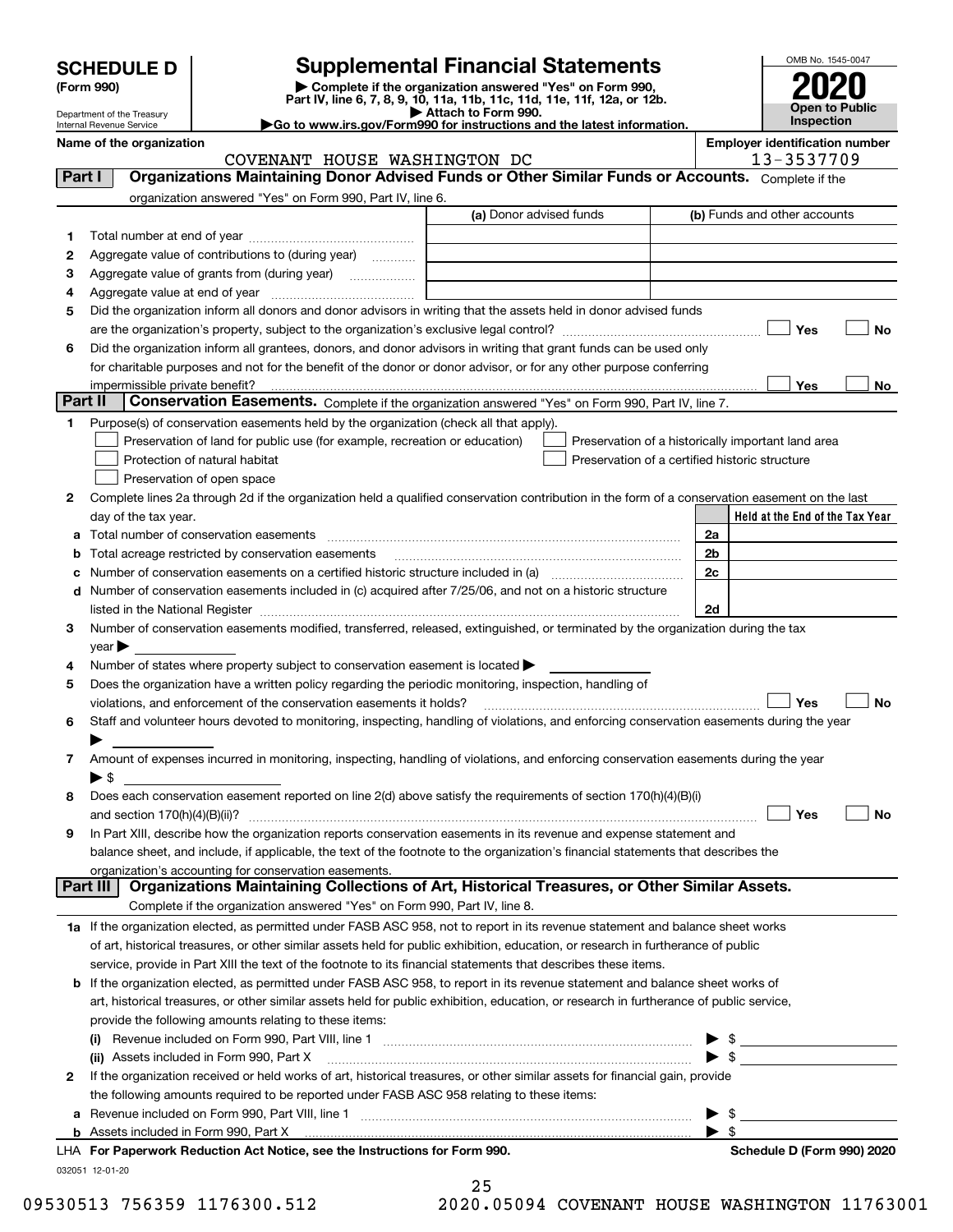| <b>SCHEDULE D</b> |  |
|-------------------|--|
|-------------------|--|

# **Supplemental Financial Statements**

(Form 990)<br>
Pepartment of the Treasury<br>
Department of the Treasury<br>
Department of the Treasury<br>
Department of the Treasury<br> **Co to www.irs.gov/Form990 for instructions and the latest information.**<br> **Co to www.irs.gov/Form9** 



Department of the Treasury Internal Revenue Service **Name of the organization <b>Employer is a set of the organization Employer in the organization Employer is a set of the organization Employer in the organization Employer is a set of the organization Employer in t** 

|  | Go to www.irs.gov/Form990 for instructions and the latest inform: |  |  |  |
|--|-------------------------------------------------------------------|--|--|--|
|  |                                                                   |  |  |  |

|          | COVENANT HOUSE WASHINGTON DC                                                                                                                                                                                                  |                         | 13-3537709                                         |
|----------|-------------------------------------------------------------------------------------------------------------------------------------------------------------------------------------------------------------------------------|-------------------------|----------------------------------------------------|
| Part I   | Organizations Maintaining Donor Advised Funds or Other Similar Funds or Accounts. Complete if the                                                                                                                             |                         |                                                    |
|          | organization answered "Yes" on Form 990, Part IV, line 6.                                                                                                                                                                     |                         |                                                    |
|          |                                                                                                                                                                                                                               | (a) Donor advised funds | (b) Funds and other accounts                       |
| 1        |                                                                                                                                                                                                                               |                         |                                                    |
| 2        | Aggregate value of contributions to (during year)                                                                                                                                                                             |                         |                                                    |
| з        | Aggregate value of grants from (during year)                                                                                                                                                                                  |                         |                                                    |
| 4        |                                                                                                                                                                                                                               |                         |                                                    |
| 5        | Did the organization inform all donors and donor advisors in writing that the assets held in donor advised funds                                                                                                              |                         |                                                    |
|          |                                                                                                                                                                                                                               |                         | Yes<br>No                                          |
| 6        | Did the organization inform all grantees, donors, and donor advisors in writing that grant funds can be used only                                                                                                             |                         |                                                    |
|          | for charitable purposes and not for the benefit of the donor or donor advisor, or for any other purpose conferring                                                                                                            |                         |                                                    |
|          | impermissible private benefit?                                                                                                                                                                                                |                         | Yes<br>No                                          |
| Part II  | Conservation Easements. Complete if the organization answered "Yes" on Form 990, Part IV, line 7.                                                                                                                             |                         |                                                    |
| 1        | Purpose(s) of conservation easements held by the organization (check all that apply).                                                                                                                                         |                         |                                                    |
|          | Preservation of land for public use (for example, recreation or education)                                                                                                                                                    |                         | Preservation of a historically important land area |
|          | Protection of natural habitat                                                                                                                                                                                                 |                         | Preservation of a certified historic structure     |
|          | Preservation of open space                                                                                                                                                                                                    |                         |                                                    |
|          |                                                                                                                                                                                                                               |                         |                                                    |
| 2        | Complete lines 2a through 2d if the organization held a qualified conservation contribution in the form of a conservation easement on the last                                                                                |                         | Held at the End of the Tax Year                    |
|          | day of the tax year.                                                                                                                                                                                                          |                         |                                                    |
|          |                                                                                                                                                                                                                               |                         | 2a                                                 |
| b        | Total acreage restricted by conservation easements                                                                                                                                                                            |                         | 2 <sub>b</sub>                                     |
|          |                                                                                                                                                                                                                               |                         | 2 <sub>c</sub>                                     |
|          | d Number of conservation easements included in (c) acquired after 7/25/06, and not on a historic structure                                                                                                                    |                         |                                                    |
|          | listed in the National Register [11, 1200] [12] The National Register [11, 1200] [12] The National Register [11, 1200] [12] The National Register [11, 1200] [12] The National Register [11, 1200] [12] The National Register |                         | 2d                                                 |
| 3        | Number of conservation easements modified, transferred, released, extinguished, or terminated by the organization during the tax                                                                                              |                         |                                                    |
|          | $year \blacktriangleright$                                                                                                                                                                                                    |                         |                                                    |
| 4        | Number of states where property subject to conservation easement is located >                                                                                                                                                 |                         |                                                    |
| 5        | Does the organization have a written policy regarding the periodic monitoring, inspection, handling of                                                                                                                        |                         |                                                    |
|          | violations, and enforcement of the conservation easements it holds?                                                                                                                                                           |                         | Yes<br>No                                          |
| 6        | Staff and volunteer hours devoted to monitoring, inspecting, handling of violations, and enforcing conservation easements during the year                                                                                     |                         |                                                    |
|          |                                                                                                                                                                                                                               |                         |                                                    |
| 7        | Amount of expenses incurred in monitoring, inspecting, handling of violations, and enforcing conservation easements during the year                                                                                           |                         |                                                    |
|          | ▶ \$                                                                                                                                                                                                                          |                         |                                                    |
| 8        | Does each conservation easement reported on line 2(d) above satisfy the requirements of section 170(h)(4)(B)(i)                                                                                                               |                         |                                                    |
|          |                                                                                                                                                                                                                               |                         | Yes<br>No                                          |
| 9        | In Part XIII, describe how the organization reports conservation easements in its revenue and expense statement and                                                                                                           |                         |                                                    |
|          | balance sheet, and include, if applicable, the text of the footnote to the organization's financial statements that describes the                                                                                             |                         |                                                    |
| Part III | organization's accounting for conservation easements.<br>Organizations Maintaining Collections of Art, Historical Treasures, or Other Similar Assets.                                                                         |                         |                                                    |
|          |                                                                                                                                                                                                                               |                         |                                                    |
|          | Complete if the organization answered "Yes" on Form 990, Part IV, line 8.                                                                                                                                                     |                         |                                                    |
|          | 1a If the organization elected, as permitted under FASB ASC 958, not to report in its revenue statement and balance sheet works                                                                                               |                         |                                                    |
|          | of art, historical treasures, or other similar assets held for public exhibition, education, or research in furtherance of public                                                                                             |                         |                                                    |
|          | service, provide in Part XIII the text of the footnote to its financial statements that describes these items.                                                                                                                |                         |                                                    |
|          | b If the organization elected, as permitted under FASB ASC 958, to report in its revenue statement and balance sheet works of                                                                                                 |                         |                                                    |
|          | art, historical treasures, or other similar assets held for public exhibition, education, or research in furtherance of public service,                                                                                       |                         |                                                    |
|          | provide the following amounts relating to these items:                                                                                                                                                                        |                         |                                                    |
|          |                                                                                                                                                                                                                               |                         | -\$                                                |
|          | (ii) Assets included in Form 990, Part X                                                                                                                                                                                      |                         | $\blacktriangleright$ \$                           |
| 2        | If the organization received or held works of art, historical treasures, or other similar assets for financial gain, provide                                                                                                  |                         |                                                    |
|          | the following amounts required to be reported under FASB ASC 958 relating to these items:                                                                                                                                     |                         |                                                    |
| a        |                                                                                                                                                                                                                               |                         | \$<br>▶                                            |
|          |                                                                                                                                                                                                                               |                         | - \$                                               |
|          | LHA For Paperwork Reduction Act Notice, see the Instructions for Form 990.                                                                                                                                                    |                         | Schedule D (Form 990) 2020                         |

032051 12-01-20

|        | 25 |   |     |   |  |
|--------|----|---|-----|---|--|
| ٠<br>- | -  | - | - - | - |  |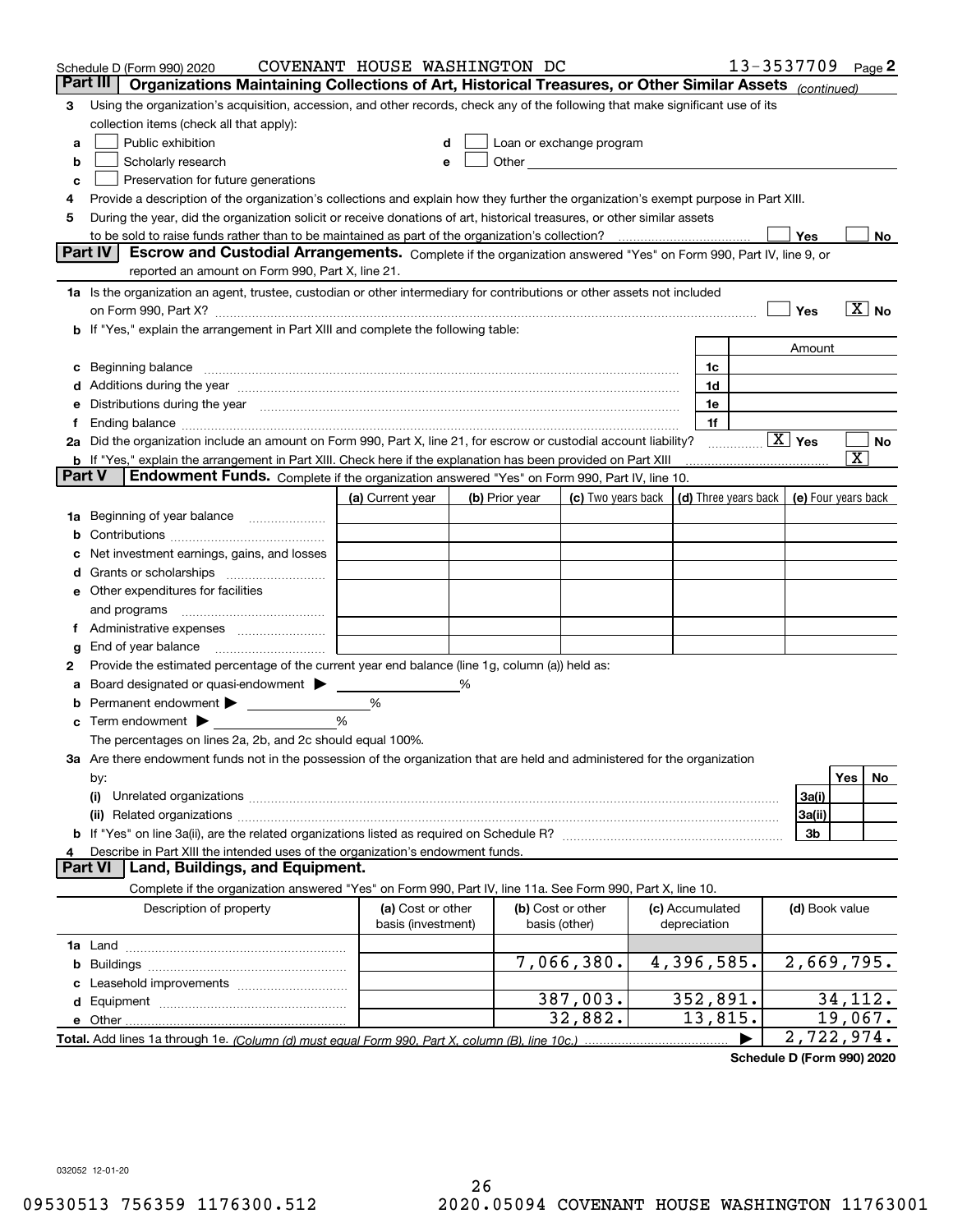|        | Schedule D (Form 990) 2020                                                                                                                                                                                                     | COVENANT HOUSE WASHINGTON DC |   |                |                                                                                                                                                                                                                                |                 | 13-3537709             | Page $2$                                   |
|--------|--------------------------------------------------------------------------------------------------------------------------------------------------------------------------------------------------------------------------------|------------------------------|---|----------------|--------------------------------------------------------------------------------------------------------------------------------------------------------------------------------------------------------------------------------|-----------------|------------------------|--------------------------------------------|
|        | Organizations Maintaining Collections of Art, Historical Treasures, or Other Similar Assets (continued)<br>Part III                                                                                                            |                              |   |                |                                                                                                                                                                                                                                |                 |                        |                                            |
| 3      | Using the organization's acquisition, accession, and other records, check any of the following that make significant use of its                                                                                                |                              |   |                |                                                                                                                                                                                                                                |                 |                        |                                            |
|        | collection items (check all that apply):                                                                                                                                                                                       |                              |   |                |                                                                                                                                                                                                                                |                 |                        |                                            |
| a      | Public exhibition                                                                                                                                                                                                              |                              |   |                | Loan or exchange program                                                                                                                                                                                                       |                 |                        |                                            |
| b      | Scholarly research                                                                                                                                                                                                             |                              | е |                | Other and the control of the control of the control of the control of the control of the control of the control of the control of the control of the control of the control of the control of the control of the control of th |                 |                        |                                            |
| c      | Preservation for future generations                                                                                                                                                                                            |                              |   |                |                                                                                                                                                                                                                                |                 |                        |                                            |
| 4      | Provide a description of the organization's collections and explain how they further the organization's exempt purpose in Part XIII.                                                                                           |                              |   |                |                                                                                                                                                                                                                                |                 |                        |                                            |
| 5      | During the year, did the organization solicit or receive donations of art, historical treasures, or other similar assets                                                                                                       |                              |   |                |                                                                                                                                                                                                                                |                 |                        |                                            |
|        |                                                                                                                                                                                                                                |                              |   |                |                                                                                                                                                                                                                                |                 | Yes                    | No                                         |
|        | Part IV<br>Escrow and Custodial Arrangements. Complete if the organization answered "Yes" on Form 990, Part IV, line 9, or                                                                                                     |                              |   |                |                                                                                                                                                                                                                                |                 |                        |                                            |
|        | reported an amount on Form 990, Part X, line 21.                                                                                                                                                                               |                              |   |                |                                                                                                                                                                                                                                |                 |                        |                                            |
|        | 1a Is the organization an agent, trustee, custodian or other intermediary for contributions or other assets not included                                                                                                       |                              |   |                |                                                                                                                                                                                                                                |                 |                        |                                            |
|        | on Form 990, Part X? [11] matter and the contract of the contract of the contract of the contract of the contract of the contract of the contract of the contract of the contract of the contract of the contract of the contr |                              |   |                |                                                                                                                                                                                                                                |                 | Yes                    | $\overline{X}$ No                          |
|        | b If "Yes," explain the arrangement in Part XIII and complete the following table:                                                                                                                                             |                              |   |                |                                                                                                                                                                                                                                |                 |                        |                                            |
|        |                                                                                                                                                                                                                                |                              |   |                |                                                                                                                                                                                                                                |                 | Amount                 |                                            |
|        | Beginning balance                                                                                                                                                                                                              |                              |   |                |                                                                                                                                                                                                                                | 1c              |                        |                                            |
|        | Additions during the year manufactured and an anti-manufactured and the year manufactured and all the year manufactured and all the year manufactured and all the year manufactured and all the year manufactured and all the  |                              |   |                |                                                                                                                                                                                                                                | 1d              |                        |                                            |
|        | Distributions during the year manufactured and continuum control of the year manufactured and control of the year manufactured and control of the year manufactured and control of the year manufactured and control of the ye |                              |   |                |                                                                                                                                                                                                                                | 1e              |                        |                                            |
|        |                                                                                                                                                                                                                                |                              |   |                |                                                                                                                                                                                                                                | 1f              |                        |                                            |
|        | 2a Did the organization include an amount on Form 990, Part X, line 21, for escrow or custodial account liability?                                                                                                             |                              |   |                |                                                                                                                                                                                                                                |                 | $\boxed{\text{X}}$ Yes | No                                         |
|        | <b>b</b> If "Yes," explain the arrangement in Part XIII. Check here if the explanation has been provided on Part XIII                                                                                                          |                              |   |                |                                                                                                                                                                                                                                |                 |                        | $\overline{\text{X}}$                      |
| Part V | Endowment Funds. Complete if the organization answered "Yes" on Form 990, Part IV, line 10.                                                                                                                                    |                              |   |                |                                                                                                                                                                                                                                |                 |                        |                                            |
|        |                                                                                                                                                                                                                                | (a) Current year             |   | (b) Prior year | (c) Two years back                                                                                                                                                                                                             |                 |                        | (d) Three years back   (e) Four years back |
| 1a     | Beginning of year balance                                                                                                                                                                                                      |                              |   |                |                                                                                                                                                                                                                                |                 |                        |                                            |
|        |                                                                                                                                                                                                                                |                              |   |                |                                                                                                                                                                                                                                |                 |                        |                                            |
|        | Net investment earnings, gains, and losses                                                                                                                                                                                     |                              |   |                |                                                                                                                                                                                                                                |                 |                        |                                            |
|        |                                                                                                                                                                                                                                |                              |   |                |                                                                                                                                                                                                                                |                 |                        |                                            |
| е      | Other expenditures for facilities                                                                                                                                                                                              |                              |   |                |                                                                                                                                                                                                                                |                 |                        |                                            |
|        | and programs                                                                                                                                                                                                                   |                              |   |                |                                                                                                                                                                                                                                |                 |                        |                                            |
|        |                                                                                                                                                                                                                                |                              |   |                |                                                                                                                                                                                                                                |                 |                        |                                            |
| g      | End of year balance                                                                                                                                                                                                            |                              |   |                |                                                                                                                                                                                                                                |                 |                        |                                            |
| 2      | Provide the estimated percentage of the current year end balance (line 1g, column (a)) held as:                                                                                                                                |                              |   |                |                                                                                                                                                                                                                                |                 |                        |                                            |
|        | Board designated or quasi-endowment                                                                                                                                                                                            |                              | % |                |                                                                                                                                                                                                                                |                 |                        |                                            |
|        | Permanent endowment >                                                                                                                                                                                                          | %                            |   |                |                                                                                                                                                                                                                                |                 |                        |                                            |
| с      | Term endowment $\blacktriangleright$                                                                                                                                                                                           | %                            |   |                |                                                                                                                                                                                                                                |                 |                        |                                            |
|        | The percentages on lines 2a, 2b, and 2c should equal 100%.                                                                                                                                                                     |                              |   |                |                                                                                                                                                                                                                                |                 |                        |                                            |
|        | 3a Are there endowment funds not in the possession of the organization that are held and administered for the organization                                                                                                     |                              |   |                |                                                                                                                                                                                                                                |                 |                        |                                            |
|        | by:                                                                                                                                                                                                                            |                              |   |                |                                                                                                                                                                                                                                |                 |                        | Yes<br>No                                  |
|        | (i)                                                                                                                                                                                                                            |                              |   |                |                                                                                                                                                                                                                                |                 | 3a(i)                  |                                            |
|        |                                                                                                                                                                                                                                |                              |   |                |                                                                                                                                                                                                                                |                 | 3a(ii)                 |                                            |
|        |                                                                                                                                                                                                                                |                              |   |                |                                                                                                                                                                                                                                |                 | 3b                     |                                            |
|        | Describe in Part XIII the intended uses of the organization's endowment funds.                                                                                                                                                 |                              |   |                |                                                                                                                                                                                                                                |                 |                        |                                            |
|        | Land, Buildings, and Equipment.<br>Part VI                                                                                                                                                                                     |                              |   |                |                                                                                                                                                                                                                                |                 |                        |                                            |
|        | Complete if the organization answered "Yes" on Form 990, Part IV, line 11a. See Form 990, Part X, line 10.                                                                                                                     |                              |   |                |                                                                                                                                                                                                                                |                 |                        |                                            |
|        | Description of property                                                                                                                                                                                                        | (a) Cost or other            |   |                | (b) Cost or other                                                                                                                                                                                                              | (c) Accumulated | (d) Book value         |                                            |
|        |                                                                                                                                                                                                                                | basis (investment)           |   |                | basis (other)                                                                                                                                                                                                                  | depreciation    |                        |                                            |
|        |                                                                                                                                                                                                                                |                              |   |                |                                                                                                                                                                                                                                |                 |                        |                                            |
| b      |                                                                                                                                                                                                                                |                              |   |                | 7,066,380.                                                                                                                                                                                                                     | 4,396,585.      |                        | 2,669,795.                                 |
|        | Leasehold improvements                                                                                                                                                                                                         |                              |   |                |                                                                                                                                                                                                                                |                 |                        |                                            |
| d      |                                                                                                                                                                                                                                |                              |   |                | 387,003.                                                                                                                                                                                                                       | 352,891.        |                        | 34, 112.                                   |
|        | e Other                                                                                                                                                                                                                        |                              |   |                | 32,882.                                                                                                                                                                                                                        | 13,815.         |                        | 19,067.                                    |
|        |                                                                                                                                                                                                                                |                              |   |                |                                                                                                                                                                                                                                |                 |                        | $\overline{2}$ , 722, 974.                 |

**Schedule D (Form 990) 2020**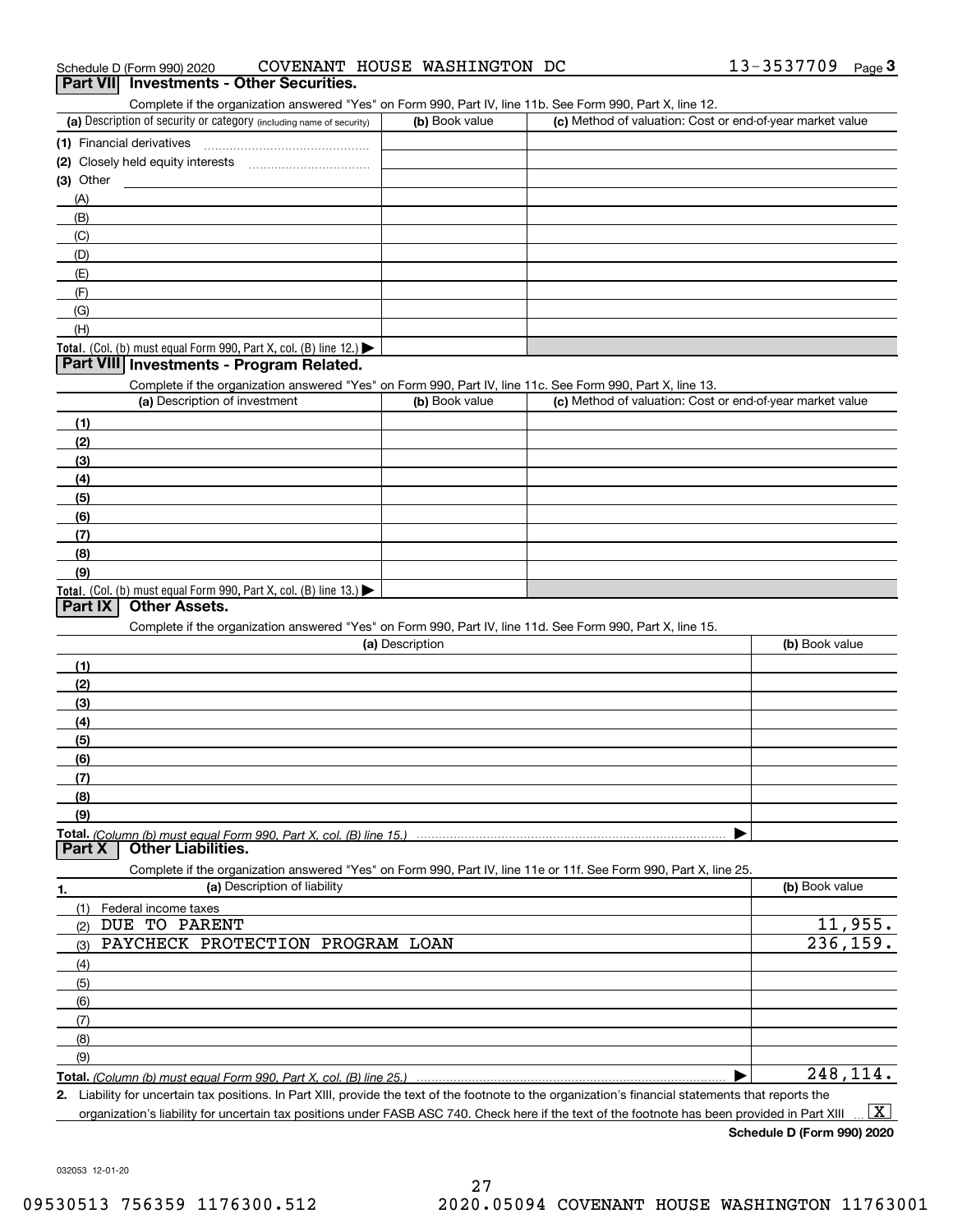| Schedule D (Form 990) 2020 |                                                 | COVENANT HOUSE WASHINGTON DC | 13-3537709 | Page |
|----------------------------|-------------------------------------------------|------------------------------|------------|------|
|                            | <b>Part VII</b> Investments - Other Securities. |                              |            |      |

# (a) Description of security or category (including name of security)  $\vert$  (b) Book value  $\vert$  (c) **(1)** Financial derivatives ~~~~~~~~~~~~~~~ **(2)** Closely held equity interests ~~~~~~~~~~~ **(3)** Other Complete if the organization answered "Yes" on Form 990, Part IV, line 11b. See Form 990, Part X, line 12.  $(b)$  Book value  $\vert$  (c) Method of valuation: Cost or end-of-year market value (A)(B)(C)(D)(E)(F)(G)

### Total. (Col. (b) must equal Form 990, Part X, col. (B) line 12.) **Part VIII Investments - Program Related.**

Complete if the organization answered "Yes" on Form 990, Part IV, line 11c. See Form 990, Part X, line 13.

| complete in the organization anomology noch only only occupied interview of only of any spinler role |                |                                                           |
|------------------------------------------------------------------------------------------------------|----------------|-----------------------------------------------------------|
| (a) Description of investment                                                                        | (b) Book value | (c) Method of valuation: Cost or end-of-year market value |
| (1)                                                                                                  |                |                                                           |
| (2)                                                                                                  |                |                                                           |
| (3)                                                                                                  |                |                                                           |
| (4)                                                                                                  |                |                                                           |
| (5)                                                                                                  |                |                                                           |
| (6)                                                                                                  |                |                                                           |
| (7)                                                                                                  |                |                                                           |
| (8)                                                                                                  |                |                                                           |
| (9)                                                                                                  |                |                                                           |
| Total. (Col. (b) must equal Form 990, Part X, col. (B) line $13$ .)                                  |                |                                                           |

# **Part IX Other Assets.**

(H)

Complete if the organization answered "Yes" on Form 990, Part IV, line 11d. See Form 990, Part X, line 15.

|               | (a) Description                                                                                                   | (b) Book value |
|---------------|-------------------------------------------------------------------------------------------------------------------|----------------|
| (1)           |                                                                                                                   |                |
| (2)           |                                                                                                                   |                |
| (3)           |                                                                                                                   |                |
| (4)           |                                                                                                                   |                |
| (5)           |                                                                                                                   |                |
| (6)           |                                                                                                                   |                |
| (7)           |                                                                                                                   |                |
| (8)           |                                                                                                                   |                |
| (9)           |                                                                                                                   |                |
|               |                                                                                                                   |                |
| <b>Part X</b> | <b>Other Liabilities.</b>                                                                                         |                |
|               | Complete if the organization answered "Yes" on Form 990, Part IV, line 11e or 11f. See Form 990, Part X, line 25. |                |
| 1.            | (a) Description of liability                                                                                      | (b) Book value |
| (1)           | Federal income taxes                                                                                              |                |
| (2)           | DUE TO PARENT                                                                                                     | 11,955.        |
|               | DAVAUDAV DRAMBAMTAVI DRAADAV TAAV                                                                                 |                |

| (3) | PAYCHECK PROTECTION PROGRAM LOAN |  | 236, 159. |
|-----|----------------------------------|--|-----------|
| (4) |                                  |  |           |
| (5) |                                  |  |           |
| (6) |                                  |  |           |
|     |                                  |  |           |
| (8) |                                  |  |           |
| (9) |                                  |  |           |

**Total.**  *(Column (b) must equal Form 990, Part X, col. (B) line 25.)*  $\blacktriangleright$ 

**2.** Liability for uncertain tax positions. In Part XIII, provide the text of the footnote to the organization's financial statements that reports the organization's liability for uncertain tax positions under FASB ASC 740. Check here if the text of the footnote has been provided in Part XIII  $\boxed{\text{X}}$ 

**Schedule D (Form 990) 2020**

248,114.

032053 12-01-20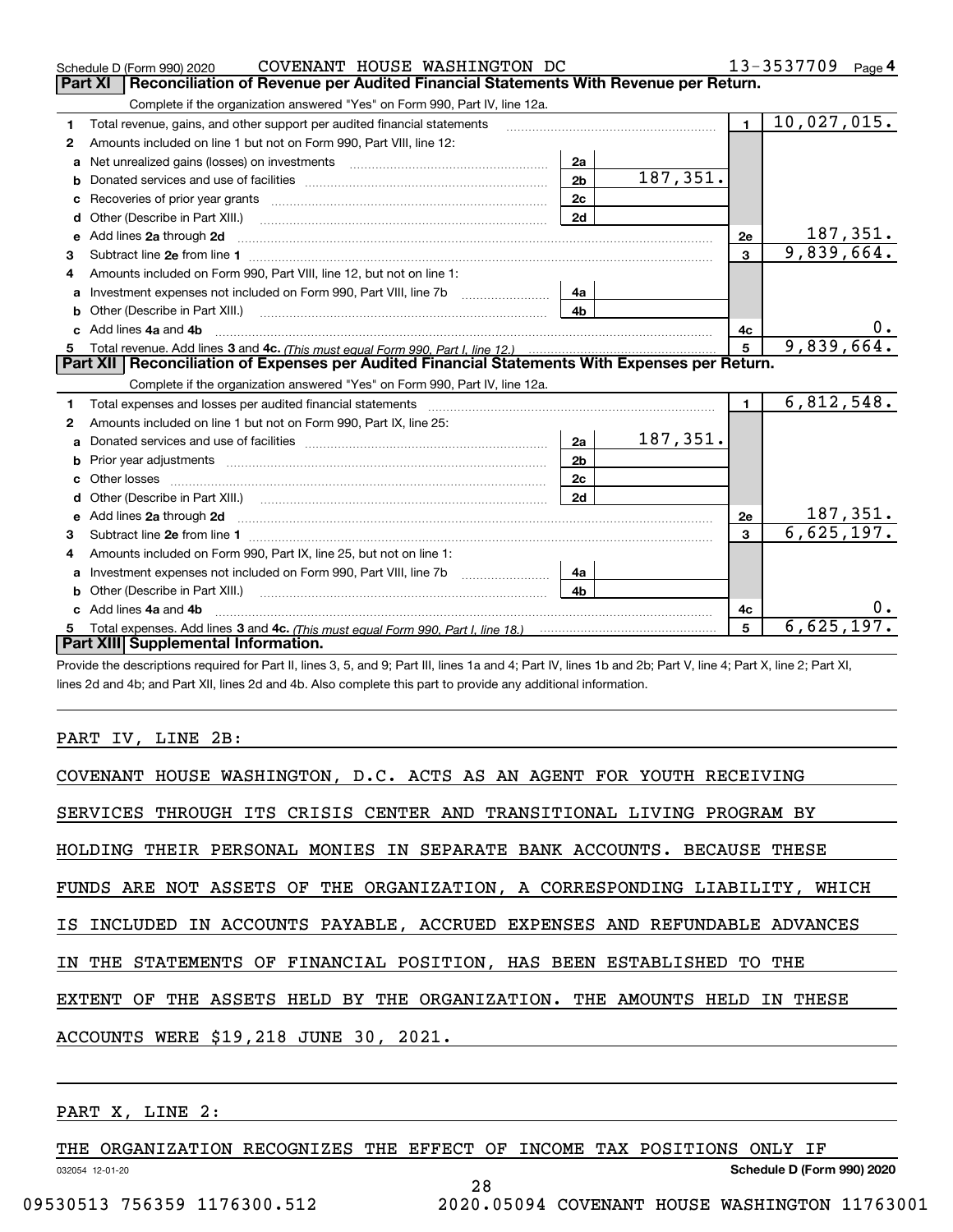|    | COVENANT HOUSE WASHINGTON DC<br>Schedule D (Form 990) 2020                                                                                                                                                                                        |                |          |                | 13-3537709<br>Page $4$       |
|----|---------------------------------------------------------------------------------------------------------------------------------------------------------------------------------------------------------------------------------------------------|----------------|----------|----------------|------------------------------|
|    | Reconciliation of Revenue per Audited Financial Statements With Revenue per Return.<br>Part XI                                                                                                                                                    |                |          |                |                              |
|    | Complete if the organization answered "Yes" on Form 990, Part IV, line 12a.                                                                                                                                                                       |                |          |                |                              |
| 1  | Total revenue, gains, and other support per audited financial statements                                                                                                                                                                          |                |          | $\blacksquare$ | 10,027,015.                  |
| 2  | Amounts included on line 1 but not on Form 990, Part VIII, line 12:                                                                                                                                                                               |                |          |                |                              |
| a  |                                                                                                                                                                                                                                                   | 2a             |          |                |                              |
|    |                                                                                                                                                                                                                                                   | 2 <sub>b</sub> | 187,351. |                |                              |
|    |                                                                                                                                                                                                                                                   | 2c             |          |                |                              |
| d  | Other (Describe in Part XIII.) <b>Construction Contract Construction</b> Chern Construction Construction Construction                                                                                                                             | 2d             |          |                |                              |
| е  | Add lines 2a through 2d                                                                                                                                                                                                                           |                |          | 2e             | $\frac{187,351}{9,839,664.}$ |
| 3  |                                                                                                                                                                                                                                                   |                |          | 3              |                              |
| 4  | Amounts included on Form 990. Part VIII. line 12, but not on line 1:                                                                                                                                                                              |                |          |                |                              |
|    |                                                                                                                                                                                                                                                   | - 4а           |          |                |                              |
| b  |                                                                                                                                                                                                                                                   | 4 <sub>b</sub> |          |                |                              |
| c. | Add lines 4a and 4b                                                                                                                                                                                                                               |                |          | 4с             | 0.                           |
| 5  |                                                                                                                                                                                                                                                   |                |          | 5              | 9,839,664.                   |
|    |                                                                                                                                                                                                                                                   |                |          |                |                              |
|    | Part XII   Reconciliation of Expenses per Audited Financial Statements With Expenses per Return.                                                                                                                                                  |                |          |                |                              |
|    | Complete if the organization answered "Yes" on Form 990, Part IV, line 12a.                                                                                                                                                                       |                |          |                |                              |
| 1  |                                                                                                                                                                                                                                                   |                |          | $\mathbf{1}$   | 6,812,548.                   |
| 2  | Amounts included on line 1 but not on Form 990, Part IX, line 25:                                                                                                                                                                                 |                |          |                |                              |
| a  |                                                                                                                                                                                                                                                   | 2a             | 187,351. |                |                              |
|    |                                                                                                                                                                                                                                                   | 2 <sub>b</sub> |          |                |                              |
| c  |                                                                                                                                                                                                                                                   | 2c             |          |                |                              |
| d  |                                                                                                                                                                                                                                                   | 2d             |          |                |                              |
|    | e Add lines 2a through 2d <b>[10]</b> [10] <b>All the Contract of Add lines 2a</b> through 2d <b>[10] All the Contract of Add lines 2a</b> through 2d <b>[10] All the Contract of Add</b> lines 2a through 2d <b>[10] All the Contract of Add</b> |                |          | 2e             | <u>187,351.</u>              |
| 3  |                                                                                                                                                                                                                                                   |                |          | $\mathbf{a}$   | 6,625,197.                   |
| 4  | Amounts included on Form 990, Part IX, line 25, but not on line 1:                                                                                                                                                                                |                |          |                |                              |
|    | Investment expenses not included on Form 990, Part VIII, line 7b [1000000000000000000000000000000000                                                                                                                                              | 4a             |          |                |                              |
| b  | Other (Describe in Part XIII.) <b>Construction Construction</b> Chern Construction Chern Chern Chern Chern Chern Chern                                                                                                                            | 4b             |          |                |                              |
|    | Add lines 4a and 4b                                                                                                                                                                                                                               |                |          | 4c             |                              |
|    | Part XIII Supplemental Information.                                                                                                                                                                                                               |                |          | 5              | 6,625,197.                   |

Provide the descriptions required for Part II, lines 3, 5, and 9; Part III, lines 1a and 4; Part IV, lines 1b and 2b; Part V, line 4; Part X, line 2; Part XI, lines 2d and 4b; and Part XII, lines 2d and 4b. Also complete this part to provide any additional information.

## PART IV, LINE 2B:

| COVENANT HOUSE WASHINGTON, D.C. ACTS AS AN AGENT FOR YOUTH RECEIVING       |
|----------------------------------------------------------------------------|
| SERVICES THROUGH ITS CRISIS CENTER AND TRANSITIONAL LIVING PROGRAM BY      |
| HOLDING THEIR PERSONAL MONIES IN SEPARATE BANK ACCOUNTS. BECAUSE THESE     |
| FUNDS ARE NOT ASSETS OF THE ORGANIZATION, A CORRESPONDING LIABILITY, WHICH |
| IS INCLUDED IN ACCOUNTS PAYABLE, ACCRUED EXPENSES AND REFUNDABLE ADVANCES  |
| IN THE STATEMENTS OF FINANCIAL POSITION, HAS BEEN ESTABLISHED TO THE       |
| EXTENT OF THE ASSETS HELD BY THE ORGANIZATION. THE AMOUNTS HELD IN THESE   |
| ACCOUNTS WERE \$19,218 JUNE 30, 2021.                                      |
|                                                                            |

# PART X, LINE 2:

THE ORGANIZATION RECOGNIZES THE EFFECT OF INCOME TAX POSITIONS ONLY IF

28

032054 12-01-20

**Schedule D (Form 990) 2020**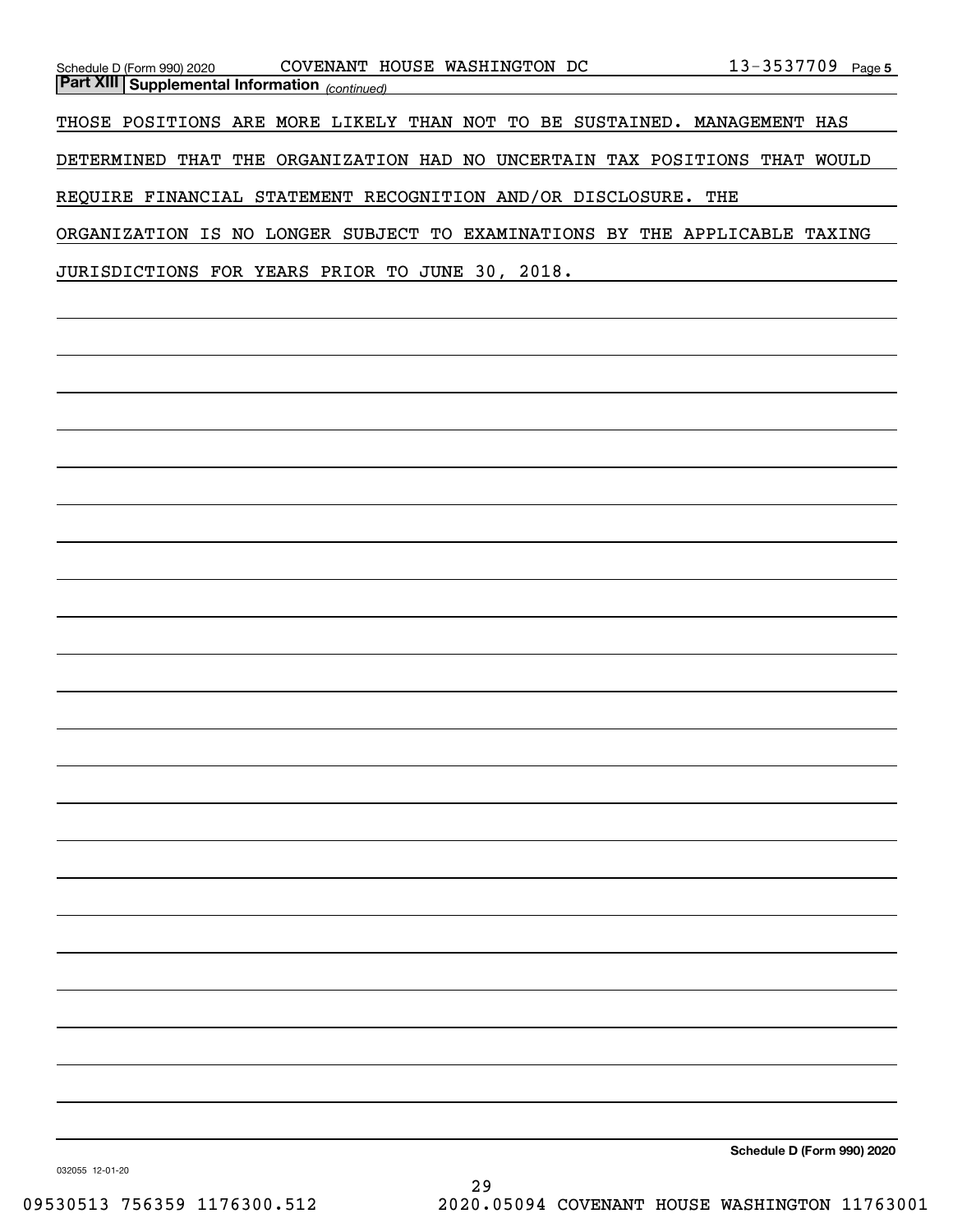| Schedule D (Form 990) 2020 COVENANT HOUSE WASHINGTON DC 13-3537709 Page 5<br><u> Part XIII Supplemental Information <sub>(continued)</sub></u> |                            |
|------------------------------------------------------------------------------------------------------------------------------------------------|----------------------------|
|                                                                                                                                                |                            |
| THOSE POSITIONS ARE MORE LIKELY THAN NOT TO BE SUSTAINED. MANAGEMENT HAS                                                                       |                            |
| DETERMINED THAT THE ORGANIZATION HAD NO UNCERTAIN TAX POSITIONS THAT WOULD                                                                     |                            |
| REQUIRE FINANCIAL STATEMENT RECOGNITION AND/OR DISCLOSURE. THE                                                                                 |                            |
| ORGANIZATION IS NO LONGER SUBJECT TO EXAMINATIONS BY THE APPLICABLE TAXING                                                                     |                            |
| JURISDICTIONS FOR YEARS PRIOR TO JUNE 30, 2018.                                                                                                |                            |
|                                                                                                                                                |                            |
|                                                                                                                                                |                            |
|                                                                                                                                                |                            |
|                                                                                                                                                |                            |
|                                                                                                                                                |                            |
|                                                                                                                                                |                            |
|                                                                                                                                                |                            |
|                                                                                                                                                |                            |
|                                                                                                                                                |                            |
|                                                                                                                                                |                            |
|                                                                                                                                                |                            |
|                                                                                                                                                |                            |
|                                                                                                                                                |                            |
|                                                                                                                                                |                            |
|                                                                                                                                                |                            |
|                                                                                                                                                |                            |
|                                                                                                                                                |                            |
|                                                                                                                                                |                            |
|                                                                                                                                                |                            |
|                                                                                                                                                |                            |
|                                                                                                                                                |                            |
|                                                                                                                                                |                            |
|                                                                                                                                                |                            |
|                                                                                                                                                |                            |
|                                                                                                                                                |                            |
|                                                                                                                                                | Schedule D (Form 990) 2020 |
|                                                                                                                                                |                            |

032055 12-01-20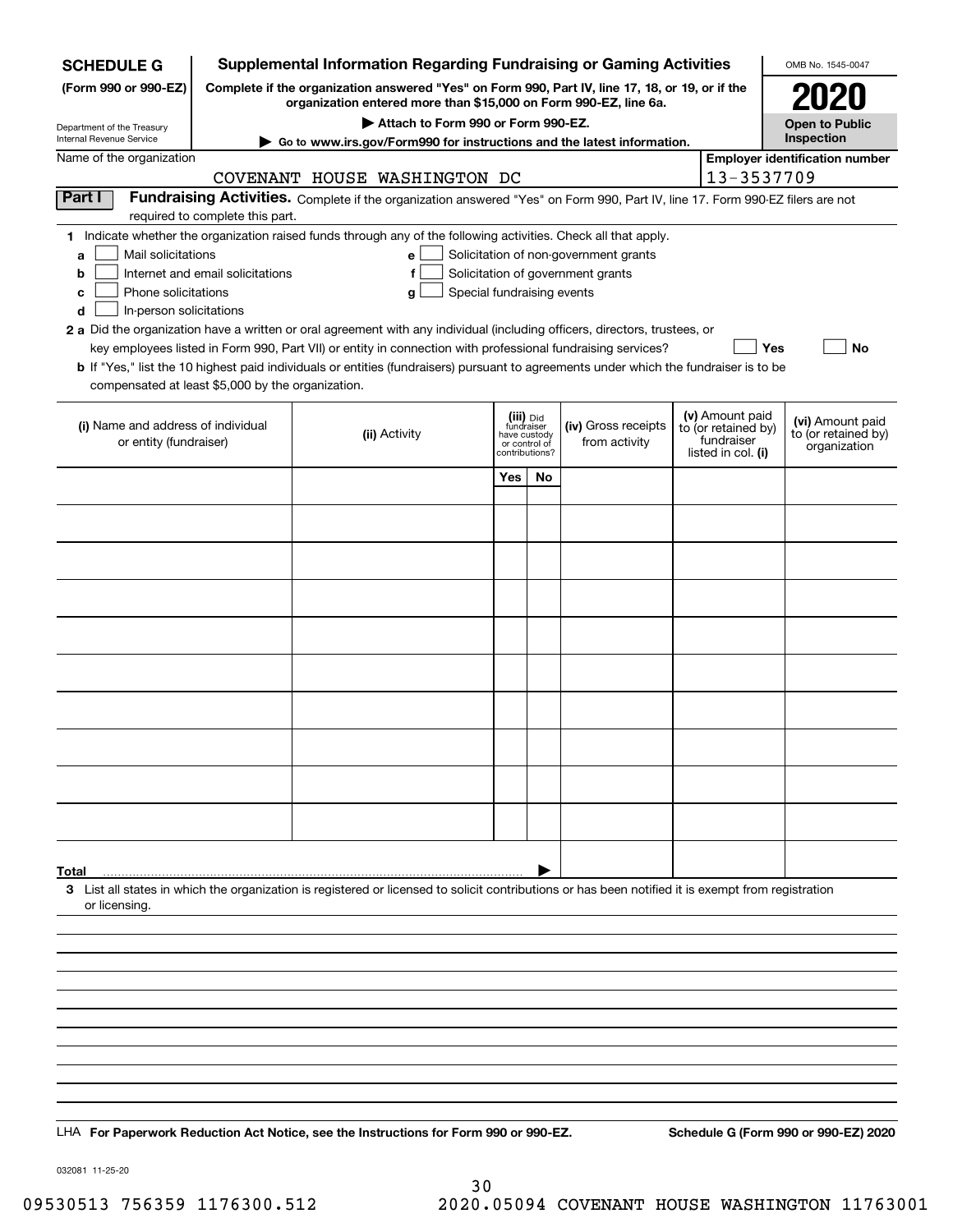| <b>SCHEDULE G</b>                                      |                                                                                                                                                                     | <b>Supplemental Information Regarding Fundraising or Gaming Activities</b>                                                                         |                                         |    |                                       |  |                                  | OMB No. 1545-0047                       |
|--------------------------------------------------------|---------------------------------------------------------------------------------------------------------------------------------------------------------------------|----------------------------------------------------------------------------------------------------------------------------------------------------|-----------------------------------------|----|---------------------------------------|--|----------------------------------|-----------------------------------------|
| (Form 990 or 990-EZ)                                   | Complete if the organization answered "Yes" on Form 990, Part IV, line 17, 18, or 19, or if the<br>organization entered more than \$15,000 on Form 990-EZ, line 6a. |                                                                                                                                                    |                                         |    |                                       |  |                                  | 2021                                    |
|                                                        |                                                                                                                                                                     | Attach to Form 990 or Form 990-EZ.                                                                                                                 |                                         |    |                                       |  |                                  | <b>Open to Public</b>                   |
| Department of the Treasury<br>Internal Revenue Service |                                                                                                                                                                     | Go to www.irs.gov/Form990 for instructions and the latest information.                                                                             |                                         |    |                                       |  |                                  | Inspection                              |
| Name of the organization                               |                                                                                                                                                                     |                                                                                                                                                    |                                         |    |                                       |  |                                  | <b>Employer identification number</b>   |
|                                                        |                                                                                                                                                                     | COVENANT HOUSE WASHINGTON DC                                                                                                                       |                                         |    |                                       |  | 13-3537709                       |                                         |
| <b>Part I</b>                                          | required to complete this part.                                                                                                                                     | Fundraising Activities. Complete if the organization answered "Yes" on Form 990, Part IV, line 17. Form 990-EZ filers are not                      |                                         |    |                                       |  |                                  |                                         |
|                                                        |                                                                                                                                                                     | 1 Indicate whether the organization raised funds through any of the following activities. Check all that apply.                                    |                                         |    |                                       |  |                                  |                                         |
| Mail solicitations<br>a                                |                                                                                                                                                                     | $\mathbf{e}$                                                                                                                                       |                                         |    | Solicitation of non-government grants |  |                                  |                                         |
| b<br>Phone solicitations<br>c                          | Internet and email solicitations                                                                                                                                    | f<br>Special fundraising events                                                                                                                    |                                         |    | Solicitation of government grants     |  |                                  |                                         |
| In-person solicitations<br>d                           |                                                                                                                                                                     | g                                                                                                                                                  |                                         |    |                                       |  |                                  |                                         |
|                                                        |                                                                                                                                                                     | 2 a Did the organization have a written or oral agreement with any individual (including officers, directors, trustees, or                         |                                         |    |                                       |  |                                  |                                         |
|                                                        |                                                                                                                                                                     | key employees listed in Form 990, Part VII) or entity in connection with professional fundraising services?                                        |                                         |    |                                       |  | Yes                              | No                                      |
| compensated at least \$5,000 by the organization.      |                                                                                                                                                                     | <b>b</b> If "Yes," list the 10 highest paid individuals or entities (fundraisers) pursuant to agreements under which the fundraiser is to be       |                                         |    |                                       |  |                                  |                                         |
|                                                        |                                                                                                                                                                     |                                                                                                                                                    |                                         |    |                                       |  | (v) Amount paid                  |                                         |
| (i) Name and address of individual                     |                                                                                                                                                                     | (ii) Activity                                                                                                                                      | (iii) Did<br>fundraiser<br>have custody |    | (iv) Gross receipts                   |  | to (or retained by)              | (vi) Amount paid<br>to (or retained by) |
| or entity (fundraiser)                                 |                                                                                                                                                                     |                                                                                                                                                    | or control of<br>contributions?         |    | from activity                         |  | fundraiser<br>listed in col. (i) | organization                            |
|                                                        |                                                                                                                                                                     |                                                                                                                                                    | Yes                                     | No |                                       |  |                                  |                                         |
|                                                        |                                                                                                                                                                     |                                                                                                                                                    |                                         |    |                                       |  |                                  |                                         |
|                                                        |                                                                                                                                                                     |                                                                                                                                                    |                                         |    |                                       |  |                                  |                                         |
|                                                        |                                                                                                                                                                     |                                                                                                                                                    |                                         |    |                                       |  |                                  |                                         |
|                                                        |                                                                                                                                                                     |                                                                                                                                                    |                                         |    |                                       |  |                                  |                                         |
|                                                        |                                                                                                                                                                     |                                                                                                                                                    |                                         |    |                                       |  |                                  |                                         |
|                                                        |                                                                                                                                                                     |                                                                                                                                                    |                                         |    |                                       |  |                                  |                                         |
|                                                        |                                                                                                                                                                     |                                                                                                                                                    |                                         |    |                                       |  |                                  |                                         |
|                                                        |                                                                                                                                                                     |                                                                                                                                                    |                                         |    |                                       |  |                                  |                                         |
|                                                        |                                                                                                                                                                     |                                                                                                                                                    |                                         |    |                                       |  |                                  |                                         |
|                                                        |                                                                                                                                                                     |                                                                                                                                                    |                                         |    |                                       |  |                                  |                                         |
|                                                        |                                                                                                                                                                     |                                                                                                                                                    |                                         |    |                                       |  |                                  |                                         |
|                                                        |                                                                                                                                                                     |                                                                                                                                                    |                                         |    |                                       |  |                                  |                                         |
|                                                        |                                                                                                                                                                     |                                                                                                                                                    |                                         |    |                                       |  |                                  |                                         |
|                                                        |                                                                                                                                                                     |                                                                                                                                                    |                                         |    |                                       |  |                                  |                                         |
|                                                        |                                                                                                                                                                     |                                                                                                                                                    |                                         |    |                                       |  |                                  |                                         |
| Total                                                  |                                                                                                                                                                     | 3 List all states in which the organization is registered or licensed to solicit contributions or has been notified it is exempt from registration |                                         |    |                                       |  |                                  |                                         |
| or licensing.                                          |                                                                                                                                                                     |                                                                                                                                                    |                                         |    |                                       |  |                                  |                                         |
|                                                        |                                                                                                                                                                     |                                                                                                                                                    |                                         |    |                                       |  |                                  |                                         |
|                                                        |                                                                                                                                                                     |                                                                                                                                                    |                                         |    |                                       |  |                                  |                                         |
|                                                        |                                                                                                                                                                     |                                                                                                                                                    |                                         |    |                                       |  |                                  |                                         |
|                                                        |                                                                                                                                                                     |                                                                                                                                                    |                                         |    |                                       |  |                                  |                                         |
|                                                        |                                                                                                                                                                     |                                                                                                                                                    |                                         |    |                                       |  |                                  |                                         |
|                                                        |                                                                                                                                                                     |                                                                                                                                                    |                                         |    |                                       |  |                                  |                                         |
|                                                        |                                                                                                                                                                     |                                                                                                                                                    |                                         |    |                                       |  |                                  |                                         |
|                                                        |                                                                                                                                                                     |                                                                                                                                                    |                                         |    |                                       |  |                                  |                                         |
|                                                        |                                                                                                                                                                     | LHA For Paperwork Reduction Act Notice, see the Instructions for Form 990 or 990-EZ.                                                               |                                         |    |                                       |  |                                  | Schedule G (Form 990 or 990-EZ) 2020    |

032081 11-25-20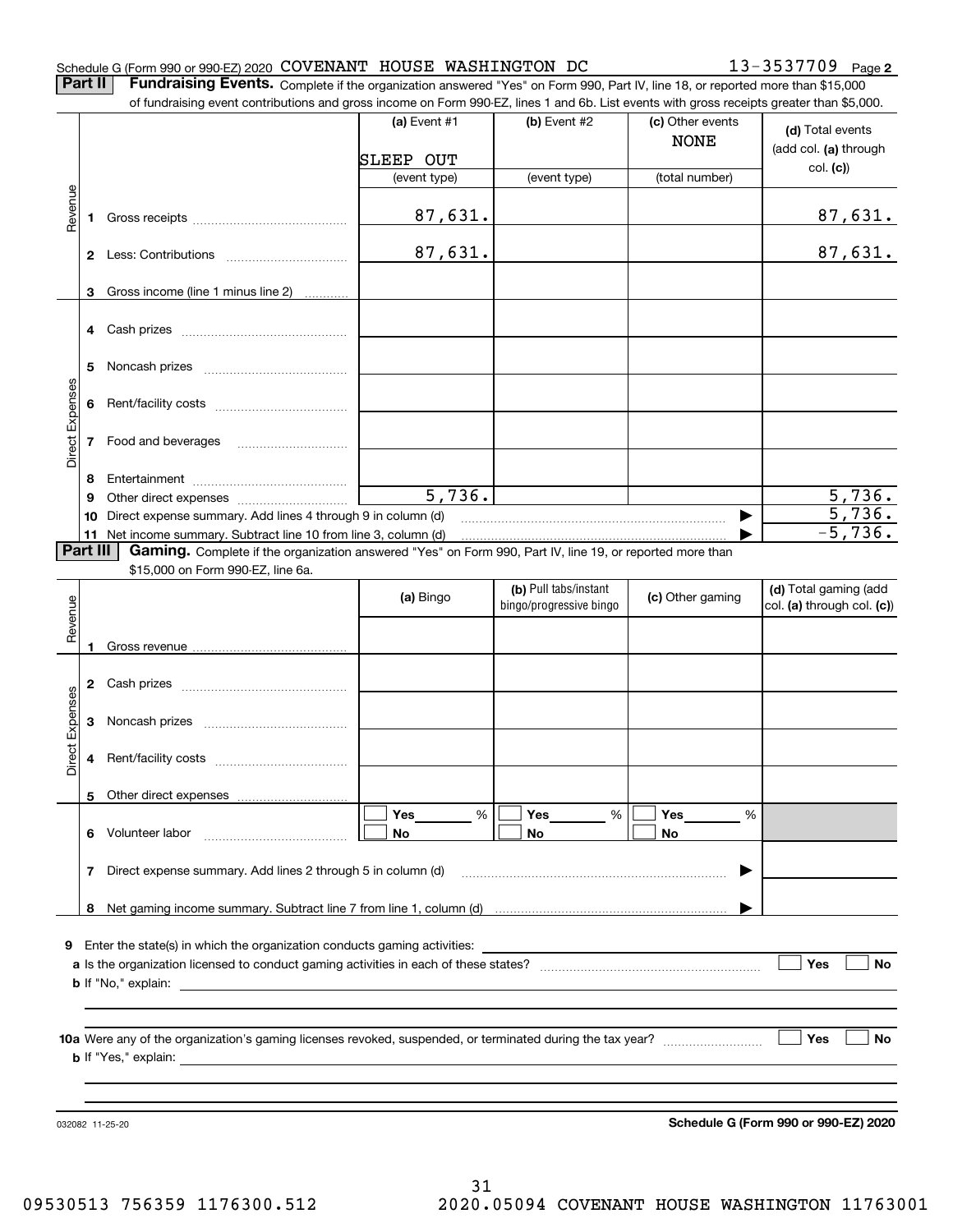#### Schedule G (Form 990 or 990-EZ) 2020 Page COVENANT HOUSE WASHINGTON DC 13-3537709

**2**

**Part II** | Fundraising Events. Complete if the organization answered "Yes" on Form 990, Part IV, line 18, or reported more than \$15,000 of fundraising event contributions and gross income on Form 990-EZ, lines 1 and 6b. List events with gross receipts greater than \$5,000.

|                 |          | 01 lungasing event contributions and gross income on Form 990-EZ, inles T and OD. Elst events with gross receipts greater than \$0,000. |                  |                                                  |                                 |                                                     |
|-----------------|----------|-----------------------------------------------------------------------------------------------------------------------------------------|------------------|--------------------------------------------------|---------------------------------|-----------------------------------------------------|
|                 |          |                                                                                                                                         | (a) Event $#1$   | (b) Event $#2$                                   | (c) Other events<br><b>NONE</b> | (d) Total events<br>(add col. (a) through           |
|                 |          |                                                                                                                                         | <b>SLEEP OUT</b> |                                                  |                                 | col. (c)                                            |
|                 |          |                                                                                                                                         | (event type)     | (event type)                                     | (total number)                  |                                                     |
| Revenue         | 1        |                                                                                                                                         | 87,631.          |                                                  |                                 | 87,631.                                             |
|                 |          |                                                                                                                                         | 87,631.          |                                                  |                                 | 87,631.                                             |
|                 | 3        | Gross income (line 1 minus line 2)                                                                                                      |                  |                                                  |                                 |                                                     |
|                 | 4        | Cash prizes                                                                                                                             |                  |                                                  |                                 |                                                     |
|                 | 5        |                                                                                                                                         |                  |                                                  |                                 |                                                     |
| Direct Expenses | 6        |                                                                                                                                         |                  |                                                  |                                 |                                                     |
|                 |          | 7 Food and beverages                                                                                                                    |                  |                                                  |                                 |                                                     |
|                 | 8        |                                                                                                                                         |                  |                                                  |                                 |                                                     |
|                 | 9        |                                                                                                                                         | 5,736.           |                                                  |                                 | 5,736.                                              |
|                 | 10       | Direct expense summary. Add lines 4 through 9 in column (d)                                                                             |                  |                                                  | ▶                               | 5,736.                                              |
|                 |          | 11 Net income summary. Subtract line 10 from line 3, column (d)                                                                         |                  |                                                  |                                 | $-5,736.$                                           |
|                 | Part III | Gaming. Complete if the organization answered "Yes" on Form 990, Part IV, line 19, or reported more than                                |                  |                                                  |                                 |                                                     |
|                 |          | \$15,000 on Form 990-EZ, line 6a.                                                                                                       |                  |                                                  |                                 |                                                     |
| Revenue         |          |                                                                                                                                         | (a) Bingo        | (b) Pull tabs/instant<br>bingo/progressive bingo | (c) Other gaming                | (d) Total gaming (add<br>col. (a) through col. (c)) |
|                 | 1        |                                                                                                                                         |                  |                                                  |                                 |                                                     |
|                 |          |                                                                                                                                         |                  |                                                  |                                 |                                                     |
|                 | 2        |                                                                                                                                         |                  |                                                  |                                 |                                                     |
|                 | 3        |                                                                                                                                         |                  |                                                  |                                 |                                                     |
| Direct Expenses | 4        |                                                                                                                                         |                  |                                                  |                                 |                                                     |
|                 |          | 5 Other direct expenses                                                                                                                 |                  |                                                  |                                 |                                                     |
|                 |          |                                                                                                                                         | Yes<br>%         | Yes<br>%                                         | Yes<br>%                        |                                                     |
|                 | 6        | Volunteer labor                                                                                                                         | No               | No                                               | No                              |                                                     |
|                 | 7        | Direct expense summary. Add lines 2 through 5 in column (d)                                                                             |                  |                                                  |                                 |                                                     |
|                 | 8        |                                                                                                                                         |                  |                                                  |                                 |                                                     |
|                 |          |                                                                                                                                         |                  |                                                  |                                 |                                                     |
| 9               |          | Enter the state(s) in which the organization conducts gaming activities:                                                                |                  |                                                  |                                 |                                                     |
|                 |          |                                                                                                                                         |                  |                                                  |                                 | Yes<br><b>No</b>                                    |
|                 |          | <b>b</b> If "No," explain:                                                                                                              |                  |                                                  |                                 |                                                     |
|                 |          |                                                                                                                                         |                  |                                                  |                                 |                                                     |
|                 |          |                                                                                                                                         |                  |                                                  |                                 |                                                     |
|                 |          |                                                                                                                                         |                  |                                                  |                                 | │ Yes<br><b>No</b>                                  |
|                 |          | <b>b</b> If "Yes," explain:                                                                                                             |                  |                                                  |                                 |                                                     |
|                 |          |                                                                                                                                         |                  |                                                  |                                 |                                                     |
|                 |          |                                                                                                                                         |                  |                                                  |                                 |                                                     |
|                 |          |                                                                                                                                         |                  |                                                  |                                 | Schedule G (Form 990 or 990-EZ) 2020                |
| 032082 11-25-20 |          |                                                                                                                                         |                  |                                                  |                                 |                                                     |

**Schedule G (Form 990 or 990-EZ) 2020**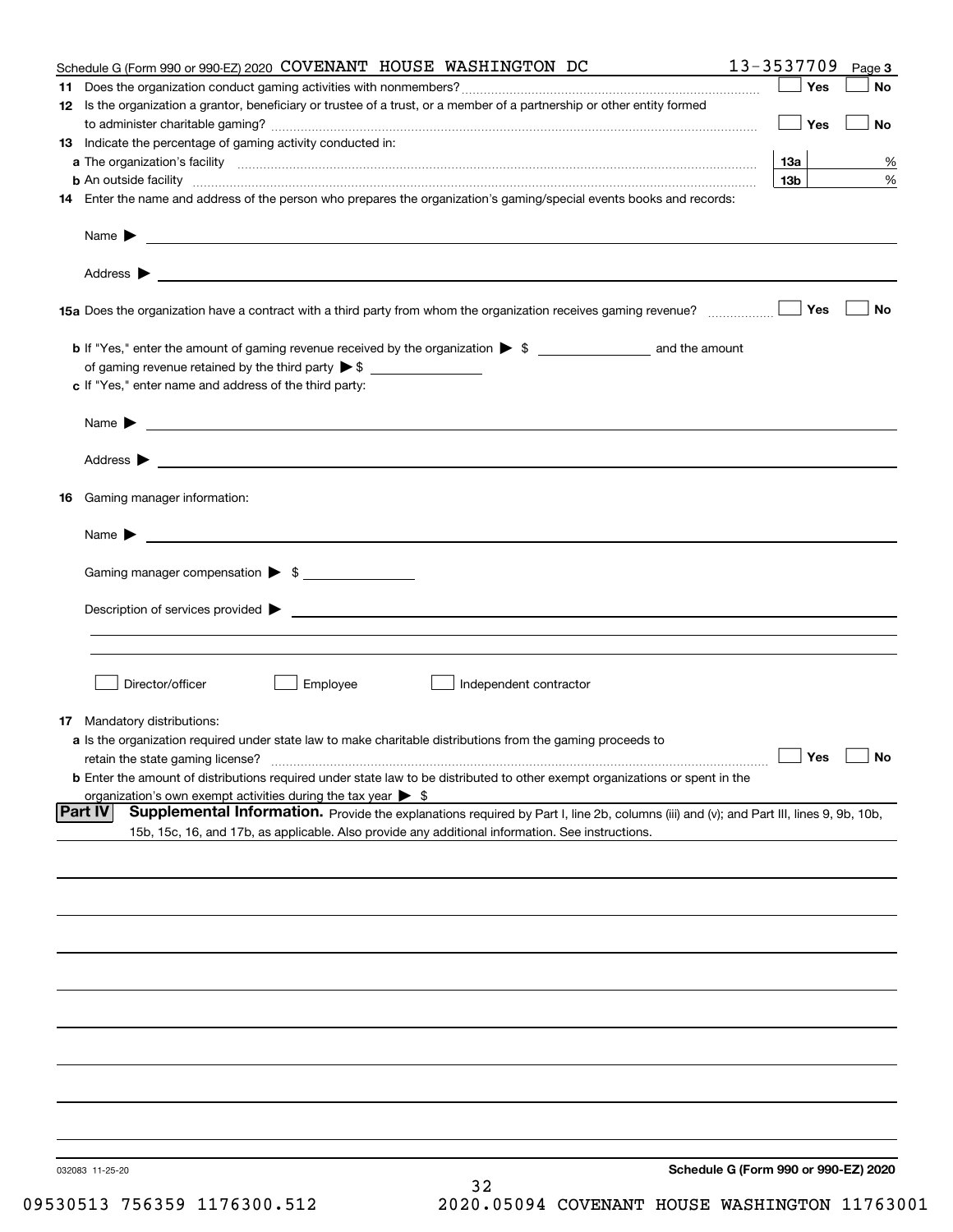|    | Schedule G (Form 990 or 990-EZ) 2020 COVENANT HOUSE WASHINGTON DC                                                                                             | 13-3537709                           | Page 3    |
|----|---------------------------------------------------------------------------------------------------------------------------------------------------------------|--------------------------------------|-----------|
| 11 |                                                                                                                                                               | Yes                                  | No        |
|    | 12 Is the organization a grantor, beneficiary or trustee of a trust, or a member of a partnership or other entity formed                                      | Yes                                  | No        |
|    | 13 Indicate the percentage of gaming activity conducted in:                                                                                                   |                                      |           |
|    |                                                                                                                                                               | <u>13a</u>                           | %         |
|    | <b>b</b> An outside facility <i>www.communicality www.communicality.communicality www.communicality www.communicality.communicality www.communicality.com</i> | 13 <sub>b</sub>                      | %         |
|    | 14 Enter the name and address of the person who prepares the organization's gaming/special events books and records:                                          |                                      |           |
|    |                                                                                                                                                               |                                      |           |
|    |                                                                                                                                                               |                                      |           |
|    | 15a Does the organization have a contract with a third party from whom the organization receives gaming revenue?                                              | Yes                                  | <b>No</b> |
|    | b If "Yes," enter the amount of gaming revenue received by the organization > \$ ____________________ and the amount                                          |                                      |           |
|    |                                                                                                                                                               |                                      |           |
|    | c If "Yes," enter name and address of the third party:                                                                                                        |                                      |           |
|    |                                                                                                                                                               |                                      |           |
|    | Name $\blacktriangleright$ $\bot$                                                                                                                             |                                      |           |
|    |                                                                                                                                                               |                                      |           |
| 16 | Gaming manager information:                                                                                                                                   |                                      |           |
|    | Name $\blacktriangleright$ $\frac{1}{\sqrt{1-\frac{1}{2}}\left(1-\frac{1}{2}\right)}$                                                                         |                                      |           |
|    | Gaming manager compensation > \$                                                                                                                              |                                      |           |
|    |                                                                                                                                                               |                                      |           |
|    |                                                                                                                                                               |                                      |           |
|    |                                                                                                                                                               |                                      |           |
|    | Director/officer<br>Employee<br>Independent contractor                                                                                                        |                                      |           |
|    |                                                                                                                                                               |                                      |           |
|    | 17 Mandatory distributions:<br>a Is the organization required under state law to make charitable distributions from the gaming proceeds to                    |                                      |           |
|    | $\Box$ Yes $\Box$ No<br>retain the state gaming license?                                                                                                      |                                      |           |
|    | <b>b</b> Enter the amount of distributions required under state law to be distributed to other exempt organizations or spent in the                           |                                      |           |
|    | organization's own exempt activities during the tax year $\triangleright$ \$                                                                                  |                                      |           |
|    | Part IV<br>Supplemental Information. Provide the explanations required by Part I, line 2b, columns (iii) and (v); and Part III, lines 9, 9b, 10b,             |                                      |           |
|    | 15b, 15c, 16, and 17b, as applicable. Also provide any additional information. See instructions.                                                              |                                      |           |
|    |                                                                                                                                                               |                                      |           |
|    |                                                                                                                                                               |                                      |           |
|    |                                                                                                                                                               |                                      |           |
|    |                                                                                                                                                               |                                      |           |
|    |                                                                                                                                                               |                                      |           |
|    |                                                                                                                                                               |                                      |           |
|    |                                                                                                                                                               |                                      |           |
|    |                                                                                                                                                               |                                      |           |
|    |                                                                                                                                                               |                                      |           |
|    | 032083 11-25-20                                                                                                                                               | Schedule G (Form 990 or 990-EZ) 2020 |           |
|    | 32                                                                                                                                                            |                                      |           |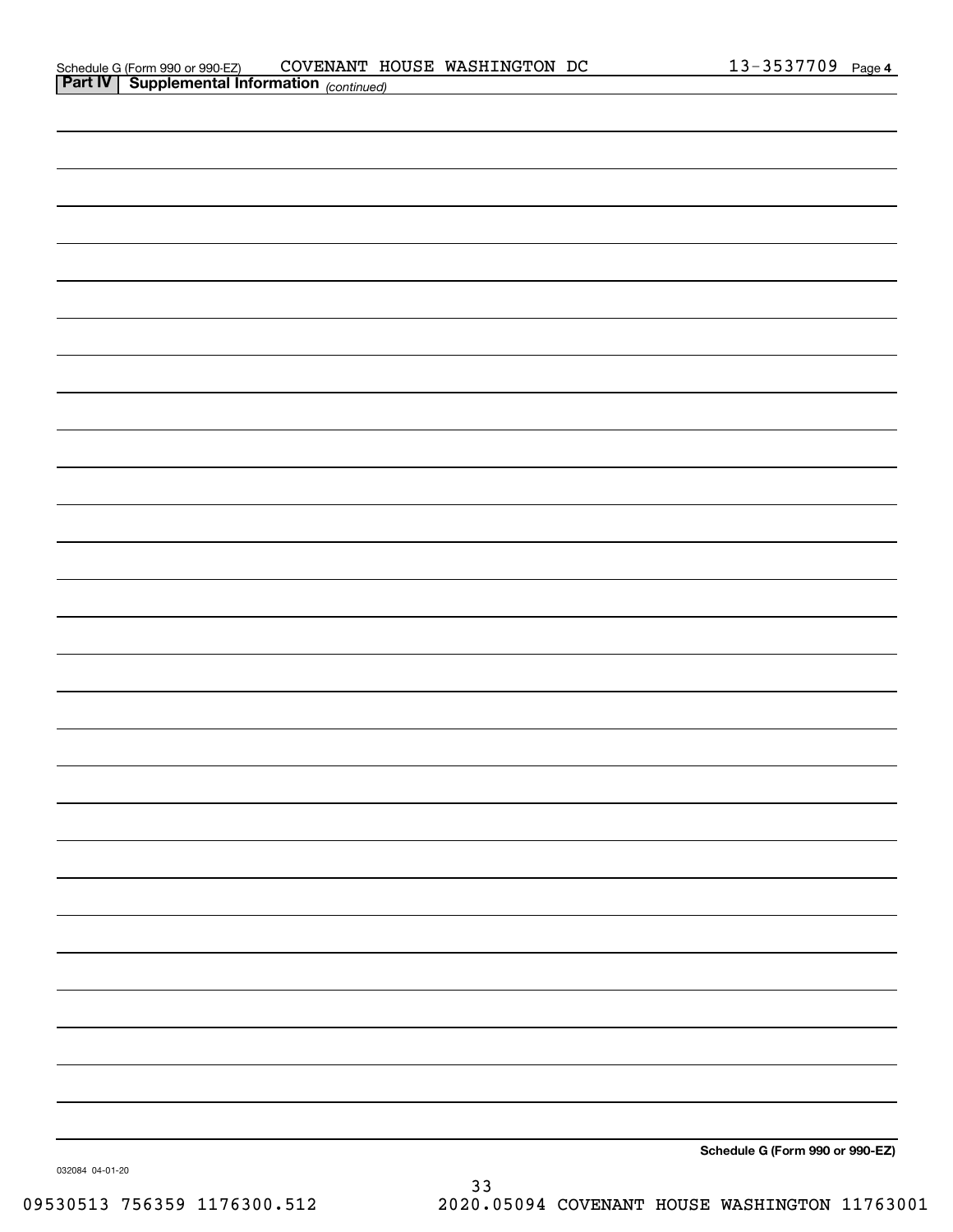|                | Schedule G (Form 990 or 990-EZ)                 | <b>COVENANT</b> | HOUSE | WASHINGTON | DC | ़ 2537709 | Page 4 |
|----------------|-------------------------------------------------|-----------------|-------|------------|----|-----------|--------|
| <b>Part IV</b> | Supplemental Information <sub>(continued)</sub> |                 |       |            |    |           |        |

| Schedule G (Form 990 or 990-EZ) |
|---------------------------------|

032084 04-01-20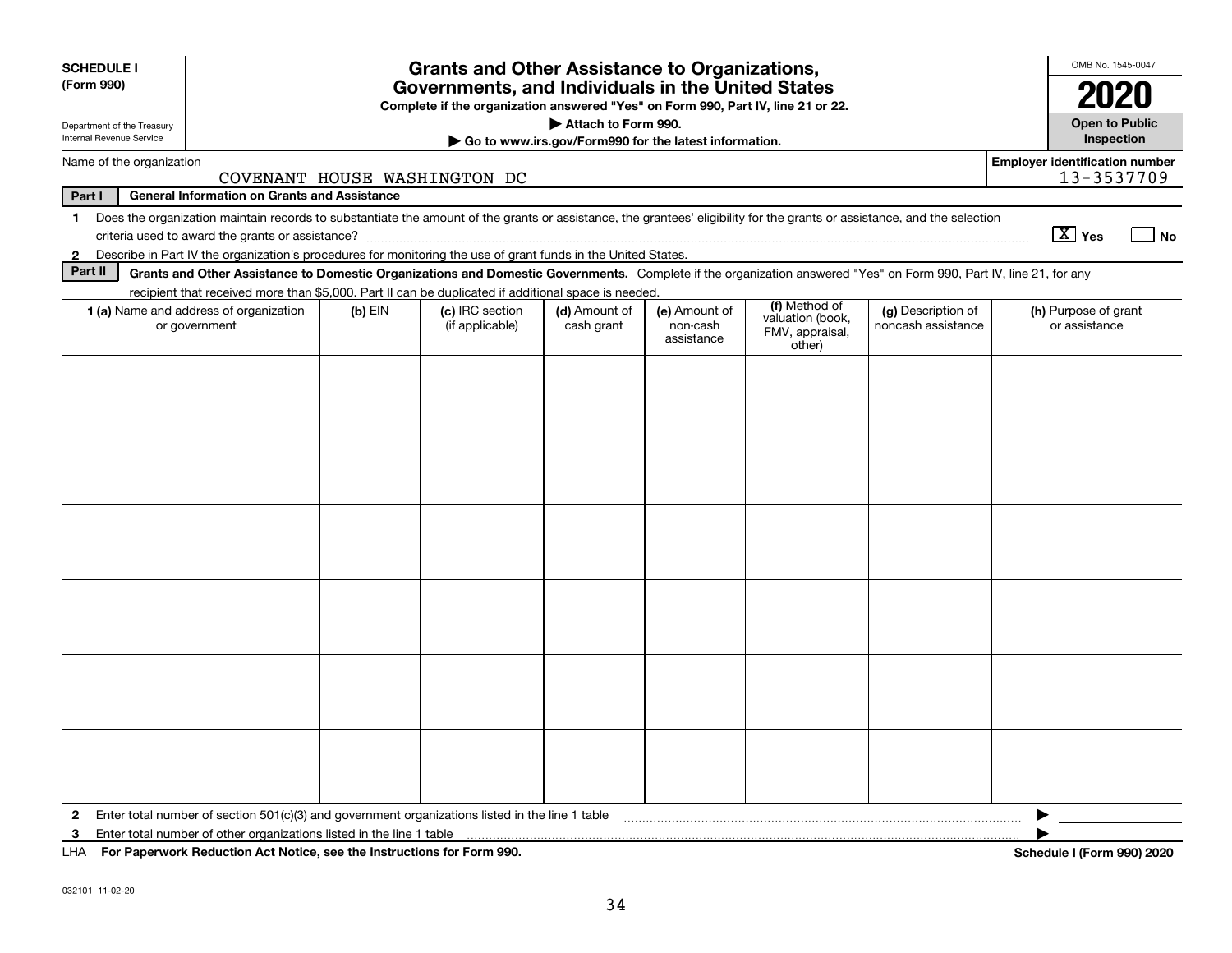| <b>SCHEDULE I</b>                                                                                                                                   |                                                                                                                                                                                                                                                                                     |           | <b>Grants and Other Assistance to Organizations,</b> |                             |                                         |                                                                |                                          | OMB No. 1545-0047                     |  |
|-----------------------------------------------------------------------------------------------------------------------------------------------------|-------------------------------------------------------------------------------------------------------------------------------------------------------------------------------------------------------------------------------------------------------------------------------------|-----------|------------------------------------------------------|-----------------------------|-----------------------------------------|----------------------------------------------------------------|------------------------------------------|---------------------------------------|--|
| (Form 990)<br>Governments, and Individuals in the United States<br>Complete if the organization answered "Yes" on Form 990, Part IV, line 21 or 22. |                                                                                                                                                                                                                                                                                     |           |                                                      |                             |                                         |                                                                |                                          |                                       |  |
| Attach to Form 990.<br>Department of the Treasury<br>Internal Revenue Service<br>Go to www.irs.gov/Form990 for the latest information.              |                                                                                                                                                                                                                                                                                     |           |                                                      |                             |                                         |                                                                |                                          |                                       |  |
|                                                                                                                                                     | <b>Employer identification number</b><br>Name of the organization<br>13-3537709<br>COVENANT HOUSE WASHINGTON DC                                                                                                                                                                     |           |                                                      |                             |                                         |                                                                |                                          |                                       |  |
| Part I                                                                                                                                              | <b>General Information on Grants and Assistance</b>                                                                                                                                                                                                                                 |           |                                                      |                             |                                         |                                                                |                                          |                                       |  |
| 1.                                                                                                                                                  | Does the organization maintain records to substantiate the amount of the grants or assistance, the grantees' eligibility for the grants or assistance, and the selection                                                                                                            |           |                                                      |                             |                                         |                                                                |                                          | $\boxed{\text{X}}$ Yes<br>  No        |  |
| $\mathbf{2}$<br>Part II                                                                                                                             | Describe in Part IV the organization's procedures for monitoring the use of grant funds in the United States.<br>Grants and Other Assistance to Domestic Organizations and Domestic Governments. Complete if the organization answered "Yes" on Form 990, Part IV, line 21, for any |           |                                                      |                             |                                         |                                                                |                                          |                                       |  |
|                                                                                                                                                     | recipient that received more than \$5,000. Part II can be duplicated if additional space is needed.                                                                                                                                                                                 |           |                                                      |                             |                                         |                                                                |                                          |                                       |  |
|                                                                                                                                                     | 1 (a) Name and address of organization<br>or government                                                                                                                                                                                                                             | $(b)$ EIN | (c) IRC section<br>(if applicable)                   | (d) Amount of<br>cash grant | (e) Amount of<br>non-cash<br>assistance | (f) Method of<br>valuation (book,<br>FMV, appraisal,<br>other) | (g) Description of<br>noncash assistance | (h) Purpose of grant<br>or assistance |  |
|                                                                                                                                                     |                                                                                                                                                                                                                                                                                     |           |                                                      |                             |                                         |                                                                |                                          |                                       |  |
|                                                                                                                                                     |                                                                                                                                                                                                                                                                                     |           |                                                      |                             |                                         |                                                                |                                          |                                       |  |
|                                                                                                                                                     |                                                                                                                                                                                                                                                                                     |           |                                                      |                             |                                         |                                                                |                                          |                                       |  |
|                                                                                                                                                     |                                                                                                                                                                                                                                                                                     |           |                                                      |                             |                                         |                                                                |                                          |                                       |  |
|                                                                                                                                                     |                                                                                                                                                                                                                                                                                     |           |                                                      |                             |                                         |                                                                |                                          |                                       |  |
|                                                                                                                                                     |                                                                                                                                                                                                                                                                                     |           |                                                      |                             |                                         |                                                                |                                          |                                       |  |
| 2                                                                                                                                                   | Enter total number of section 501(c)(3) and government organizations listed in the line 1 table                                                                                                                                                                                     |           |                                                      |                             |                                         |                                                                |                                          |                                       |  |
| 3                                                                                                                                                   | Enter total number of other organizations listed in the line 1 table                                                                                                                                                                                                                |           |                                                      |                             |                                         |                                                                |                                          |                                       |  |
| LHA.                                                                                                                                                | For Paperwork Reduction Act Notice, see the Instructions for Form 990.                                                                                                                                                                                                              |           |                                                      |                             |                                         |                                                                |                                          | Schedule I (Form 990) 2020            |  |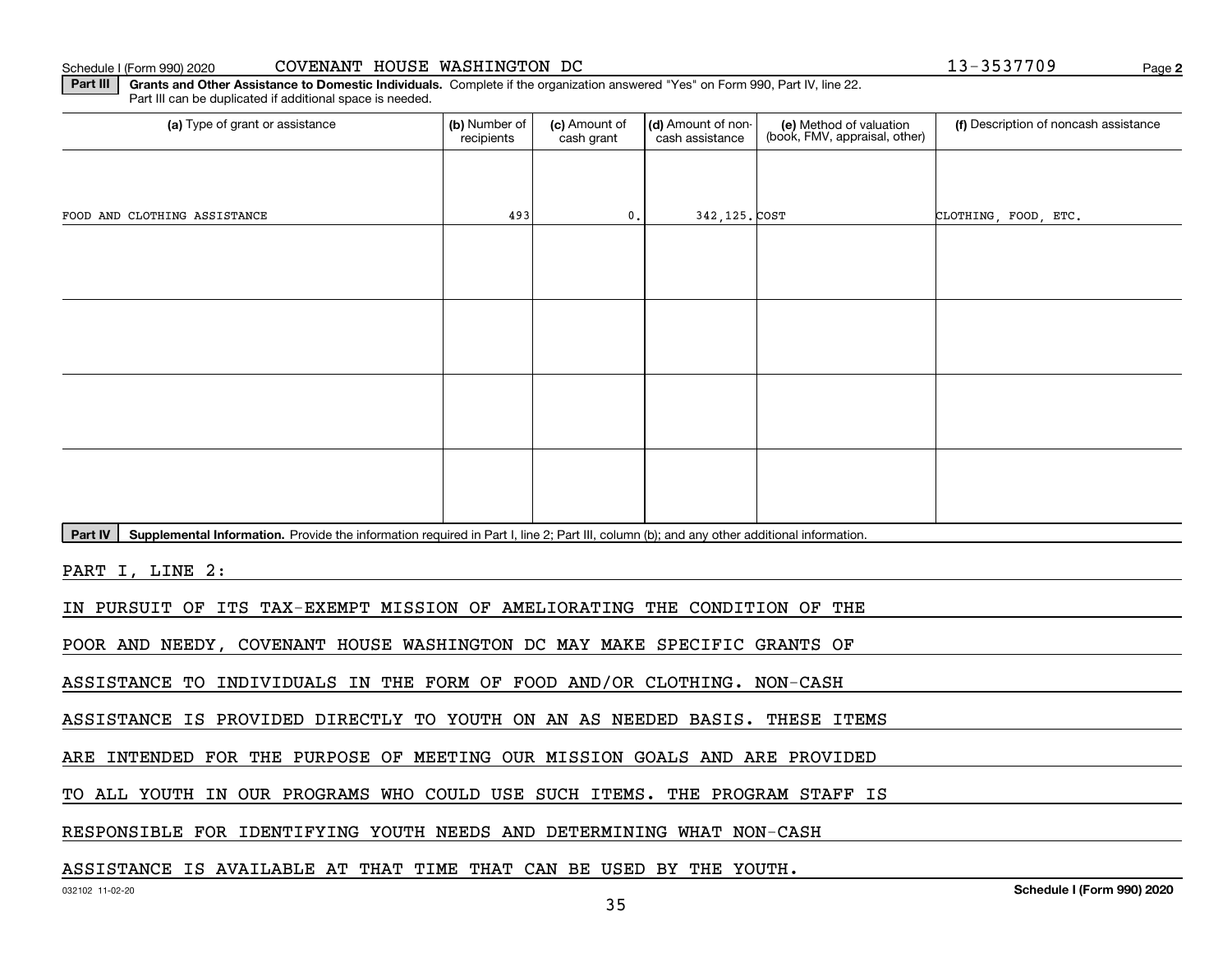**2**

**Part III | Grants and Other Assistance to Domestic Individuals. Complete if the organization answered "Yes" on Form 990, Part IV, line 22.** Part III can be duplicated if additional space is needed.

| (a) Type of grant or assistance                                                                                                                      | (b) Number of<br>recipients | (c) Amount of<br>cash grant | (d) Amount of non-<br>cash assistance | (e) Method of valuation<br>(book, FMV, appraisal, other) | (f) Description of noncash assistance |  |  |  |  |  |
|------------------------------------------------------------------------------------------------------------------------------------------------------|-----------------------------|-----------------------------|---------------------------------------|----------------------------------------------------------|---------------------------------------|--|--|--|--|--|
|                                                                                                                                                      |                             |                             |                                       |                                                          |                                       |  |  |  |  |  |
| FOOD AND CLOTHING ASSISTANCE                                                                                                                         | 493                         | 0.                          | 342, 125. COST                        |                                                          | CLOTHING, FOOD, ETC.                  |  |  |  |  |  |
|                                                                                                                                                      |                             |                             |                                       |                                                          |                                       |  |  |  |  |  |
|                                                                                                                                                      |                             |                             |                                       |                                                          |                                       |  |  |  |  |  |
|                                                                                                                                                      |                             |                             |                                       |                                                          |                                       |  |  |  |  |  |
|                                                                                                                                                      |                             |                             |                                       |                                                          |                                       |  |  |  |  |  |
|                                                                                                                                                      |                             |                             |                                       |                                                          |                                       |  |  |  |  |  |
|                                                                                                                                                      |                             |                             |                                       |                                                          |                                       |  |  |  |  |  |
|                                                                                                                                                      |                             |                             |                                       |                                                          |                                       |  |  |  |  |  |
|                                                                                                                                                      |                             |                             |                                       |                                                          |                                       |  |  |  |  |  |
| Supplemental Information. Provide the information required in Part I, line 2; Part III, column (b); and any other additional information.<br>Part IV |                             |                             |                                       |                                                          |                                       |  |  |  |  |  |
| PART I, LINE 2:                                                                                                                                      |                             |                             |                                       |                                                          |                                       |  |  |  |  |  |
| IN PURSUIT OF ITS TAX-EXEMPT MISSION OF AMELIORATING THE CONDITION OF THE                                                                            |                             |                             |                                       |                                                          |                                       |  |  |  |  |  |
| POOR AND NEEDY, COVENANT HOUSE WASHINGTON DC MAY MAKE SPECIFIC GRANTS OF                                                                             |                             |                             |                                       |                                                          |                                       |  |  |  |  |  |
| ASSISTANCE TO INDIVIDUALS IN THE FORM OF FOOD AND/OR CLOTHING. NON-CASH                                                                              |                             |                             |                                       |                                                          |                                       |  |  |  |  |  |

ASSISTANCE IS PROVIDED DIRECTLY TO YOUTH ON AN AS NEEDED BASIS. THESE ITEMS

ARE INTENDED FOR THE PURPOSE OF MEETING OUR MISSION GOALS AND ARE PROVIDED

TO ALL YOUTH IN OUR PROGRAMS WHO COULD USE SUCH ITEMS. THE PROGRAM STAFF IS

RESPONSIBLE FOR IDENTIFYING YOUTH NEEDS AND DETERMINING WHAT NON-CASH

### ASSISTANCE IS AVAILABLE AT THAT TIME THAT CAN BE USED BY THE YOUTH.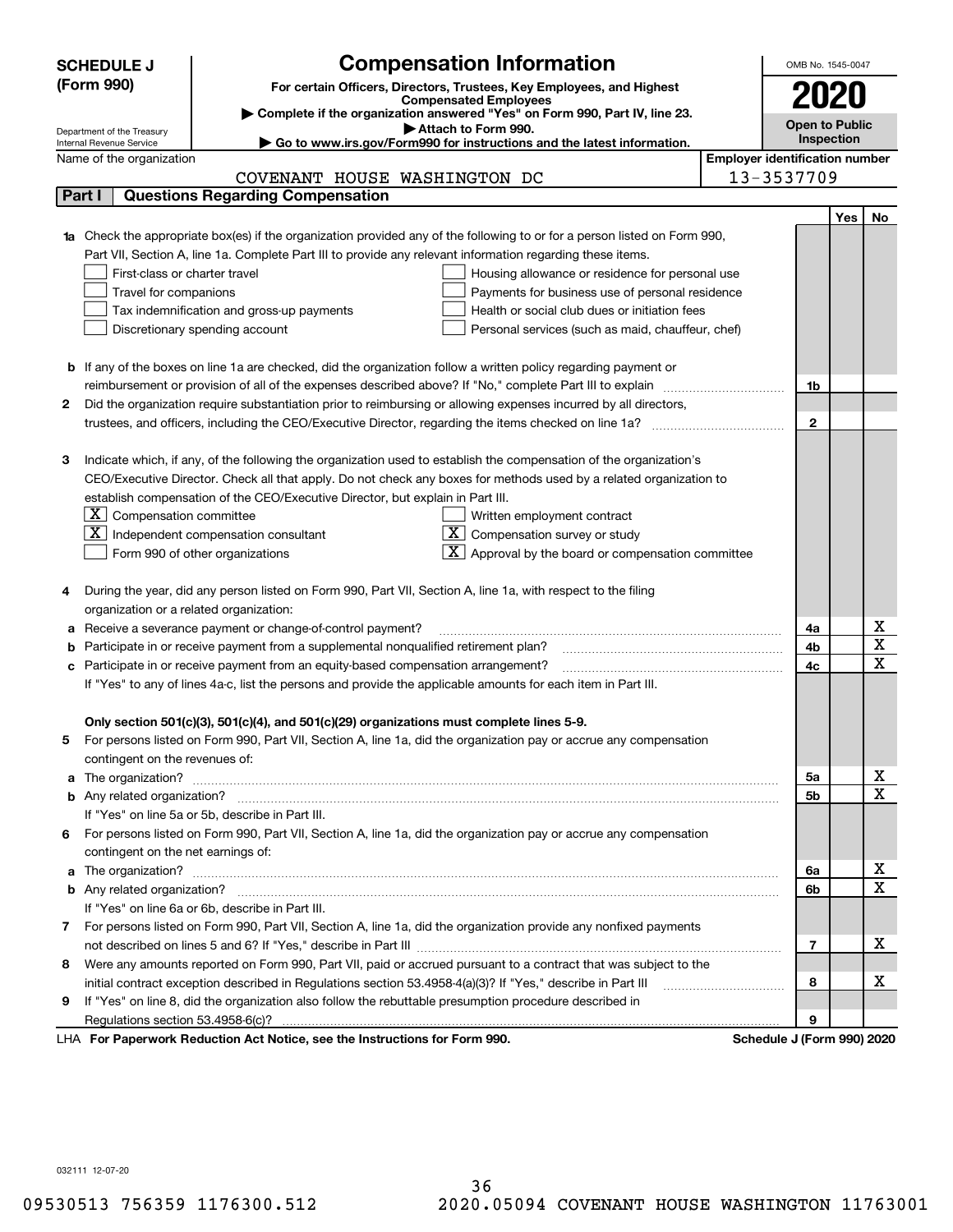|   | <b>SCHEDULE J</b>                                                                   |                                                                                                                                                                                                                                      | <b>Compensation Information</b>                                                               |                                       | OMB No. 1545-0047          |     |                         |  |  |
|---|-------------------------------------------------------------------------------------|--------------------------------------------------------------------------------------------------------------------------------------------------------------------------------------------------------------------------------------|-----------------------------------------------------------------------------------------------|---------------------------------------|----------------------------|-----|-------------------------|--|--|
|   | (Form 990)<br>For certain Officers, Directors, Trustees, Key Employees, and Highest |                                                                                                                                                                                                                                      |                                                                                               |                                       |                            |     |                         |  |  |
|   |                                                                                     |                                                                                                                                                                                                                                      | <b>Compensated Employees</b>                                                                  |                                       |                            |     |                         |  |  |
|   |                                                                                     |                                                                                                                                                                                                                                      | Complete if the organization answered "Yes" on Form 990, Part IV, line 23.                    |                                       | <b>Open to Public</b>      |     |                         |  |  |
|   | Department of the Treasury<br>Internal Revenue Service                              |                                                                                                                                                                                                                                      | Attach to Form 990.<br>Go to www.irs.gov/Form990 for instructions and the latest information. |                                       | Inspection                 |     |                         |  |  |
|   | Name of the organization                                                            |                                                                                                                                                                                                                                      |                                                                                               | <b>Employer identification number</b> |                            |     |                         |  |  |
|   |                                                                                     | COVENANT HOUSE WASHINGTON DC                                                                                                                                                                                                         |                                                                                               |                                       | 13-3537709                 |     |                         |  |  |
|   | Part I                                                                              | <b>Questions Regarding Compensation</b>                                                                                                                                                                                              |                                                                                               |                                       |                            |     |                         |  |  |
|   |                                                                                     |                                                                                                                                                                                                                                      |                                                                                               |                                       |                            | Yes | No.                     |  |  |
|   |                                                                                     | 1a Check the appropriate box(es) if the organization provided any of the following to or for a person listed on Form 990,                                                                                                            |                                                                                               |                                       |                            |     |                         |  |  |
|   |                                                                                     | Part VII, Section A, line 1a. Complete Part III to provide any relevant information regarding these items.                                                                                                                           |                                                                                               |                                       |                            |     |                         |  |  |
|   | First-class or charter travel                                                       |                                                                                                                                                                                                                                      | Housing allowance or residence for personal use                                               |                                       |                            |     |                         |  |  |
|   | Travel for companions                                                               |                                                                                                                                                                                                                                      | Payments for business use of personal residence                                               |                                       |                            |     |                         |  |  |
|   |                                                                                     | Tax indemnification and gross-up payments                                                                                                                                                                                            | Health or social club dues or initiation fees                                                 |                                       |                            |     |                         |  |  |
|   |                                                                                     | Discretionary spending account                                                                                                                                                                                                       | Personal services (such as maid, chauffeur, chef)                                             |                                       |                            |     |                         |  |  |
|   |                                                                                     |                                                                                                                                                                                                                                      |                                                                                               |                                       |                            |     |                         |  |  |
|   |                                                                                     | <b>b</b> If any of the boxes on line 1a are checked, did the organization follow a written policy regarding payment or                                                                                                               |                                                                                               |                                       |                            |     |                         |  |  |
|   |                                                                                     | reimbursement or provision of all of the expenses described above? If "No," complete Part III to explain                                                                                                                             |                                                                                               |                                       | 1b                         |     |                         |  |  |
| 2 |                                                                                     | Did the organization require substantiation prior to reimbursing or allowing expenses incurred by all directors,                                                                                                                     |                                                                                               |                                       |                            |     |                         |  |  |
|   |                                                                                     |                                                                                                                                                                                                                                      |                                                                                               |                                       | $\mathbf{2}$               |     |                         |  |  |
|   |                                                                                     |                                                                                                                                                                                                                                      |                                                                                               |                                       |                            |     |                         |  |  |
| З |                                                                                     | Indicate which, if any, of the following the organization used to establish the compensation of the organization's                                                                                                                   |                                                                                               |                                       |                            |     |                         |  |  |
|   |                                                                                     | CEO/Executive Director. Check all that apply. Do not check any boxes for methods used by a related organization to                                                                                                                   |                                                                                               |                                       |                            |     |                         |  |  |
|   |                                                                                     | establish compensation of the CEO/Executive Director, but explain in Part III.                                                                                                                                                       |                                                                                               |                                       |                            |     |                         |  |  |
|   | $\lfloor \texttt{X} \rfloor$ Compensation committee                                 |                                                                                                                                                                                                                                      | Written employment contract                                                                   |                                       |                            |     |                         |  |  |
|   |                                                                                     | $ \mathbf{X} $ Independent compensation consultant                                                                                                                                                                                   | Compensation survey or study                                                                  |                                       |                            |     |                         |  |  |
|   |                                                                                     | Form 990 of other organizations                                                                                                                                                                                                      | Approval by the board or compensation committee                                               |                                       |                            |     |                         |  |  |
|   |                                                                                     | During the year, did any person listed on Form 990, Part VII, Section A, line 1a, with respect to the filing                                                                                                                         |                                                                                               |                                       |                            |     |                         |  |  |
|   | organization or a related organization:                                             |                                                                                                                                                                                                                                      |                                                                                               |                                       |                            |     |                         |  |  |
| а |                                                                                     | Receive a severance payment or change-of-control payment?                                                                                                                                                                            |                                                                                               |                                       | 4a                         |     | х                       |  |  |
|   |                                                                                     | Participate in or receive payment from a supplemental nonqualified retirement plan?                                                                                                                                                  |                                                                                               |                                       | 4b                         |     | $\overline{\textbf{x}}$ |  |  |
|   |                                                                                     | c Participate in or receive payment from an equity-based compensation arrangement?                                                                                                                                                   |                                                                                               |                                       | 4c                         |     | $\mathbf X$             |  |  |
|   |                                                                                     | If "Yes" to any of lines 4a-c, list the persons and provide the applicable amounts for each item in Part III.                                                                                                                        |                                                                                               |                                       |                            |     |                         |  |  |
|   |                                                                                     |                                                                                                                                                                                                                                      |                                                                                               |                                       |                            |     |                         |  |  |
|   |                                                                                     | Only section 501(c)(3), 501(c)(4), and 501(c)(29) organizations must complete lines 5-9.                                                                                                                                             |                                                                                               |                                       |                            |     |                         |  |  |
| 5 |                                                                                     | For persons listed on Form 990, Part VII, Section A, line 1a, did the organization pay or accrue any compensation                                                                                                                    |                                                                                               |                                       |                            |     |                         |  |  |
|   | contingent on the revenues of:                                                      |                                                                                                                                                                                                                                      |                                                                                               |                                       |                            |     |                         |  |  |
|   |                                                                                     | a The organization? <b>With the contract of the contract of the contract of the contract of the contract of the contract of the contract of the contract of the contract of the contract of the contract of the contract of the </b> |                                                                                               |                                       | 5a                         |     | х                       |  |  |
|   |                                                                                     |                                                                                                                                                                                                                                      |                                                                                               |                                       | 5b                         |     | $\mathbf X$             |  |  |
|   |                                                                                     | If "Yes" on line 5a or 5b, describe in Part III.                                                                                                                                                                                     |                                                                                               |                                       |                            |     |                         |  |  |
|   |                                                                                     | 6 For persons listed on Form 990, Part VII, Section A, line 1a, did the organization pay or accrue any compensation                                                                                                                  |                                                                                               |                                       |                            |     |                         |  |  |
|   | contingent on the net earnings of:                                                  |                                                                                                                                                                                                                                      |                                                                                               |                                       |                            |     |                         |  |  |
|   |                                                                                     |                                                                                                                                                                                                                                      |                                                                                               |                                       | 6a                         |     | x                       |  |  |
|   |                                                                                     |                                                                                                                                                                                                                                      |                                                                                               |                                       | 6b                         |     | X                       |  |  |
|   |                                                                                     | If "Yes" on line 6a or 6b, describe in Part III.                                                                                                                                                                                     |                                                                                               |                                       |                            |     |                         |  |  |
|   |                                                                                     | 7 For persons listed on Form 990, Part VII, Section A, line 1a, did the organization provide any nonfixed payments                                                                                                                   |                                                                                               |                                       |                            |     |                         |  |  |
|   |                                                                                     |                                                                                                                                                                                                                                      |                                                                                               |                                       | 7                          |     | x                       |  |  |
|   |                                                                                     | 8 Were any amounts reported on Form 990, Part VII, paid or accrued pursuant to a contract that was subject to the                                                                                                                    |                                                                                               |                                       |                            |     |                         |  |  |
|   |                                                                                     |                                                                                                                                                                                                                                      |                                                                                               |                                       | 8                          |     | х                       |  |  |
| 9 |                                                                                     | If "Yes" on line 8, did the organization also follow the rebuttable presumption procedure described in                                                                                                                               |                                                                                               |                                       |                            |     |                         |  |  |
|   |                                                                                     |                                                                                                                                                                                                                                      |                                                                                               |                                       | 9                          |     |                         |  |  |
|   |                                                                                     | LHA For Paperwork Reduction Act Notice, see the Instructions for Form 990.                                                                                                                                                           |                                                                                               |                                       | Schedule J (Form 990) 2020 |     |                         |  |  |

032111 12-07-20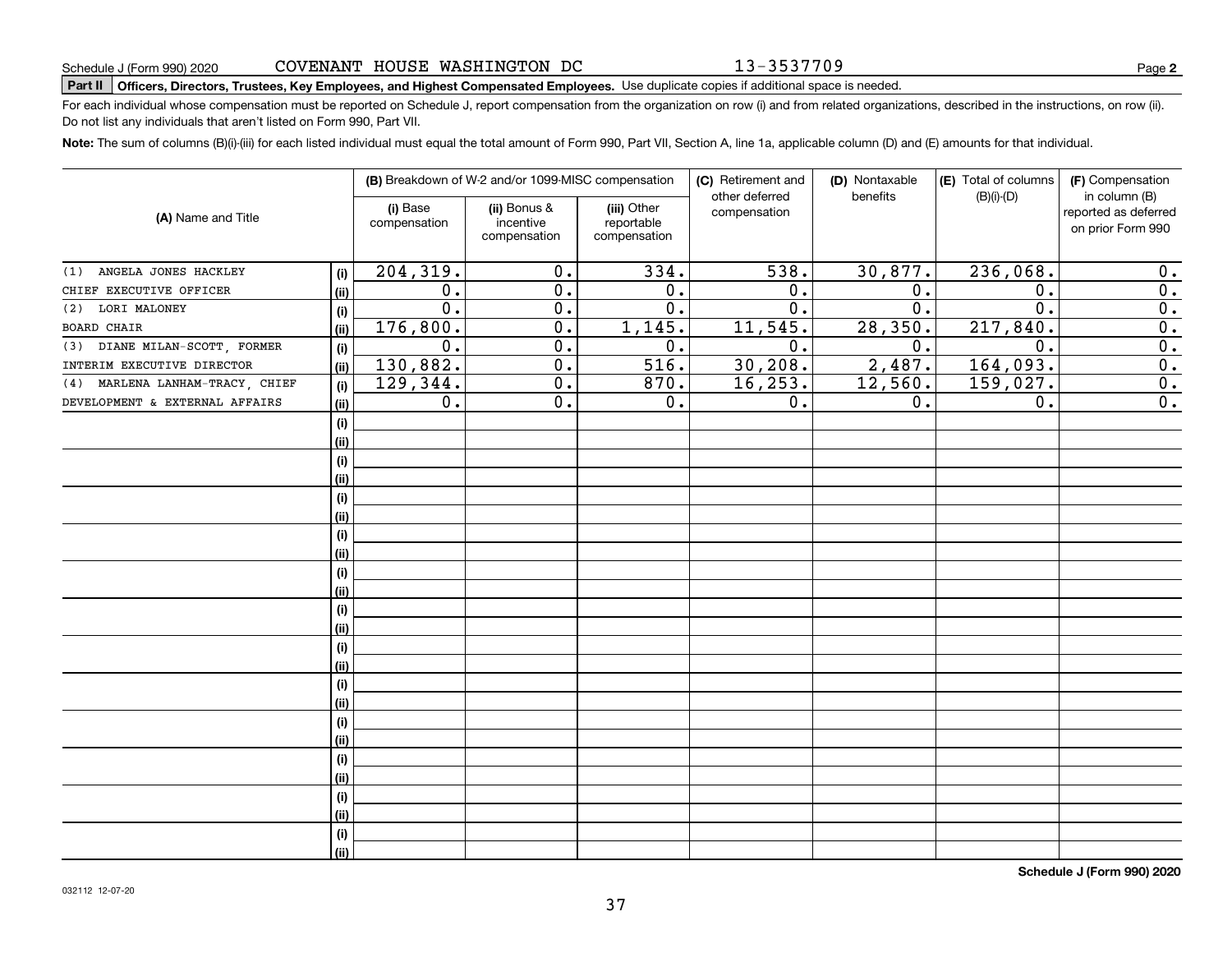# **Part II Officers, Directors, Trustees, Key Employees, and Highest Compensated Employees.**  Schedule J (Form 990) 2020 Page Use duplicate copies if additional space is needed.

For each individual whose compensation must be reported on Schedule J, report compensation from the organization on row (i) and from related organizations, described in the instructions, on row (ii). Do not list any individuals that aren't listed on Form 990, Part VII.

**Note:**  The sum of columns (B)(i)-(iii) for each listed individual must equal the total amount of Form 990, Part VII, Section A, line 1a, applicable column (D) and (E) amounts for that individual.

| (A) Name and Title                 |      |                          | (B) Breakdown of W-2 and/or 1099-MISC compensation |                                           | (C) Retirement and<br>other deferred | (D) Nontaxable<br>benefits | (E) Total of columns<br>$(B)(i)-(D)$ | (F) Compensation<br>in column (B)         |
|------------------------------------|------|--------------------------|----------------------------------------------------|-------------------------------------------|--------------------------------------|----------------------------|--------------------------------------|-------------------------------------------|
|                                    |      | (i) Base<br>compensation | (ii) Bonus &<br>incentive<br>compensation          | (iii) Other<br>reportable<br>compensation | compensation                         |                            |                                      | reported as deferred<br>on prior Form 990 |
| ANGELA JONES HACKLEY<br>(1)        | (i)  | 204, 319.                | 0.                                                 | 334.                                      | 538.                                 | 30,877.                    | 236,068.                             | 0.                                        |
| CHIEF EXECUTIVE OFFICER            | (ii) | 0.                       | $\overline{0}$ .                                   | 0.                                        | 0.                                   | 0.                         | $\mathbf 0$ .                        | 0.                                        |
| LORI MALONEY<br>(2)                | (i)  | $\overline{0}$ .         | $\overline{0}$ .                                   | $\overline{0}$ .                          | $\overline{0}$ .                     | $\overline{0}$ .           | $\overline{0}$                       | $\overline{0}$ .                          |
| <b>BOARD CHAIR</b>                 | (ii) | 176,800.                 | $\overline{0}$ .                                   | 1,145.                                    | 11, 545.                             | 28,350.                    | 217,840.                             | $\overline{0}$ .                          |
| (3) DIANE MILAN-SCOTT, FORMER      | (i)  | $\overline{0}$ .         | $\overline{0}$ .                                   | 0.                                        | $\overline{0}$ .                     | 0.                         | 0.                                   | $\overline{0}$ .                          |
| INTERIM EXECUTIVE DIRECTOR         | (ii) | 130,882.                 | $\overline{0}$ .                                   | 516.                                      | 30, 208.                             | 2,487.                     | 164,093.                             | $\overline{0}$ .                          |
| MARLENA LANHAM-TRACY, CHIEF<br>(4) | (i)  | 129,344.                 | $\overline{0}$ .                                   | 870.                                      | 16, 253.                             | 12,560.                    | 159,027.                             | $\overline{0}$ .                          |
| DEVELOPMENT & EXTERNAL AFFAIRS     | (ii) | 0.                       | $0$ .                                              | 0.                                        | $\overline{0}$ .                     | 0.                         | 0.                                   | $\overline{0}$ .                          |
|                                    | (i)  |                          |                                                    |                                           |                                      |                            |                                      |                                           |
|                                    | (ii) |                          |                                                    |                                           |                                      |                            |                                      |                                           |
|                                    | (i)  |                          |                                                    |                                           |                                      |                            |                                      |                                           |
|                                    | (ii) |                          |                                                    |                                           |                                      |                            |                                      |                                           |
|                                    | (i)  |                          |                                                    |                                           |                                      |                            |                                      |                                           |
|                                    | (ii) |                          |                                                    |                                           |                                      |                            |                                      |                                           |
|                                    | (i)  |                          |                                                    |                                           |                                      |                            |                                      |                                           |
|                                    | (ii) |                          |                                                    |                                           |                                      |                            |                                      |                                           |
|                                    | (i)  |                          |                                                    |                                           |                                      |                            |                                      |                                           |
|                                    | (ii) |                          |                                                    |                                           |                                      |                            |                                      |                                           |
|                                    | (i)  |                          |                                                    |                                           |                                      |                            |                                      |                                           |
|                                    | (ii) |                          |                                                    |                                           |                                      |                            |                                      |                                           |
|                                    | (i)  |                          |                                                    |                                           |                                      |                            |                                      |                                           |
|                                    | (ii) |                          |                                                    |                                           |                                      |                            |                                      |                                           |
|                                    | (i)  |                          |                                                    |                                           |                                      |                            |                                      |                                           |
|                                    | (ii) |                          |                                                    |                                           |                                      |                            |                                      |                                           |
|                                    | (i)  |                          |                                                    |                                           |                                      |                            |                                      |                                           |
|                                    | (ii) |                          |                                                    |                                           |                                      |                            |                                      |                                           |
|                                    | (i)  |                          |                                                    |                                           |                                      |                            |                                      |                                           |
|                                    | (ii) |                          |                                                    |                                           |                                      |                            |                                      |                                           |
|                                    | (i)  |                          |                                                    |                                           |                                      |                            |                                      |                                           |
|                                    | (ii) |                          |                                                    |                                           |                                      |                            |                                      |                                           |
|                                    | (i)  |                          |                                                    |                                           |                                      |                            |                                      |                                           |
|                                    | (ii) |                          |                                                    |                                           |                                      |                            |                                      |                                           |

**Schedule J (Form 990) 2020**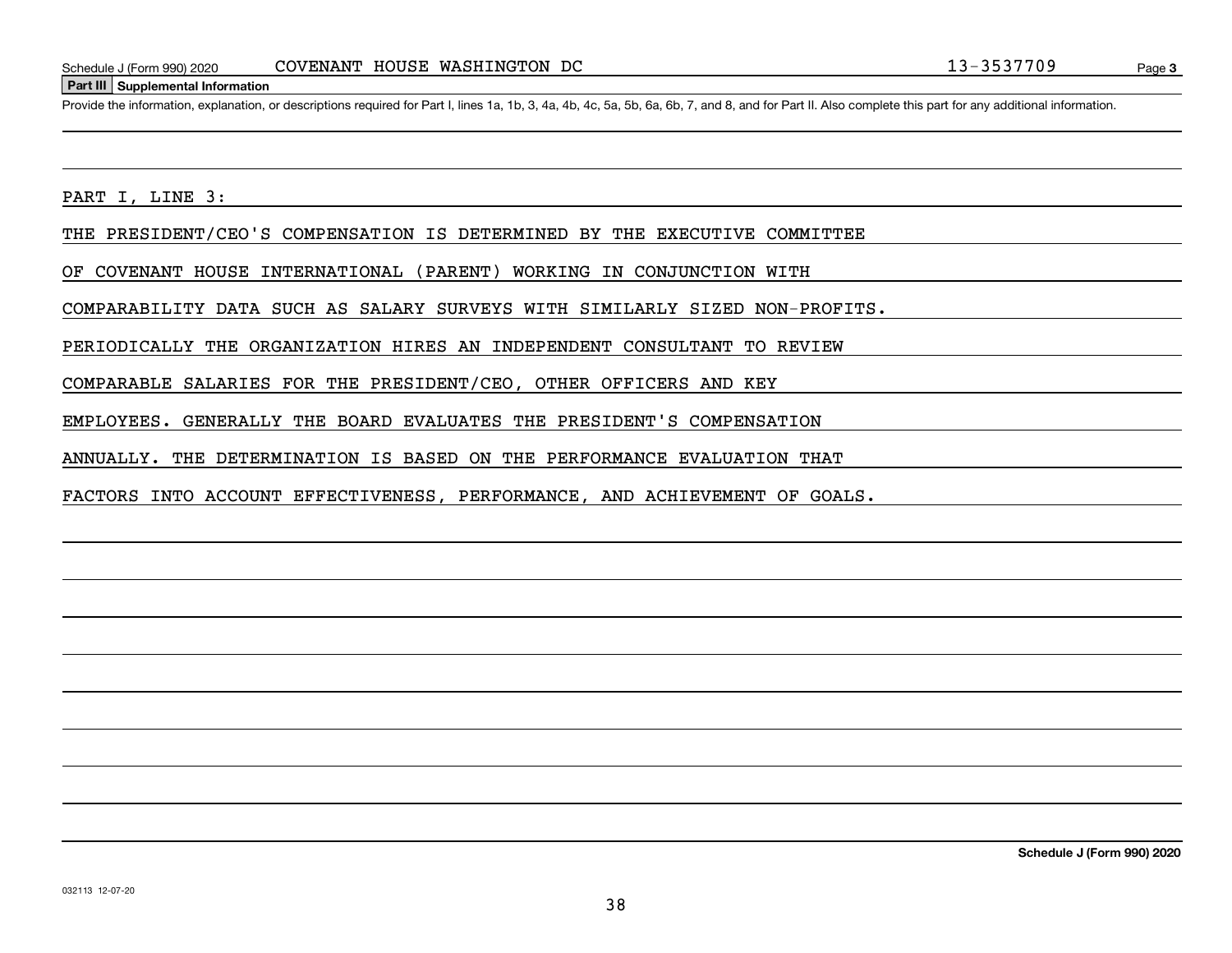#### **Part III Supplemental Information**

Schedule J (Form 990) 2020 COVENANT HOUSE WASHINGTON DC<br>Part III Supplemental Information<br>Provide the information, explanation, or descriptions required for Part I, lines 1a, 1b, 3, 4a, 4b, 4c, 5a, 5b, 6a, 6b, 7, and 8, an

PART I, LINE 3:

THE PRESIDENT/CEO'S COMPENSATION IS DETERMINED BY THE EXECUTIVE COMMITTEE

OF COVENANT HOUSE INTERNATIONAL (PARENT) WORKING IN CONJUNCTION WITH

COMPARABILITY DATA SUCH AS SALARY SURVEYS WITH SIMILARLY SIZED NON-PROFITS.

PERIODICALLY THE ORGANIZATION HIRES AN INDEPENDENT CONSULTANT TO REVIEW

COMPARABLE SALARIES FOR THE PRESIDENT/CEO, OTHER OFFICERS AND KEY

EMPLOYEES. GENERALLY THE BOARD EVALUATES THE PRESIDENT'S COMPENSATION

ANNUALLY. THE DETERMINATION IS BASED ON THE PERFORMANCE EVALUATION THAT

FACTORS INTO ACCOUNT EFFECTIVENESS, PERFORMANCE, AND ACHIEVEMENT OF GOALS.

**Schedule J (Form 990) 2020**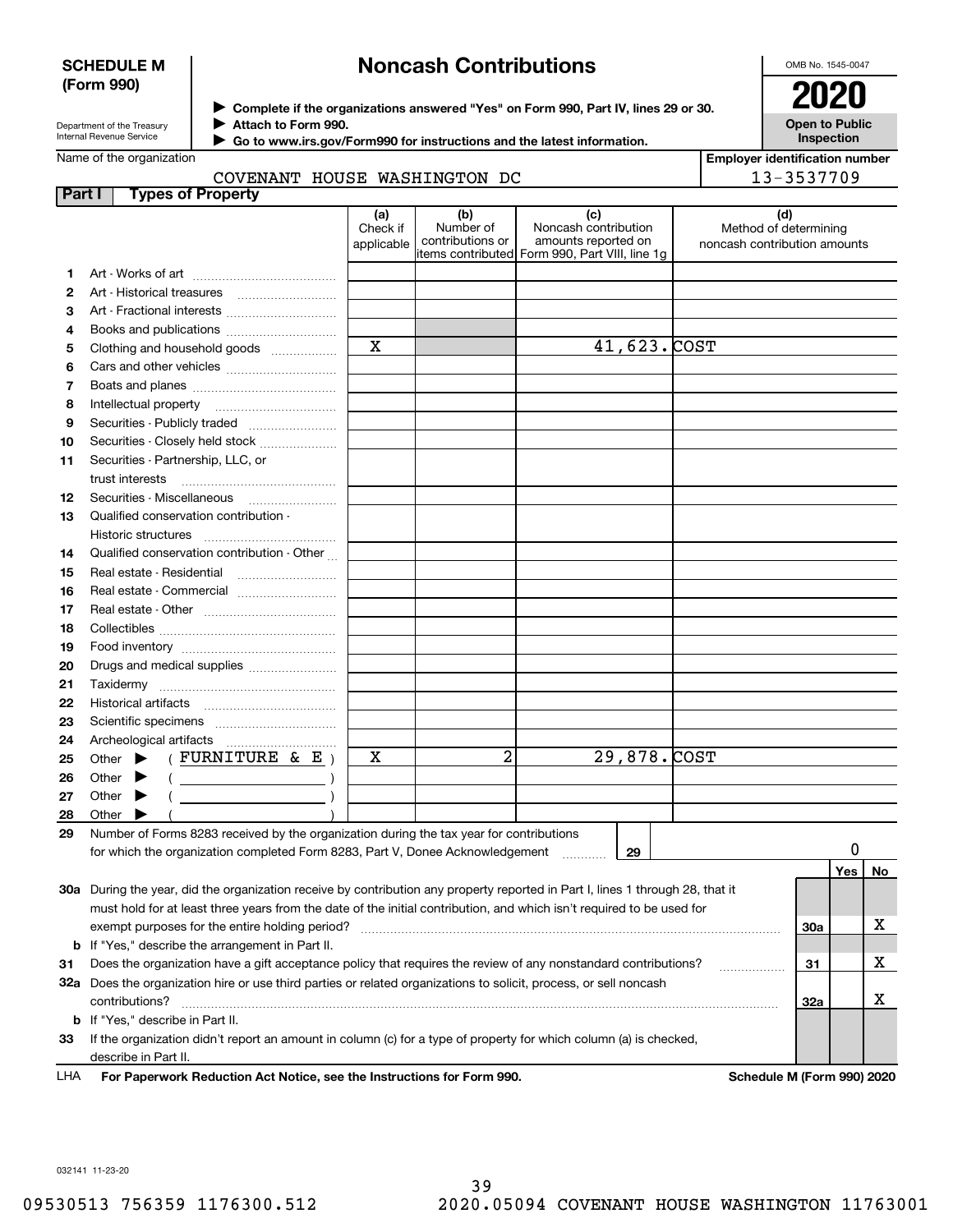# **SCHEDULE M (Form 990)**

# **Noncash Contributions**

OMB No. 1545-0047

**Open to Public**

| Department of the Treasury |
|----------------------------|
| Internal Revenue Service   |

**Complete if the organizations answered "Yes" on Form 990, Part IV, lines 29 or 30.** <sup>J</sup>**2020 Attach to Form 990.** J

 **Go to www.irs.gov/Form990 for instructions and the latest information.** J

|  | Name of the organization |
|--|--------------------------|
|--|--------------------------|

| <b>Inspection</b>                     |
|---------------------------------------|
| <b>Employer identification number</b> |

|               | COVENANT HOUSE WASHINGTON DC                                                                                                   |                               |                                      |                                                                                                      | 13-3537709                                                   |     |           |
|---------------|--------------------------------------------------------------------------------------------------------------------------------|-------------------------------|--------------------------------------|------------------------------------------------------------------------------------------------------|--------------------------------------------------------------|-----|-----------|
| <b>Part I</b> | <b>Types of Property</b>                                                                                                       |                               |                                      |                                                                                                      |                                                              |     |           |
|               |                                                                                                                                | (a)<br>Check if<br>applicable | (b)<br>Number of<br>contributions or | (c)<br>Noncash contribution<br>amounts reported on<br>items contributed Form 990, Part VIII, line 1q | (d)<br>Method of determining<br>noncash contribution amounts |     |           |
| 1             |                                                                                                                                |                               |                                      |                                                                                                      |                                                              |     |           |
| 2             | Art - Historical treasures                                                                                                     |                               |                                      |                                                                                                      |                                                              |     |           |
| з             |                                                                                                                                |                               |                                      |                                                                                                      |                                                              |     |           |
| 4             |                                                                                                                                |                               |                                      |                                                                                                      |                                                              |     |           |
| 5             | Clothing and household goods                                                                                                   | $\mathbf x$                   |                                      | $41,623.$ COST                                                                                       |                                                              |     |           |
| 6             |                                                                                                                                |                               |                                      |                                                                                                      |                                                              |     |           |
| 7             |                                                                                                                                |                               |                                      |                                                                                                      |                                                              |     |           |
| 8             | Intellectual property                                                                                                          |                               |                                      |                                                                                                      |                                                              |     |           |
| 9             | Securities - Publicly traded                                                                                                   |                               |                                      |                                                                                                      |                                                              |     |           |
| 10            | Securities - Closely held stock                                                                                                |                               |                                      |                                                                                                      |                                                              |     |           |
| 11            | Securities - Partnership, LLC, or                                                                                              |                               |                                      |                                                                                                      |                                                              |     |           |
|               | trust interests                                                                                                                |                               |                                      |                                                                                                      |                                                              |     |           |
| 12            | Securities - Miscellaneous                                                                                                     |                               |                                      |                                                                                                      |                                                              |     |           |
| 13            | Qualified conservation contribution -                                                                                          |                               |                                      |                                                                                                      |                                                              |     |           |
|               | Historic structures                                                                                                            |                               |                                      |                                                                                                      |                                                              |     |           |
| 14            | Qualified conservation contribution - Other                                                                                    |                               |                                      |                                                                                                      |                                                              |     |           |
| 15            |                                                                                                                                |                               |                                      |                                                                                                      |                                                              |     |           |
| 16            | Real estate - Commercial                                                                                                       |                               |                                      |                                                                                                      |                                                              |     |           |
| 17            |                                                                                                                                |                               |                                      |                                                                                                      |                                                              |     |           |
| 18            |                                                                                                                                |                               |                                      |                                                                                                      |                                                              |     |           |
| 19            |                                                                                                                                |                               |                                      |                                                                                                      |                                                              |     |           |
| 20            | Drugs and medical supplies                                                                                                     |                               |                                      |                                                                                                      |                                                              |     |           |
| 21            |                                                                                                                                |                               |                                      |                                                                                                      |                                                              |     |           |
| 22            |                                                                                                                                |                               |                                      |                                                                                                      |                                                              |     |           |
| 23            |                                                                                                                                |                               |                                      |                                                                                                      |                                                              |     |           |
| 24            |                                                                                                                                |                               |                                      |                                                                                                      |                                                              |     |           |
| 25            | (FURNITURE & E)<br>Other $\blacktriangleright$                                                                                 | х                             | 2                                    | 29,878. COST                                                                                         |                                                              |     |           |
| 26            | Other<br>$($ $)$                                                                                                               |                               |                                      |                                                                                                      |                                                              |     |           |
| 27            | Other                                                                                                                          |                               |                                      |                                                                                                      |                                                              |     |           |
| 28            | Other                                                                                                                          |                               |                                      |                                                                                                      |                                                              |     |           |
| 29            | Number of Forms 8283 received by the organization during the tax year for contributions                                        |                               |                                      |                                                                                                      |                                                              |     |           |
|               | for which the organization completed Form 8283, Part V, Donee Acknowledgement                                                  |                               |                                      | 29                                                                                                   |                                                              |     |           |
|               |                                                                                                                                |                               |                                      |                                                                                                      |                                                              | Yes | <u>No</u> |
|               | 30a During the year, did the organization receive by contribution any property reported in Part I, lines 1 through 28, that it |                               |                                      |                                                                                                      |                                                              |     |           |
|               | must hold for at least three years from the date of the initial contribution, and which isn't required to be used for          |                               |                                      |                                                                                                      |                                                              |     |           |
|               |                                                                                                                                |                               |                                      |                                                                                                      | 30a                                                          |     | х         |
|               | <b>b</b> If "Yes," describe the arrangement in Part II.                                                                        |                               |                                      |                                                                                                      |                                                              |     |           |
| 31            | Does the organization have a gift acceptance policy that requires the review of any nonstandard contributions?                 |                               |                                      |                                                                                                      | 31                                                           |     | х         |
|               | 32a Does the organization hire or use third parties or related organizations to solicit, process, or sell noncash              |                               |                                      |                                                                                                      |                                                              |     |           |
|               | contributions?                                                                                                                 |                               |                                      |                                                                                                      | 32a                                                          |     | х         |
|               | <b>b</b> If "Yes," describe in Part II.                                                                                        |                               |                                      |                                                                                                      |                                                              |     |           |

**33**If the organization didn't report an amount in column (c) for a type of property for which column (a) is checked, describe in Part II.

**For Paperwork Reduction Act Notice, see the Instructions for Form 990. Schedule M (Form 990) 2020** LHA

032141 11-23-20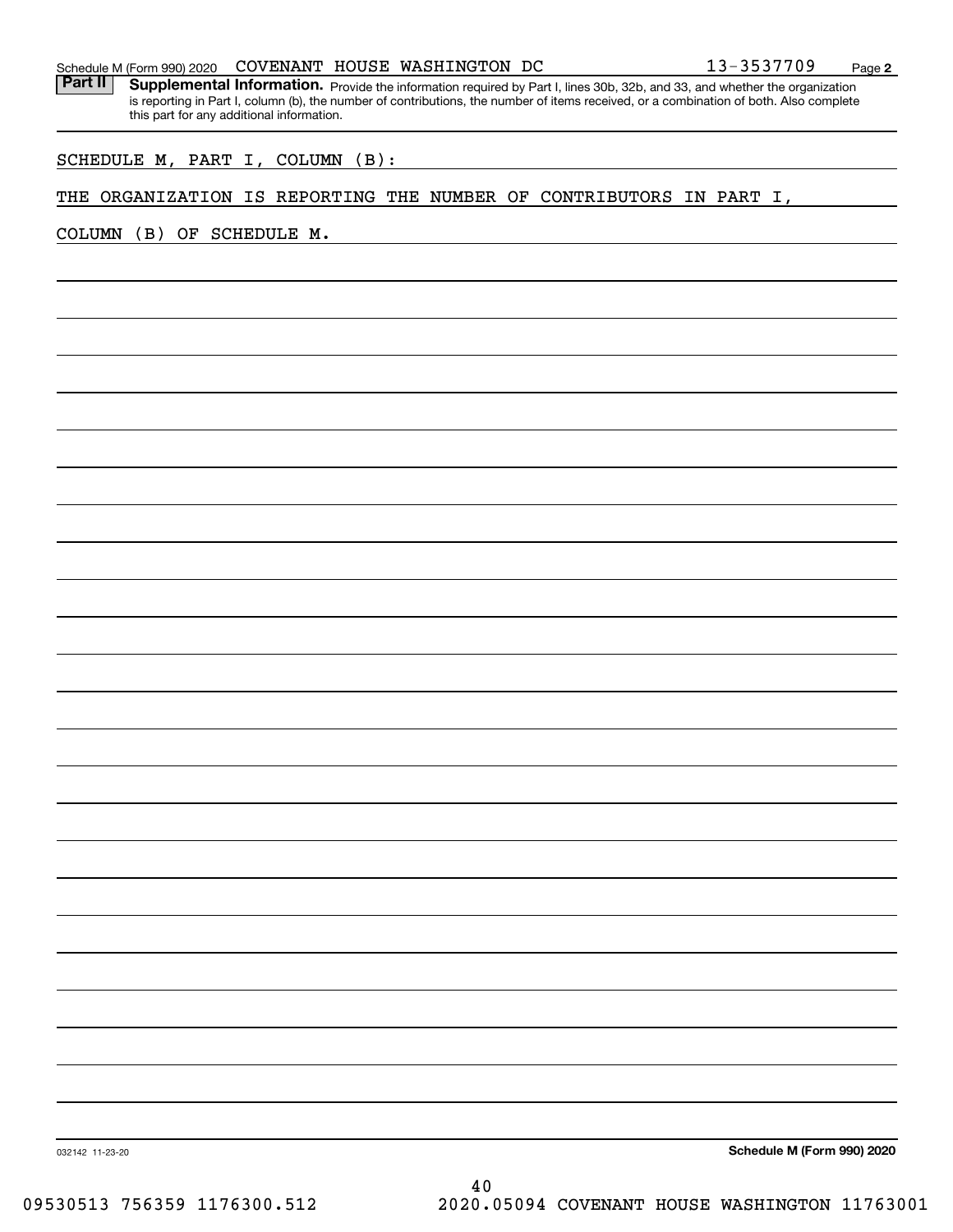| Schedule M (Form 990) 2020 | <b>COVENANT</b> |  | HOUSE WASHINGTON | DC | 3537709 | Page |  |
|----------------------------|-----------------|--|------------------|----|---------|------|--|
|----------------------------|-----------------|--|------------------|----|---------|------|--|

Part II | Supplemental Information. Provide the information required by Part I, lines 30b, 32b, and 33, and whether the organization is reporting in Part I, column (b), the number of contributions, the number of items received, or a combination of both. Also complete this part for any additional information.

SCHEDULE M, PART I, COLUMN (B):

# THE ORGANIZATION IS REPORTING THE NUMBER OF CONTRIBUTORS IN PART I,

COLUMN (B) OF SCHEDULE M.

**Schedule M (Form 990) 2020**

032142 11-23-20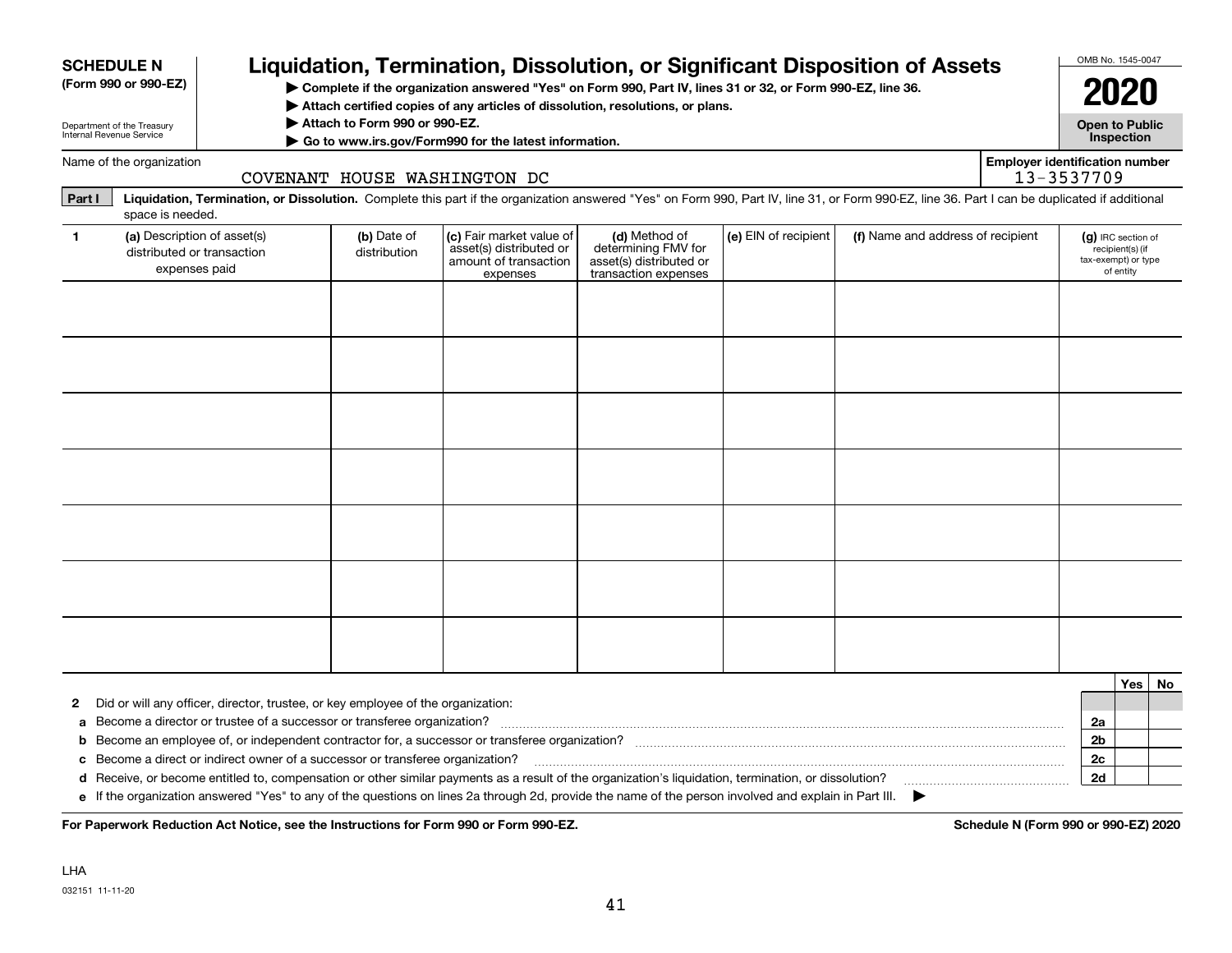| <b>SCHEDULE N</b> | (Form 990 or 990-EZ)       |                                                                                  |                               |                                                                                          | Liquidation, Termination, Dissolution, or Significant Disposition of Assets<br>> Complete if the organization answered "Yes" on Form 990, Part IV, lines 31 or 32, or Form 990-EZ, line 36.                                                                                                                   |                      |                                   |                                       | OMB No. 1545-0047<br>2020                 |                               |    |
|-------------------|----------------------------|----------------------------------------------------------------------------------|-------------------------------|------------------------------------------------------------------------------------------|---------------------------------------------------------------------------------------------------------------------------------------------------------------------------------------------------------------------------------------------------------------------------------------------------------------|----------------------|-----------------------------------|---------------------------------------|-------------------------------------------|-------------------------------|----|
|                   | Department of the Treasury |                                                                                  | Attach to Form 990 or 990-EZ. |                                                                                          | $\blacktriangleright$ Attach certified copies of any articles of dissolution, resolutions, or plans.                                                                                                                                                                                                          |                      |                                   |                                       | <b>Open to Public</b>                     |                               |    |
|                   | Internal Revenue Service   |                                                                                  |                               | Go to www.irs.gov/Form990 for the latest information.                                    |                                                                                                                                                                                                                                                                                                               |                      |                                   |                                       |                                           | Inspection                    |    |
|                   | Name of the organization   |                                                                                  |                               | COVENANT HOUSE WASHINGTON DC                                                             |                                                                                                                                                                                                                                                                                                               |                      |                                   | <b>Employer identification number</b> | 13-3537709                                |                               |    |
| Part I            | space is needed.           |                                                                                  |                               |                                                                                          | Liquidation, Termination, or Dissolution. Complete this part if the organization answered "Yes" on Form 990, Part IV, line 31, or Form 990-EZ, line 36. Part I can be duplicated if additional                                                                                                                |                      |                                   |                                       |                                           |                               |    |
| $\mathbf{1}$      |                            | (a) Description of asset(s)<br>distributed or transaction<br>expenses paid       | (b) Date of<br>distribution   | (c) Fair market value of<br>asset(s) distributed or<br>amount of transaction<br>expenses | (d) Method of<br>determining FMV for<br>asset(s) distributed or<br>transaction expenses                                                                                                                                                                                                                       | (e) EIN of recipient | (f) Name and address of recipient |                                       | (g) IRC section of<br>tax-exempt) or type | recipient(s) (if<br>of entity |    |
|                   |                            |                                                                                  |                               |                                                                                          |                                                                                                                                                                                                                                                                                                               |                      |                                   |                                       |                                           |                               |    |
|                   |                            |                                                                                  |                               |                                                                                          |                                                                                                                                                                                                                                                                                                               |                      |                                   |                                       |                                           |                               |    |
|                   |                            |                                                                                  |                               |                                                                                          |                                                                                                                                                                                                                                                                                                               |                      |                                   |                                       |                                           |                               |    |
|                   |                            |                                                                                  |                               |                                                                                          |                                                                                                                                                                                                                                                                                                               |                      |                                   |                                       |                                           |                               |    |
|                   |                            |                                                                                  |                               |                                                                                          |                                                                                                                                                                                                                                                                                                               |                      |                                   |                                       |                                           |                               |    |
|                   |                            |                                                                                  |                               |                                                                                          |                                                                                                                                                                                                                                                                                                               |                      |                                   |                                       |                                           |                               |    |
|                   |                            |                                                                                  |                               |                                                                                          |                                                                                                                                                                                                                                                                                                               |                      |                                   |                                       |                                           |                               |    |
|                   |                            |                                                                                  |                               |                                                                                          |                                                                                                                                                                                                                                                                                                               |                      |                                   |                                       |                                           |                               |    |
|                   |                            |                                                                                  |                               |                                                                                          |                                                                                                                                                                                                                                                                                                               |                      |                                   |                                       |                                           |                               |    |
| 2                 |                            | Did or will any officer, director, trustee, or key employee of the organization: |                               |                                                                                          |                                                                                                                                                                                                                                                                                                               |                      |                                   |                                       |                                           | <b>Yes</b>                    | No |
| a<br>b            |                            |                                                                                  |                               |                                                                                          |                                                                                                                                                                                                                                                                                                               |                      |                                   |                                       | 2a<br>2 <sub>b</sub>                      |                               |    |
| c                 |                            | Become a direct or indirect owner of a successor or transferee organization?     |                               |                                                                                          |                                                                                                                                                                                                                                                                                                               |                      |                                   |                                       | 2c                                        |                               |    |
|                   |                            |                                                                                  |                               |                                                                                          | d Receive, or become entitled to, compensation or other similar payments as a result of the organization's liquidation, termination, or dissolution?<br>e If the organization answered "Yes" to any of the questions on lines 2a through 2d, provide the name of the person involved and explain in Part III. |                      |                                   |                                       | 2d                                        |                               |    |

For Paperwork Reduction Act Notice, see the Instructions for Form 990 or Form 990-EZ.<br> **For Paperwork Reduction Act Notice, see the Instructions for Form 990 or Form 990-EZ.**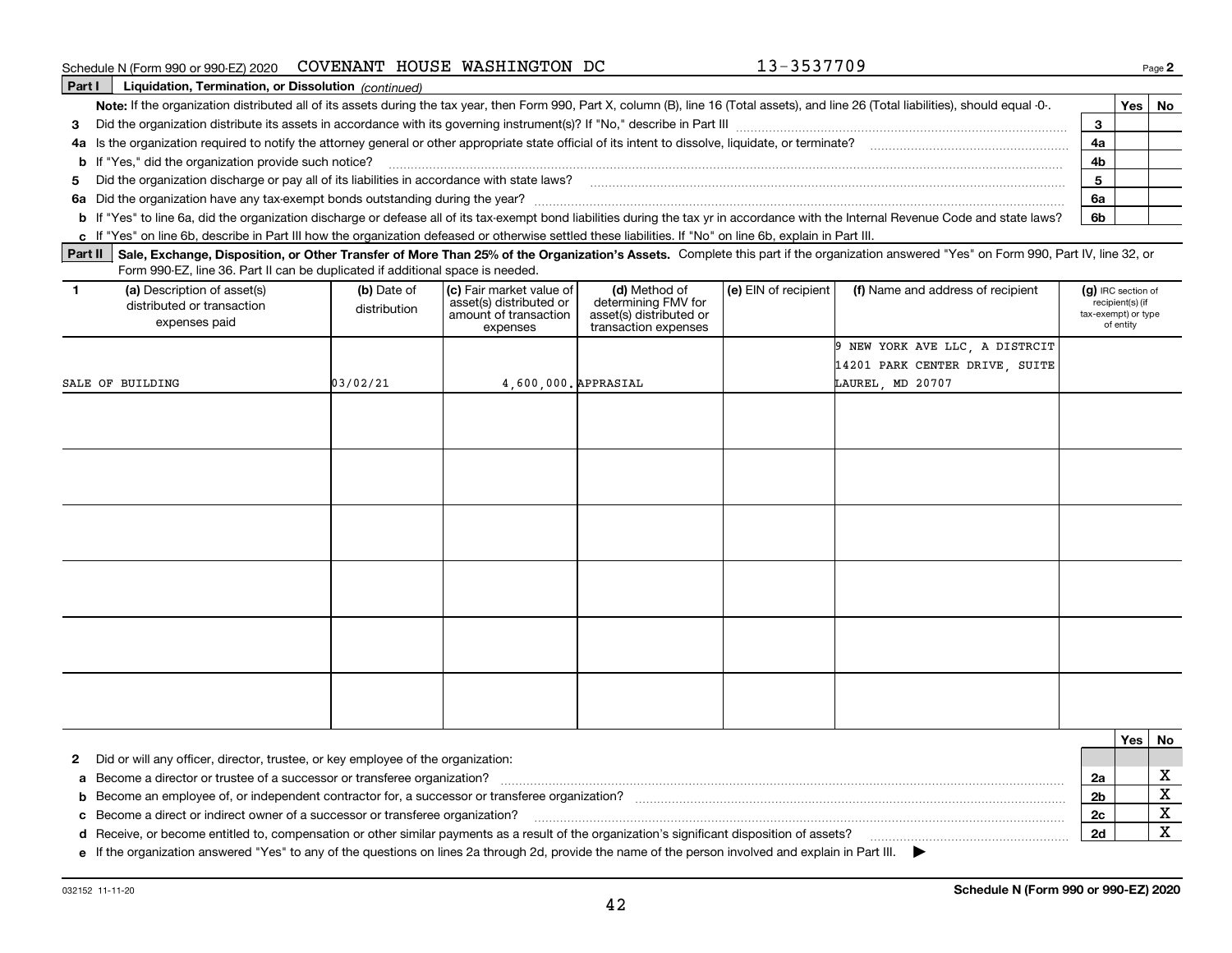| Schedule N (Form 990 or 990-EZ) 2020 |  |  | COVENANT HOUSE WASHINGTON DC |  |
|--------------------------------------|--|--|------------------------------|--|
|--------------------------------------|--|--|------------------------------|--|

**Part I Liquidation, Termination, or Dissolution** *(continued)* Note: If the organization distributed all of its assets during the tax year, then Form 990, Part X, column (B), line 16 (Total assets), and line 26 (Total liabilities), should equal -0-. \_\_\_\_\_\_\_ | Yes | No **3** Did the organization distribute its assets in accordance with its governing instrument(s)? If "No," describe in Part III ~~~~~~~~~~~~~~~~~~~~~~~~~~~~~~ **4a** Is the organization required to notify the attorney general or other appropriate state official of its intent to dissolve, liquidate, or terminate?  $\ldots$   $\ldots$   $\ldots$   $\ldots$   $\ldots$   $\ldots$   $\ldots$   $\ldots$   $\ldots$   $\ldots$   $\ldots$   $\ld$ **5**Did the organization discharge or pay all of its liabilities in accordance with state laws? ~~~~~~~~~~~~~~~~~~~~~~~~~~~~~~~~~~~~~~~~~~~ **6a** Did the organization have any tax-exempt bonds outstanding during the year? ~~~~~~~~~~~~~~~~~~~~~~~~~~~~~~~~~~~~~~~~~~~~~~~~ **34a4b56a6bb**If "Yes," did the organization provide such notice? ~~~~~~~~~~~~~~~~~~~~~~~~~~~~~~~~~~~~~~~~~~~~~~~~~~~~~~~~~~~~~**b** If "Yes" to line 6a, did the organization discharge or defease all of its tax-exempt bond liabilities during the tax yr in accordance with the Internal Revenue Code and state laws?

**c**If "Yes" on line 6b, describe in Part III how the organization defeased or otherwise settled these liabilities. If "No" on line 6b, explain in Part III.

Part II | Sale, Exchange, Disposition, or Other Transfer of More Than 25% of the Organization's Assets. Complete this part if the organization answered "Yes" on Form 990, Part IV, line 32, or Form 990-EZ, line 36. Part II can be duplicated if additional space is needed.

| (a) Description of asset(s)<br>$\mathbf{1}$<br>distributed or transaction<br>expenses paid | (b) Date of<br>distribution | (c) Fair market value of<br>asset(s) distributed or<br>amount of transaction<br>expenses | (d) Method of<br>determining FMV for<br>asset(s) distributed or<br>transaction expenses | (e) EIN of recipient | (f) Name and address of recipient | (g) IRC section of<br>recipient(s) (if<br>tax-exempt) or type<br>of entity |
|--------------------------------------------------------------------------------------------|-----------------------------|------------------------------------------------------------------------------------------|-----------------------------------------------------------------------------------------|----------------------|-----------------------------------|----------------------------------------------------------------------------|
|                                                                                            |                             |                                                                                          |                                                                                         |                      | 9 NEW YORK AVE LLC, A DISTRCIT    |                                                                            |
|                                                                                            |                             |                                                                                          |                                                                                         |                      | 14201 PARK CENTER DRIVE, SUITE    |                                                                            |
| SALE OF BUILDING                                                                           | 03/02/21                    | 4,600,000. APPRASIAL                                                                     |                                                                                         |                      | LAUREL, MD 20707                  |                                                                            |
|                                                                                            |                             |                                                                                          |                                                                                         |                      |                                   |                                                                            |
|                                                                                            |                             |                                                                                          |                                                                                         |                      |                                   |                                                                            |
|                                                                                            |                             |                                                                                          |                                                                                         |                      |                                   |                                                                            |
|                                                                                            |                             |                                                                                          |                                                                                         |                      |                                   |                                                                            |
|                                                                                            |                             |                                                                                          |                                                                                         |                      |                                   |                                                                            |
|                                                                                            |                             |                                                                                          |                                                                                         |                      |                                   |                                                                            |
|                                                                                            |                             |                                                                                          |                                                                                         |                      |                                   |                                                                            |
|                                                                                            |                             |                                                                                          |                                                                                         |                      |                                   |                                                                            |
|                                                                                            |                             |                                                                                          |                                                                                         |                      |                                   |                                                                            |
|                                                                                            |                             |                                                                                          |                                                                                         |                      |                                   |                                                                            |
|                                                                                            |                             |                                                                                          |                                                                                         |                      |                                   |                                                                            |
|                                                                                            |                             |                                                                                          |                                                                                         |                      |                                   |                                                                            |
|                                                                                            |                             |                                                                                          |                                                                                         |                      |                                   |                                                                            |
|                                                                                            |                             |                                                                                          |                                                                                         |                      |                                   |                                                                            |
|                                                                                            |                             |                                                                                          |                                                                                         |                      |                                   |                                                                            |
|                                                                                            |                             |                                                                                          |                                                                                         |                      |                                   |                                                                            |
|                                                                                            |                             |                                                                                          |                                                                                         |                      |                                   |                                                                            |

|                                                                                                                                                       | Yes | No |
|-------------------------------------------------------------------------------------------------------------------------------------------------------|-----|----|
| 2 Did or will any officer, director, trustee, or key employee of the organization:                                                                    |     |    |
| a Become a director or trustee of a successor or transferee organization?                                                                             |     |    |
| <b>b</b> Become an employee of, or independent contractor for, a successor or transferee organization?                                                |     |    |
| c Become a direct or indirect owner of a successor or transferee organization?                                                                        |     |    |
| d Receive, or become entitled to, compensation or other similar payments as a result of the organization's significant disposition of assets?         |     |    |
| e If the organization answered "Yes" to any of the questions on lines 2a through 2d, provide the name of the person involved and explain in Part III. |     |    |

**e**If the organization answered "Yes" to any of the questions on lines 2a through 2d, provide the name of the person involved and explain in Part III.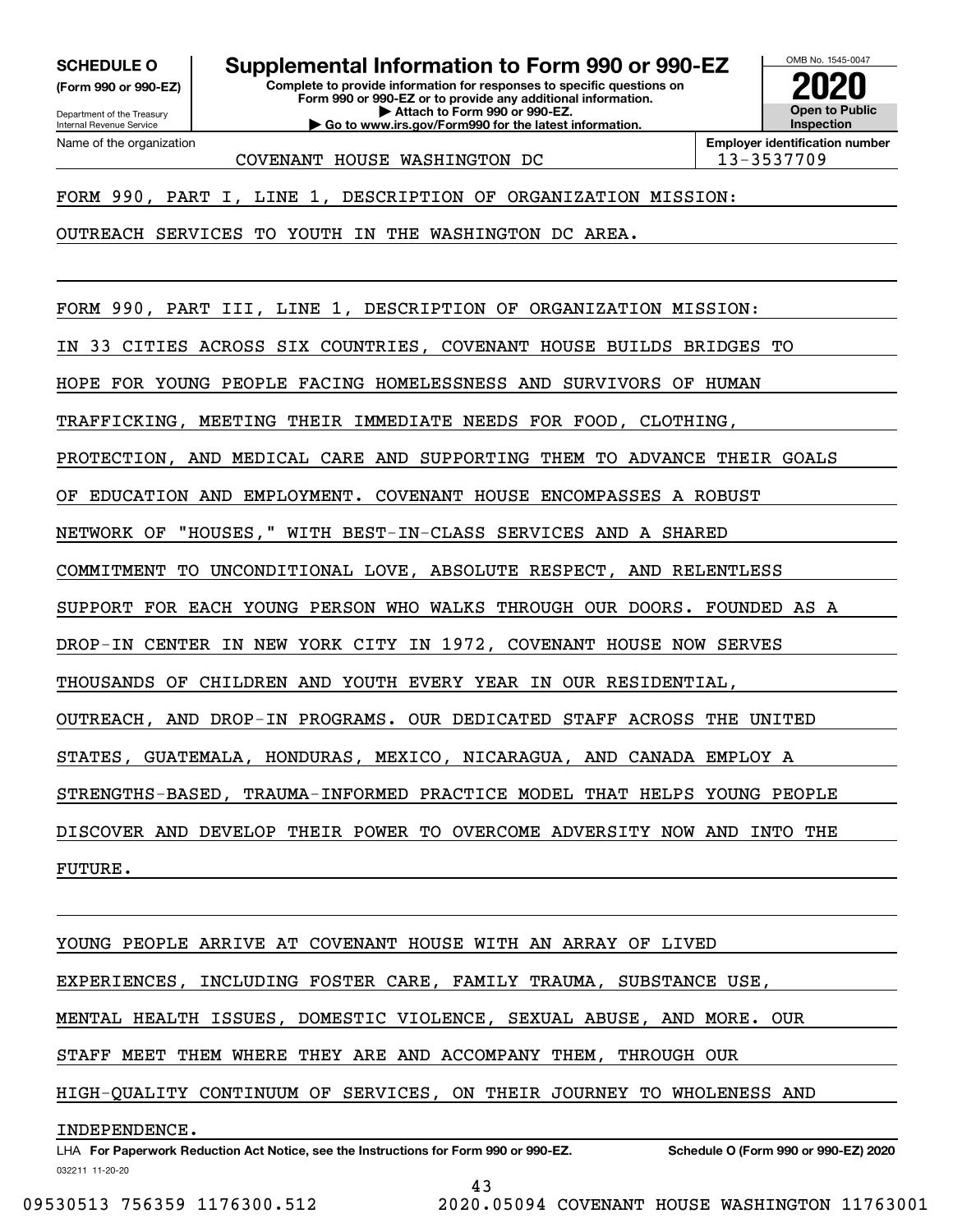**(Form 990 or 990-EZ)**

Department of the Treasury Internal Revenue Service Name of the organization

**SCHEDULE O Supplemental Information to Form 990 or 990-EZ**

**Complete to provide information for responses to specific questions on Form 990 or 990-EZ or to provide any additional information. | Attach to Form 990 or 990-EZ. | Go to www.irs.gov/Form990 for the latest information.**



COVENANT HOUSE WASHINGTON DC  $\vert$  13-3537709

FORM 990, PART I, LINE 1, DESCRIPTION OF ORGANIZATION MISSION:

OUTREACH SERVICES TO YOUTH IN THE WASHINGTON DC AREA.

FORM 990, PART III, LINE 1, DESCRIPTION OF ORGANIZATION MISSION:

IN 33 CITIES ACROSS SIX COUNTRIES, COVENANT HOUSE BUILDS BRIDGES TO

HOPE FOR YOUNG PEOPLE FACING HOMELESSNESS AND SURVIVORS OF HUMAN

TRAFFICKING, MEETING THEIR IMMEDIATE NEEDS FOR FOOD, CLOTHING,

PROTECTION, AND MEDICAL CARE AND SUPPORTING THEM TO ADVANCE THEIR GOALS

OF EDUCATION AND EMPLOYMENT. COVENANT HOUSE ENCOMPASSES A ROBUST

NETWORK OF "HOUSES," WITH BEST-IN-CLASS SERVICES AND A SHARED

COMMITMENT TO UNCONDITIONAL LOVE, ABSOLUTE RESPECT, AND RELENTLESS

SUPPORT FOR EACH YOUNG PERSON WHO WALKS THROUGH OUR DOORS. FOUNDED AS A

DROP-IN CENTER IN NEW YORK CITY IN 1972, COVENANT HOUSE NOW SERVES

THOUSANDS OF CHILDREN AND YOUTH EVERY YEAR IN OUR RESIDENTIAL,

OUTREACH, AND DROP-IN PROGRAMS. OUR DEDICATED STAFF ACROSS THE UNITED

STATES, GUATEMALA, HONDURAS, MEXICO, NICARAGUA, AND CANADA EMPLOY A

STRENGTHS-BASED, TRAUMA-INFORMED PRACTICE MODEL THAT HELPS YOUNG PEOPLE

DISCOVER AND DEVELOP THEIR POWER TO OVERCOME ADVERSITY NOW AND INTO THE

FUTURE.

YOUNG PEOPLE ARRIVE AT COVENANT HOUSE WITH AN ARRAY OF LIVED EXPERIENCES, INCLUDING FOSTER CARE, FAMILY TRAUMA, SUBSTANCE USE, MENTAL HEALTH ISSUES, DOMESTIC VIOLENCE, SEXUAL ABUSE, AND MORE. OUR STAFF MEET THEM WHERE THEY ARE AND ACCOMPANY THEM, THROUGH OUR HIGH-QUALITY CONTINUUM OF SERVICES, ON THEIR JOURNEY TO WHOLENESS AND INDEPENDENCE.

032211 11-20-20 LHA For Paperwork Reduction Act Notice, see the Instructions for Form 990 or 990-EZ. Schedule O (Form 990 or 990-EZ) 2020 43

09530513 756359 1176300.512 2020.05094 COVENANT HOUSE WASHINGTON 11763001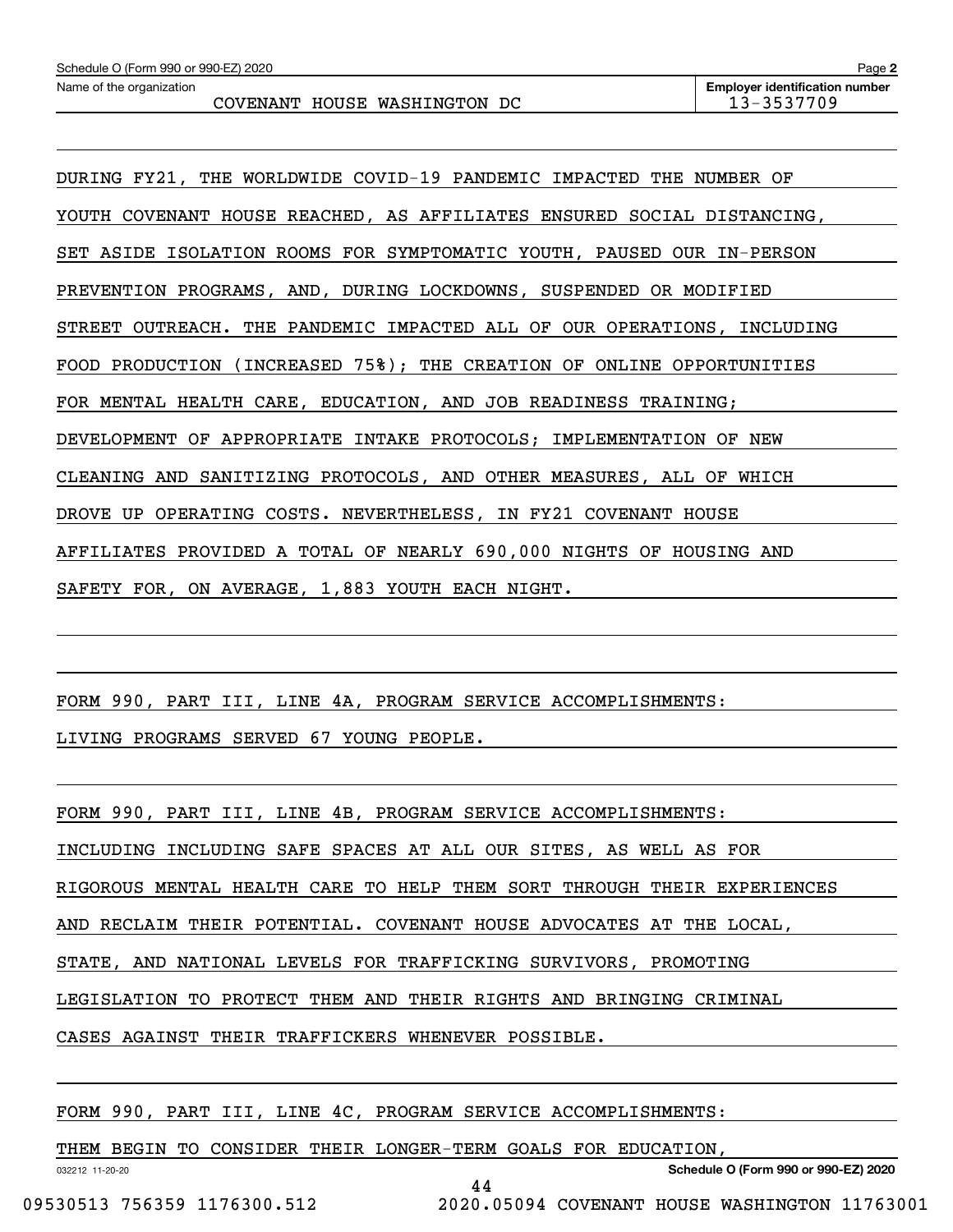DURING FY21, THE WORLDWIDE COVID-19 PANDEMIC IMPACTED THE NUMBER OF YOUTH COVENANT HOUSE REACHED, AS AFFILIATES ENSURED SOCIAL DISTANCING, SET ASIDE ISOLATION ROOMS FOR SYMPTOMATIC YOUTH, PAUSED OUR IN-PERSON PREVENTION PROGRAMS, AND, DURING LOCKDOWNS, SUSPENDED OR MODIFIED STREET OUTREACH. THE PANDEMIC IMPACTED ALL OF OUR OPERATIONS, INCLUDING FOOD PRODUCTION (INCREASED 75%); THE CREATION OF ONLINE OPPORTUNITIES FOR MENTAL HEALTH CARE, EDUCATION, AND JOB READINESS TRAINING; DEVELOPMENT OF APPROPRIATE INTAKE PROTOCOLS; IMPLEMENTATION OF NEW CLEANING AND SANITIZING PROTOCOLS, AND OTHER MEASURES, ALL OF WHICH DROVE UP OPERATING COSTS. NEVERTHELESS, IN FY21 COVENANT HOUSE AFFILIATES PROVIDED A TOTAL OF NEARLY 690,000 NIGHTS OF HOUSING AND SAFETY FOR, ON AVERAGE, 1,883 YOUTH EACH NIGHT.

FORM 990, PART III, LINE 4A, PROGRAM SERVICE ACCOMPLISHMENTS:

LIVING PROGRAMS SERVED 67 YOUNG PEOPLE.

FORM 990, PART III, LINE 4B, PROGRAM SERVICE ACCOMPLISHMENTS:

INCLUDING INCLUDING SAFE SPACES AT ALL OUR SITES, AS WELL AS FOR

RIGOROUS MENTAL HEALTH CARE TO HELP THEM SORT THROUGH THEIR EXPERIENCES

AND RECLAIM THEIR POTENTIAL. COVENANT HOUSE ADVOCATES AT THE LOCAL,

STATE, AND NATIONAL LEVELS FOR TRAFFICKING SURVIVORS, PROMOTING

LEGISLATION TO PROTECT THEM AND THEIR RIGHTS AND BRINGING CRIMINAL

CASES AGAINST THEIR TRAFFICKERS WHENEVER POSSIBLE.

FORM 990, PART III, LINE 4C, PROGRAM SERVICE ACCOMPLISHMENTS:

THEM BEGIN TO CONSIDER THEIR LONGER-TERM GOALS FOR EDUCATION,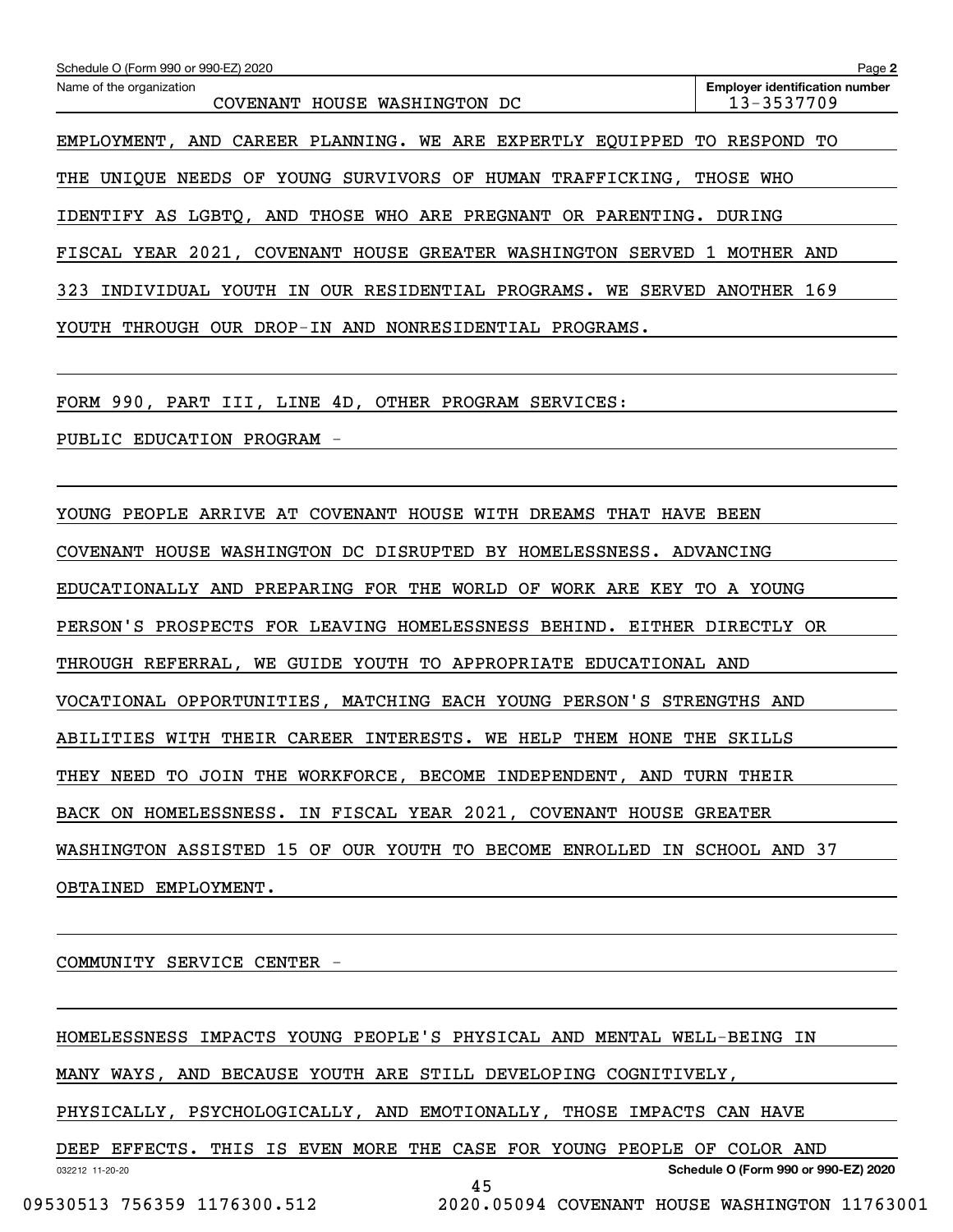| Schedule O (Form 990 or 990-EZ) 2020                           | Page 2                                              |
|----------------------------------------------------------------|-----------------------------------------------------|
| Name of the organization<br>COVENANT HOUSE WASHINGTON DC       | <b>Employer identification number</b><br>13-3537709 |
| EMPLOYMENT, AND CAREER PLANNING. WE ARE EXPERTLY EOUIPPED TO   | RESPOND TO                                          |
| UNIOUE NEEDS OF YOUNG SURVIVORS OF HUMAN TRAFFICKING.<br>THE   | THOSE WHO                                           |
| IDENTIFY AS LGBTO, AND THOSE WHO ARE PREGNANT OR PARENTING.    | DURING                                              |
| FISCAL YEAR 2021, COVENANT HOUSE GREATER WASHINGTON SERVED 1   | MOTHER AND                                          |
| 323<br>INDIVIDUAL YOUTH IN OUR RESIDENTIAL PROGRAMS. WE SERVED | ANOTHER 169                                         |
| OUR DROP-IN AND NONRESIDENTIAL PROGRAMS.<br>THROUGH<br>YOUTH   |                                                     |
|                                                                |                                                     |

FORM 990, PART III, LINE 4D, OTHER PROGRAM SERVICES:

PUBLIC EDUCATION PROGRAM -

YOUNG PEOPLE ARRIVE AT COVENANT HOUSE WITH DREAMS THAT HAVE BEEN COVENANT HOUSE WASHINGTON DC DISRUPTED BY HOMELESSNESS. ADVANCING EDUCATIONALLY AND PREPARING FOR THE WORLD OF WORK ARE KEY TO A YOUNG PERSON'S PROSPECTS FOR LEAVING HOMELESSNESS BEHIND. EITHER DIRECTLY OR THROUGH REFERRAL, WE GUIDE YOUTH TO APPROPRIATE EDUCATIONAL AND VOCATIONAL OPPORTUNITIES, MATCHING EACH YOUNG PERSON'S STRENGTHS AND ABILITIES WITH THEIR CAREER INTERESTS. WE HELP THEM HONE THE SKILLS THEY NEED TO JOIN THE WORKFORCE, BECOME INDEPENDENT, AND TURN THEIR BACK ON HOMELESSNESS. IN FISCAL YEAR 2021, COVENANT HOUSE GREATER WASHINGTON ASSISTED 15 OF OUR YOUTH TO BECOME ENROLLED IN SCHOOL AND 37 OBTAINED EMPLOYMENT.

COMMUNITY SERVICE CENTER -

032212 11-20-20 **Schedule O (Form 990 or 990-EZ) 2020** HOMELESSNESS IMPACTS YOUNG PEOPLE'S PHYSICAL AND MENTAL WELL-BEING IN MANY WAYS, AND BECAUSE YOUTH ARE STILL DEVELOPING COGNITIVELY, PHYSICALLY, PSYCHOLOGICALLY, AND EMOTIONALLY, THOSE IMPACTS CAN HAVE DEEP EFFECTS. THIS IS EVEN MORE THE CASE FOR YOUNG PEOPLE OF COLOR AND 45 09530513 756359 1176300.512 2020.05094 COVENANT HOUSE WASHINGTON 11763001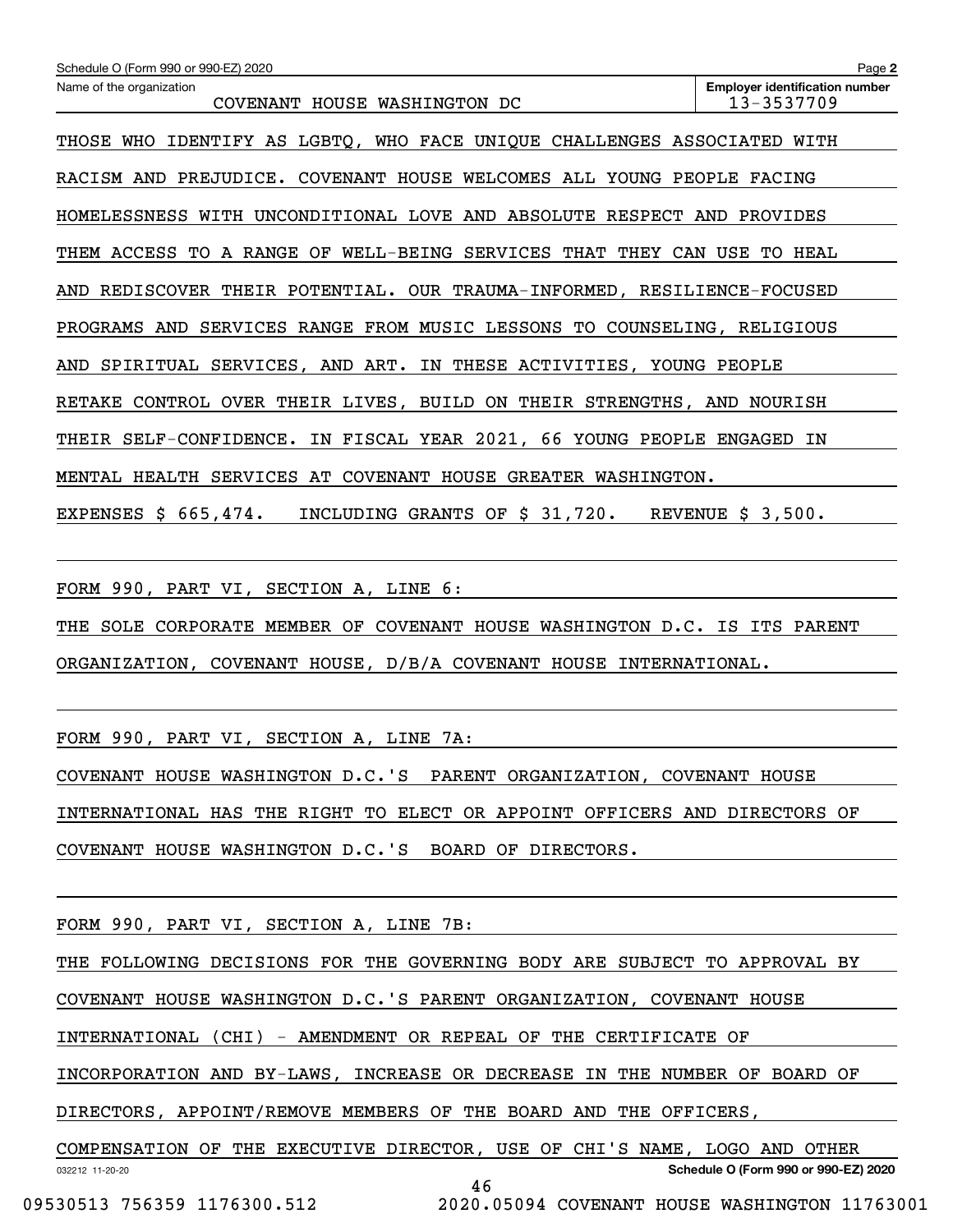| Page 2                                                                              |
|-------------------------------------------------------------------------------------|
| <b>Employer identification number</b><br>13-3537709<br>COVENANT HOUSE WASHINGTON DC |
| IDENTIFY AS LGBTQ, WHO FACE UNIQUE CHALLENGES ASSOCIATED WITH                       |
| RACISM AND PREJUDICE. COVENANT HOUSE WELCOMES ALL YOUNG PEOPLE FACING               |
| HOMELESSNESS WITH UNCONDITIONAL LOVE AND ABSOLUTE RESPECT AND PROVIDES              |
| THEM ACCESS TO A RANGE OF WELL-BEING SERVICES THAT<br>THEY CAN USE TO HEAL          |
| REDISCOVER THEIR POTENTIAL. OUR TRAUMA-INFORMED, RESILIENCE-FOCUSED                 |
| PROGRAMS AND SERVICES RANGE FROM MUSIC LESSONS TO COUNSELING, RELIGIOUS             |
| AND SPIRITUAL SERVICES, AND ART. IN THESE ACTIVITIES, YOUNG PEOPLE                  |
| RETAKE CONTROL OVER THEIR LIVES, BUILD ON THEIR STRENGTHS, AND NOURISH              |
| THEIR SELF-CONFIDENCE. IN FISCAL YEAR 2021, 66 YOUNG PEOPLE ENGAGED IN              |
| MENTAL HEALTH SERVICES AT COVENANT HOUSE GREATER WASHINGTON.                        |
| EXPENSES $$665,474.$<br>INCLUDING GRANTS OF \$ 31,720. REVENUE \$ 3,500.            |
|                                                                                     |
|                                                                                     |

FORM 990, PART VI, SECTION A, LINE 6:

THE SOLE CORPORATE MEMBER OF COVENANT HOUSE WASHINGTON D.C. IS ITS PARENT ORGANIZATION, COVENANT HOUSE, D/B/A COVENANT HOUSE INTERNATIONAL.

FORM 990, PART VI, SECTION A, LINE 7A:

COVENANT HOUSE WASHINGTON D.C.'S PARENT ORGANIZATION, COVENANT HOUSE INTERNATIONAL HAS THE RIGHT TO ELECT OR APPOINT OFFICERS AND DIRECTORS OF COVENANT HOUSE WASHINGTON D.C.'S BOARD OF DIRECTORS.

FORM 990, PART VI, SECTION A, LINE 7B:

THE FOLLOWING DECISIONS FOR THE GOVERNING BODY ARE SUBJECT TO APPROVAL BY

COVENANT HOUSE WASHINGTON D.C.'S PARENT ORGANIZATION, COVENANT HOUSE

INTERNATIONAL (CHI) - AMENDMENT OR REPEAL OF THE CERTIFICATE OF

INCORPORATION AND BY-LAWS, INCREASE OR DECREASE IN THE NUMBER OF BOARD OF

DIRECTORS, APPOINT/REMOVE MEMBERS OF THE BOARD AND THE OFFICERS,

032212 11-20-20 **Schedule O (Form 990 or 990-EZ) 2020** COMPENSATION OF THE EXECUTIVE DIRECTOR, USE OF CHI'S NAME, LOGO AND OTHER 46

09530513 756359 1176300.512 2020.05094 COVENANT HOUSE WASHINGTON 11763001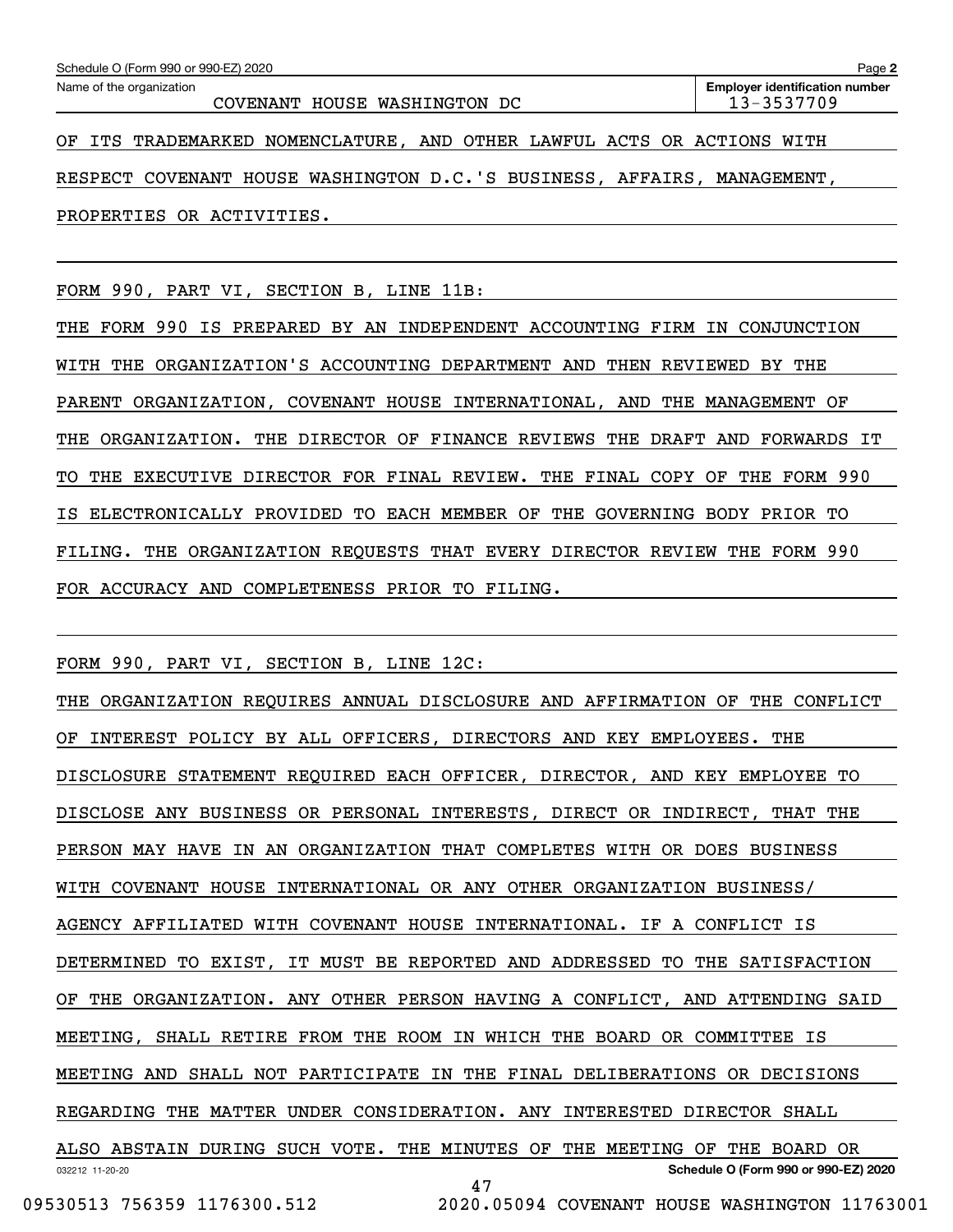| Schedule O (Form 990 or 990-EZ) 2020                                    | Page 2                                              |
|-------------------------------------------------------------------------|-----------------------------------------------------|
| Name of the organization<br>COVENANT HOUSE WASHINGTON DC                | <b>Employer identification number</b><br>13-3537709 |
| OF ITS TRADEMARKED NOMENCLATURE, AND OTHER LAWFUL ACTS OR ACTIONS WITH  |                                                     |
| RESPECT COVENANT HOUSE WASHINGTON D.C.'S BUSINESS, AFFAIRS, MANAGEMENT, |                                                     |
| PROPERTIES OR ACTIVITIES.                                               |                                                     |

FORM 990, PART VI, SECTION B, LINE 11B:

THE FORM 990 IS PREPARED BY AN INDEPENDENT ACCOUNTING FIRM IN CONJUNCTION WITH THE ORGANIZATION'S ACCOUNTING DEPARTMENT AND THEN REVIEWED BY THE PARENT ORGANIZATION, COVENANT HOUSE INTERNATIONAL, AND THE MANAGEMENT OF THE ORGANIZATION. THE DIRECTOR OF FINANCE REVIEWS THE DRAFT AND FORWARDS IT TO THE EXECUTIVE DIRECTOR FOR FINAL REVIEW. THE FINAL COPY OF THE FORM 990 IS ELECTRONICALLY PROVIDED TO EACH MEMBER OF THE GOVERNING BODY PRIOR TO FILING. THE ORGANIZATION REQUESTS THAT EVERY DIRECTOR REVIEW THE FORM 990 FOR ACCURACY AND COMPLETENESS PRIOR TO FILING.

FORM 990, PART VI, SECTION B, LINE 12C:

032212 11-20-20 **Schedule O (Form 990 or 990-EZ) 2020** THE ORGANIZATION REQUIRES ANNUAL DISCLOSURE AND AFFIRMATION OF THE CONFLICT OF INTEREST POLICY BY ALL OFFICERS, DIRECTORS AND KEY EMPLOYEES. THE DISCLOSURE STATEMENT REQUIRED EACH OFFICER, DIRECTOR, AND KEY EMPLOYEE TO DISCLOSE ANY BUSINESS OR PERSONAL INTERESTS, DIRECT OR INDIRECT, THAT THE PERSON MAY HAVE IN AN ORGANIZATION THAT COMPLETES WITH OR DOES BUSINESS WITH COVENANT HOUSE INTERNATIONAL OR ANY OTHER ORGANIZATION BUSINESS/ AGENCY AFFILIATED WITH COVENANT HOUSE INTERNATIONAL. IF A CONFLICT IS DETERMINED TO EXIST, IT MUST BE REPORTED AND ADDRESSED TO THE SATISFACTION OF THE ORGANIZATION. ANY OTHER PERSON HAVING A CONFLICT, AND ATTENDING SAID MEETING, SHALL RETIRE FROM THE ROOM IN WHICH THE BOARD OR COMMITTEE IS MEETING AND SHALL NOT PARTICIPATE IN THE FINAL DELIBERATIONS OR DECISIONS REGARDING THE MATTER UNDER CONSIDERATION. ANY INTERESTED DIRECTOR SHALL ALSO ABSTAIN DURING SUCH VOTE. THE MINUTES OF THE MEETING OF THE BOARD OR 47

 <sup>09530513 756359 1176300.512 2020.05094</sup> COVENANT HOUSE WASHINGTON 11763001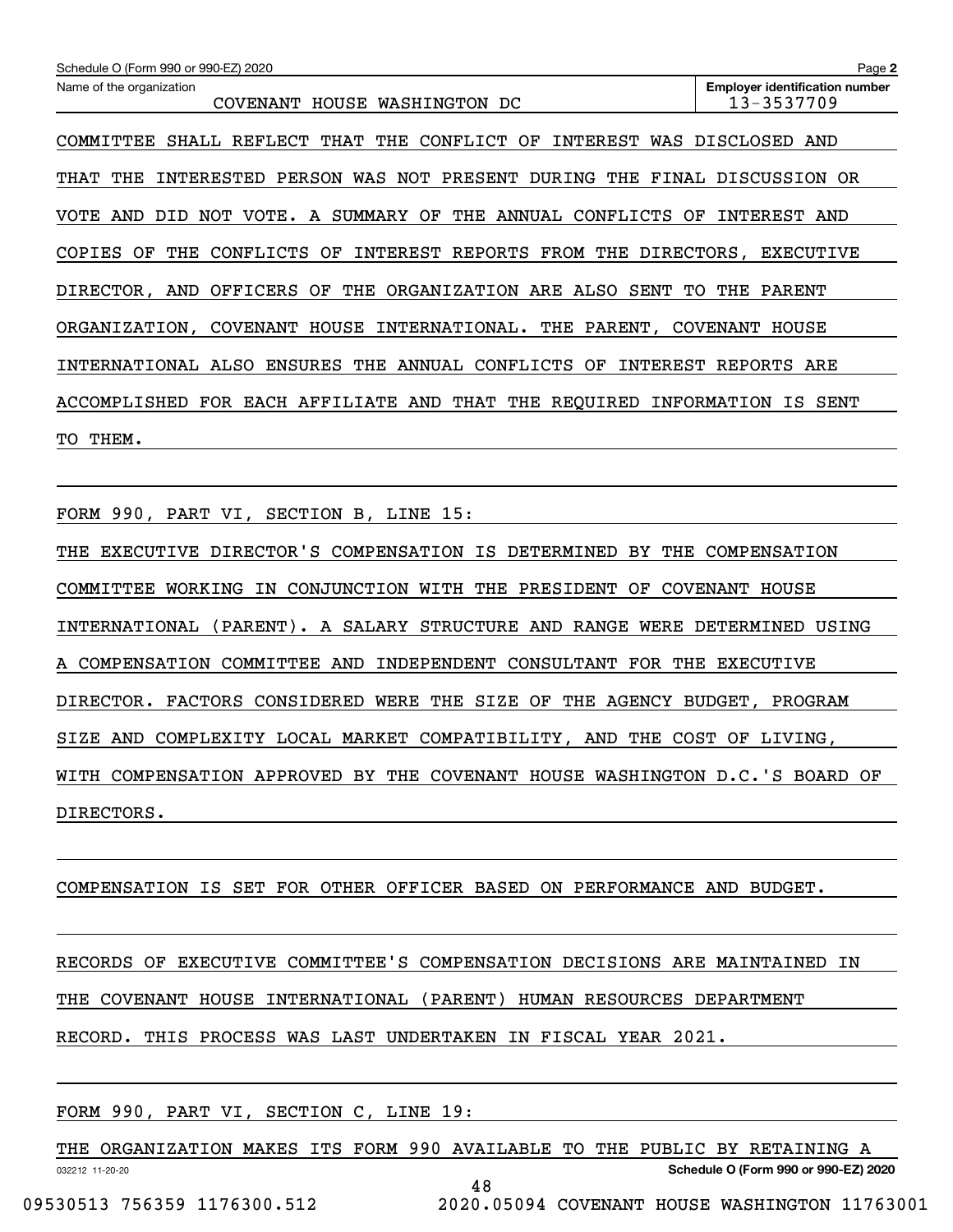| Schedule O (Form 990 or 990-EZ) 2020                                              | Page 2                                              |
|-----------------------------------------------------------------------------------|-----------------------------------------------------|
| Name of the organization<br>HOUSE WASHINGTON DC<br>COVENANT                       | <b>Employer identification number</b><br>13-3537709 |
| REFLECT THAT THE<br>CONFLICT OF<br>INTEREST<br>COMMITTEE<br>SHALL                 | WAS DISCLOSED AND                                   |
| PERSON WAS NOT PRESENT<br>THE<br>INTERESTED<br>DURING<br>THE<br>FINAL<br>THAT     | DISCUSSION<br>OR.                                   |
| A SUMMARY OF<br>THE ANNUAL<br>AND<br>NOT VOTE.<br>CONFLICTS<br>VOTE<br>DID<br>OF  | INTEREST AND                                        |
| OF<br>CONFLICTS<br>INTEREST REPORTS<br>FROM THE DIRECTORS,<br>COPIES<br>THE<br>OF | EXECUTIVE                                           |
| OFFICERS OF THE ORGANIZATION ARE ALSO<br>DIRECTOR, AND<br>SENT<br>TO.             | THE<br>PARENT                                       |
| COVENANT HOUSE INTERNATIONAL. THE PARENT,<br>ORGANIZATION,                        | COVENANT<br>HOUSE                                   |
| INTERNATIONAL ALSO ENSURES THE<br>ANNUAL CONFLICTS<br>OF<br>INTEREST              | REPORTS ARE                                         |
| THAT THE REQUIRED INFORMATION IS<br>ACCOMPLISHED<br>FOR EACH AFFILIATE AND        | SENT                                                |
| THEM.<br>TO.                                                                      |                                                     |

FORM 990, PART VI, SECTION B, LINE 15:

THE EXECUTIVE DIRECTOR'S COMPENSATION IS DETERMINED BY THE COMPENSATION COMMITTEE WORKING IN CONJUNCTION WITH THE PRESIDENT OF COVENANT HOUSE INTERNATIONAL (PARENT). A SALARY STRUCTURE AND RANGE WERE DETERMINED USING A COMPENSATION COMMITTEE AND INDEPENDENT CONSULTANT FOR THE EXECUTIVE DIRECTOR. FACTORS CONSIDERED WERE THE SIZE OF THE AGENCY BUDGET, PROGRAM SIZE AND COMPLEXITY LOCAL MARKET COMPATIBILITY, AND THE COST OF LIVING, WITH COMPENSATION APPROVED BY THE COVENANT HOUSE WASHINGTON D.C.'S BOARD OF DIRECTORS.

COMPENSATION IS SET FOR OTHER OFFICER BASED ON PERFORMANCE AND BUDGET.

RECORDS OF EXECUTIVE COMMITTEE'S COMPENSATION DECISIONS ARE MAINTAINED IN

THE COVENANT HOUSE INTERNATIONAL (PARENT) HUMAN RESOURCES DEPARTMENT

RECORD. THIS PROCESS WAS LAST UNDERTAKEN IN FISCAL YEAR 2021.

| FORM 990, PART VI, SECTION C, LINE 19: |  |
|----------------------------------------|--|
|----------------------------------------|--|

THE ORGANIZATION MAKES ITS FORM 990 AVAILABLE TO THE PUBLIC BY RETAINING A

48

**Schedule O (Form 990 or 990-EZ) 2020**

032212 11-20-20

09530513 756359 1176300.512 2020.05094 COVENANT HOUSE WASHINGTON 11763001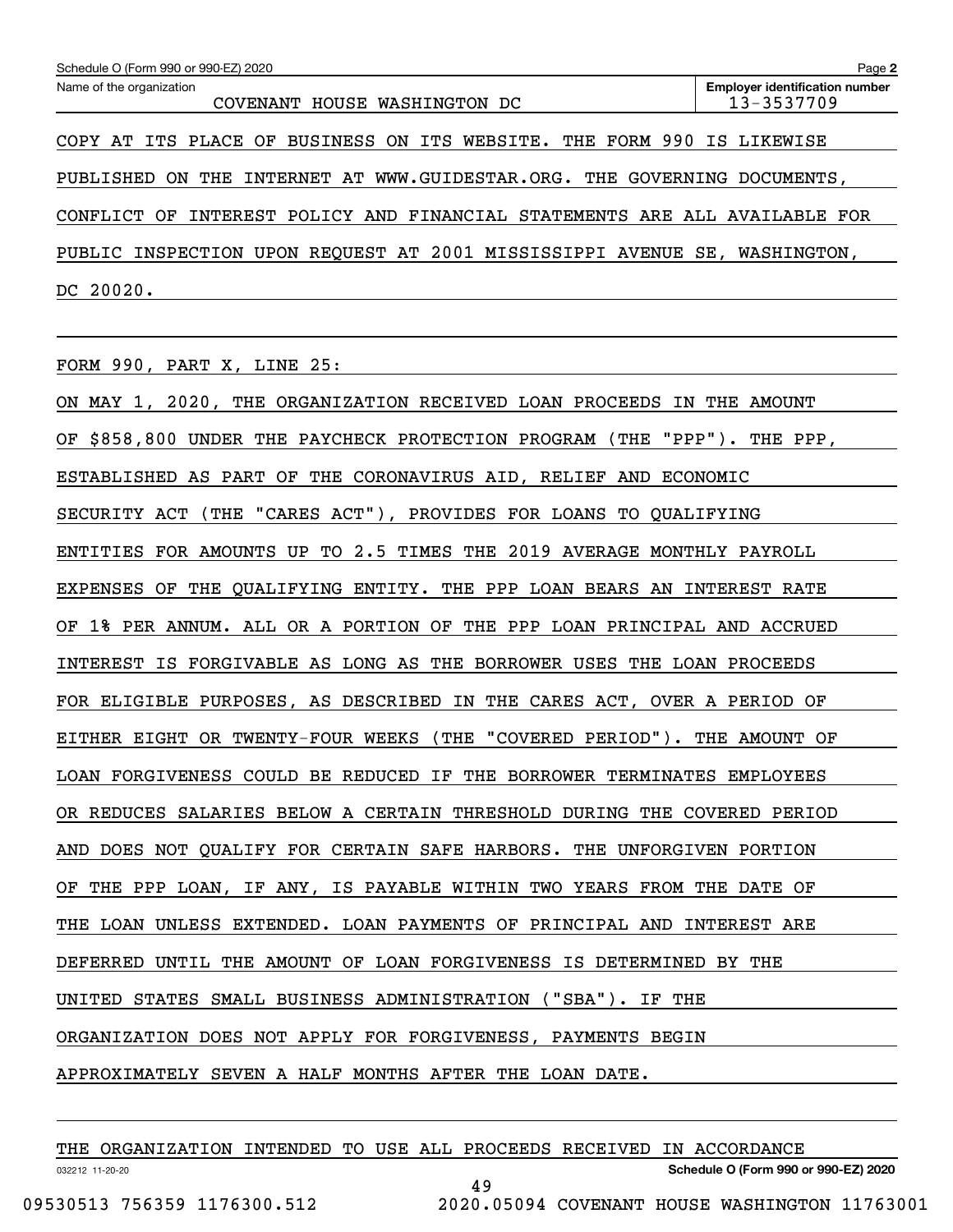| Schedule O (Form 990 or 990-EZ) 2020                                             | Page 2                                              |
|----------------------------------------------------------------------------------|-----------------------------------------------------|
| Name of the organization<br>COVENANT HOUSE WASHINGTON DC                         | <b>Employer identification number</b><br>13-3537709 |
| COPY AT ITS PLACE OF BUSINESS ON ITS WEBSITE. THE FORM 990 IS LIKEWISE           |                                                     |
| INTERNET AT WWW.GUIDESTAR.ORG. THE<br>PUBLISHED<br>THE<br>GOVERNING<br>ON.       | DOCUMENTS.                                          |
| INTEREST POLICY AND FINANCIAL STATEMENTS ARE ALL AVAILABLE FOR<br>CONFLICT<br>ΟF |                                                     |
| UPON REQUEST AT 2001 MISSISSIPPI AVENUE<br>PUBLIC INSPECTION                     | SE.<br>WASHINGTON.                                  |
| 20020.<br>DC.                                                                    |                                                     |

FORM 990, PART X, LINE 25:

ON MAY 1, 2020, THE ORGANIZATION RECEIVED LOAN PROCEEDS IN THE AMOUNT OF \$858,800 UNDER THE PAYCHECK PROTECTION PROGRAM (THE "PPP"). THE PPP, ESTABLISHED AS PART OF THE CORONAVIRUS AID, RELIEF AND ECONOMIC SECURITY ACT (THE "CARES ACT"), PROVIDES FOR LOANS TO QUALIFYING ENTITIES FOR AMOUNTS UP TO 2.5 TIMES THE 2019 AVERAGE MONTHLY PAYROLL EXPENSES OF THE QUALIFYING ENTITY. THE PPP LOAN BEARS AN INTEREST RATE OF 1% PER ANNUM. ALL OR A PORTION OF THE PPP LOAN PRINCIPAL AND ACCRUED INTEREST IS FORGIVABLE AS LONG AS THE BORROWER USES THE LOAN PROCEEDS FOR ELIGIBLE PURPOSES, AS DESCRIBED IN THE CARES ACT, OVER A PERIOD OF EITHER EIGHT OR TWENTY-FOUR WEEKS (THE "COVERED PERIOD"). THE AMOUNT OF LOAN FORGIVENESS COULD BE REDUCED IF THE BORROWER TERMINATES EMPLOYEES OR REDUCES SALARIES BELOW A CERTAIN THRESHOLD DURING THE COVERED PERIOD AND DOES NOT QUALIFY FOR CERTAIN SAFE HARBORS. THE UNFORGIVEN PORTION OF THE PPP LOAN, IF ANY, IS PAYABLE WITHIN TWO YEARS FROM THE DATE OF THE LOAN UNLESS EXTENDED. LOAN PAYMENTS OF PRINCIPAL AND INTEREST ARE DEFERRED UNTIL THE AMOUNT OF LOAN FORGIVENESS IS DETERMINED BY THE UNITED STATES SMALL BUSINESS ADMINISTRATION ("SBA"). IF THE ORGANIZATION DOES NOT APPLY FOR FORGIVENESS, PAYMENTS BEGIN APPROXIMATELY SEVEN A HALF MONTHS AFTER THE LOAN DATE.

|                 |                             |  |  |  | THE ORGANIZATION INTENDED TO USE ALL PROCEEDS RECEIVED IN ACCORDANCE |  |                                      |  |
|-----------------|-----------------------------|--|--|--|----------------------------------------------------------------------|--|--------------------------------------|--|
| 032212 11-20-20 |                             |  |  |  |                                                                      |  | Schedule O (Form 990 or 990-EZ) 2020 |  |
|                 |                             |  |  |  |                                                                      |  |                                      |  |
|                 | 09530513 756359 1176300.512 |  |  |  | 2020.05094 COVENANT HOUSE WASHINGTON 11763001                        |  |                                      |  |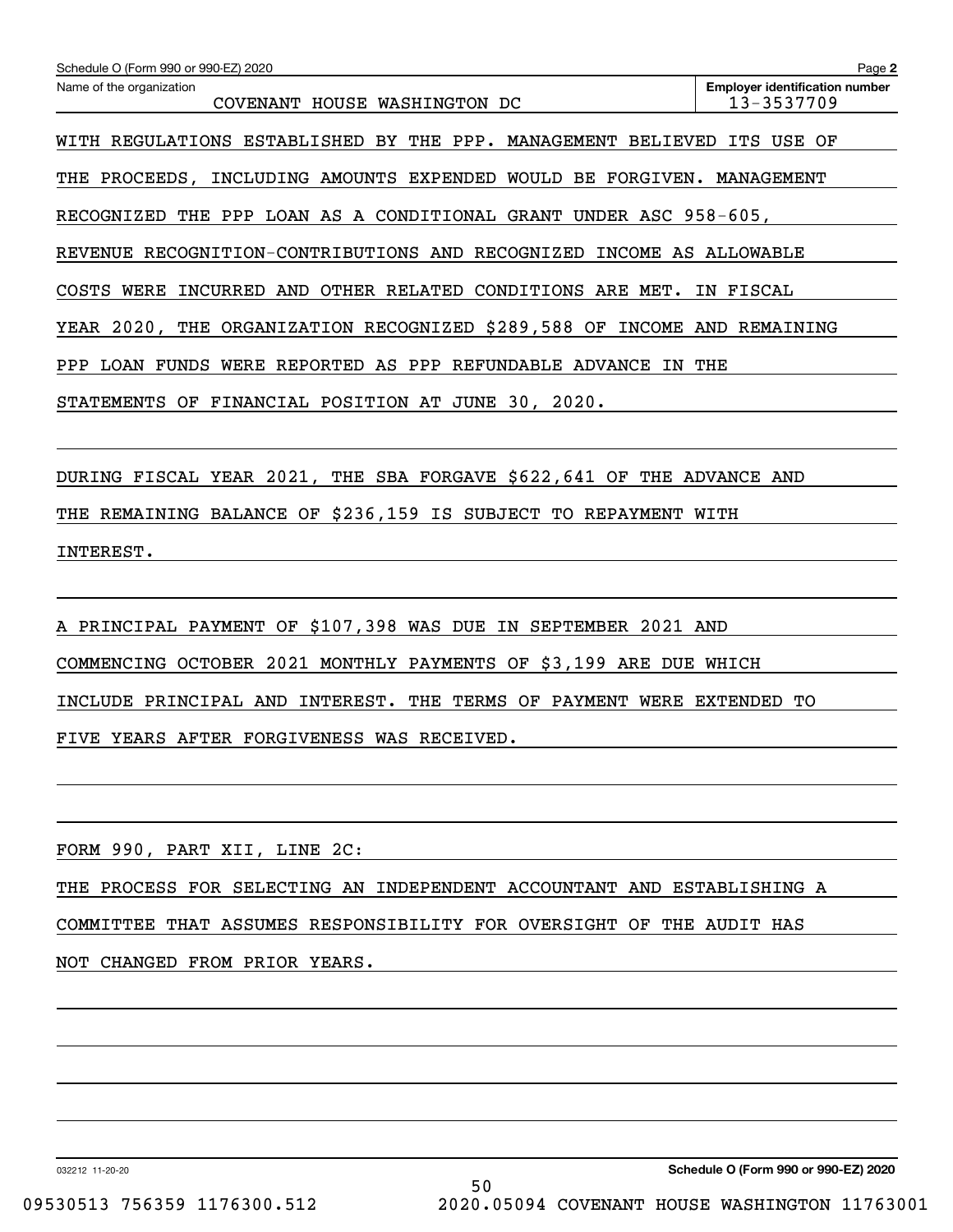| Schedule O (Form 990 or 990-EZ) 2020                                     | Page 2                                              |
|--------------------------------------------------------------------------|-----------------------------------------------------|
| Name of the organization<br>COVENANT HOUSE WASHINGTON DC                 | <b>Employer identification number</b><br>13-3537709 |
| WITH REGULATIONS ESTABLISHED BY THE PPP. MANAGEMENT BELIEVED ITS USE OF  |                                                     |
| THE PROCEEDS, INCLUDING AMOUNTS EXPENDED WOULD BE FORGIVEN. MANAGEMENT   |                                                     |
| RECOGNIZED THE PPP LOAN AS A CONDITIONAL GRANT UNDER ASC 958-605,        |                                                     |
| REVENUE RECOGNITION-CONTRIBUTIONS AND RECOGNIZED INCOME AS ALLOWABLE     |                                                     |
| COSTS WERE INCURRED AND OTHER RELATED CONDITIONS ARE MET. IN FISCAL      |                                                     |
| YEAR 2020, THE ORGANIZATION RECOGNIZED \$289,588 OF INCOME AND REMAINING |                                                     |
| PPP LOAN FUNDS WERE REPORTED AS PPP REFUNDABLE ADVANCE IN THE            |                                                     |
| STATEMENTS OF FINANCIAL POSITION AT JUNE 30, 2020.                       |                                                     |
| DURING FISCAL YEAR 2021, THE SBA FORGAVE \$622,641 OF THE ADVANCE AND    |                                                     |
| THE REMAINING BALANCE OF \$236,159 IS SUBJECT TO REPAYMENT WITH          |                                                     |
| INTEREST.                                                                |                                                     |
|                                                                          |                                                     |
| A PRINCIPAL PAYMENT OF \$107,398 WAS DUE IN SEPTEMBER 2021 AND           |                                                     |
| COMMENCING OCTOBER 2021 MONTHLY PAYMENTS OF \$3,199 ARE DUE WHICH        |                                                     |
| INCLUDE PRINCIPAL AND INTEREST. THE TERMS OF PAYMENT WERE EXTENDED TO    |                                                     |
| FIVE YEARS AFTER FORGIVENESS WAS RECEIVED.                               |                                                     |
|                                                                          |                                                     |
| FORM 990, PART XII, LINE 2C:                                             |                                                     |
| THE PROCESS FOR SELECTING AN INDEPENDENT ACCOUNTANT AND ESTABLISHING A   |                                                     |
| COMMITTEE THAT ASSUMES RESPONSIBILITY FOR OVERSIGHT OF THE AUDIT HAS     |                                                     |
| NOT CHANGED FROM PRIOR YEARS.                                            |                                                     |
|                                                                          |                                                     |
|                                                                          |                                                     |
|                                                                          |                                                     |
|                                                                          |                                                     |
|                                                                          |                                                     |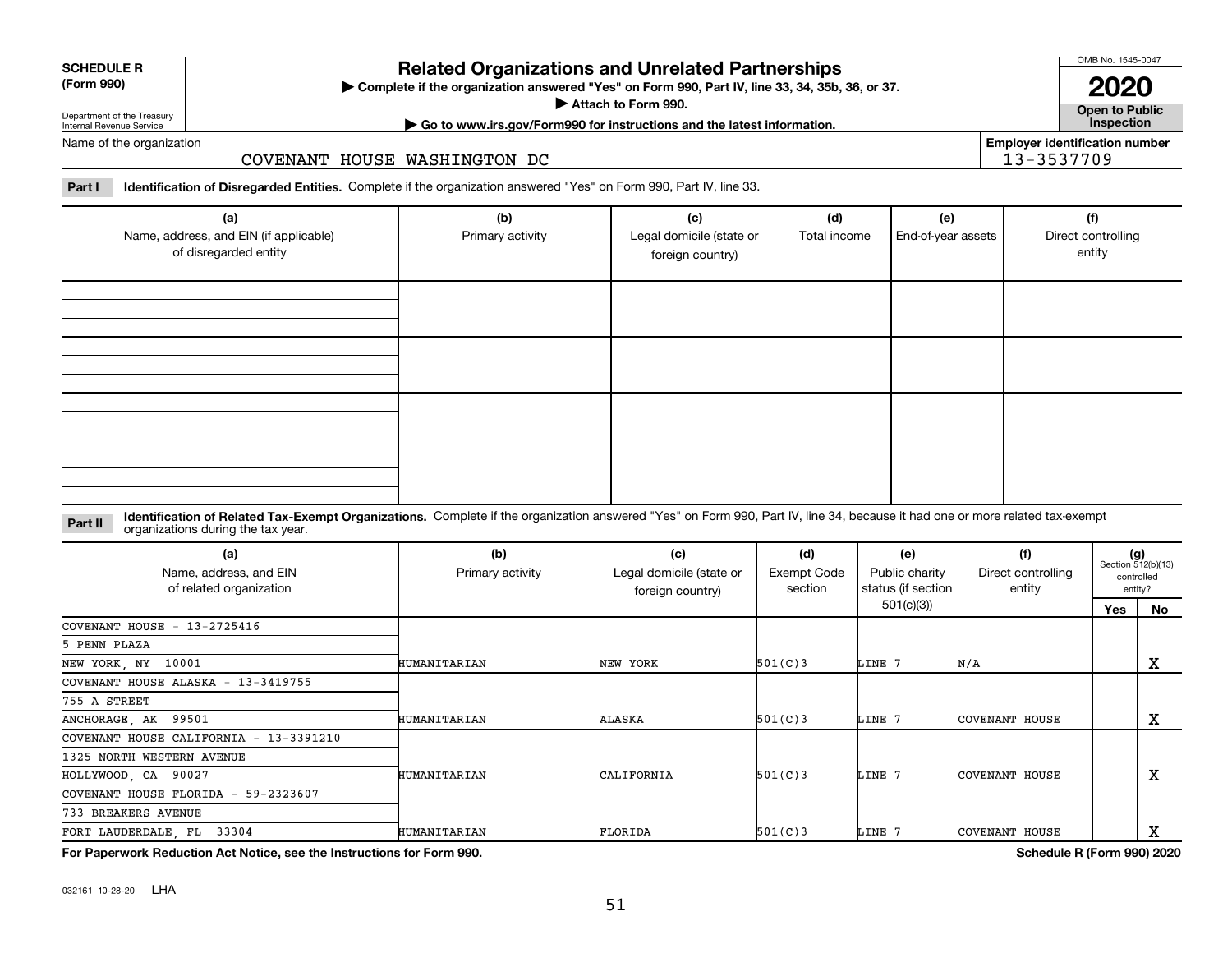032161 10-28-20 LHA

# **Related Organizations and Unrelated Partnerships**

**Complete if the organization answered "Yes" on Form 990, Part IV, line 33, 34, 35b, 36, or 37.** |

**Attach to Form 990.**  |

**| Go to www.irs.gov/Form990 for instructions and the latest information. Inspection**

**Employer identification number**

13-3537709

Name of the organization

## COVENANT HOUSE WASHINGTON DC

**Part I Identification of Disregarded Entities.**  Complete if the organization answered "Yes" on Form 990, Part IV, line 33.

| (a)<br>Name, address, and EIN (if applicable)<br>of disregarded entity | (b)<br>Primary activity | (c)<br>Legal domicile (state or<br>foreign country) | (d)<br>Total income | (e)<br>End-of-year assets | (f)<br>Direct controlling<br>entity |
|------------------------------------------------------------------------|-------------------------|-----------------------------------------------------|---------------------|---------------------------|-------------------------------------|
|                                                                        |                         |                                                     |                     |                           |                                     |
|                                                                        |                         |                                                     |                     |                           |                                     |
|                                                                        |                         |                                                     |                     |                           |                                     |
|                                                                        |                         |                                                     |                     |                           |                                     |

**Identification of Related Tax-Exempt Organizations.** Complete if the organization answered "Yes" on Form 990, Part IV, line 34, because it had one or more related tax-exempt **Part II** organizations during the tax year.

| (a)<br>Name, address, and EIN<br>of related organization | (b)<br>Primary activity | (c)<br>Legal domicile (state or<br>foreign country) | (d)<br>Exempt Code<br>section | (e)<br>Public charity<br>status (if section | (f)<br>Direct controlling<br>entity |     | $(g)$<br>Section 512(b)(13)<br>controlled<br>entity? |
|----------------------------------------------------------|-------------------------|-----------------------------------------------------|-------------------------------|---------------------------------------------|-------------------------------------|-----|------------------------------------------------------|
|                                                          |                         |                                                     |                               | 501(c)(3))                                  |                                     | Yes | No                                                   |
| COVENANT HOUSE $-13-2725416$                             |                         |                                                     |                               |                                             |                                     |     |                                                      |
| 5 PENN PLAZA                                             |                         |                                                     |                               |                                             |                                     |     |                                                      |
| NEW YORK, NY 10001                                       | HUMANITARIAN            | NEW YORK                                            | 501(C)3                       | LINE 7                                      | N/A                                 |     | X                                                    |
| COVENANT HOUSE ALASKA - 13-3419755                       |                         |                                                     |                               |                                             |                                     |     |                                                      |
| 755 A STREET                                             |                         |                                                     |                               |                                             |                                     |     |                                                      |
| ANCHORAGE, AK 99501                                      | HUMANITARIAN            | ALASKA                                              | 501(C)3                       | LINE 7                                      | COVENANT HOUSE                      |     | X                                                    |
| COVENANT HOUSE CALIFORNIA - 13-3391210                   |                         |                                                     |                               |                                             |                                     |     |                                                      |
| 1325 NORTH WESTERN AVENUE                                |                         |                                                     |                               |                                             |                                     |     |                                                      |
| HOLLYWOOD, CA 90027                                      | HUMANITARIAN            | CALIFORNIA                                          | 501(C)3                       | LINE 7                                      | COVENANT HOUSE                      |     | х                                                    |
| COVENANT HOUSE FLORIDA - 59-2323607                      |                         |                                                     |                               |                                             |                                     |     |                                                      |
| 733 BREAKERS AVENUE                                      |                         |                                                     |                               |                                             |                                     |     |                                                      |
| FORT LAUDERDALE, FL 33304                                | HUMANITARIAN            | FLORIDA                                             | 501(C)3                       | LINE 7                                      | COVENANT HOUSE                      |     | х                                                    |

**For Paperwork Reduction Act Notice, see the Instructions for Form 990. Schedule R (Form 990) 2020**



### **SCHEDULE R (Form 990)**

Department of the Treasury Internal Revenue Service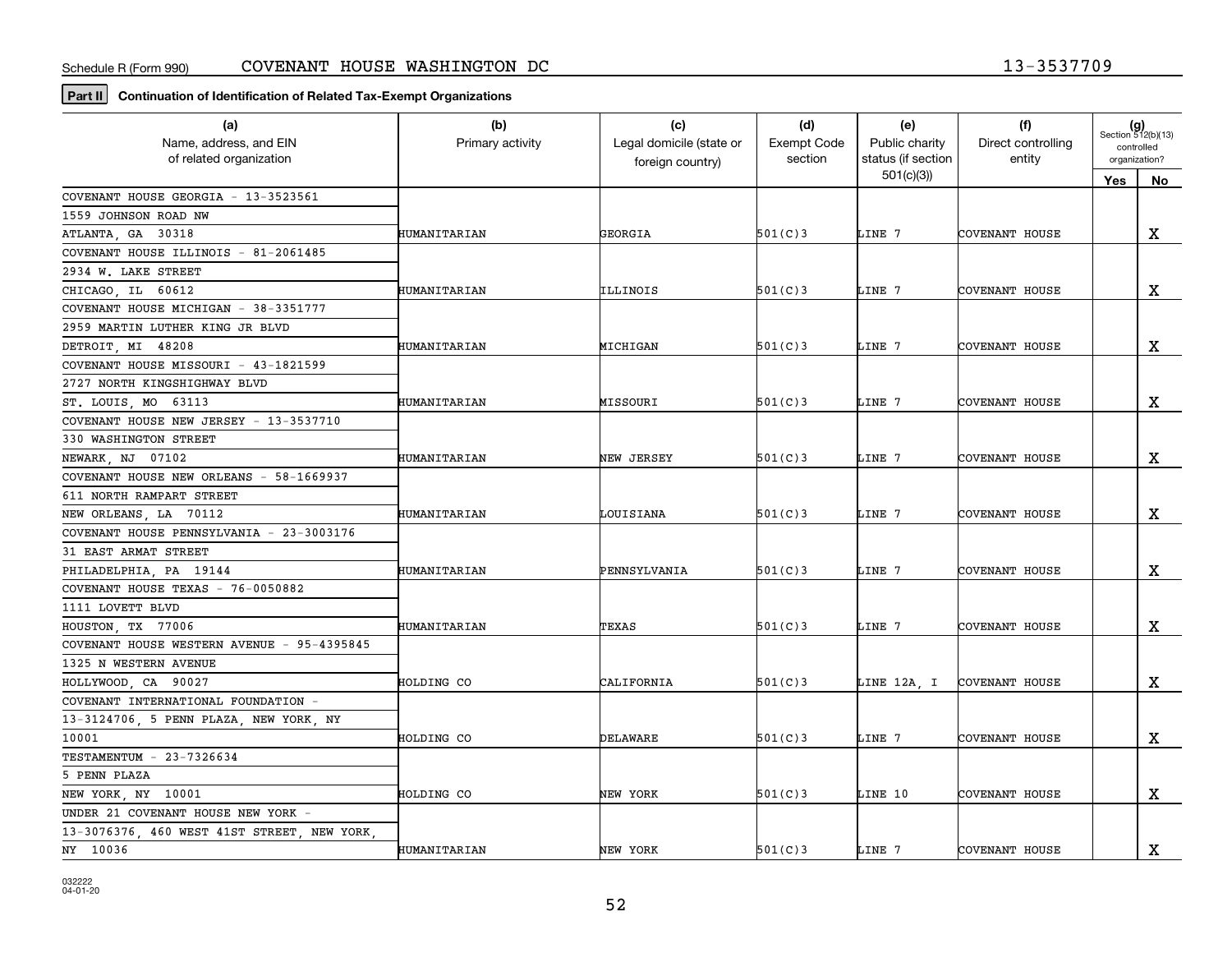**Part II Continuation of Identification of Related Tax-Exempt Organizations**

| (a)<br>Name, address, and EIN              | (b)              | (c)<br>Legal domicile (state or | (d)<br><b>Exempt Code</b> | (e)<br>Public charity           | (f)<br>Direct controlling |                             | $(g)$<br>Section 512(b)(13) |
|--------------------------------------------|------------------|---------------------------------|---------------------------|---------------------------------|---------------------------|-----------------------------|-----------------------------|
| of related organization                    | Primary activity | foreign country)                | section                   | status (if section<br>501(c)(3) | entity                    | controlled<br>organization? |                             |
| COVENANT HOUSE GEORGIA - 13-3523561        |                  |                                 |                           |                                 |                           | Yes                         | No                          |
| 1559 JOHNSON ROAD NW                       |                  |                                 |                           |                                 |                           |                             |                             |
| ATLANTA, GA 30318                          | HUMANITARIAN     | GEORGIA                         | 501(C)3                   | LINE 7                          | COVENANT HOUSE            |                             | $\mathbf x$                 |
| COVENANT HOUSE ILLINOIS - 81-2061485       |                  |                                 |                           |                                 |                           |                             |                             |
| 2934 W. LAKE STREET                        |                  |                                 |                           |                                 |                           |                             |                             |
| CHICAGO, IL 60612                          | HUMANITARIAN     | ILLINOIS                        | 501(C)3                   | LINE 7                          | COVENANT HOUSE            |                             | $\mathbf X$                 |
| COVENANT HOUSE MICHIGAN - 38-3351777       |                  |                                 |                           |                                 |                           |                             |                             |
| 2959 MARTIN LUTHER KING JR BLVD            |                  |                                 |                           |                                 |                           |                             |                             |
| DETROIT, MI 48208                          | HUMANITARIAN     | MICHIGAN                        | 501(C)3                   | LINE 7                          | COVENANT HOUSE            |                             | $\mathbf X$                 |
| COVENANT HOUSE MISSOURI - 43-1821599       |                  |                                 |                           |                                 |                           |                             |                             |
| 2727 NORTH KINGSHIGHWAY BLVD               |                  |                                 |                           |                                 |                           |                             |                             |
| ST. LOUIS, MO 63113                        | HUMANITARIAN     | MISSOURI                        | 501(C)3                   | LINE 7                          | COVENANT HOUSE            |                             | x                           |
| COVENANT HOUSE NEW JERSEY - 13-3537710     |                  |                                 |                           |                                 |                           |                             |                             |
| 330 WASHINGTON STREET                      |                  |                                 |                           |                                 |                           |                             |                             |
| NEWARK, NJ 07102                           | HUMANITARIAN     | NEW JERSEY                      | 501(C)3                   | LINE 7                          | COVENANT HOUSE            |                             | $\mathbf X$                 |
| COVENANT HOUSE NEW ORLEANS - 58-1669937    |                  |                                 |                           |                                 |                           |                             |                             |
| 611 NORTH RAMPART STREET                   |                  |                                 |                           |                                 |                           |                             |                             |
| NEW ORLEANS, LA 70112                      | HUMANITARIAN     | LOUISIANA                       | 501(C)3                   | LINE 7                          | COVENANT HOUSE            |                             | $\mathbf X$                 |
| COVENANT HOUSE PENNSYLVANIA - 23-3003176   |                  |                                 |                           |                                 |                           |                             |                             |
| 31 EAST ARMAT STREET                       |                  |                                 |                           |                                 |                           |                             |                             |
| PHILADELPHIA, PA 19144                     | HUMANITARIAN     | PENNSYLVANIA                    | 501(C)3                   | LINE 7                          | COVENANT HOUSE            |                             | X                           |
| COVENANT HOUSE TEXAS - 76-0050882          |                  |                                 |                           |                                 |                           |                             |                             |
| 1111 LOVETT BLVD                           |                  |                                 |                           |                                 |                           |                             |                             |
| HOUSTON, TX 77006                          | HUMANITARIAN     | TEXAS                           | 501(C)3                   | LINE 7                          | COVENANT HOUSE            |                             | X                           |
| COVENANT HOUSE WESTERN AVENUE - 95-4395845 |                  |                                 |                           |                                 |                           |                             |                             |
| 1325 N WESTERN AVENUE                      |                  |                                 |                           |                                 |                           |                             |                             |
| HOLLYWOOD, CA 90027                        | HOLDING CO       | CALIFORNIA                      | 501(C)3                   | LINE 12A, I                     | <b>COVENANT HOUSE</b>     |                             | х                           |
| COVENANT INTERNATIONAL FOUNDATION -        |                  |                                 |                           |                                 |                           |                             |                             |
| 13-3124706, 5 PENN PLAZA, NEW YORK, NY     |                  |                                 |                           |                                 |                           |                             |                             |
| 10001                                      | HOLDING CO       | DELAWARE                        | 501(C)3                   | LINE 7                          | COVENANT HOUSE            |                             | $\mathbf x$                 |
| TESTAMENTUM - 23-7326634                   |                  |                                 |                           |                                 |                           |                             |                             |
| 5 PENN PLAZA                               |                  |                                 |                           |                                 |                           |                             |                             |
| NEW YORK, NY 10001                         | HOLDING CO       | NEW YORK                        | 501(C)3                   | LINE 10                         | COVENANT HOUSE            |                             | $\mathbf X$                 |
| UNDER 21 COVENANT HOUSE NEW YORK -         |                  |                                 |                           |                                 |                           |                             |                             |
| 13-3076376, 460 WEST 41ST STREET, NEW YORK |                  |                                 |                           |                                 |                           |                             |                             |
| NY 10036                                   | HUMANITARIAN     | NEW YORK                        | 501(C)3                   | LINE 7                          | COVENANT HOUSE            |                             | $\mathbf X$                 |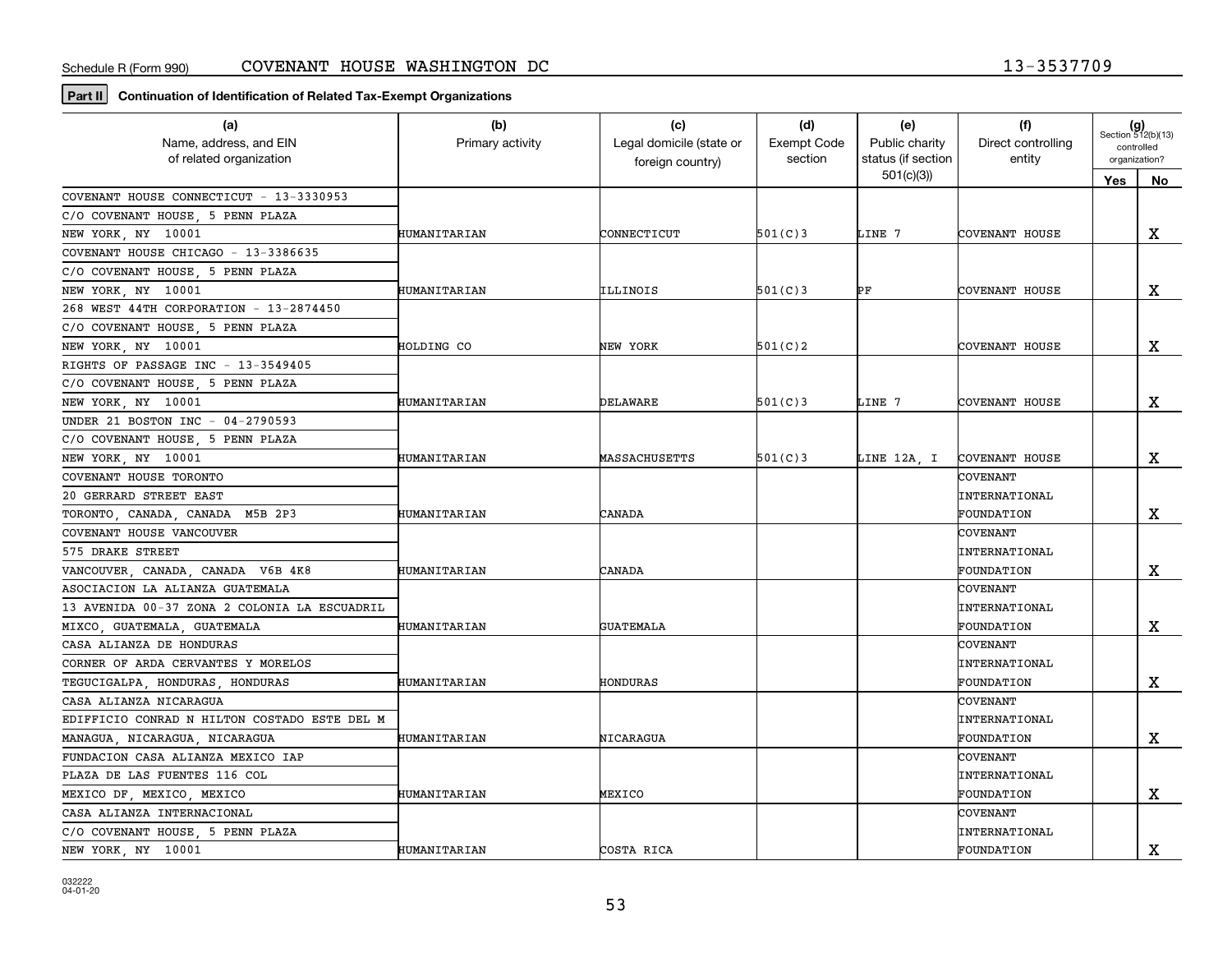**Part II Continuation of Identification of Related Tax-Exempt Organizations**

| (a)                                          | (b)              | (c)                      | (d)                | (e)                | (f)                   | $(g)$<br>Section 512(b)(13) |               |
|----------------------------------------------|------------------|--------------------------|--------------------|--------------------|-----------------------|-----------------------------|---------------|
| Name, address, and EIN                       | Primary activity | Legal domicile (state or | <b>Exempt Code</b> | Public charity     | Direct controlling    | controlled                  |               |
| of related organization                      |                  | foreign country)         | section            | status (if section | entity                |                             | organization? |
|                                              |                  |                          |                    | 501(c)(3)          |                       | Yes                         | No            |
| COVENANT HOUSE CONNECTICUT - 13-3330953      |                  |                          |                    |                    |                       |                             |               |
| C/O COVENANT HOUSE, 5 PENN PLAZA             |                  |                          |                    |                    |                       |                             |               |
| NEW YORK, NY 10001                           | HUMANITARIAN     | CONNECTICUT              | 501(C)3            | LINE 7             | COVENANT HOUSE        |                             | X             |
| COVENANT HOUSE CHICAGO - 13-3386635          |                  |                          |                    |                    |                       |                             |               |
| C/O COVENANT HOUSE, 5 PENN PLAZA             |                  |                          |                    |                    |                       |                             |               |
| NEW YORK, NY 10001                           | HUMANITARIAN     | ILLINOIS                 | 501(C)3            | РF                 | COVENANT HOUSE        |                             | $\mathbf X$   |
| 268 WEST 44TH CORPORATION - 13-2874450       |                  |                          |                    |                    |                       |                             |               |
| C/O COVENANT HOUSE, 5 PENN PLAZA             |                  |                          |                    |                    |                       |                             |               |
| NEW YORK, NY 10001                           | HOLDING CO       | NEW YORK                 | 501(C)2            |                    | COVENANT HOUSE        |                             | $\mathbf X$   |
| RIGHTS OF PASSAGE INC - 13-3549405           |                  |                          |                    |                    |                       |                             |               |
| C/O COVENANT HOUSE, 5 PENN PLAZA             |                  |                          |                    |                    |                       |                             |               |
| NEW YORK, NY 10001                           | HUMANITARIAN     | DELAWARE                 | 501(C)3            | LINE 7             | COVENANT HOUSE        |                             | $\mathbf X$   |
| UNDER 21 BOSTON INC - 04-2790593             |                  |                          |                    |                    |                       |                             |               |
| C/O COVENANT HOUSE 5 PENN PLAZA              |                  |                          |                    |                    |                       |                             |               |
| NEW YORK, NY 10001                           | HUMANITARIAN     | MASSACHUSETTS            | 501(C)3            | LINE 12A, I        | <b>COVENANT HOUSE</b> |                             | $\mathbf X$   |
| COVENANT HOUSE TORONTO                       |                  |                          |                    |                    | <b>COVENANT</b>       |                             |               |
| 20 GERRARD STREET EAST                       |                  |                          |                    |                    | INTERNATIONAL         |                             |               |
| TORONTO, CANADA, CANADA M5B 2P3              | HUMANITARIAN     | CANADA                   |                    |                    | <b>FOUNDATION</b>     |                             | $\mathbf X$   |
| COVENANT HOUSE VANCOUVER                     |                  |                          |                    |                    | <b>COVENANT</b>       |                             |               |
| 575 DRAKE STREET                             |                  |                          |                    |                    | INTERNATIONAL         |                             |               |
| VANCOUVER CANADA CANADA V6B 4K8              | HUMANITARIAN     | CANADA                   |                    |                    | FOUNDATION            |                             | $\mathbf X$   |
| ASOCIACION LA ALIANZA GUATEMALA              |                  |                          |                    |                    | <b>COVENANT</b>       |                             |               |
| 13 AVENIDA 00-37 ZONA 2 COLONIA LA ESCUADRIL |                  |                          |                    |                    | <b>INTERNATIONAL</b>  |                             |               |
| MIXCO, GUATEMALA, GUATEMALA                  | HUMANITARIAN     | GUATEMALA                |                    |                    | FOUNDATION            |                             | X             |
| CASA ALIANZA DE HONDURAS                     |                  |                          |                    |                    | <b>COVENANT</b>       |                             |               |
| CORNER OF ARDA CERVANTES Y MORELOS           |                  |                          |                    |                    | INTERNATIONAL         |                             |               |
| TEGUCIGALPA, HONDURAS, HONDURAS              | HUMANITARIAN     | HONDURAS                 |                    |                    | FOUNDATION            |                             | $\mathbf X$   |
| CASA ALIANZA NICARAGUA                       |                  |                          |                    |                    | COVENANT              |                             |               |
| EDIFFICIO CONRAD N HILTON COSTADO ESTE DEL M |                  |                          |                    |                    | <b>INTERNATIONAL</b>  |                             |               |
| MANAGUA, NICARAGUA, NICARAGUA                | HUMANITARIAN     | NICARAGUA                |                    |                    | FOUNDATION            |                             | X             |
| FUNDACION CASA ALIANZA MEXICO IAP            |                  |                          |                    |                    | <b>COVENANT</b>       |                             |               |
| PLAZA DE LAS FUENTES 116 COL                 |                  |                          |                    |                    | <b>INTERNATIONAL</b>  |                             |               |
| MEXICO DF, MEXICO, MEXICO                    | HUMANITARIAN     | MEXICO                   |                    |                    | FOUNDATION            |                             | $\mathbf X$   |
| CASA ALIANZA INTERNACIONAL                   |                  |                          |                    |                    | COVENANT              |                             |               |
| C/O COVENANT HOUSE, 5 PENN PLAZA             |                  |                          |                    |                    | INTERNATIONAL         |                             |               |
| NEW YORK, NY 10001                           | HUMANITARIAN     | COSTA RICA               |                    |                    | FOUNDATION            |                             | $\mathbf X$   |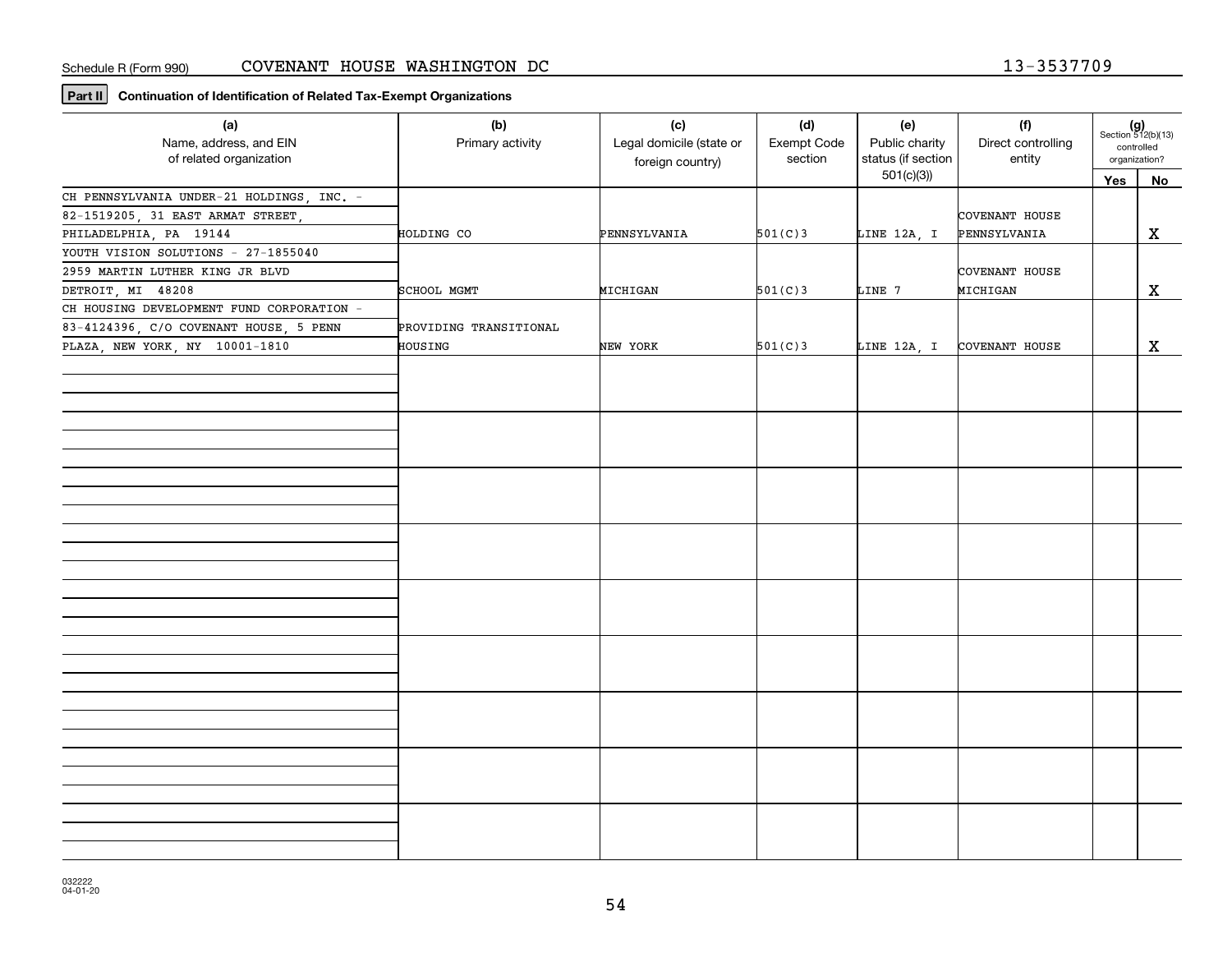**Part II Continuation of Identification of Related Tax-Exempt Organizations**

| (a)<br>Name, address, and EIN<br>of related organization | (b)<br>Primary activity | (c)<br>Legal domicile (state or<br>foreign country) | (d)<br>Exempt Code<br>section | (e)<br>Public charity<br>status (if section | (f)<br>Direct controlling<br>entity | $(g)$<br>Section 512(b)(13)<br>controlled<br>organization? |             |
|----------------------------------------------------------|-------------------------|-----------------------------------------------------|-------------------------------|---------------------------------------------|-------------------------------------|------------------------------------------------------------|-------------|
|                                                          |                         |                                                     |                               | 501(c)(3)                                   |                                     | Yes                                                        | No          |
| CH PENNSYLVANIA UNDER-21 HOLDINGS, INC. -                |                         |                                                     |                               |                                             |                                     |                                                            |             |
| 82-1519205, 31 EAST ARMAT STREET,                        |                         |                                                     |                               |                                             | COVENANT HOUSE                      |                                                            |             |
| PHILADELPHIA, PA 19144                                   | HOLDING CO              | PENNSYLVANIA                                        | 501(C)3                       | LINE 12A, I                                 | PENNSYLVANIA                        |                                                            | $\mathbf x$ |
| YOUTH VISION SOLUTIONS - 27-1855040                      |                         |                                                     |                               |                                             |                                     |                                                            |             |
| 2959 MARTIN LUTHER KING JR BLVD                          |                         |                                                     |                               |                                             | COVENANT HOUSE                      |                                                            |             |
| DETROIT, MI 48208                                        | SCHOOL MGMT             | MICHIGAN                                            | 501(C)3                       | LINE 7                                      | MICHIGAN                            |                                                            | X           |
| CH HOUSING DEVELOPMENT FUND CORPORATION -                |                         |                                                     |                               |                                             |                                     |                                                            |             |
| 83-4124396, C/O COVENANT HOUSE, 5 PENN                   | PROVIDING TRANSITIONAL  |                                                     |                               |                                             |                                     |                                                            |             |
| PLAZA, NEW YORK, NY 10001-1810                           | HOUSING                 | NEW YORK                                            | 501(C)3                       | LINE 12A, I                                 | COVENANT HOUSE                      |                                                            | $\mathbf x$ |
|                                                          |                         |                                                     |                               |                                             |                                     |                                                            |             |
|                                                          |                         |                                                     |                               |                                             |                                     |                                                            |             |
|                                                          |                         |                                                     |                               |                                             |                                     |                                                            |             |
|                                                          |                         |                                                     |                               |                                             |                                     |                                                            |             |
|                                                          |                         |                                                     |                               |                                             |                                     |                                                            |             |
|                                                          |                         |                                                     |                               |                                             |                                     |                                                            |             |
|                                                          |                         |                                                     |                               |                                             |                                     |                                                            |             |
|                                                          |                         |                                                     |                               |                                             |                                     |                                                            |             |
|                                                          |                         |                                                     |                               |                                             |                                     |                                                            |             |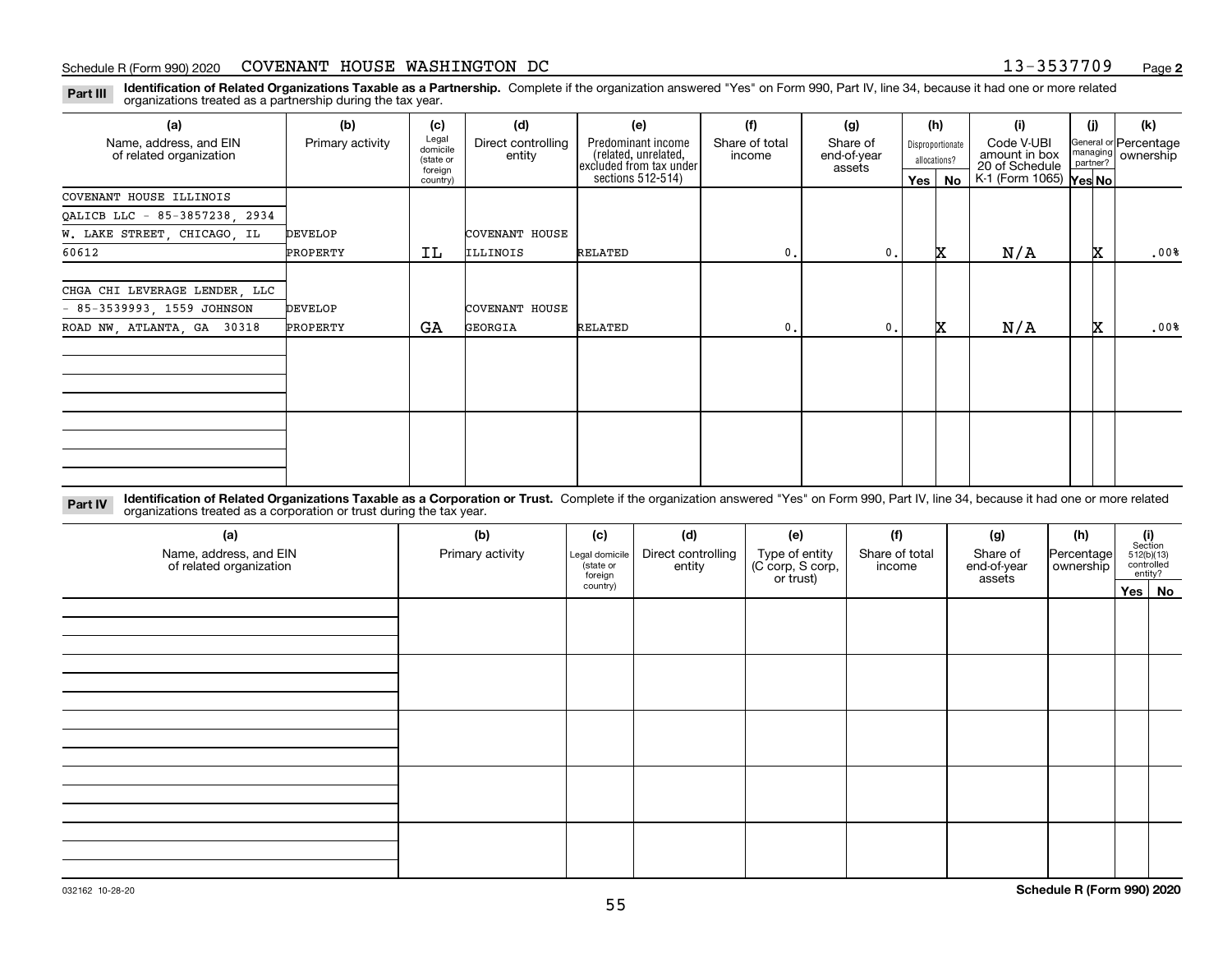**Identification of Related Organizations Taxable as a Partnership.** Complete if the organization answered "Yes" on Form 990, Part IV, line 34, because it had one or more related **Part III** organizations treated as a partnership during the tax year.

| (a)                                               | (b)              | (c)                                       | (d)                          | (e)                                                                   | (f)                      | (g)                               |         | (h)                              | (i)                                           | (i) | (k)                                         |
|---------------------------------------------------|------------------|-------------------------------------------|------------------------------|-----------------------------------------------------------------------|--------------------------|-----------------------------------|---------|----------------------------------|-----------------------------------------------|-----|---------------------------------------------|
| Name, address, and EIN<br>of related organization | Primary activity | Legal<br>domicile<br>(state or<br>foreign | Direct controlling<br>entity | Predominant income<br>(related, unrelated,<br>excluded from tax under | Share of total<br>income | Share of<br>end-of-year<br>assets |         | Disproportionate<br>allocations? | Code V-UBI<br>amount in box<br>20 of Schedule |     | General or Percentage<br>managing ownership |
|                                                   |                  | country)                                  |                              | sections 512-514)                                                     |                          |                                   | Yes $ $ | No                               | K-1 (Form 1065) Yes No                        |     |                                             |
| COVENANT HOUSE ILLINOIS                           |                  |                                           |                              |                                                                       |                          |                                   |         |                                  |                                               |     |                                             |
| QALICB LLC - 85-3857238, 2934                     |                  |                                           |                              |                                                                       |                          |                                   |         |                                  |                                               |     |                                             |
| W. LAKE STREET, CHICAGO, IL                       | <b>DEVELOP</b>   |                                           | COVENANT HOUSE               |                                                                       |                          |                                   |         |                                  |                                               |     |                                             |
| 60612                                             | PROPERTY         | IL                                        | ILLINOIS                     | RELATED                                                               | $\mathbf{0}$ .           | 0.                                |         | x                                | N/A                                           | x   | .00%                                        |
| CHGA CHI LEVERAGE LENDER, LLC                     |                  |                                           |                              |                                                                       |                          |                                   |         |                                  |                                               |     |                                             |
| $-85-3539993, 1559$ JOHNSON                       | <b>DEVELOP</b>   |                                           | <b>COVENANT HOUSE</b>        |                                                                       |                          |                                   |         |                                  |                                               |     |                                             |
| ROAD NW, ATLANTA, GA 30318                        | PROPERTY         | GA                                        | GEORGIA                      | RELATED                                                               | $\mathbf{0}$ .           | 0.                                |         | x                                | N/A                                           | X.  | .00%                                        |
|                                                   |                  |                                           |                              |                                                                       |                          |                                   |         |                                  |                                               |     |                                             |
|                                                   |                  |                                           |                              |                                                                       |                          |                                   |         |                                  |                                               |     |                                             |

**Identification of Related Organizations Taxable as a Corporation or Trust.** Complete if the organization answered "Yes" on Form 990, Part IV, line 34, because it had one or more related **Part IV** organizations treated as a corporation or trust during the tax year.

| (a)<br>Name, address, and EIN<br>of related organization | (b)<br>Primary activity | (c)<br>Legal domicile<br>(state or<br>foreign | (d)<br>Direct controlling<br>entity | (e)<br>Type of entity<br>(C corp, S corp,<br>or trust) | (f)<br>Share of total<br>income | (g)<br>Share of<br>end-of-year<br>assets | (h)<br>Percentage<br>ownership | $\begin{array}{c} \textbf{(i)}\\ \text{Section}\\ 512 \text{(b)} \text{(13)}\\ \text{controlled}\end{array}$ | entity? |
|----------------------------------------------------------|-------------------------|-----------------------------------------------|-------------------------------------|--------------------------------------------------------|---------------------------------|------------------------------------------|--------------------------------|--------------------------------------------------------------------------------------------------------------|---------|
|                                                          |                         | country)                                      |                                     |                                                        |                                 |                                          |                                |                                                                                                              | Yes No  |
|                                                          |                         |                                               |                                     |                                                        |                                 |                                          |                                |                                                                                                              |         |
|                                                          |                         |                                               |                                     |                                                        |                                 |                                          |                                |                                                                                                              |         |
|                                                          |                         |                                               |                                     |                                                        |                                 |                                          |                                |                                                                                                              |         |
|                                                          |                         |                                               |                                     |                                                        |                                 |                                          |                                |                                                                                                              |         |
|                                                          |                         |                                               |                                     |                                                        |                                 |                                          |                                |                                                                                                              |         |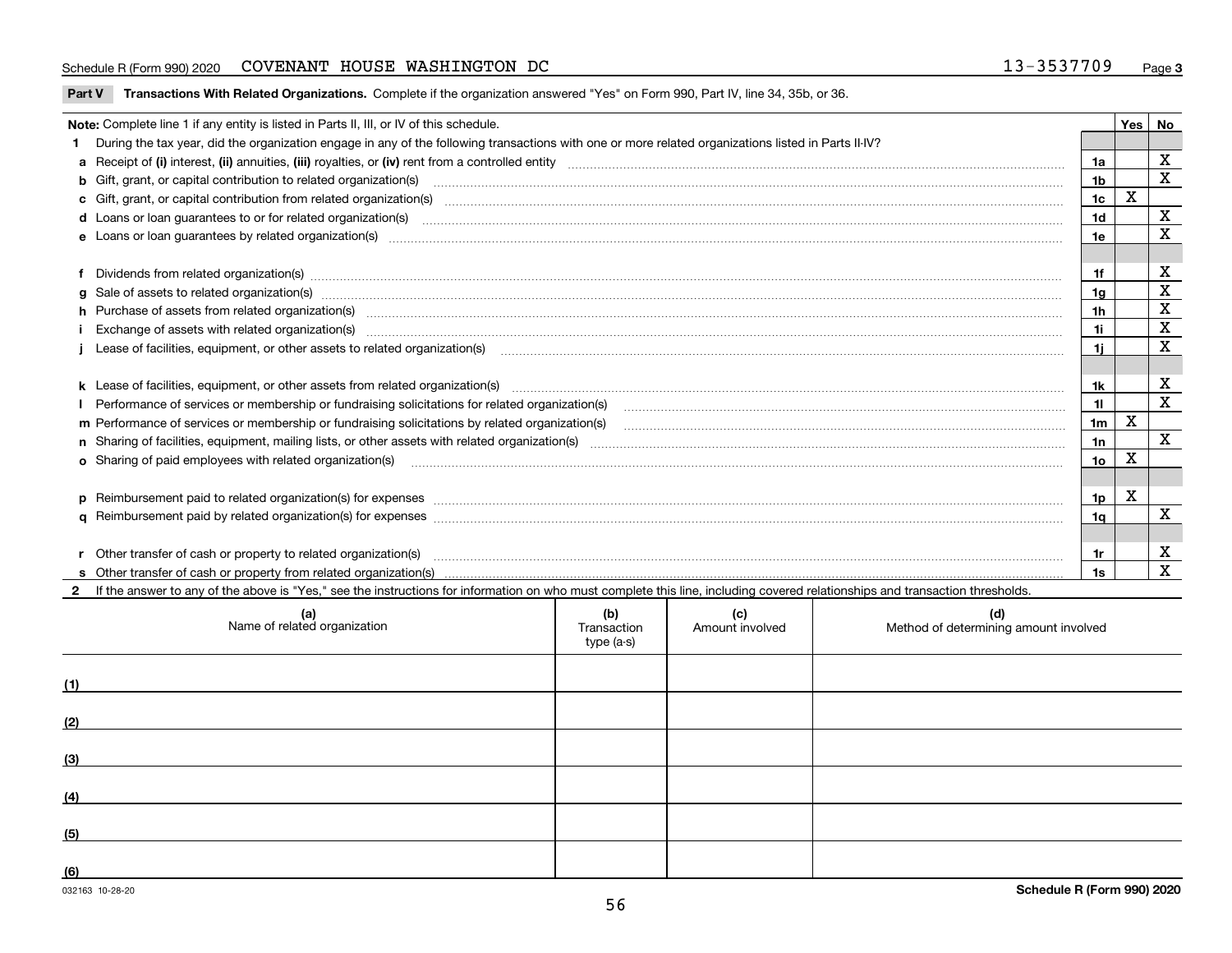### Schedule R (Form 990) 2020 COVENANT HOUSE WASHINGTON DC 1 3-35 3 7 7 0 9 <sub>Page</sub>

| Part V Transactions With Related Organizations. Complete if the organization answered "Yes" on Form 990, Part IV, line 34, 35b, or 36 |  |
|---------------------------------------------------------------------------------------------------------------------------------------|--|
|                                                                                                                                       |  |

| Note: Complete line 1 if any entity is listed in Parts II, III, or IV of this schedule.                                                                                                                                        |                 | Yes   No |                           |
|--------------------------------------------------------------------------------------------------------------------------------------------------------------------------------------------------------------------------------|-----------------|----------|---------------------------|
| During the tax year, did the organization engage in any of the following transactions with one or more related organizations listed in Parts II-IV?                                                                            |                 |          |                           |
|                                                                                                                                                                                                                                | 1a              |          | X                         |
| b Gift, grant, or capital contribution to related organization(s) manufaction contracts and contribution to related organization(s) manufaction contribution to related organization(s)                                        | 1 <sub>b</sub>  |          | X                         |
| c Gift, grant, or capital contribution from related organization(s) mature material contract contribution from related organization(s) matured contents of mature material contribution from related organization(s) material  | 1c              | X        |                           |
|                                                                                                                                                                                                                                | 1 <sub>d</sub>  |          | х                         |
|                                                                                                                                                                                                                                | 1e              |          | X                         |
|                                                                                                                                                                                                                                |                 |          |                           |
| Dividends from related organization(s) manufactured and contract and contract and contract and contract and contract and contract and contract and contract and contract and contract and contract and contract and contract a | 1f              |          | х                         |
|                                                                                                                                                                                                                                | 1a              |          | $\mathbf x$               |
| h Purchase of assets from related organization(s) manufactured content to content the content of the content of the content of the content of the content of the content of the content of the content of the content of the c | 1 <sub>h</sub>  |          | X                         |
|                                                                                                                                                                                                                                | 1i              |          | $\mathbf x$               |
| Lease of facilities, equipment, or other assets to related organization(s) manufactured content and content and content and content and content and content and content and content and content and content and content and co | 1i.             |          | X                         |
|                                                                                                                                                                                                                                |                 |          |                           |
| k Lease of facilities, equipment, or other assets from related organization(s) manufaction content and content to content and an analyzing content and an analyzing content and an analyzing content and content and content a | 1k              |          | $\boldsymbol{\mathrm{X}}$ |
|                                                                                                                                                                                                                                | 11              |          | X                         |
|                                                                                                                                                                                                                                | 1 <sub>m</sub>  | X        |                           |
|                                                                                                                                                                                                                                | 1n              |          | X                         |
| <b>o</b> Sharing of paid employees with related organization(s)                                                                                                                                                                | 10 <sub>o</sub> | X        |                           |
|                                                                                                                                                                                                                                |                 |          |                           |
| p Reimbursement paid to related organization(s) for expenses [11111] [12] reasonal content of the separation (s) for expenses [11111] [12] reasonal content in the separation (s) for expenses [1111] [12] reasonal content in | 1p              | X        |                           |
|                                                                                                                                                                                                                                | 1q              |          | X                         |
|                                                                                                                                                                                                                                |                 |          |                           |
| Other transfer of cash or property to related organization(s)                                                                                                                                                                  | 1r              |          | X                         |
|                                                                                                                                                                                                                                | 1s              |          | X                         |
| If the answer to any of the above is "Yes," see the instructions for information on who must complete this line, including covered relationships and transaction thresholds.                                                   |                 |          |                           |

| (a)<br>Name of related organization | (b)<br>Transaction<br>type (a-s) | (c)<br>Amount involved | (d)<br>Method of determining amount involved |
|-------------------------------------|----------------------------------|------------------------|----------------------------------------------|
| (1)                                 |                                  |                        |                                              |
| (2)                                 |                                  |                        |                                              |
| (3)                                 |                                  |                        |                                              |
| (4)                                 |                                  |                        |                                              |
| (5)                                 |                                  |                        |                                              |
| (6)                                 |                                  |                        |                                              |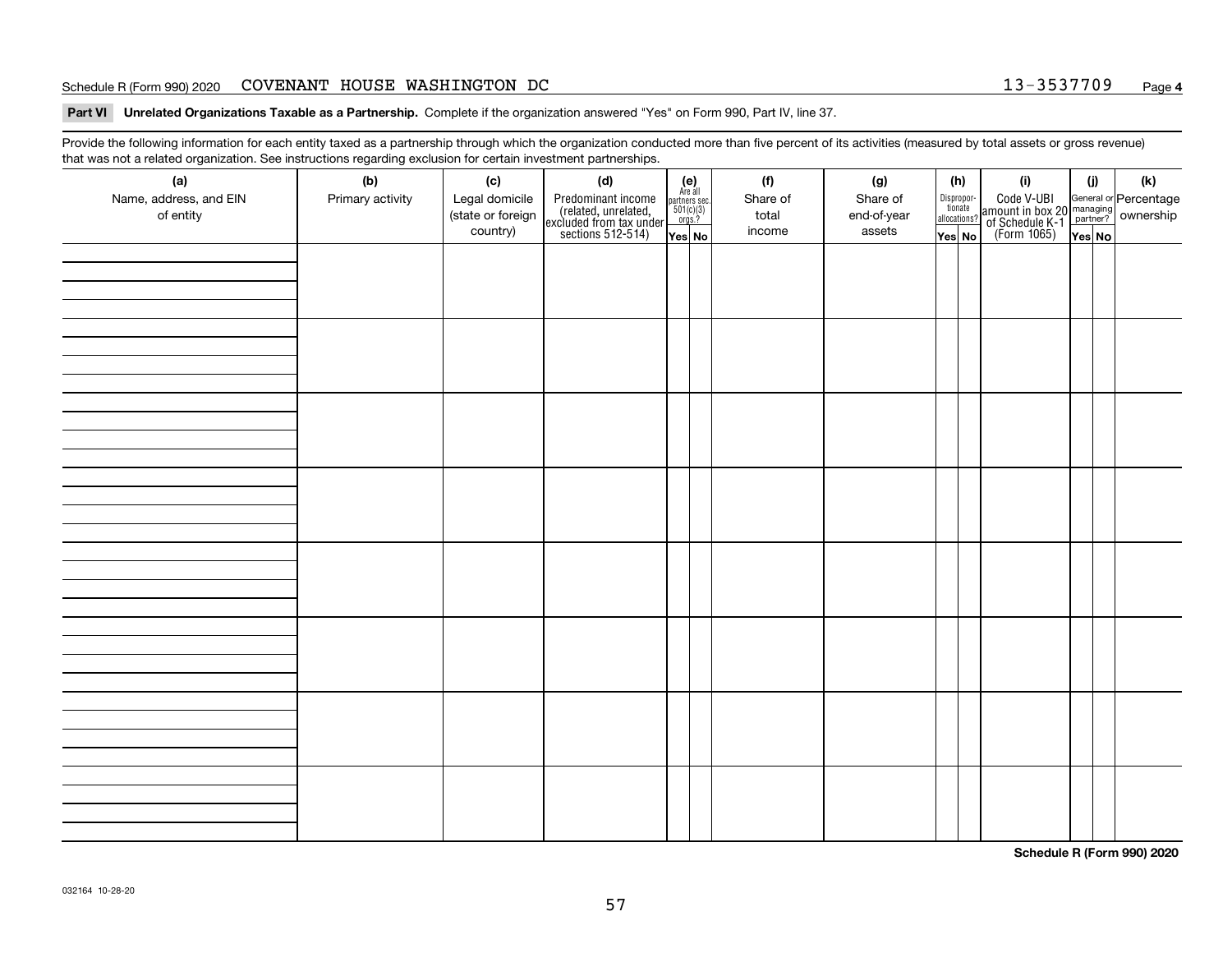### Schedule R (Form 990) 2020 COVENANT HOUSE WASHINGTON DC 1 3-35 3 7 7 0 9 <sub>Page</sub>

**Part VI Unrelated Organizations Taxable as a Partnership. Complete if the organization answered "Yes" on Form 990, Part IV, line 37.** 

Provide the following information for each entity taxed as a partnership through which the organization conducted more than five percent of its activities (measured by total assets or gross revenue) that was not a related organization. See instructions regarding exclusion for certain investment partnerships.

| - - - - -<br>(a)<br>Name, address, and EIN<br>of entity | − ອ−<br>(b)<br>Primary activity | (c)<br>Legal domicile<br>(state or foreign<br>country) | (d)<br>Predominant income<br>(related, unrelated,<br>excluded from tax under<br>sections 512-514) | $\begin{array}{c} \textbf{(e)}\\ \text{Area all} \\ \text{partners sec.}\\ 501(c)(3) \\ \text{orgs.?} \end{array}$<br>Yes No | (f)<br>Share of<br>total<br>income | (g)<br>Share of<br>end-of-year<br>assets | (h)<br>Dispropor-<br>tionate<br>allocations?<br>Yes No | (i)<br>Code V-UBI<br>amount in box 20 managing<br>of Schedule K-1<br>(Form 1065)<br>$\overline{Yes}$ No | (i)<br>Yes No | (k) |
|---------------------------------------------------------|---------------------------------|--------------------------------------------------------|---------------------------------------------------------------------------------------------------|------------------------------------------------------------------------------------------------------------------------------|------------------------------------|------------------------------------------|--------------------------------------------------------|---------------------------------------------------------------------------------------------------------|---------------|-----|
|                                                         |                                 |                                                        |                                                                                                   |                                                                                                                              |                                    |                                          |                                                        |                                                                                                         |               |     |
|                                                         |                                 |                                                        |                                                                                                   |                                                                                                                              |                                    |                                          |                                                        |                                                                                                         |               |     |
|                                                         |                                 |                                                        |                                                                                                   |                                                                                                                              |                                    |                                          |                                                        |                                                                                                         |               |     |
|                                                         |                                 |                                                        |                                                                                                   |                                                                                                                              |                                    |                                          |                                                        |                                                                                                         |               |     |
|                                                         |                                 |                                                        |                                                                                                   |                                                                                                                              |                                    |                                          |                                                        |                                                                                                         |               |     |
|                                                         |                                 |                                                        |                                                                                                   |                                                                                                                              |                                    |                                          |                                                        |                                                                                                         |               |     |
|                                                         |                                 |                                                        |                                                                                                   |                                                                                                                              |                                    |                                          |                                                        |                                                                                                         |               |     |
|                                                         |                                 |                                                        |                                                                                                   |                                                                                                                              |                                    |                                          |                                                        |                                                                                                         |               |     |

**Schedule R (Form 990) 2020**